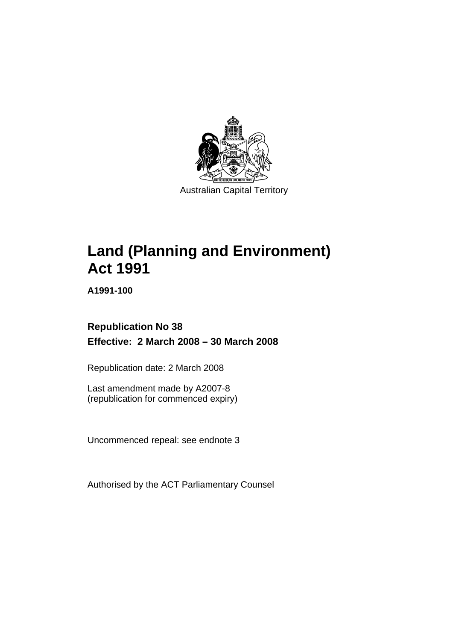

Australian Capital Territory

# **[Land \(Planning and Environment\)](#page-14-0)  [Act 1991](#page-14-0)**

**A1991-100** 

# **Republication No 38 Effective: 2 March 2008 – 30 March 2008**

Republication date: 2 March 2008

Last amendment made by A2007-8 (republication for commenced expiry)

Uncommenced repeal: see endnote 3

Authorised by the ACT Parliamentary Counsel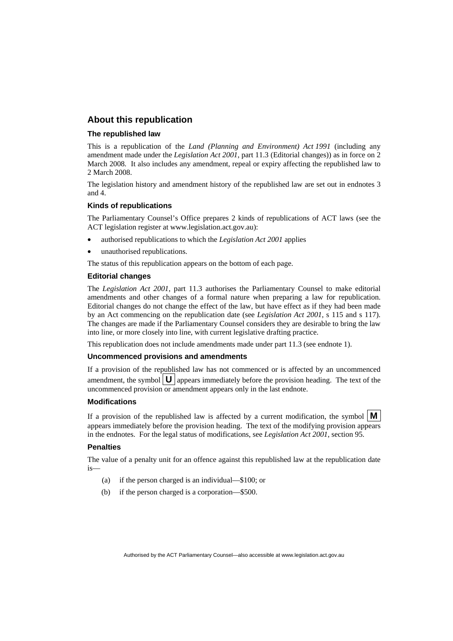#### **About this republication**

#### **The republished law**

This is a republication of the *Land (Planning and Environment) Act 1991* (including any amendment made under the *Legislation Act 2001*, part 11.3 (Editorial changes)) as in force on 2 March 2008*.* It also includes any amendment, repeal or expiry affecting the republished law to 2 March 2008.

The legislation history and amendment history of the republished law are set out in endnotes 3 and 4.

#### **Kinds of republications**

The Parliamentary Counsel's Office prepares 2 kinds of republications of ACT laws (see the ACT legislation register at www.legislation.act.gov.au):

- authorised republications to which the *Legislation Act 2001* applies
- unauthorised republications.

The status of this republication appears on the bottom of each page.

#### **Editorial changes**

The *Legislation Act 2001*, part 11.3 authorises the Parliamentary Counsel to make editorial amendments and other changes of a formal nature when preparing a law for republication. Editorial changes do not change the effect of the law, but have effect as if they had been made by an Act commencing on the republication date (see *Legislation Act 2001*, s 115 and s 117). The changes are made if the Parliamentary Counsel considers they are desirable to bring the law into line, or more closely into line, with current legislative drafting practice.

This republication does not include amendments made under part 11.3 (see endnote 1).

#### **Uncommenced provisions and amendments**

If a provision of the republished law has not commenced or is affected by an uncommenced amendment, the symbol  $\mathbf{U}$  appears immediately before the provision heading. The text of the uncommenced provision  $\overline{or}$  amendment appears only in the last endnote.

#### **Modifications**

If a provision of the republished law is affected by a current modification, the symbol  $\mathbf{M}$ appears immediately before the provision heading. The text of the modifying provision appears in the endnotes. For the legal status of modifications, see *Legislation Act 2001*, section 95.

#### **Penalties**

The value of a penalty unit for an offence against this republished law at the republication date is—

- (a) if the person charged is an individual—\$100; or
- (b) if the person charged is a corporation—\$500.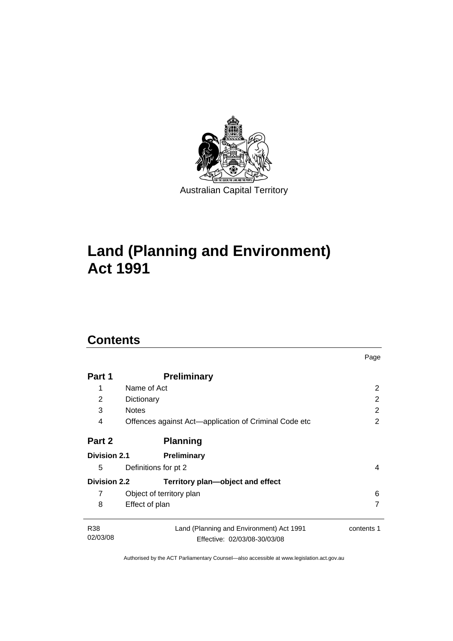

# **[Land \(Planning and Environment\)](#page-14-0)  [Act 1991](#page-14-0)**

# **Contents**

| Part 1                 | <b>Preliminary</b>                                                       |            |
|------------------------|--------------------------------------------------------------------------|------------|
| 1                      | Name of Act                                                              | 2          |
| 2                      | Dictionary                                                               | 2          |
| 3                      | <b>Notes</b>                                                             | 2          |
| 4                      | Offences against Act-application of Criminal Code etc                    | 2          |
| Part 2                 | <b>Planning</b>                                                          |            |
| <b>Division 2.1</b>    | <b>Preliminary</b>                                                       |            |
| 5                      | Definitions for pt 2                                                     | 4          |
| <b>Division 2.2</b>    | Territory plan-object and effect                                         |            |
| 7                      | Object of territory plan                                                 | 6          |
| 8                      | Effect of plan                                                           | 7          |
| <b>R38</b><br>02/03/08 | Land (Planning and Environment) Act 1991<br>Effective: 02/03/08-30/03/08 | contents 1 |

Page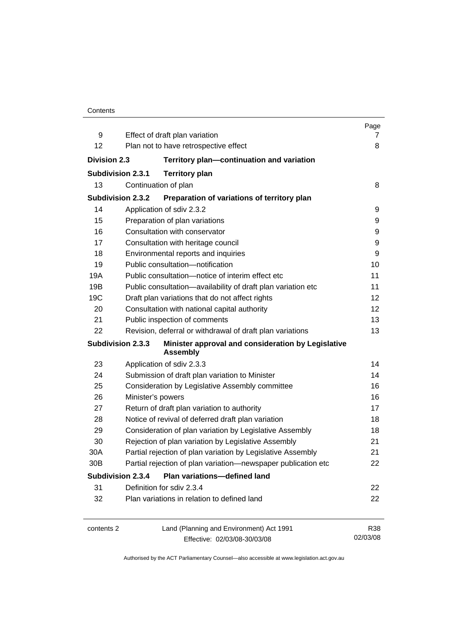|                          |                                                                       | Page     |
|--------------------------|-----------------------------------------------------------------------|----------|
| 9                        | Effect of draft plan variation                                        | 7        |
| 12                       | Plan not to have retrospective effect                                 | 8        |
| <b>Division 2.3</b>      | Territory plan-continuation and variation                             |          |
| <b>Subdivision 2.3.1</b> | <b>Territory plan</b>                                                 |          |
| 13                       | Continuation of plan                                                  | 8        |
| <b>Subdivision 2.3.2</b> | Preparation of variations of territory plan                           |          |
| 14                       | Application of sdiv 2.3.2                                             | 9        |
| 15                       | Preparation of plan variations                                        | 9        |
| 16                       | Consultation with conservator                                         | 9        |
| 17                       | Consultation with heritage council                                    | 9        |
| 18                       | Environmental reports and inquiries                                   | 9        |
| 19                       | Public consultation-notification                                      | 10       |
| 19A                      | Public consultation-notice of interim effect etc                      | 11       |
| 19B                      | Public consultation-availability of draft plan variation etc          | 11       |
| 19C                      | Draft plan variations that do not affect rights                       | 12       |
| 20                       | Consultation with national capital authority                          | 12       |
| 21                       | Public inspection of comments                                         | 13       |
| 22                       | Revision, deferral or withdrawal of draft plan variations             | 13       |
| <b>Subdivision 2.3.3</b> | Minister approval and consideration by Legislative<br><b>Assembly</b> |          |
| 23                       | Application of sdiv 2.3.3                                             | 14       |
| 24                       | Submission of draft plan variation to Minister                        | 14       |
| 25                       | Consideration by Legislative Assembly committee                       | 16       |
| 26                       | Minister's powers                                                     | 16       |
| 27                       | Return of draft plan variation to authority                           | 17       |
| 28                       | Notice of revival of deferred draft plan variation                    | 18       |
| 29                       | Consideration of plan variation by Legislative Assembly               | 18       |
| 30                       | Rejection of plan variation by Legislative Assembly                   | 21       |
| 30A                      | Partial rejection of plan variation by Legislative Assembly           | 21       |
| 30B                      | Partial rejection of plan variation-newspaper publication etc         | 22       |
| <b>Subdivision 2.3.4</b> | Plan variations-defined land                                          |          |
| 31                       | Definition for sdiv 2.3.4                                             | 22       |
| 32                       | Plan variations in relation to defined land                           | 22       |
| contents 2               | Land (Planning and Environment) Act 1991                              | R38      |
|                          | Effective: 02/03/08-30/03/08                                          | 02/03/08 |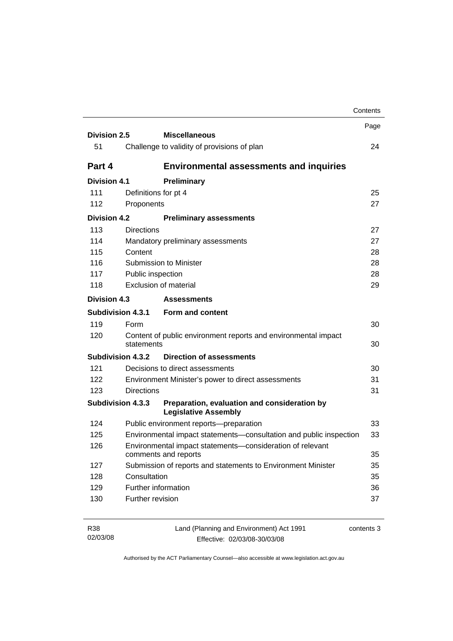|                     |                          |                                                                                   | Contents |
|---------------------|--------------------------|-----------------------------------------------------------------------------------|----------|
| <b>Division 2.5</b> |                          | <b>Miscellaneous</b>                                                              | Page     |
| 51                  |                          | Challenge to validity of provisions of plan                                       | 24       |
| Part 4              |                          | <b>Environmental assessments and inquiries</b>                                    |          |
| <b>Division 4.1</b> |                          | Preliminary                                                                       |          |
| 111                 |                          | Definitions for pt 4                                                              | 25       |
| 112                 | Proponents               |                                                                                   | 27       |
| <b>Division 4.2</b> |                          | <b>Preliminary assessments</b>                                                    |          |
| 113                 | <b>Directions</b>        |                                                                                   | 27       |
| 114                 |                          | Mandatory preliminary assessments                                                 | 27       |
| 115                 | Content                  |                                                                                   | 28       |
| 116                 |                          | Submission to Minister                                                            | 28       |
| 117                 | Public inspection        |                                                                                   | 28       |
| 118                 |                          | Exclusion of material                                                             | 29       |
| <b>Division 4.3</b> |                          | <b>Assessments</b>                                                                |          |
|                     | <b>Subdivision 4.3.1</b> | Form and content                                                                  |          |
| 119                 | Form                     |                                                                                   | 30       |
| 120                 | statements               | Content of public environment reports and environmental impact                    | 30       |
|                     | <b>Subdivision 4.3.2</b> | <b>Direction of assessments</b>                                                   |          |
| 121                 |                          | Decisions to direct assessments                                                   | 30       |
| 122                 |                          | Environment Minister's power to direct assessments                                | 31       |
| 123                 | <b>Directions</b>        |                                                                                   | 31       |
|                     | <b>Subdivision 4.3.3</b> | Preparation, evaluation and consideration by<br><b>Legislative Assembly</b>       |          |
| 124                 |                          | Public environment reports-preparation                                            | 33       |
| 125                 |                          | Environmental impact statements-consultation and public inspection                | 33       |
| 126                 |                          | Environmental impact statements-consideration of relevant<br>comments and reports | 35       |
|                     |                          | Submission of reports and statements to Environment Minister                      | 35       |
| 127                 |                          |                                                                                   |          |
| 128                 | Consultation             |                                                                                   |          |
| 129                 |                          | Further information                                                               | 35<br>36 |

| R38      | Land (Planning and Environment) Act 1991 | contents 3 |
|----------|------------------------------------------|------------|
| 02/03/08 | Effective: 02/03/08-30/03/08             |            |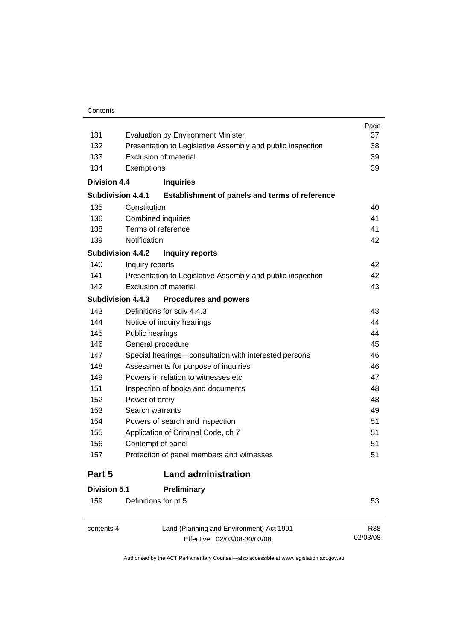| 131                      |                 | <b>Evaluation by Environment Minister</b>                                | Page<br>37      |
|--------------------------|-----------------|--------------------------------------------------------------------------|-----------------|
| 132                      |                 | Presentation to Legislative Assembly and public inspection               | 38              |
| 133                      |                 | Exclusion of material                                                    | 39              |
| 134                      | Exemptions      |                                                                          | 39              |
| <b>Division 4.4</b>      |                 | <b>Inquiries</b>                                                         |                 |
| <b>Subdivision 4.4.1</b> |                 | Establishment of panels and terms of reference                           |                 |
| 135                      | Constitution    |                                                                          | 40              |
| 136                      |                 | <b>Combined inquiries</b>                                                | 41              |
| 138                      |                 | Terms of reference                                                       | 41              |
| 139                      | Notification    |                                                                          | 42              |
| <b>Subdivision 4.4.2</b> |                 | <b>Inquiry reports</b>                                                   |                 |
| 140                      | Inquiry reports |                                                                          | 42              |
| 141                      |                 | Presentation to Legislative Assembly and public inspection               | 42              |
| 142                      |                 | Exclusion of material                                                    | 43              |
| <b>Subdivision 4.4.3</b> |                 | <b>Procedures and powers</b>                                             |                 |
| 143                      |                 | Definitions for sdiv 4.4.3                                               | 43              |
| 144                      |                 | Notice of inquiry hearings                                               | 44              |
| 145                      | Public hearings |                                                                          | 44              |
| 146                      |                 | General procedure                                                        | 45              |
| 147                      |                 | Special hearings-consultation with interested persons                    | 46              |
| 148                      |                 | Assessments for purpose of inquiries                                     | 46              |
| 149                      |                 | Powers in relation to witnesses etc.                                     | 47              |
| 151                      |                 | Inspection of books and documents                                        | 48              |
| 152                      | Power of entry  |                                                                          | 48              |
| 153                      | Search warrants |                                                                          | 49              |
| 154                      |                 | Powers of search and inspection                                          | 51              |
| 155                      |                 | Application of Criminal Code, ch 7                                       | 51              |
| 156                      |                 | Contempt of panel                                                        | 51              |
| 157                      |                 | Protection of panel members and witnesses                                | 51              |
| Part 5                   |                 | <b>Land administration</b>                                               |                 |
| <b>Division 5.1</b>      |                 | Preliminary                                                              |                 |
| 159                      |                 | Definitions for pt 5                                                     | 53              |
| contents 4               |                 | Land (Planning and Environment) Act 1991<br>Effective: 02/03/08-30/03/08 | R38<br>02/03/08 |

Effective: 02/03/08-30/03/08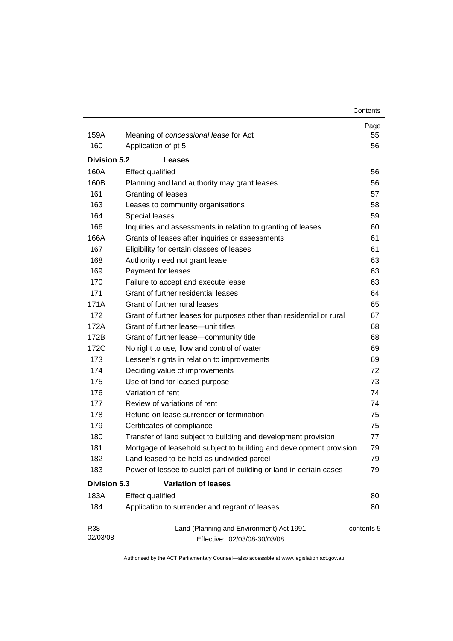| Contents |
|----------|
|----------|

| 159A                | Meaning of concessional lease for Act                                    | Page<br>55 |
|---------------------|--------------------------------------------------------------------------|------------|
| 160                 | Application of pt 5                                                      | 56         |
|                     |                                                                          |            |
| <b>Division 5.2</b> | Leases                                                                   |            |
| 160A                | <b>Effect qualified</b>                                                  | 56         |
| 160B                | Planning and land authority may grant leases                             | 56         |
| 161                 | Granting of leases                                                       | 57         |
| 163                 | Leases to community organisations                                        | 58         |
| 164                 | Special leases                                                           | 59         |
| 166                 | Inquiries and assessments in relation to granting of leases              | 60         |
| 166A                | Grants of leases after inquiries or assessments                          | 61         |
| 167                 | Eligibility for certain classes of leases                                | 61         |
| 168                 | Authority need not grant lease                                           | 63         |
| 169                 | Payment for leases                                                       | 63         |
| 170                 | Failure to accept and execute lease                                      | 63         |
| 171                 | Grant of further residential leases                                      | 64         |
| 171A                | Grant of further rural leases                                            | 65         |
| 172                 | Grant of further leases for purposes other than residential or rural     | 67         |
| 172A                | Grant of further lease—unit titles                                       | 68         |
| 172B                | Grant of further lease-community title                                   | 68         |
| 172C                | No right to use, flow and control of water                               | 69         |
| 173                 | Lessee's rights in relation to improvements                              | 69         |
| 174                 | Deciding value of improvements                                           | 72         |
| 175                 | Use of land for leased purpose                                           | 73         |
| 176                 | Variation of rent                                                        | 74         |
| 177                 | Review of variations of rent                                             | 74         |
| 178                 | Refund on lease surrender or termination                                 | 75         |
| 179                 | Certificates of compliance                                               | 75         |
| 180                 | Transfer of land subject to building and development provision           | 77         |
| 181                 | Mortgage of leasehold subject to building and development provision      | 79         |
| 182                 | Land leased to be held as undivided parcel                               | 79         |
| 183                 | Power of lessee to sublet part of building or land in certain cases      | 79         |
| <b>Division 5.3</b> | <b>Variation of leases</b>                                               |            |
| 183A                | <b>Effect qualified</b>                                                  | 80         |
| 184                 | Application to surrender and regrant of leases                           | 80         |
| R38<br>02/03/08     | Land (Planning and Environment) Act 1991<br>Effective: 02/03/08-30/03/08 | contents 5 |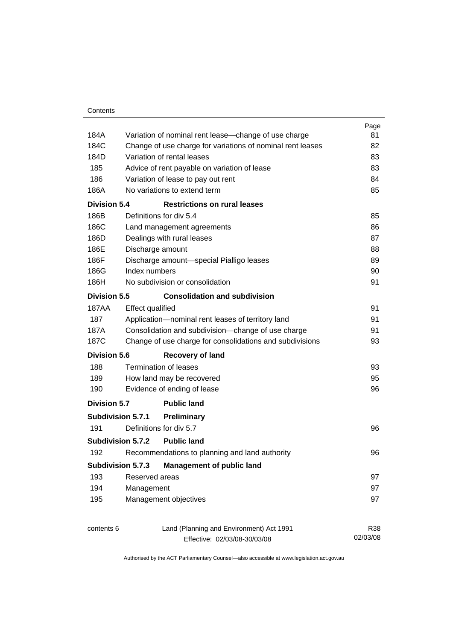|                          |                                                              | Page       |
|--------------------------|--------------------------------------------------------------|------------|
| 184A                     | Variation of nominal rent lease-change of use charge         | 81         |
| 184C                     | Change of use charge for variations of nominal rent leases   | 82         |
| 184D                     | Variation of rental leases                                   | 83         |
| 185                      | Advice of rent payable on variation of lease                 | 83         |
| 186                      | Variation of lease to pay out rent                           | 84         |
| 186A                     | No variations to extend term                                 | 85         |
| Division 5.4             | <b>Restrictions on rural leases</b>                          |            |
| 186B                     | Definitions for div 5.4                                      | 85         |
| 186C                     | Land management agreements                                   | 86         |
| 186D                     | Dealings with rural leases                                   | 87         |
| 186E                     | Discharge amount                                             | 88         |
| 186F                     | Discharge amount-special Pialligo leases                     | 89         |
| 186G                     | Index numbers                                                | 90         |
| 186H                     | No subdivision or consolidation                              | 91         |
|                          | <b>Division 5.5</b><br><b>Consolidation and subdivision</b>  |            |
| 187AA                    | <b>Effect qualified</b>                                      | 91         |
| 187                      | Application-nominal rent leases of territory land            | 91         |
| 187A                     | Consolidation and subdivision-change of use charge           | 91         |
| 187C                     | Change of use charge for consolidations and subdivisions     | 93         |
| <b>Division 5.6</b>      | <b>Recovery of land</b>                                      |            |
| 188                      | <b>Termination of leases</b>                                 | 93         |
| 189                      | How land may be recovered                                    | 95         |
| 190                      | Evidence of ending of lease                                  | 96         |
| <b>Division 5.7</b>      | <b>Public land</b>                                           |            |
| <b>Subdivision 5.7.1</b> | <b>Preliminary</b>                                           |            |
| 191                      | Definitions for div 5.7                                      | 96         |
| Subdivision 5.7.2        | <b>Public land</b>                                           |            |
| 192                      | Recommendations to planning and land authority               | 96         |
|                          | <b>Subdivision 5.7.3</b><br><b>Management of public land</b> |            |
| 193                      | Reserved areas                                               | 97         |
| 194                      | Management                                                   | 97         |
| 195                      | Management objectives                                        | 97         |
| contents 6               | Land (Planning and Environment) Act 1991                     | <b>R38</b> |
|                          | Effective: 02/03/08-30/03/08                                 | 02/03/08   |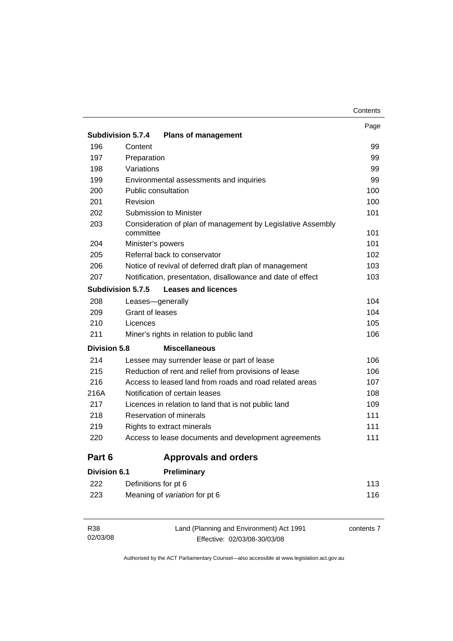| Contents |
|----------|
|----------|

|                          |                                                                          | Page |
|--------------------------|--------------------------------------------------------------------------|------|
| <b>Subdivision 5.7.4</b> | <b>Plans of management</b>                                               |      |
| 196                      | Content                                                                  | 99   |
| 197                      | Preparation                                                              | 99   |
| 198                      | Variations                                                               | 99   |
| 199                      | Environmental assessments and inquiries                                  | 99   |
| 200                      | Public consultation                                                      | 100  |
| 201                      | Revision                                                                 | 100  |
| 202                      | <b>Submission to Minister</b>                                            | 101  |
| 203                      | Consideration of plan of management by Legislative Assembly<br>committee | 101  |
| 204                      | Minister's powers                                                        | 101  |
| 205                      | Referral back to conservator                                             | 102  |
| 206                      | Notice of revival of deferred draft plan of management                   | 103  |
| 207                      | Notification, presentation, disallowance and date of effect              | 103  |
| <b>Subdivision 5.7.5</b> | <b>Leases and licences</b>                                               |      |
| 208                      | Leases-generally                                                         | 104  |
| 209                      | Grant of leases                                                          | 104  |
| 210                      | Licences                                                                 | 105  |
| 211                      | Miner's rights in relation to public land                                | 106  |
| <b>Division 5.8</b>      | <b>Miscellaneous</b>                                                     |      |
| 214                      | Lessee may surrender lease or part of lease                              | 106  |
| 215                      | Reduction of rent and relief from provisions of lease                    | 106  |
| 216                      | Access to leased land from roads and road related areas                  | 107  |
| 216A                     | Notification of certain leases                                           | 108  |
| 217                      | Licences in relation to land that is not public land                     | 109  |
| 218                      | Reservation of minerals                                                  | 111  |
| 219                      | Rights to extract minerals                                               | 111  |
| 220                      | Access to lease documents and development agreements                     | 111  |
| Part 6                   | <b>Approvals and orders</b>                                              |      |
| <b>Division 6.1</b>      | Preliminary                                                              |      |
| 222                      | Definitions for pt 6                                                     | 113  |
| 223                      | Meaning of variation for pt 6                                            | 116  |
|                          |                                                                          |      |
|                          |                                                                          |      |

| R38      | Land (Planning and Environment) Act 1991 | contents 7 |
|----------|------------------------------------------|------------|
| 02/03/08 | Effective: 02/03/08-30/03/08             |            |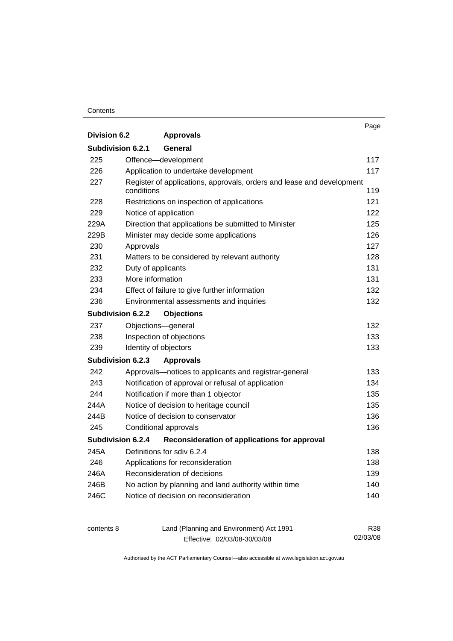#### **Contents**

|                          |                                                                       | Page |
|--------------------------|-----------------------------------------------------------------------|------|
| <b>Division 6.2</b>      | <b>Approvals</b>                                                      |      |
| Subdivision 6.2.1        | General                                                               |      |
| 225                      | Offence-development                                                   | 117  |
| 226                      | Application to undertake development                                  | 117  |
| 227                      | Register of applications, approvals, orders and lease and development |      |
|                          | conditions                                                            | 119  |
| 228                      | Restrictions on inspection of applications                            | 121  |
| 229                      | Notice of application                                                 | 122  |
| 229A                     | Direction that applications be submitted to Minister                  | 125  |
| 229B                     | Minister may decide some applications                                 | 126  |
| 230                      | Approvals                                                             | 127  |
| 231                      | Matters to be considered by relevant authority                        | 128  |
| 232                      | Duty of applicants                                                    | 131  |
| 233                      | More information                                                      | 131  |
| 234                      | Effect of failure to give further information                         | 132  |
| 236                      | Environmental assessments and inquiries                               | 132  |
| <b>Subdivision 6.2.2</b> | <b>Objections</b>                                                     |      |
| 237                      | Objections-general                                                    | 132  |
| 238                      | Inspection of objections                                              | 133  |
| 239                      | Identity of objectors                                                 | 133  |
| <b>Subdivision 6.2.3</b> | <b>Approvals</b>                                                      |      |
| 242                      | Approvals-notices to applicants and registrar-general                 | 133  |
| 243                      | Notification of approval or refusal of application                    | 134  |
| 244                      | Notification if more than 1 objector                                  | 135  |
| 244A                     | Notice of decision to heritage council                                | 135  |
| 244B                     | Notice of decision to conservator                                     | 136  |
| 245                      | Conditional approvals                                                 | 136  |
| <b>Subdivision 6.2.4</b> | Reconsideration of applications for approval                          |      |
| 245A                     | Definitions for sdiv 6.2.4                                            | 138  |
| 246                      | Applications for reconsideration                                      | 138  |
| 246A                     | Reconsideration of decisions                                          | 139  |
| 246B                     | No action by planning and land authority within time                  | 140  |
| 246C                     | Notice of decision on reconsideration                                 | 140  |
|                          |                                                                       |      |

| contents 8 | Land (Planning and Environment) Act 1991 | R38      |
|------------|------------------------------------------|----------|
|            | Effective: 02/03/08-30/03/08             | 02/03/08 |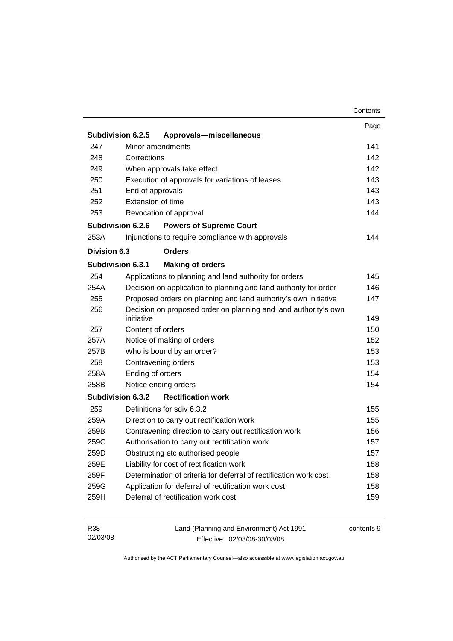|              |                                                                   | Contents   |
|--------------|-------------------------------------------------------------------|------------|
|              |                                                                   | Page       |
|              | Subdivision 6.2.5<br>Approvals-miscellaneous                      |            |
| 247          | Minor amendments                                                  | 141        |
| 248          | Corrections                                                       | 142        |
| 249          | When approvals take effect                                        | 142        |
| 250          | Execution of approvals for variations of leases                   | 143        |
| 251          | End of approvals                                                  | 143        |
| 252          | Extension of time                                                 | 143        |
| 253          | Revocation of approval                                            | 144        |
|              | Subdivision 6.2.6<br><b>Powers of Supreme Court</b>               |            |
| 253A         | Injunctions to require compliance with approvals                  | 144        |
| Division 6.3 | <b>Orders</b>                                                     |            |
|              | Subdivision 6.3.1<br><b>Making of orders</b>                      |            |
| 254          | Applications to planning and land authority for orders            | 145        |
| 254A         | Decision on application to planning and land authority for order  | 146        |
| 255          | Proposed orders on planning and land authority's own initiative   | 147        |
| 256          | Decision on proposed order on planning and land authority's own   |            |
|              | initiative                                                        | 149        |
| 257          | Content of orders                                                 | 150        |
| 257A         | Notice of making of orders                                        | 152        |
| 257B         | Who is bound by an order?                                         | 153        |
| 258          | Contravening orders                                               | 153        |
| 258A         | Ending of orders                                                  | 154        |
| 258B         | Notice ending orders                                              | 154        |
|              | <b>Rectification work</b><br>Subdivision 6.3.2                    |            |
| 259          | Definitions for sdiv 6.3.2                                        | 155        |
| 259A         | Direction to carry out rectification work                         | 155        |
| 259B         | Contravening direction to carry out rectification work            | 156        |
| 259C         | Authorisation to carry out rectification work                     | 157        |
| 259D         | Obstructing etc authorised people                                 | 157        |
| 259E         | Liability for cost of rectification work                          | 158        |
| 259F         | Determination of criteria for deferral of rectification work cost | 158        |
| 259G         | Application for deferral of rectification work cost               | 158        |
| 259H         | Deferral of rectification work cost                               | 159        |
| R38          | Land (Planning and Environment) Act 1991                          | contents 9 |

Effective: 02/03/08-30/03/08

02/03/08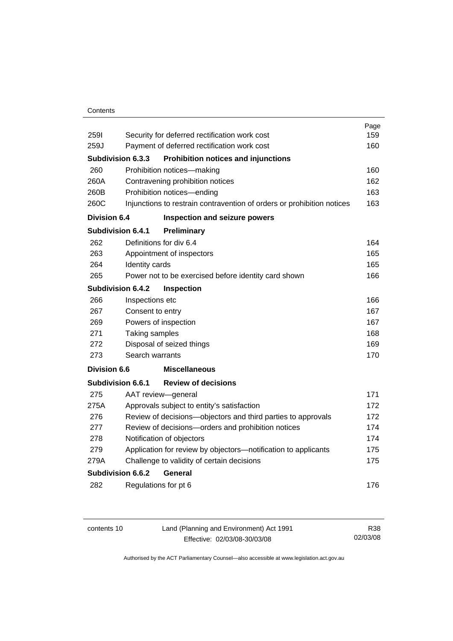#### **Contents**

|                     |                          |                                                                        | Page |
|---------------------|--------------------------|------------------------------------------------------------------------|------|
| <b>2591</b>         |                          | Security for deferred rectification work cost                          | 159  |
| 259J                |                          | Payment of deferred rectification work cost                            | 160  |
|                     | <b>Subdivision 6.3.3</b> | <b>Prohibition notices and injunctions</b>                             |      |
| 260                 |                          | Prohibition notices-making                                             | 160  |
| 260A                |                          | Contravening prohibition notices                                       | 162  |
| 260B                |                          | Prohibition notices-ending                                             | 163  |
| 260C                |                          | Injunctions to restrain contravention of orders or prohibition notices | 163  |
| <b>Division 6.4</b> |                          | Inspection and seizure powers                                          |      |
|                     | <b>Subdivision 6.4.1</b> | Preliminary                                                            |      |
| 262                 |                          | Definitions for div 6.4                                                | 164  |
| 263                 |                          | Appointment of inspectors                                              | 165  |
| 264                 | Identity cards           |                                                                        | 165  |
| 265                 |                          | Power not to be exercised before identity card shown                   | 166  |
|                     | <b>Subdivision 6.4.2</b> | <b>Inspection</b>                                                      |      |
| 266                 | Inspections etc          |                                                                        | 166  |
| 267                 | Consent to entry         |                                                                        | 167  |
| 269                 |                          | Powers of inspection                                                   | 167  |
| 271                 | Taking samples           |                                                                        | 168  |
| 272                 |                          | Disposal of seized things                                              | 169  |
| 273                 | Search warrants          |                                                                        | 170  |
| Division 6.6        |                          | <b>Miscellaneous</b>                                                   |      |
|                     | Subdivision 6.6.1        | <b>Review of decisions</b>                                             |      |
| 275                 |                          | AAT review-general                                                     | 171  |
| 275A                |                          | Approvals subject to entity's satisfaction                             | 172  |
| 276                 |                          | Review of decisions-objectors and third parties to approvals           | 172  |
| 277                 |                          | Review of decisions-orders and prohibition notices                     | 174  |
| 278                 |                          | Notification of objectors                                              | 174  |
| 279                 |                          | Application for review by objectors-notification to applicants         | 175  |
| 279A                |                          | Challenge to validity of certain decisions                             | 175  |
|                     | Subdivision 6.6.2        | General                                                                |      |
| 282                 |                          | Regulations for pt 6                                                   | 176  |
|                     |                          |                                                                        |      |

| contents 10 | Land (Planning and Environment) Act 1991 | R38      |
|-------------|------------------------------------------|----------|
|             | Effective: 02/03/08-30/03/08             | 02/03/08 |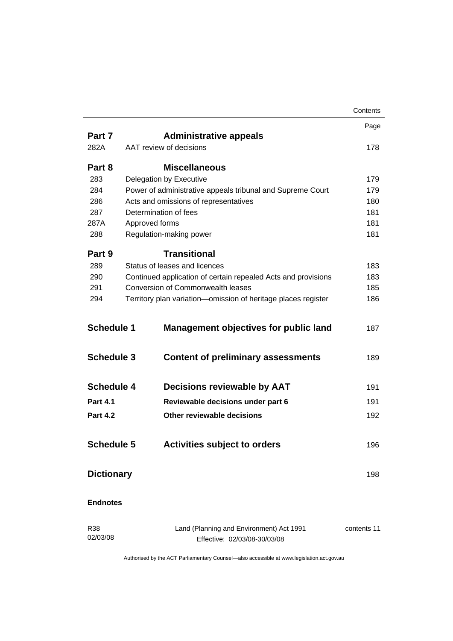|                   |                                                                          | Contents    |
|-------------------|--------------------------------------------------------------------------|-------------|
|                   |                                                                          | Page        |
| Part 7            | <b>Administrative appeals</b>                                            |             |
| 282A              | AAT review of decisions                                                  | 178         |
| Part 8            | <b>Miscellaneous</b>                                                     |             |
| 283               | Delegation by Executive                                                  | 179         |
| 284               | Power of administrative appeals tribunal and Supreme Court               | 179         |
| 286               | Acts and omissions of representatives                                    | 180         |
| 287               | Determination of fees                                                    | 181         |
| 287A              | Approved forms                                                           | 181         |
| 288               | Regulation-making power                                                  | 181         |
| Part 9            | <b>Transitional</b>                                                      |             |
| 289               | Status of leases and licences                                            | 183         |
| 290               | Continued application of certain repealed Acts and provisions            | 183         |
| 291               | Conversion of Commonwealth leases                                        | 185         |
| 294               | Territory plan variation-omission of heritage places register            | 186         |
| <b>Schedule 1</b> | <b>Management objectives for public land</b>                             | 187         |
| <b>Schedule 3</b> | <b>Content of preliminary assessments</b>                                | 189         |
| <b>Schedule 4</b> | <b>Decisions reviewable by AAT</b>                                       | 191         |
| <b>Part 4.1</b>   | Reviewable decisions under part 6                                        | 191         |
| <b>Part 4.2</b>   | Other reviewable decisions                                               | 192         |
| <b>Schedule 5</b> | <b>Activities subject to orders</b>                                      | 196         |
| <b>Dictionary</b> |                                                                          | 198         |
| <b>Endnotes</b>   |                                                                          |             |
| R38<br>02/03/08   | Land (Planning and Environment) Act 1991<br>Effective: 02/03/08-30/03/08 | contents 11 |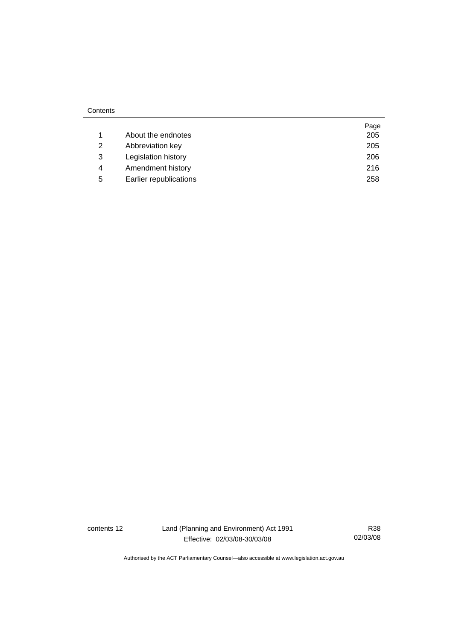|   |                        | Page |
|---|------------------------|------|
|   | About the endnotes     | 205  |
| 2 | Abbreviation key       | 205  |
| 3 | Legislation history    | 206  |
| 4 | Amendment history      | 216  |
| 5 | Earlier republications | 258  |

contents 12 Land (Planning and Environment) Act 1991 Effective: 02/03/08-30/03/08

R38 02/03/08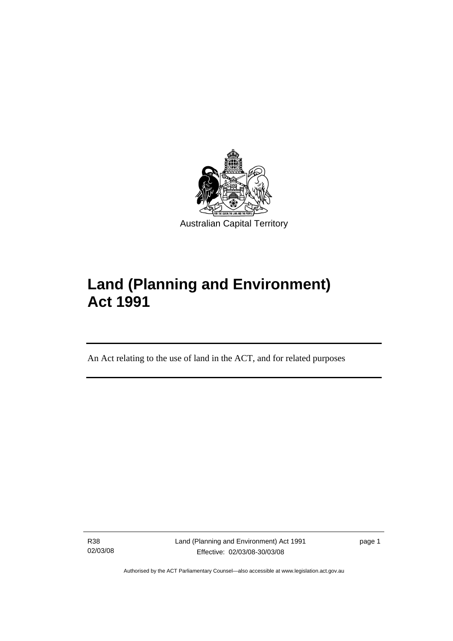<span id="page-14-0"></span>

# **Land (Planning and Environment) Act 1991**

An Act relating to the use of land in the ACT, and for related purposes

R38 02/03/08

l

Land (Planning and Environment) Act 1991 Effective: 02/03/08-30/03/08

page 1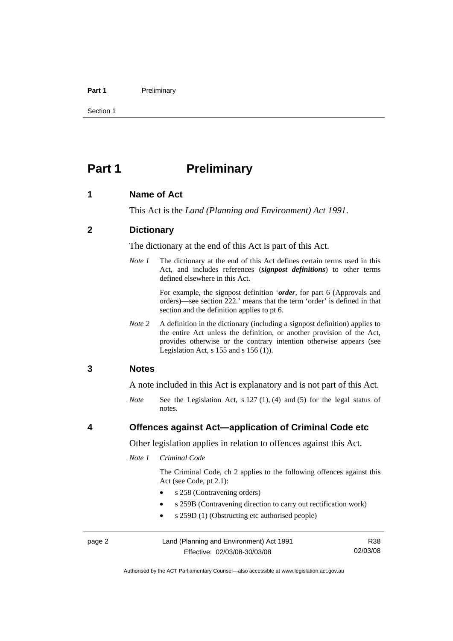#### <span id="page-15-0"></span>Part 1 **Preliminary**

Section 1

# **Part 1** Preliminary

#### **1 Name of Act**

This Act is the *Land (Planning and Environment) Act 1991*.

#### **2 Dictionary**

The dictionary at the end of this Act is part of this Act.

*Note 1* The dictionary at the end of this Act defines certain terms used in this Act, and includes references (*signpost definitions*) to other terms defined elsewhere in this Act.

> For example, the signpost definition '*order*, for part 6 (Approvals and orders)—see section 222.' means that the term 'order' is defined in that section and the definition applies to pt 6.

*Note 2* A definition in the dictionary (including a signpost definition) applies to the entire Act unless the definition, or another provision of the Act, provides otherwise or the contrary intention otherwise appears (see Legislation Act,  $s$  155 and  $s$  156 (1)).

#### **3 Notes**

A note included in this Act is explanatory and is not part of this Act.

*Note* See the Legislation Act, s 127 (1), (4) and (5) for the legal status of notes.

### **4 Offences against Act—application of Criminal Code etc**

Other legislation applies in relation to offences against this Act.

*Note 1 Criminal Code* 

 The Criminal Code, ch 2 applies to the following offences against this Act (see Code, pt 2.1):

- s 258 (Contravening orders)
- s 259B (Contravening direction to carry out rectification work)
- s 259D (1) (Obstructing etc authorised people)

page 2 Land (Planning and Environment) Act 1991 Effective: 02/03/08-30/03/08

R38 02/03/08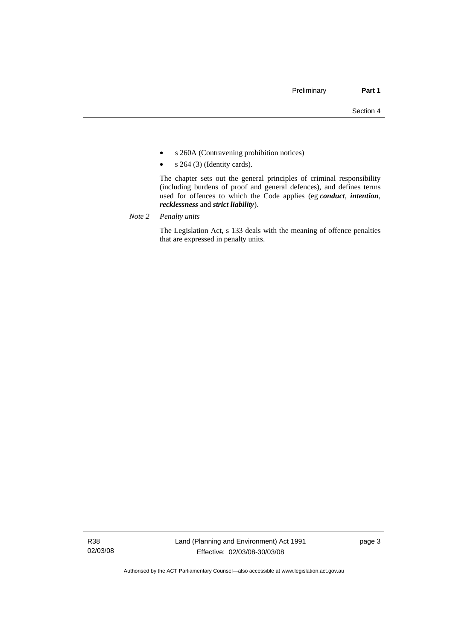- s 260A (Contravening prohibition notices)
- $s \; 264 \; (3)$  (Identity cards).

 The chapter sets out the general principles of criminal responsibility (including burdens of proof and general defences), and defines terms used for offences to which the Code applies (eg *conduct*, *intention*, *recklessness* and *strict liability*).

*Note 2 Penalty units*

 The Legislation Act, s 133 deals with the meaning of offence penalties that are expressed in penalty units.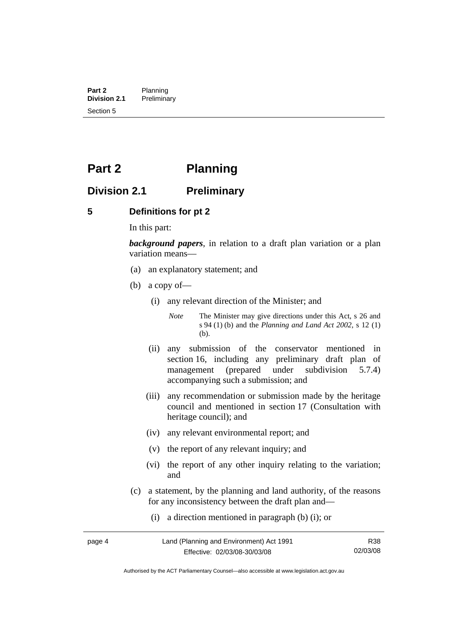<span id="page-17-0"></span>**Part 2** Planning<br>**Division 2.1** Prelimina **Division 2.1** Preliminary Section 5

# **Part 2 Planning**

# **Division 2.1 Preliminary**

#### **5 Definitions for pt 2**

In this part:

*background papers*, in relation to a draft plan variation or a plan variation means—

- (a) an explanatory statement; and
- (b) a copy of—
	- (i) any relevant direction of the Minister; and

*Note* The Minister may give directions under this Act, s 26 and s 94 (1) (b) and the *Planning and Land Act 2002*, s 12 (1) (b).

- (ii) any submission of the conservator mentioned in section 16, including any preliminary draft plan of management (prepared under subdivision 5.7.4) accompanying such a submission; and
- (iii) any recommendation or submission made by the heritage council and mentioned in section 17 (Consultation with heritage council); and
- (iv) any relevant environmental report; and
- (v) the report of any relevant inquiry; and
- (vi) the report of any other inquiry relating to the variation; and
- (c) a statement, by the planning and land authority, of the reasons for any inconsistency between the draft plan and—
	- (i) a direction mentioned in paragraph (b) (i); or

Authorised by the ACT Parliamentary Counsel—also accessible at www.legislation.act.gov.au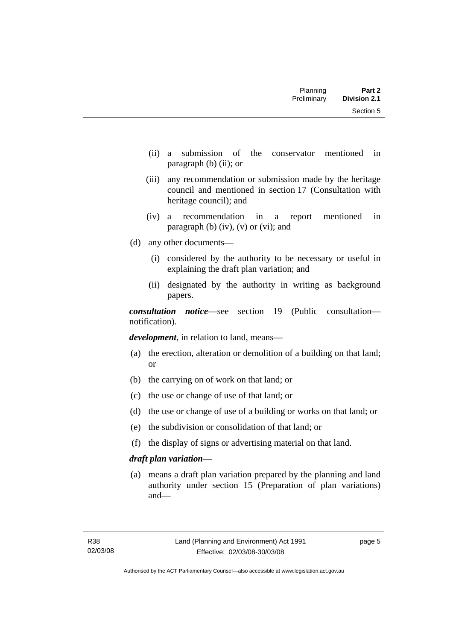- (ii) a submission of the conservator mentioned in paragraph (b) (ii); or
- (iii) any recommendation or submission made by the heritage council and mentioned in section 17 (Consultation with heritage council); and
- (iv) a recommendation in a report mentioned in paragraph (b)  $(iv)$ ,  $(v)$  or  $(vi)$ ; and
- (d) any other documents—
	- (i) considered by the authority to be necessary or useful in explaining the draft plan variation; and
	- (ii) designated by the authority in writing as background papers.

*consultation notice*—see section 19 (Public consultation notification).

*development*, in relation to land, means—

- (a) the erection, alteration or demolition of a building on that land; or
- (b) the carrying on of work on that land; or
- (c) the use or change of use of that land; or
- (d) the use or change of use of a building or works on that land; or
- (e) the subdivision or consolidation of that land; or
- (f) the display of signs or advertising material on that land.

### *draft plan variation*—

 (a) means a draft plan variation prepared by the planning and land authority under section 15 (Preparation of plan variations) and—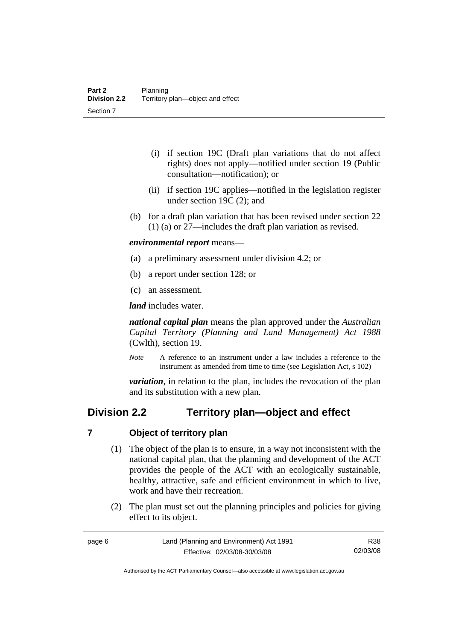- <span id="page-19-0"></span> (i) if section 19C (Draft plan variations that do not affect rights) does not apply—notified under section 19 (Public consultation—notification); or
- (ii) if section 19C applies—notified in the legislation register under section 19C (2); and
- (b) for a draft plan variation that has been revised under section 22 (1) (a) or 27—includes the draft plan variation as revised.

*environmental report* means—

- (a) a preliminary assessment under division 4.2; or
- (b) a report under section 128; or
- (c) an assessment.

*land* includes water.

*national capital plan* means the plan approved under the *Australian Capital Territory (Planning and Land Management) Act 1988* (Cwlth), section 19.

*Note* A reference to an instrument under a law includes a reference to the instrument as amended from time to time (see Legislation Act, s 102)

*variation*, in relation to the plan, includes the revocation of the plan and its substitution with a new plan.

# **Division 2.2 Territory plan—object and effect**

#### **7 Object of territory plan**

- (1) The object of the plan is to ensure, in a way not inconsistent with the national capital plan, that the planning and development of the ACT provides the people of the ACT with an ecologically sustainable, healthy, attractive, safe and efficient environment in which to live, work and have their recreation.
- (2) The plan must set out the planning principles and policies for giving effect to its object.

R38 02/03/08

Authorised by the ACT Parliamentary Counsel—also accessible at www.legislation.act.gov.au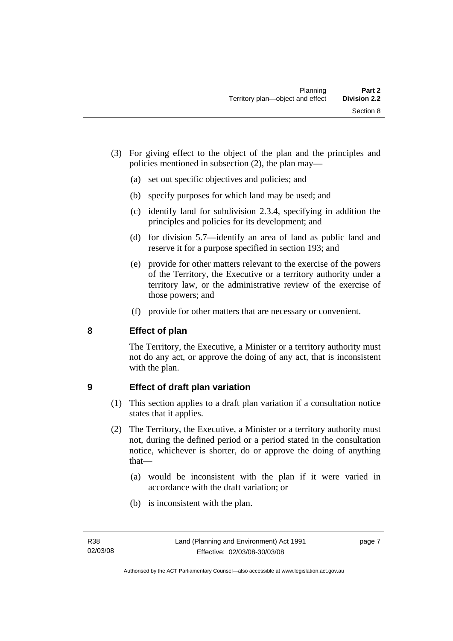- <span id="page-20-0"></span> (3) For giving effect to the object of the plan and the principles and policies mentioned in subsection (2), the plan may—
	- (a) set out specific objectives and policies; and
	- (b) specify purposes for which land may be used; and
	- (c) identify land for subdivision 2.3.4, specifying in addition the principles and policies for its development; and
	- (d) for division 5.7—identify an area of land as public land and reserve it for a purpose specified in section 193; and
	- (e) provide for other matters relevant to the exercise of the powers of the Territory, the Executive or a territory authority under a territory law, or the administrative review of the exercise of those powers; and
	- (f) provide for other matters that are necessary or convenient.

# **8 Effect of plan**

The Territory, the Executive, a Minister or a territory authority must not do any act, or approve the doing of any act, that is inconsistent with the plan.

# **9 Effect of draft plan variation**

- (1) This section applies to a draft plan variation if a consultation notice states that it applies.
- (2) The Territory, the Executive, a Minister or a territory authority must not, during the defined period or a period stated in the consultation notice, whichever is shorter, do or approve the doing of anything that—
	- (a) would be inconsistent with the plan if it were varied in accordance with the draft variation; or
	- (b) is inconsistent with the plan.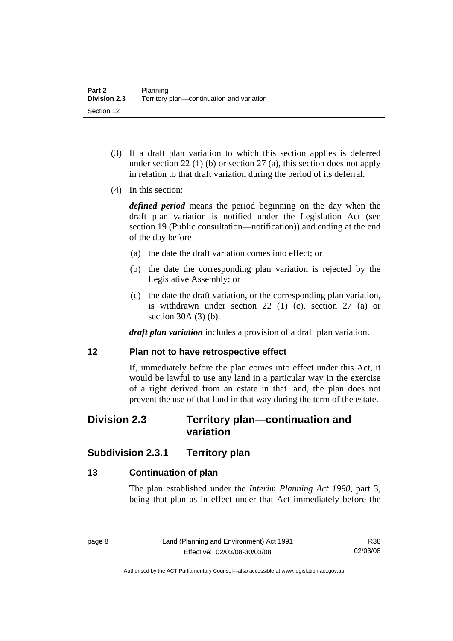- <span id="page-21-0"></span> (3) If a draft plan variation to which this section applies is deferred under section 22 (1) (b) or section 27 (a), this section does not apply in relation to that draft variation during the period of its deferral.
- (4) In this section:

*defined period* means the period beginning on the day when the draft plan variation is notified under the Legislation Act (see section 19 (Public consultation—notification)) and ending at the end of the day before—

- (a) the date the draft variation comes into effect; or
- (b) the date the corresponding plan variation is rejected by the Legislative Assembly; or
- (c) the date the draft variation, or the corresponding plan variation, is withdrawn under section 22 (1) (c), section 27 (a) or section 30A (3) (b).

*draft plan variation* includes a provision of a draft plan variation.

### **12 Plan not to have retrospective effect**

If, immediately before the plan comes into effect under this Act, it would be lawful to use any land in a particular way in the exercise of a right derived from an estate in that land, the plan does not prevent the use of that land in that way during the term of the estate.

# **Division 2.3 Territory plan—continuation and variation**

# **Subdivision 2.3.1 Territory plan**

## **13 Continuation of plan**

The plan established under the *Interim Planning Act 1990*, part 3, being that plan as in effect under that Act immediately before the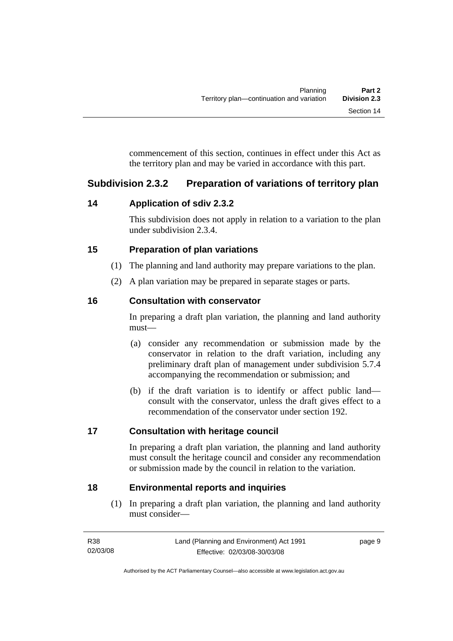<span id="page-22-0"></span>commencement of this section, continues in effect under this Act as the territory plan and may be varied in accordance with this part.

# **Subdivision 2.3.2 Preparation of variations of territory plan**

# **14 Application of sdiv 2.3.2**

This subdivision does not apply in relation to a variation to the plan under subdivision 2.3.4.

# **15 Preparation of plan variations**

- (1) The planning and land authority may prepare variations to the plan.
- (2) A plan variation may be prepared in separate stages or parts.

# **16 Consultation with conservator**

In preparing a draft plan variation, the planning and land authority must—

- (a) consider any recommendation or submission made by the conservator in relation to the draft variation, including any preliminary draft plan of management under subdivision 5.7.4 accompanying the recommendation or submission; and
- (b) if the draft variation is to identify or affect public land consult with the conservator, unless the draft gives effect to a recommendation of the conservator under section 192.

# **17 Consultation with heritage council**

In preparing a draft plan variation, the planning and land authority must consult the heritage council and consider any recommendation or submission made by the council in relation to the variation.

# **18 Environmental reports and inquiries**

 (1) In preparing a draft plan variation, the planning and land authority must consider—

| R38      | Land (Planning and Environment) Act 1991 | page 9 |
|----------|------------------------------------------|--------|
| 02/03/08 | Effective: 02/03/08-30/03/08             |        |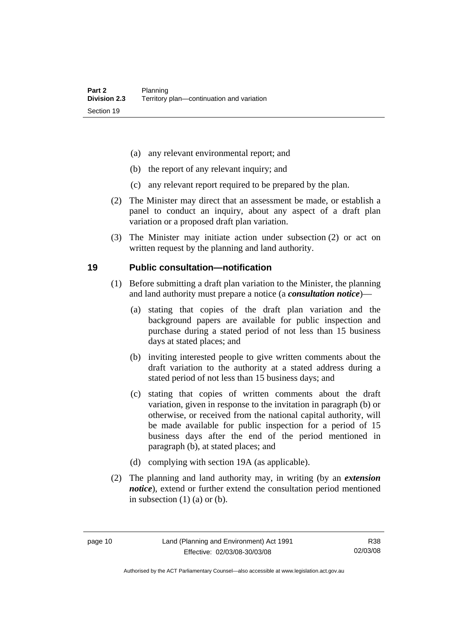- <span id="page-23-0"></span>(a) any relevant environmental report; and
- (b) the report of any relevant inquiry; and
- (c) any relevant report required to be prepared by the plan.
- (2) The Minister may direct that an assessment be made, or establish a panel to conduct an inquiry, about any aspect of a draft plan variation or a proposed draft plan variation.
- (3) The Minister may initiate action under subsection (2) or act on written request by the planning and land authority.

#### **19 Public consultation—notification**

- (1) Before submitting a draft plan variation to the Minister, the planning and land authority must prepare a notice (a *consultation notice*)—
	- (a) stating that copies of the draft plan variation and the background papers are available for public inspection and purchase during a stated period of not less than 15 business days at stated places; and
	- (b) inviting interested people to give written comments about the draft variation to the authority at a stated address during a stated period of not less than 15 business days; and
	- (c) stating that copies of written comments about the draft variation, given in response to the invitation in paragraph (b) or otherwise, or received from the national capital authority, will be made available for public inspection for a period of 15 business days after the end of the period mentioned in paragraph (b), at stated places; and
	- (d) complying with section 19A (as applicable).
- (2) The planning and land authority may, in writing (by an *extension notice*), extend or further extend the consultation period mentioned in subsection  $(1)$   $(a)$  or  $(b)$ .

Authorised by the ACT Parliamentary Counsel—also accessible at www.legislation.act.gov.au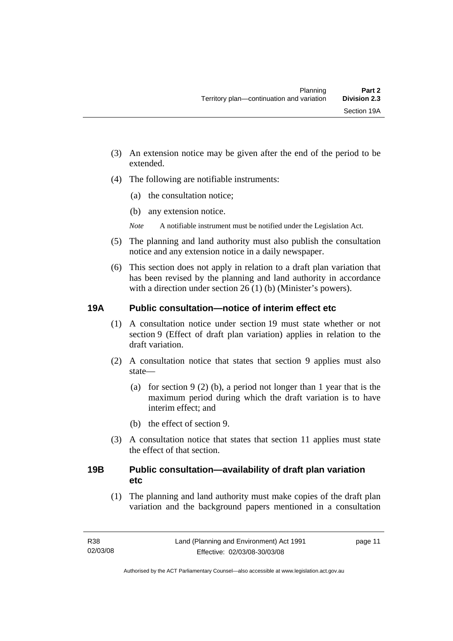- <span id="page-24-0"></span>(3) An extension notice may be given after the end of the period to be extended.
- (4) The following are notifiable instruments:
	- (a) the consultation notice;
	- (b) any extension notice.
	- *Note* A notifiable instrument must be notified under the Legislation Act.
- (5) The planning and land authority must also publish the consultation notice and any extension notice in a daily newspaper.
- (6) This section does not apply in relation to a draft plan variation that has been revised by the planning and land authority in accordance with a direction under section 26 (1) (b) (Minister's powers).

# **19A Public consultation—notice of interim effect etc**

- (1) A consultation notice under section 19 must state whether or not section 9 (Effect of draft plan variation) applies in relation to the draft variation.
- (2) A consultation notice that states that section 9 applies must also state—
	- (a) for section 9 (2) (b), a period not longer than 1 year that is the maximum period during which the draft variation is to have interim effect; and
	- (b) the effect of section 9.
- (3) A consultation notice that states that section 11 applies must state the effect of that section.

# **19B Public consultation—availability of draft plan variation etc**

(1) The planning and land authority must make copies of the draft plan variation and the background papers mentioned in a consultation

page 11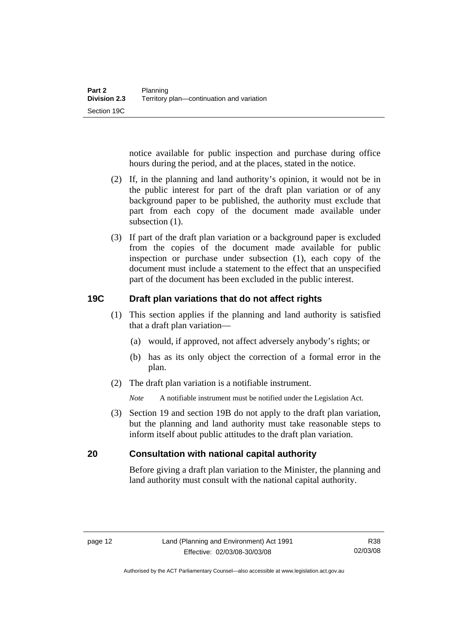<span id="page-25-0"></span>notice available for public inspection and purchase during office hours during the period, and at the places, stated in the notice.

- (2) If, in the planning and land authority's opinion, it would not be in the public interest for part of the draft plan variation or of any background paper to be published, the authority must exclude that part from each copy of the document made available under subsection  $(1)$ .
- (3) If part of the draft plan variation or a background paper is excluded from the copies of the document made available for public inspection or purchase under subsection (1), each copy of the document must include a statement to the effect that an unspecified part of the document has been excluded in the public interest.

# **19C Draft plan variations that do not affect rights**

- (1) This section applies if the planning and land authority is satisfied that a draft plan variation—
	- (a) would, if approved, not affect adversely anybody's rights; or
	- (b) has as its only object the correction of a formal error in the plan.
- (2) The draft plan variation is a notifiable instrument.

*Note* A notifiable instrument must be notified under the Legislation Act.

 (3) Section 19 and section 19B do not apply to the draft plan variation, but the planning and land authority must take reasonable steps to inform itself about public attitudes to the draft plan variation.

# **20 Consultation with national capital authority**

Before giving a draft plan variation to the Minister, the planning and land authority must consult with the national capital authority.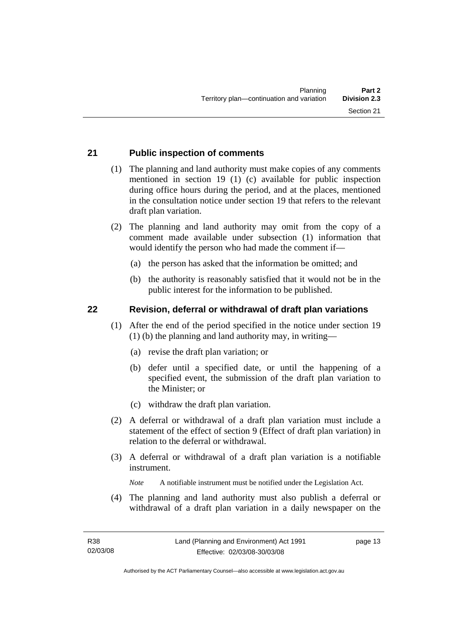# <span id="page-26-0"></span>**21 Public inspection of comments**

- (1) The planning and land authority must make copies of any comments mentioned in section 19 (1) (c) available for public inspection during office hours during the period, and at the places, mentioned in the consultation notice under section 19 that refers to the relevant draft plan variation.
- (2) The planning and land authority may omit from the copy of a comment made available under subsection (1) information that would identify the person who had made the comment if—
	- (a) the person has asked that the information be omitted; and
	- (b) the authority is reasonably satisfied that it would not be in the public interest for the information to be published.

#### **22 Revision, deferral or withdrawal of draft plan variations**

- (1) After the end of the period specified in the notice under section 19 (1) (b) the planning and land authority may, in writing—
	- (a) revise the draft plan variation; or
	- (b) defer until a specified date, or until the happening of a specified event, the submission of the draft plan variation to the Minister; or
	- (c) withdraw the draft plan variation.
- (2) A deferral or withdrawal of a draft plan variation must include a statement of the effect of section 9 (Effect of draft plan variation) in relation to the deferral or withdrawal.
- (3) A deferral or withdrawal of a draft plan variation is a notifiable instrument.

*Note* A notifiable instrument must be notified under the Legislation Act.

(4) The planning and land authority must also publish a deferral or withdrawal of a draft plan variation in a daily newspaper on the

page 13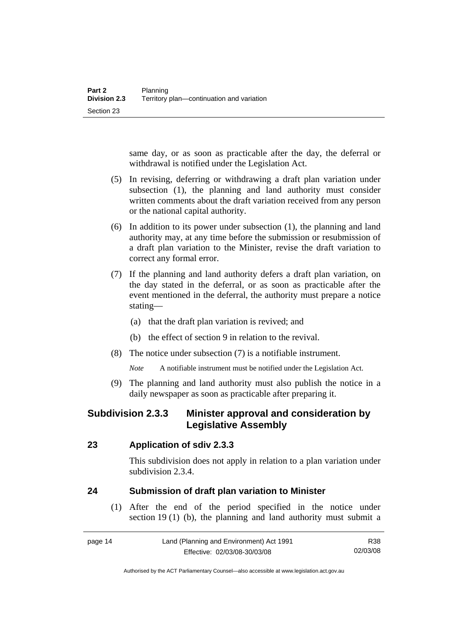<span id="page-27-0"></span>same day, or as soon as practicable after the day, the deferral or withdrawal is notified under the Legislation Act.

- (5) In revising, deferring or withdrawing a draft plan variation under subsection (1), the planning and land authority must consider written comments about the draft variation received from any person or the national capital authority.
- (6) In addition to its power under subsection (1), the planning and land authority may, at any time before the submission or resubmission of a draft plan variation to the Minister, revise the draft variation to correct any formal error.
- (7) If the planning and land authority defers a draft plan variation, on the day stated in the deferral, or as soon as practicable after the event mentioned in the deferral, the authority must prepare a notice stating—
	- (a) that the draft plan variation is revived; and
	- (b) the effect of section 9 in relation to the revival.
- (8) The notice under subsection (7) is a notifiable instrument.

*Note* A notifiable instrument must be notified under the Legislation Act.

(9) The planning and land authority must also publish the notice in a daily newspaper as soon as practicable after preparing it.

# **Subdivision 2.3.3 Minister approval and consideration by Legislative Assembly**

### **23 Application of sdiv 2.3.3**

This subdivision does not apply in relation to a plan variation under subdivision 2.3.4.

### **24 Submission of draft plan variation to Minister**

 (1) After the end of the period specified in the notice under section 19 (1) (b), the planning and land authority must submit a

| page 14 | Land (Planning and Environment) Act 1991 | R38      |
|---------|------------------------------------------|----------|
|         | Effective: 02/03/08-30/03/08             | 02/03/08 |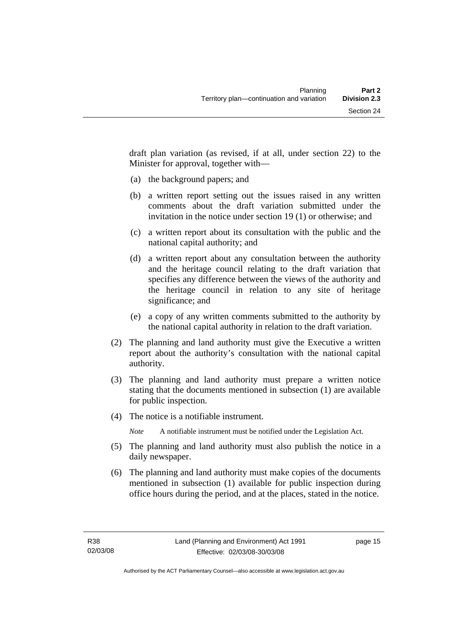draft plan variation (as revised, if at all, under section 22) to the Minister for approval, together with—

- (a) the background papers; and
- (b) a written report setting out the issues raised in any written comments about the draft variation submitted under the invitation in the notice under section 19 (1) or otherwise; and
- (c) a written report about its consultation with the public and the national capital authority; and
- (d) a written report about any consultation between the authority and the heritage council relating to the draft variation that specifies any difference between the views of the authority and the heritage council in relation to any site of heritage significance; and
- (e) a copy of any written comments submitted to the authority by the national capital authority in relation to the draft variation.
- (2) The planning and land authority must give the Executive a written report about the authority's consultation with the national capital authority.
- (3) The planning and land authority must prepare a written notice stating that the documents mentioned in subsection (1) are available for public inspection.
- (4) The notice is a notifiable instrument.

*Note* A notifiable instrument must be notified under the Legislation Act.

- (5) The planning and land authority must also publish the notice in a daily newspaper.
- (6) The planning and land authority must make copies of the documents mentioned in subsection (1) available for public inspection during office hours during the period, and at the places, stated in the notice.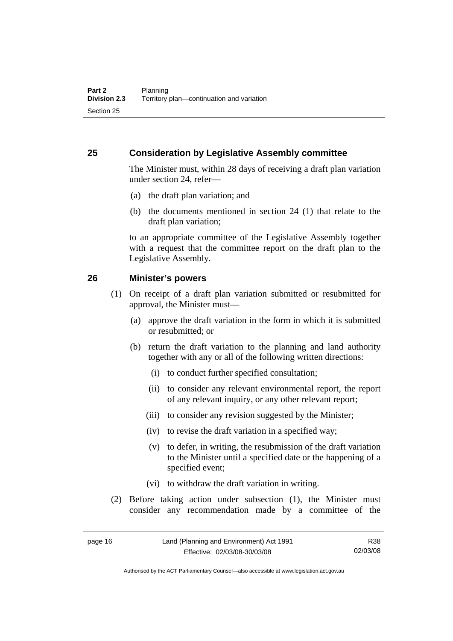### <span id="page-29-0"></span>**25 Consideration by Legislative Assembly committee**

The Minister must, within 28 days of receiving a draft plan variation under section 24, refer—

- (a) the draft plan variation; and
- (b) the documents mentioned in section 24 (1) that relate to the draft plan variation;

to an appropriate committee of the Legislative Assembly together with a request that the committee report on the draft plan to the Legislative Assembly.

### **26 Minister's powers**

- (1) On receipt of a draft plan variation submitted or resubmitted for approval, the Minister must—
	- (a) approve the draft variation in the form in which it is submitted or resubmitted; or
	- (b) return the draft variation to the planning and land authority together with any or all of the following written directions:
		- (i) to conduct further specified consultation;
		- (ii) to consider any relevant environmental report, the report of any relevant inquiry, or any other relevant report;
		- (iii) to consider any revision suggested by the Minister;
		- (iv) to revise the draft variation in a specified way;
		- (v) to defer, in writing, the resubmission of the draft variation to the Minister until a specified date or the happening of a specified event;
		- (vi) to withdraw the draft variation in writing.
- (2) Before taking action under subsection (1), the Minister must consider any recommendation made by a committee of the

R38 02/03/08

Authorised by the ACT Parliamentary Counsel—also accessible at www.legislation.act.gov.au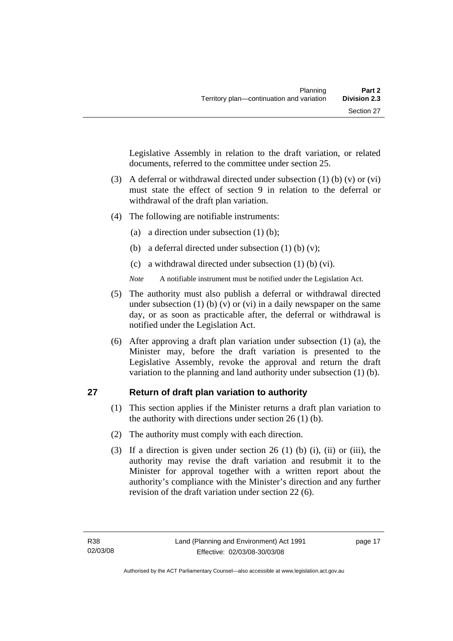<span id="page-30-0"></span>Legislative Assembly in relation to the draft variation, or related documents, referred to the committee under section 25.

- (3) A deferral or withdrawal directed under subsection (1) (b) (v) or (vi) must state the effect of section 9 in relation to the deferral or withdrawal of the draft plan variation.
- (4) The following are notifiable instruments:
	- (a) a direction under subsection (1) (b);
	- (b) a deferral directed under subsection  $(1)$  (b)  $(v)$ ;
	- (c) a withdrawal directed under subsection (1) (b) (vi).
	- *Note* A notifiable instrument must be notified under the Legislation Act.
- (5) The authority must also publish a deferral or withdrawal directed under subsection (1) (b) (v) or (vi) in a daily newspaper on the same day, or as soon as practicable after, the deferral or withdrawal is notified under the Legislation Act.
- (6) After approving a draft plan variation under subsection (1) (a), the Minister may, before the draft variation is presented to the Legislative Assembly, revoke the approval and return the draft variation to the planning and land authority under subsection (1) (b).

# **27 Return of draft plan variation to authority**

- (1) This section applies if the Minister returns a draft plan variation to the authority with directions under section 26 (1) (b).
- (2) The authority must comply with each direction.
- (3) If a direction is given under section 26 (1) (b) (i), (ii) or (iii), the authority may revise the draft variation and resubmit it to the Minister for approval together with a written report about the authority's compliance with the Minister's direction and any further revision of the draft variation under section 22 (6).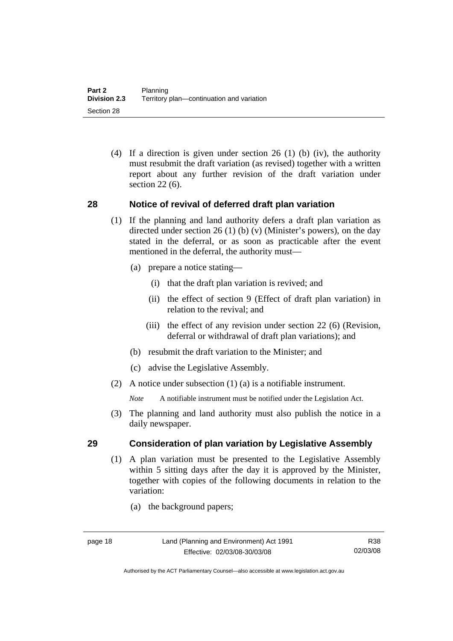<span id="page-31-0"></span> (4) If a direction is given under section 26 (1) (b) (iv), the authority must resubmit the draft variation (as revised) together with a written report about any further revision of the draft variation under section 22 (6).

# **28 Notice of revival of deferred draft plan variation**

- (1) If the planning and land authority defers a draft plan variation as directed under section 26 (1) (b) (v) (Minister's powers), on the day stated in the deferral, or as soon as practicable after the event mentioned in the deferral, the authority must—
	- (a) prepare a notice stating—
		- (i) that the draft plan variation is revived; and
		- (ii) the effect of section 9 (Effect of draft plan variation) in relation to the revival; and
		- (iii) the effect of any revision under section 22 (6) (Revision, deferral or withdrawal of draft plan variations); and
	- (b) resubmit the draft variation to the Minister; and
	- (c) advise the Legislative Assembly.
- (2) A notice under subsection (1) (a) is a notifiable instrument.

*Note* A notifiable instrument must be notified under the Legislation Act.

(3) The planning and land authority must also publish the notice in a daily newspaper.

# **29 Consideration of plan variation by Legislative Assembly**

- (1) A plan variation must be presented to the Legislative Assembly within 5 sitting days after the day it is approved by the Minister, together with copies of the following documents in relation to the variation:
	- (a) the background papers;

Authorised by the ACT Parliamentary Counsel—also accessible at www.legislation.act.gov.au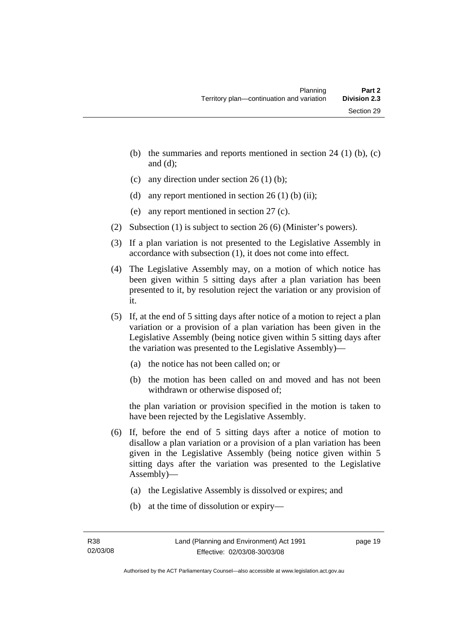- (b) the summaries and reports mentioned in section  $24$  (1) (b), (c) and (d);
- (c) any direction under section  $26 (1) (b)$ ;
- (d) any report mentioned in section  $26(1)$  (b) (ii);
- (e) any report mentioned in section 27 (c).
- (2) Subsection (1) is subject to section 26 (6) (Minister's powers).
- (3) If a plan variation is not presented to the Legislative Assembly in accordance with subsection (1), it does not come into effect.
- (4) The Legislative Assembly may, on a motion of which notice has been given within 5 sitting days after a plan variation has been presented to it, by resolution reject the variation or any provision of it.
- (5) If, at the end of 5 sitting days after notice of a motion to reject a plan variation or a provision of a plan variation has been given in the Legislative Assembly (being notice given within 5 sitting days after the variation was presented to the Legislative Assembly)—
	- (a) the notice has not been called on; or
	- (b) the motion has been called on and moved and has not been withdrawn or otherwise disposed of;

the plan variation or provision specified in the motion is taken to have been rejected by the Legislative Assembly.

- (6) If, before the end of 5 sitting days after a notice of motion to disallow a plan variation or a provision of a plan variation has been given in the Legislative Assembly (being notice given within 5 sitting days after the variation was presented to the Legislative Assembly)—
	- (a) the Legislative Assembly is dissolved or expires; and
	- (b) at the time of dissolution or expiry—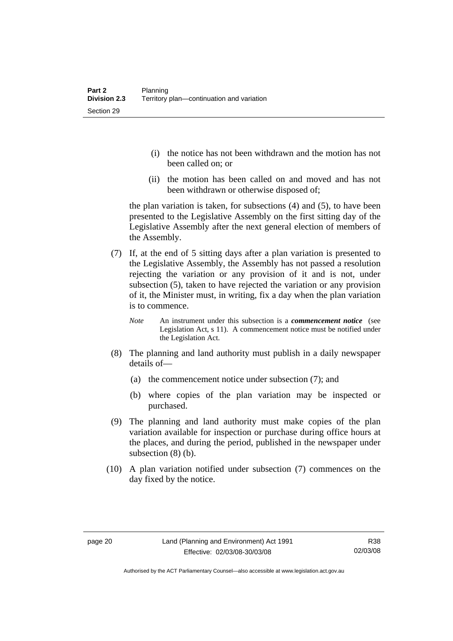- (i) the notice has not been withdrawn and the motion has not been called on; or
- (ii) the motion has been called on and moved and has not been withdrawn or otherwise disposed of;

the plan variation is taken, for subsections (4) and (5), to have been presented to the Legislative Assembly on the first sitting day of the Legislative Assembly after the next general election of members of the Assembly.

- (7) If, at the end of 5 sitting days after a plan variation is presented to the Legislative Assembly, the Assembly has not passed a resolution rejecting the variation or any provision of it and is not, under subsection (5), taken to have rejected the variation or any provision of it, the Minister must, in writing, fix a day when the plan variation is to commence.
	- *Note* An instrument under this subsection is a *commencement notice* (see Legislation Act, s 11). A commencement notice must be notified under the Legislation Act.
- (8) The planning and land authority must publish in a daily newspaper details of—
	- (a) the commencement notice under subsection (7); and
	- (b) where copies of the plan variation may be inspected or purchased.
- (9) The planning and land authority must make copies of the plan variation available for inspection or purchase during office hours at the places, and during the period, published in the newspaper under subsection (8) (b).
- (10) A plan variation notified under subsection (7) commences on the day fixed by the notice.

Authorised by the ACT Parliamentary Counsel—also accessible at www.legislation.act.gov.au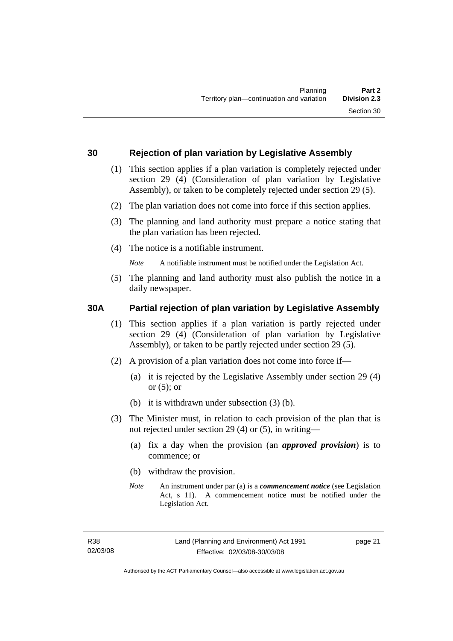### <span id="page-34-0"></span>**30 Rejection of plan variation by Legislative Assembly**

- (1) This section applies if a plan variation is completely rejected under section 29 (4) (Consideration of plan variation by Legislative Assembly), or taken to be completely rejected under section 29 (5).
- (2) The plan variation does not come into force if this section applies.
- (3) The planning and land authority must prepare a notice stating that the plan variation has been rejected.
- (4) The notice is a notifiable instrument.

*Note* A notifiable instrument must be notified under the Legislation Act.

(5) The planning and land authority must also publish the notice in a daily newspaper.

### **30A Partial rejection of plan variation by Legislative Assembly**

- (1) This section applies if a plan variation is partly rejected under section 29 (4) (Consideration of plan variation by Legislative Assembly), or taken to be partly rejected under section 29 (5).
- (2) A provision of a plan variation does not come into force if—
	- (a) it is rejected by the Legislative Assembly under section 29 (4) or  $(5)$ ; or
	- (b) it is withdrawn under subsection (3) (b).
- (3) The Minister must, in relation to each provision of the plan that is not rejected under section 29 (4) or (5), in writing—
	- (a) fix a day when the provision (an *approved provision*) is to commence; or
	- (b) withdraw the provision.
	- *Note* An instrument under par (a) is a *commencement notice* (see Legislation Act, s 11). A commencement notice must be notified under the Legislation Act.

page 21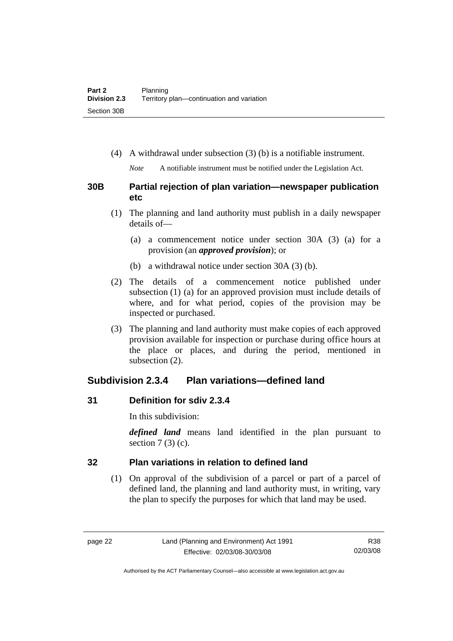<span id="page-35-0"></span>(4) A withdrawal under subsection (3) (b) is a notifiable instrument.

*Note* A notifiable instrument must be notified under the Legislation Act.

# **30B Partial rejection of plan variation—newspaper publication etc**

- (1) The planning and land authority must publish in a daily newspaper details of—
	- (a) a commencement notice under section 30A (3) (a) for a provision (an *approved provision*); or
	- (b) a withdrawal notice under section 30A (3) (b).
- (2) The details of a commencement notice published under subsection (1) (a) for an approved provision must include details of where, and for what period, copies of the provision may be inspected or purchased.
- (3) The planning and land authority must make copies of each approved provision available for inspection or purchase during office hours at the place or places, and during the period, mentioned in subsection (2).

# **Subdivision 2.3.4 Plan variations—defined land**

# **31 Definition for sdiv 2.3.4**

In this subdivision:

*defined land* means land identified in the plan pursuant to section  $7(3)(c)$ .

# **32 Plan variations in relation to defined land**

 (1) On approval of the subdivision of a parcel or part of a parcel of defined land, the planning and land authority must, in writing, vary the plan to specify the purposes for which that land may be used.

Authorised by the ACT Parliamentary Counsel—also accessible at www.legislation.act.gov.au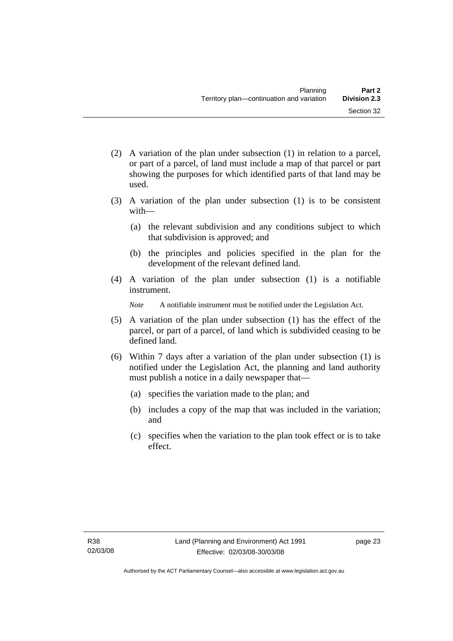- (2) A variation of the plan under subsection (1) in relation to a parcel, or part of a parcel, of land must include a map of that parcel or part showing the purposes for which identified parts of that land may be used.
- (3) A variation of the plan under subsection (1) is to be consistent with—
	- (a) the relevant subdivision and any conditions subject to which that subdivision is approved; and
	- (b) the principles and policies specified in the plan for the development of the relevant defined land.
- (4) A variation of the plan under subsection (1) is a notifiable instrument.

*Note* A notifiable instrument must be notified under the Legislation Act.

- (5) A variation of the plan under subsection (1) has the effect of the parcel, or part of a parcel, of land which is subdivided ceasing to be defined land.
- (6) Within 7 days after a variation of the plan under subsection (1) is notified under the Legislation Act, the planning and land authority must publish a notice in a daily newspaper that—
	- (a) specifies the variation made to the plan; and
	- (b) includes a copy of the map that was included in the variation; and
	- (c) specifies when the variation to the plan took effect or is to take effect.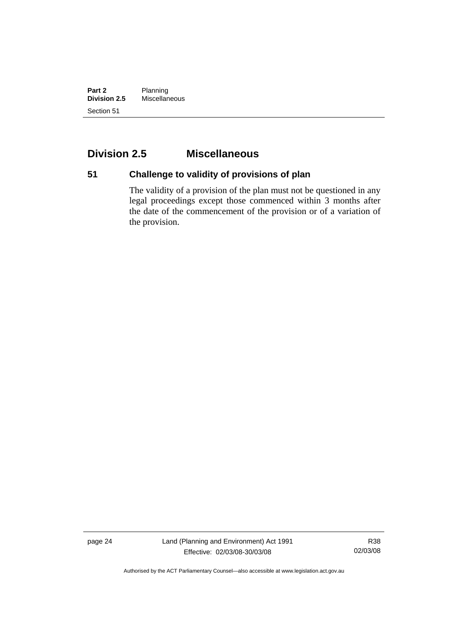**Part 2** Planning<br>**Division 2.5** Miscellan **Division 2.5** Miscellaneous Section 51

## **Division 2.5 Miscellaneous**

# **51 Challenge to validity of provisions of plan**

The validity of a provision of the plan must not be questioned in any legal proceedings except those commenced within 3 months after the date of the commencement of the provision or of a variation of the provision.

page 24 Land (Planning and Environment) Act 1991 Effective: 02/03/08-30/03/08

R38 02/03/08

Authorised by the ACT Parliamentary Counsel—also accessible at www.legislation.act.gov.au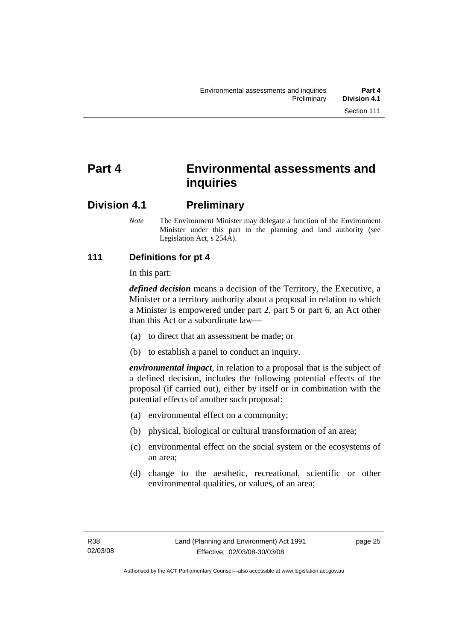## **Part 4 Environmental assessments and inquiries**

## **Division 4.1 Preliminary**

*Note* The Environment Minister may delegate a function of the Environment Minister under this part to the planning and land authority (see Legislation Act, s 254A).

## **111 Definitions for pt 4**

In this part:

*defined decision* means a decision of the Territory, the Executive, a Minister or a territory authority about a proposal in relation to which a Minister is empowered under part 2, part 5 or part 6, an Act other than this Act or a subordinate law—

- (a) to direct that an assessment be made; or
- (b) to establish a panel to conduct an inquiry.

*environmental impact*, in relation to a proposal that is the subject of a defined decision, includes the following potential effects of the proposal (if carried out), either by itself or in combination with the potential effects of another such proposal:

- (a) environmental effect on a community;
- (b) physical, biological or cultural transformation of an area;
- (c) environmental effect on the social system or the ecosystems of an area;
- (d) change to the aesthetic, recreational, scientific or other environmental qualities, or values, of an area;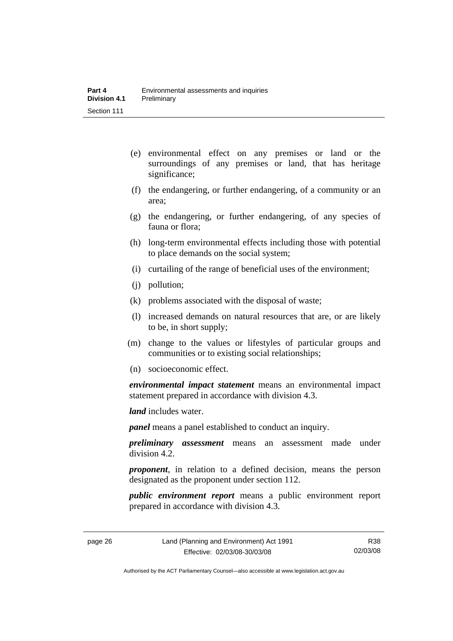- (e) environmental effect on any premises or land or the surroundings of any premises or land, that has heritage significance;
- (f) the endangering, or further endangering, of a community or an area;
- (g) the endangering, or further endangering, of any species of fauna or flora;
- (h) long-term environmental effects including those with potential to place demands on the social system;
- (i) curtailing of the range of beneficial uses of the environment;
- (j) pollution;
- (k) problems associated with the disposal of waste;
- (l) increased demands on natural resources that are, or are likely to be, in short supply;
- (m) change to the values or lifestyles of particular groups and communities or to existing social relationships;
- (n) socioeconomic effect.

*environmental impact statement* means an environmental impact statement prepared in accordance with division 4.3.

*land* includes water.

*panel* means a panel established to conduct an inquiry.

*preliminary assessment* means an assessment made under division 4.2.

*proponent*, in relation to a defined decision, means the person designated as the proponent under section 112.

*public environment report* means a public environment report prepared in accordance with division 4.3.

Authorised by the ACT Parliamentary Counsel—also accessible at www.legislation.act.gov.au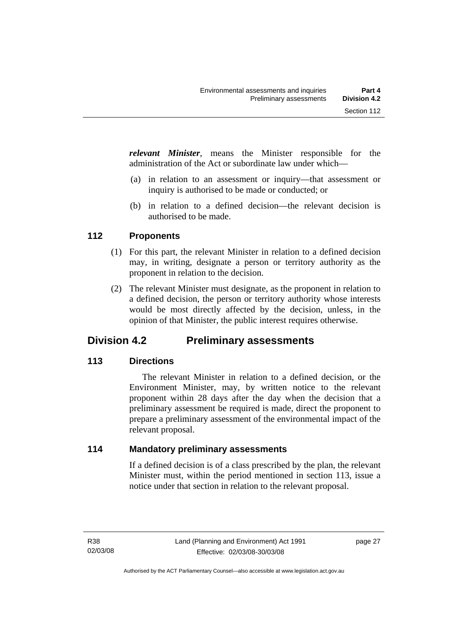*relevant Minister*, means the Minister responsible for the administration of the Act or subordinate law under which—

- (a) in relation to an assessment or inquiry—that assessment or inquiry is authorised to be made or conducted; or
- (b) in relation to a defined decision—the relevant decision is authorised to be made.

## **112 Proponents**

- (1) For this part, the relevant Minister in relation to a defined decision may, in writing, designate a person or territory authority as the proponent in relation to the decision.
- (2) The relevant Minister must designate, as the proponent in relation to a defined decision, the person or territory authority whose interests would be most directly affected by the decision, unless, in the opinion of that Minister, the public interest requires otherwise.

## **Division 4.2 Preliminary assessments**

## **113 Directions**

 The relevant Minister in relation to a defined decision, or the Environment Minister, may, by written notice to the relevant proponent within 28 days after the day when the decision that a preliminary assessment be required is made, direct the proponent to prepare a preliminary assessment of the environmental impact of the relevant proposal.

## **114 Mandatory preliminary assessments**

If a defined decision is of a class prescribed by the plan, the relevant Minister must, within the period mentioned in section 113, issue a notice under that section in relation to the relevant proposal.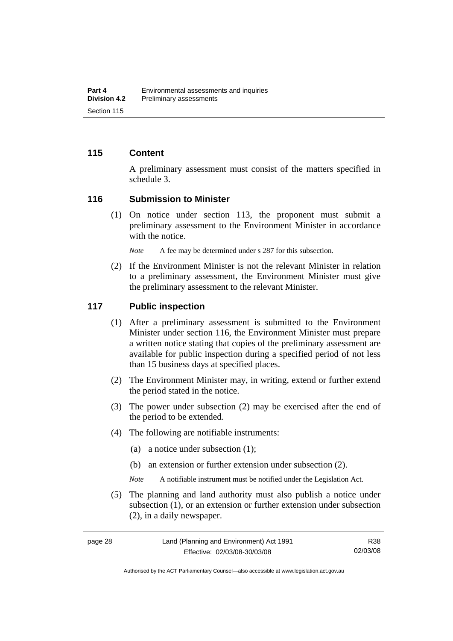#### **115 Content**

A preliminary assessment must consist of the matters specified in schedule 3.

#### **116 Submission to Minister**

 (1) On notice under section 113, the proponent must submit a preliminary assessment to the Environment Minister in accordance with the notice.

*Note* A fee may be determined under s 287 for this subsection.

 (2) If the Environment Minister is not the relevant Minister in relation to a preliminary assessment, the Environment Minister must give the preliminary assessment to the relevant Minister.

#### **117 Public inspection**

- (1) After a preliminary assessment is submitted to the Environment Minister under section 116, the Environment Minister must prepare a written notice stating that copies of the preliminary assessment are available for public inspection during a specified period of not less than 15 business days at specified places.
- (2) The Environment Minister may, in writing, extend or further extend the period stated in the notice.
- (3) The power under subsection (2) may be exercised after the end of the period to be extended.
- (4) The following are notifiable instruments:
	- (a) a notice under subsection (1);
	- (b) an extension or further extension under subsection (2).
	- *Note* A notifiable instrument must be notified under the Legislation Act.
- (5) The planning and land authority must also publish a notice under subsection (1), or an extension or further extension under subsection (2), in a daily newspaper.

Authorised by the ACT Parliamentary Counsel—also accessible at www.legislation.act.gov.au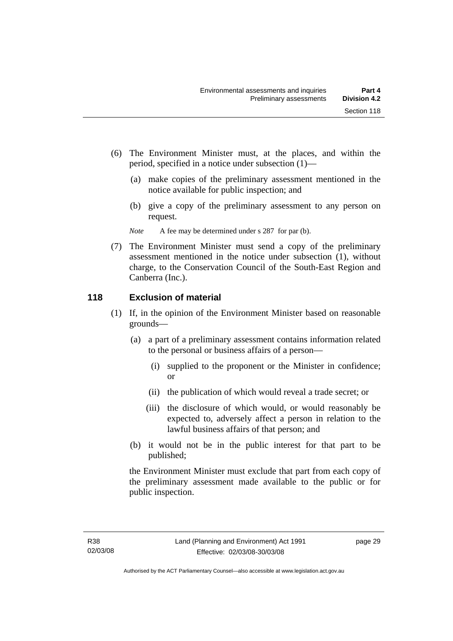- (6) The Environment Minister must, at the places, and within the period, specified in a notice under subsection (1)—
	- (a) make copies of the preliminary assessment mentioned in the notice available for public inspection; and
	- (b) give a copy of the preliminary assessment to any person on request.

*Note* A fee may be determined under s 287 for par (b).

 (7) The Environment Minister must send a copy of the preliminary assessment mentioned in the notice under subsection (1), without charge, to the Conservation Council of the South-East Region and Canberra (Inc.).

## **118 Exclusion of material**

- (1) If, in the opinion of the Environment Minister based on reasonable grounds—
	- (a) a part of a preliminary assessment contains information related to the personal or business affairs of a person—
		- (i) supplied to the proponent or the Minister in confidence; or
		- (ii) the publication of which would reveal a trade secret; or
		- (iii) the disclosure of which would, or would reasonably be expected to, adversely affect a person in relation to the lawful business affairs of that person; and
	- (b) it would not be in the public interest for that part to be published;

the Environment Minister must exclude that part from each copy of the preliminary assessment made available to the public or for public inspection.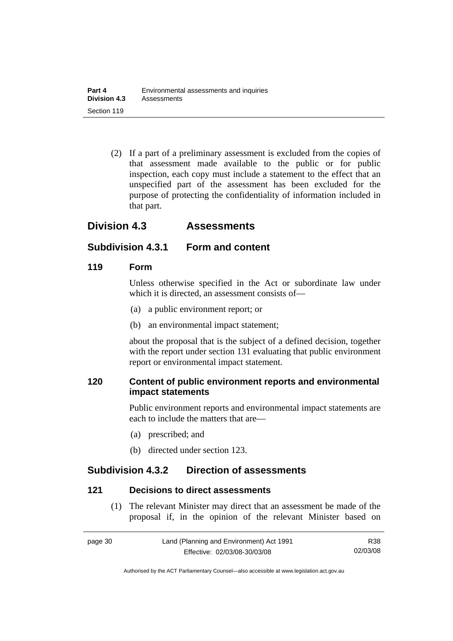(2) If a part of a preliminary assessment is excluded from the copies of that assessment made available to the public or for public inspection, each copy must include a statement to the effect that an unspecified part of the assessment has been excluded for the purpose of protecting the confidentiality of information included in that part.

## **Division 4.3 Assessments**

## **Subdivision 4.3.1 Form and content**

#### **119 Form**

Unless otherwise specified in the Act or subordinate law under which it is directed, an assessment consists of—

- (a) a public environment report; or
- (b) an environmental impact statement;

about the proposal that is the subject of a defined decision, together with the report under section 131 evaluating that public environment report or environmental impact statement.

#### **120 Content of public environment reports and environmental impact statements**

Public environment reports and environmental impact statements are each to include the matters that are—

- (a) prescribed; and
- (b) directed under section 123.

## **Subdivision 4.3.2 Direction of assessments**

#### **121 Decisions to direct assessments**

 (1) The relevant Minister may direct that an assessment be made of the proposal if, in the opinion of the relevant Minister based on

| page 30 | Land (Planning and Environment) Act 1991 | R38      |
|---------|------------------------------------------|----------|
|         | Effective: 02/03/08-30/03/08             | 02/03/08 |

Authorised by the ACT Parliamentary Counsel—also accessible at www.legislation.act.gov.au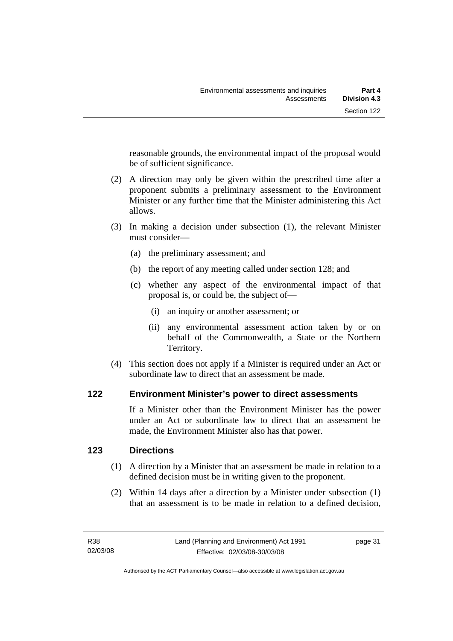reasonable grounds, the environmental impact of the proposal would be of sufficient significance.

- (2) A direction may only be given within the prescribed time after a proponent submits a preliminary assessment to the Environment Minister or any further time that the Minister administering this Act allows.
- (3) In making a decision under subsection (1), the relevant Minister must consider—
	- (a) the preliminary assessment; and
	- (b) the report of any meeting called under section 128; and
	- (c) whether any aspect of the environmental impact of that proposal is, or could be, the subject of—
		- (i) an inquiry or another assessment; or
		- (ii) any environmental assessment action taken by or on behalf of the Commonwealth, a State or the Northern Territory.
- (4) This section does not apply if a Minister is required under an Act or subordinate law to direct that an assessment be made.

## **122 Environment Minister's power to direct assessments**

If a Minister other than the Environment Minister has the power under an Act or subordinate law to direct that an assessment be made, the Environment Minister also has that power.

## **123 Directions**

- (1) A direction by a Minister that an assessment be made in relation to a defined decision must be in writing given to the proponent.
- (2) Within 14 days after a direction by a Minister under subsection (1) that an assessment is to be made in relation to a defined decision,

page 31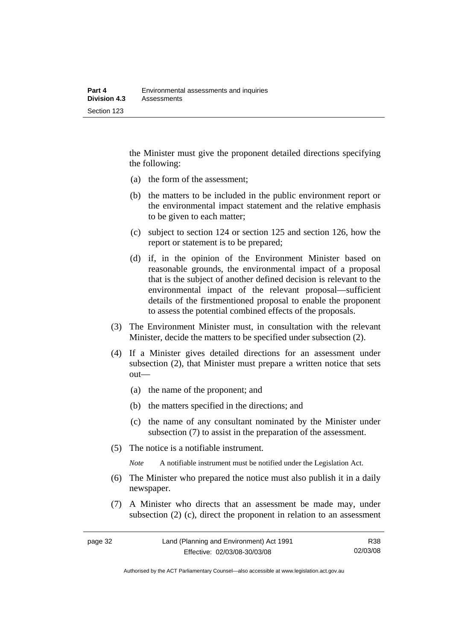the Minister must give the proponent detailed directions specifying the following:

- (a) the form of the assessment;
- (b) the matters to be included in the public environment report or the environmental impact statement and the relative emphasis to be given to each matter;
- (c) subject to section 124 or section 125 and section 126, how the report or statement is to be prepared;
- (d) if, in the opinion of the Environment Minister based on reasonable grounds, the environmental impact of a proposal that is the subject of another defined decision is relevant to the environmental impact of the relevant proposal—sufficient details of the firstmentioned proposal to enable the proponent to assess the potential combined effects of the proposals.
- (3) The Environment Minister must, in consultation with the relevant Minister, decide the matters to be specified under subsection (2).
- (4) If a Minister gives detailed directions for an assessment under subsection (2), that Minister must prepare a written notice that sets out—
	- (a) the name of the proponent; and
	- (b) the matters specified in the directions; and
	- (c) the name of any consultant nominated by the Minister under subsection (7) to assist in the preparation of the assessment.
- (5) The notice is a notifiable instrument.

*Note* A notifiable instrument must be notified under the Legislation Act.

- (6) The Minister who prepared the notice must also publish it in a daily newspaper.
- (7) A Minister who directs that an assessment be made may, under subsection (2) (c), direct the proponent in relation to an assessment

Authorised by the ACT Parliamentary Counsel—also accessible at www.legislation.act.gov.au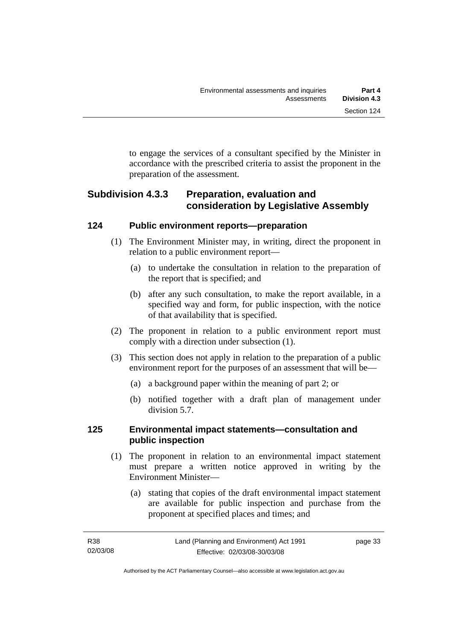to engage the services of a consultant specified by the Minister in accordance with the prescribed criteria to assist the proponent in the preparation of the assessment.

## **Subdivision 4.3.3 Preparation, evaluation and consideration by Legislative Assembly**

## **124 Public environment reports—preparation**

- (1) The Environment Minister may, in writing, direct the proponent in relation to a public environment report—
	- (a) to undertake the consultation in relation to the preparation of the report that is specified; and
	- (b) after any such consultation, to make the report available, in a specified way and form, for public inspection, with the notice of that availability that is specified.
- (2) The proponent in relation to a public environment report must comply with a direction under subsection (1).
- (3) This section does not apply in relation to the preparation of a public environment report for the purposes of an assessment that will be—
	- (a) a background paper within the meaning of part 2; or
	- (b) notified together with a draft plan of management under division 5.7.

## **125 Environmental impact statements—consultation and public inspection**

- (1) The proponent in relation to an environmental impact statement must prepare a written notice approved in writing by the Environment Minister—
	- (a) stating that copies of the draft environmental impact statement are available for public inspection and purchase from the proponent at specified places and times; and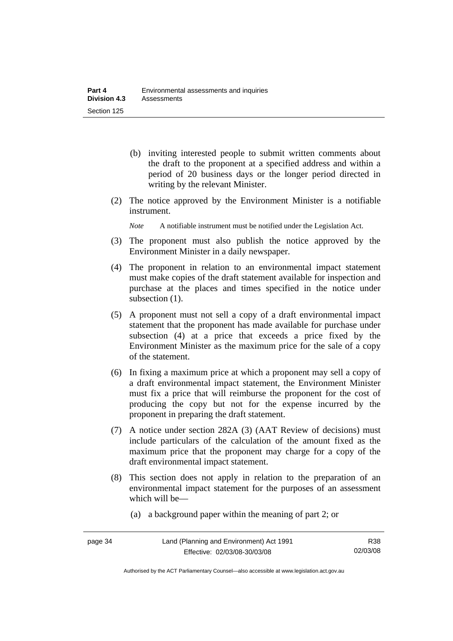- (b) inviting interested people to submit written comments about the draft to the proponent at a specified address and within a period of 20 business days or the longer period directed in writing by the relevant Minister.
- (2) The notice approved by the Environment Minister is a notifiable instrument.
	- *Note* A notifiable instrument must be notified under the Legislation Act.
- (3) The proponent must also publish the notice approved by the Environment Minister in a daily newspaper.
- (4) The proponent in relation to an environmental impact statement must make copies of the draft statement available for inspection and purchase at the places and times specified in the notice under subsection  $(1)$ .
- (5) A proponent must not sell a copy of a draft environmental impact statement that the proponent has made available for purchase under subsection (4) at a price that exceeds a price fixed by the Environment Minister as the maximum price for the sale of a copy of the statement.
- (6) In fixing a maximum price at which a proponent may sell a copy of a draft environmental impact statement, the Environment Minister must fix a price that will reimburse the proponent for the cost of producing the copy but not for the expense incurred by the proponent in preparing the draft statement.
- (7) A notice under section 282A (3) (AAT Review of decisions) must include particulars of the calculation of the amount fixed as the maximum price that the proponent may charge for a copy of the draft environmental impact statement.
- (8) This section does not apply in relation to the preparation of an environmental impact statement for the purposes of an assessment which will be—
	- (a) a background paper within the meaning of part 2; or

Authorised by the ACT Parliamentary Counsel—also accessible at www.legislation.act.gov.au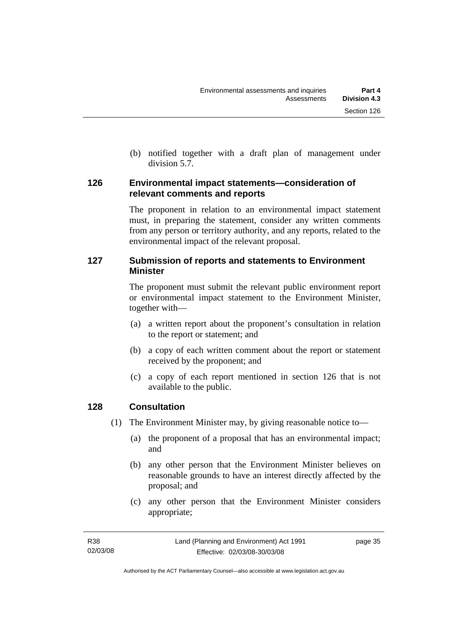(b) notified together with a draft plan of management under division 5.7.

#### **126 Environmental impact statements—consideration of relevant comments and reports**

The proponent in relation to an environmental impact statement must, in preparing the statement, consider any written comments from any person or territory authority, and any reports, related to the environmental impact of the relevant proposal.

## **127 Submission of reports and statements to Environment Minister**

The proponent must submit the relevant public environment report or environmental impact statement to the Environment Minister, together with—

- (a) a written report about the proponent's consultation in relation to the report or statement; and
- (b) a copy of each written comment about the report or statement received by the proponent; and
- (c) a copy of each report mentioned in section 126 that is not available to the public.

## **128 Consultation**

- (1) The Environment Minister may, by giving reasonable notice to—
	- (a) the proponent of a proposal that has an environmental impact; and
	- (b) any other person that the Environment Minister believes on reasonable grounds to have an interest directly affected by the proposal; and
	- (c) any other person that the Environment Minister considers appropriate;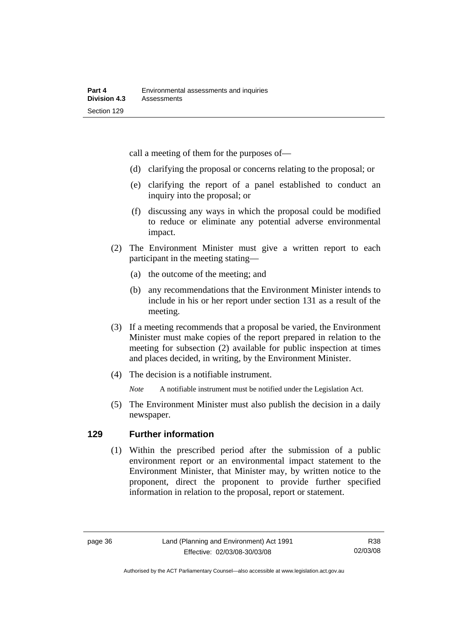call a meeting of them for the purposes of—

- (d) clarifying the proposal or concerns relating to the proposal; or
- (e) clarifying the report of a panel established to conduct an inquiry into the proposal; or
- (f) discussing any ways in which the proposal could be modified to reduce or eliminate any potential adverse environmental impact.
- (2) The Environment Minister must give a written report to each participant in the meeting stating—
	- (a) the outcome of the meeting; and
	- (b) any recommendations that the Environment Minister intends to include in his or her report under section 131 as a result of the meeting.
- (3) If a meeting recommends that a proposal be varied, the Environment Minister must make copies of the report prepared in relation to the meeting for subsection (2) available for public inspection at times and places decided, in writing, by the Environment Minister.
- (4) The decision is a notifiable instrument.

*Note* A notifiable instrument must be notified under the Legislation Act.

(5) The Environment Minister must also publish the decision in a daily newspaper.

## **129 Further information**

 (1) Within the prescribed period after the submission of a public environment report or an environmental impact statement to the Environment Minister, that Minister may, by written notice to the proponent, direct the proponent to provide further specified information in relation to the proposal, report or statement.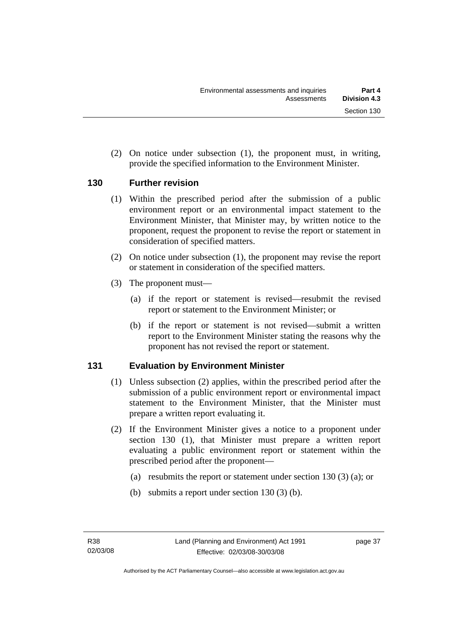(2) On notice under subsection (1), the proponent must, in writing, provide the specified information to the Environment Minister.

#### **130 Further revision**

- (1) Within the prescribed period after the submission of a public environment report or an environmental impact statement to the Environment Minister, that Minister may, by written notice to the proponent, request the proponent to revise the report or statement in consideration of specified matters.
- (2) On notice under subsection (1), the proponent may revise the report or statement in consideration of the specified matters.
- (3) The proponent must—
	- (a) if the report or statement is revised—resubmit the revised report or statement to the Environment Minister; or
	- (b) if the report or statement is not revised—submit a written report to the Environment Minister stating the reasons why the proponent has not revised the report or statement.

## **131 Evaluation by Environment Minister**

- (1) Unless subsection (2) applies, within the prescribed period after the submission of a public environment report or environmental impact statement to the Environment Minister, that the Minister must prepare a written report evaluating it.
- (2) If the Environment Minister gives a notice to a proponent under section 130 (1), that Minister must prepare a written report evaluating a public environment report or statement within the prescribed period after the proponent—
	- (a) resubmits the report or statement under section 130 (3) (a); or
	- (b) submits a report under section 130 (3) (b).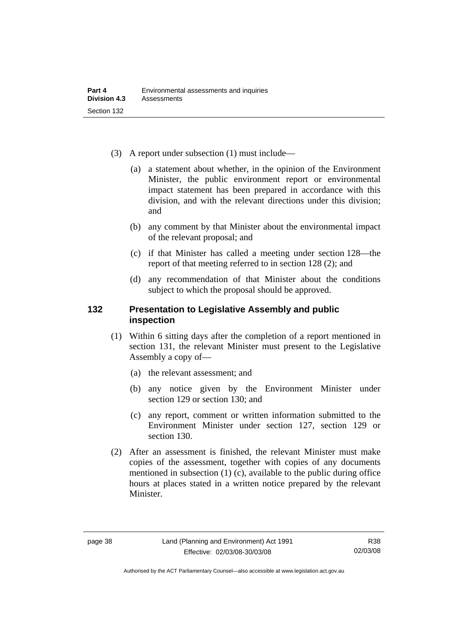- (3) A report under subsection (1) must include—
	- (a) a statement about whether, in the opinion of the Environment Minister, the public environment report or environmental impact statement has been prepared in accordance with this division, and with the relevant directions under this division; and
	- (b) any comment by that Minister about the environmental impact of the relevant proposal; and
	- (c) if that Minister has called a meeting under section 128—the report of that meeting referred to in section 128 (2); and
	- (d) any recommendation of that Minister about the conditions subject to which the proposal should be approved.

#### **132 Presentation to Legislative Assembly and public inspection**

- (1) Within 6 sitting days after the completion of a report mentioned in section 131, the relevant Minister must present to the Legislative Assembly a copy of—
	- (a) the relevant assessment; and
	- (b) any notice given by the Environment Minister under section 129 or section 130; and
	- (c) any report, comment or written information submitted to the Environment Minister under section 127, section 129 or section 130.
- (2) After an assessment is finished, the relevant Minister must make copies of the assessment, together with copies of any documents mentioned in subsection (1) (c), available to the public during office hours at places stated in a written notice prepared by the relevant Minister.

Authorised by the ACT Parliamentary Counsel—also accessible at www.legislation.act.gov.au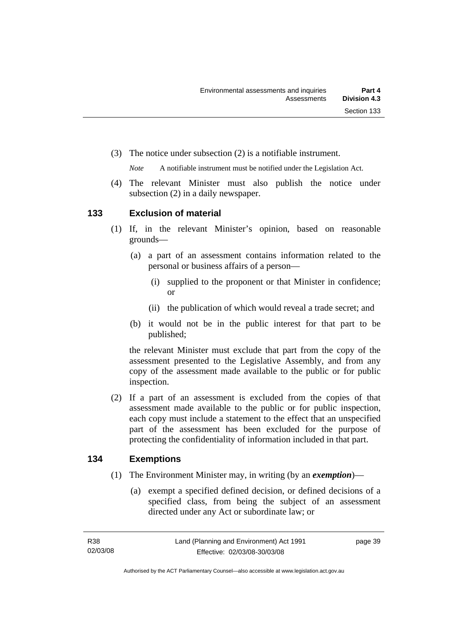(3) The notice under subsection (2) is a notifiable instrument.

*Note* A notifiable instrument must be notified under the Legislation Act.

(4) The relevant Minister must also publish the notice under subsection (2) in a daily newspaper.

#### **133 Exclusion of material**

- (1) If, in the relevant Minister's opinion, based on reasonable grounds—
	- (a) a part of an assessment contains information related to the personal or business affairs of a person—
		- (i) supplied to the proponent or that Minister in confidence; or
		- (ii) the publication of which would reveal a trade secret; and
	- (b) it would not be in the public interest for that part to be published;

the relevant Minister must exclude that part from the copy of the assessment presented to the Legislative Assembly, and from any copy of the assessment made available to the public or for public inspection.

 (2) If a part of an assessment is excluded from the copies of that assessment made available to the public or for public inspection, each copy must include a statement to the effect that an unspecified part of the assessment has been excluded for the purpose of protecting the confidentiality of information included in that part.

#### **134 Exemptions**

- (1) The Environment Minister may, in writing (by an *exemption*)—
	- (a) exempt a specified defined decision, or defined decisions of a specified class, from being the subject of an assessment directed under any Act or subordinate law; or

page 39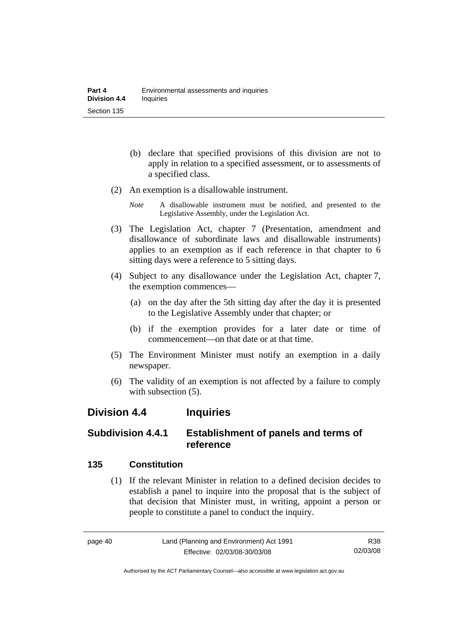- (b) declare that specified provisions of this division are not to apply in relation to a specified assessment, or to assessments of a specified class.
- (2) An exemption is a disallowable instrument.
	- *Note* A disallowable instrument must be notified, and presented to the Legislative Assembly, under the Legislation Act.
- (3) The Legislation Act, chapter 7 (Presentation, amendment and disallowance of subordinate laws and disallowable instruments) applies to an exemption as if each reference in that chapter to 6 sitting days were a reference to 5 sitting days.
- (4) Subject to any disallowance under the Legislation Act, chapter 7, the exemption commences—
	- (a) on the day after the 5th sitting day after the day it is presented to the Legislative Assembly under that chapter; or
	- (b) if the exemption provides for a later date or time of commencement—on that date or at that time.
- (5) The Environment Minister must notify an exemption in a daily newspaper.
- (6) The validity of an exemption is not affected by a failure to comply with subsection  $(5)$ .

## **Division 4.4 Inquiries**

## **Subdivision 4.4.1 Establishment of panels and terms of reference**

## **135 Constitution**

 (1) If the relevant Minister in relation to a defined decision decides to establish a panel to inquire into the proposal that is the subject of that decision that Minister must, in writing, appoint a person or people to constitute a panel to conduct the inquiry.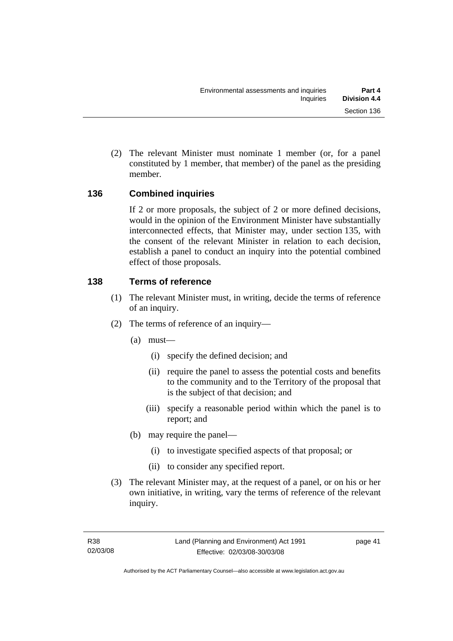(2) The relevant Minister must nominate 1 member (or, for a panel constituted by 1 member, that member) of the panel as the presiding member.

## **136 Combined inquiries**

If 2 or more proposals, the subject of 2 or more defined decisions, would in the opinion of the Environment Minister have substantially interconnected effects, that Minister may, under section 135, with the consent of the relevant Minister in relation to each decision, establish a panel to conduct an inquiry into the potential combined effect of those proposals.

## **138 Terms of reference**

- (1) The relevant Minister must, in writing, decide the terms of reference of an inquiry.
- (2) The terms of reference of an inquiry—
	- (a) must—
		- (i) specify the defined decision; and
		- (ii) require the panel to assess the potential costs and benefits to the community and to the Territory of the proposal that is the subject of that decision; and
		- (iii) specify a reasonable period within which the panel is to report; and
	- (b) may require the panel—
		- (i) to investigate specified aspects of that proposal; or
		- (ii) to consider any specified report.
- (3) The relevant Minister may, at the request of a panel, or on his or her own initiative, in writing, vary the terms of reference of the relevant inquiry.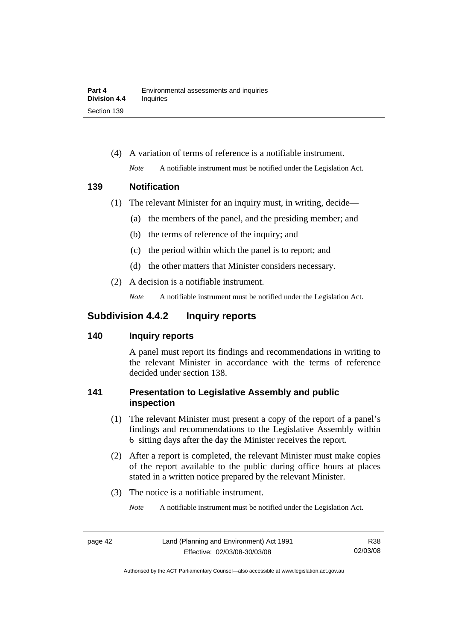(4) A variation of terms of reference is a notifiable instrument. *Note* A notifiable instrument must be notified under the Legislation Act.

#### **139 Notification**

- (1) The relevant Minister for an inquiry must, in writing, decide—
	- (a) the members of the panel, and the presiding member; and
	- (b) the terms of reference of the inquiry; and
	- (c) the period within which the panel is to report; and
	- (d) the other matters that Minister considers necessary.
- (2) A decision is a notifiable instrument.

*Note* A notifiable instrument must be notified under the Legislation Act.

## **Subdivision 4.4.2 Inquiry reports**

## **140 Inquiry reports**

A panel must report its findings and recommendations in writing to the relevant Minister in accordance with the terms of reference decided under section 138.

## **141 Presentation to Legislative Assembly and public inspection**

- (1) The relevant Minister must present a copy of the report of a panel's findings and recommendations to the Legislative Assembly within 6 sitting days after the day the Minister receives the report.
- (2) After a report is completed, the relevant Minister must make copies of the report available to the public during office hours at places stated in a written notice prepared by the relevant Minister.
- (3) The notice is a notifiable instrument.
	- *Note* A notifiable instrument must be notified under the Legislation Act.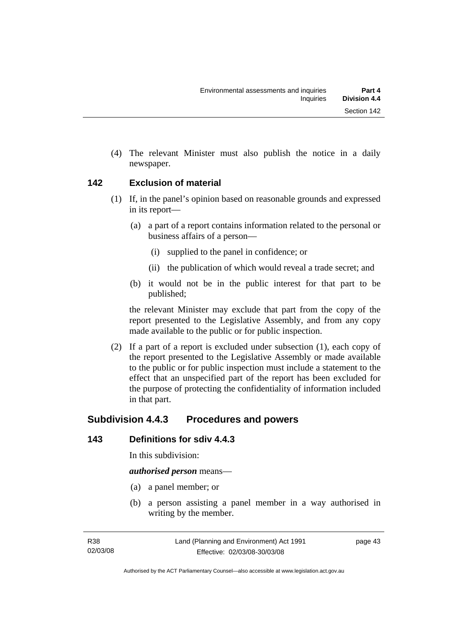(4) The relevant Minister must also publish the notice in a daily newspaper.

#### **142 Exclusion of material**

- (1) If, in the panel's opinion based on reasonable grounds and expressed in its report—
	- (a) a part of a report contains information related to the personal or business affairs of a person—
		- (i) supplied to the panel in confidence; or
		- (ii) the publication of which would reveal a trade secret; and
	- (b) it would not be in the public interest for that part to be published;

the relevant Minister may exclude that part from the copy of the report presented to the Legislative Assembly, and from any copy made available to the public or for public inspection.

 (2) If a part of a report is excluded under subsection (1), each copy of the report presented to the Legislative Assembly or made available to the public or for public inspection must include a statement to the effect that an unspecified part of the report has been excluded for the purpose of protecting the confidentiality of information included in that part.

## **Subdivision 4.4.3 Procedures and powers**

## **143 Definitions for sdiv 4.4.3**

In this subdivision:

*authorised person* means—

- (a) a panel member; or
- (b) a person assisting a panel member in a way authorised in writing by the member.

page 43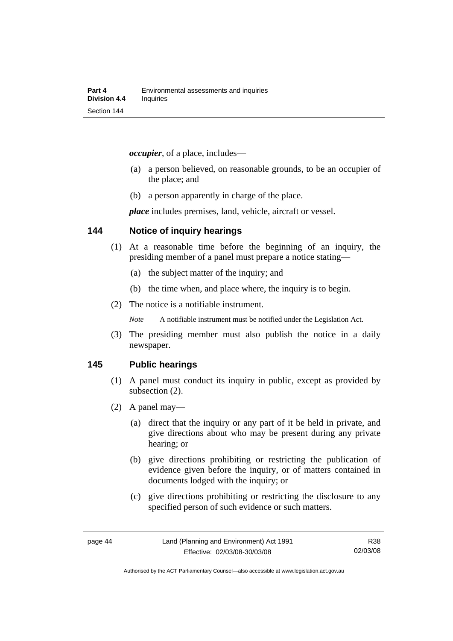*occupier*, of a place, includes—

- (a) a person believed, on reasonable grounds, to be an occupier of the place; and
- (b) a person apparently in charge of the place.

*place* includes premises, land, vehicle, aircraft or vessel.

#### **144 Notice of inquiry hearings**

- (1) At a reasonable time before the beginning of an inquiry, the presiding member of a panel must prepare a notice stating—
	- (a) the subject matter of the inquiry; and
	- (b) the time when, and place where, the inquiry is to begin.
- (2) The notice is a notifiable instrument.

*Note* A notifiable instrument must be notified under the Legislation Act.

(3) The presiding member must also publish the notice in a daily newspaper.

#### **145 Public hearings**

- (1) A panel must conduct its inquiry in public, except as provided by subsection (2).
- (2) A panel may—
	- (a) direct that the inquiry or any part of it be held in private, and give directions about who may be present during any private hearing; or
	- (b) give directions prohibiting or restricting the publication of evidence given before the inquiry, or of matters contained in documents lodged with the inquiry; or
	- (c) give directions prohibiting or restricting the disclosure to any specified person of such evidence or such matters.

R38 02/03/08

Authorised by the ACT Parliamentary Counsel—also accessible at www.legislation.act.gov.au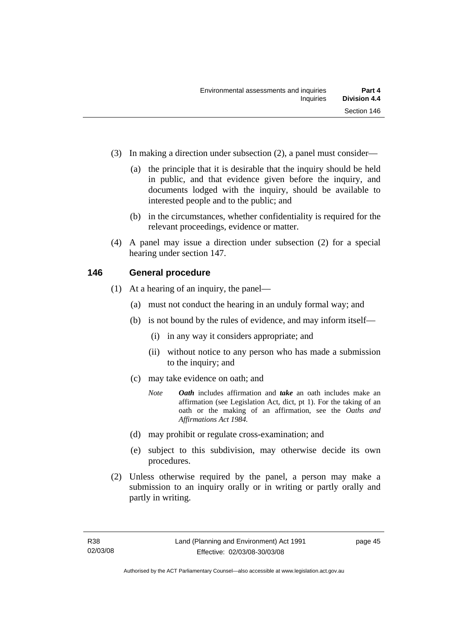- (3) In making a direction under subsection (2), a panel must consider—
	- (a) the principle that it is desirable that the inquiry should be held in public, and that evidence given before the inquiry, and documents lodged with the inquiry, should be available to interested people and to the public; and
	- (b) in the circumstances, whether confidentiality is required for the relevant proceedings, evidence or matter.
- (4) A panel may issue a direction under subsection (2) for a special hearing under section 147.

#### **146 General procedure**

- (1) At a hearing of an inquiry, the panel—
	- (a) must not conduct the hearing in an unduly formal way; and
	- (b) is not bound by the rules of evidence, and may inform itself—
		- (i) in any way it considers appropriate; and
		- (ii) without notice to any person who has made a submission to the inquiry; and
	- (c) may take evidence on oath; and
		- *Note Oath* includes affirmation and *take* an oath includes make an affirmation (see Legislation Act, dict, pt 1). For the taking of an oath or the making of an affirmation, see the *Oaths and Affirmations Act 1984.*
	- (d) may prohibit or regulate cross-examination; and
	- (e) subject to this subdivision, may otherwise decide its own procedures.
- (2) Unless otherwise required by the panel, a person may make a submission to an inquiry orally or in writing or partly orally and partly in writing.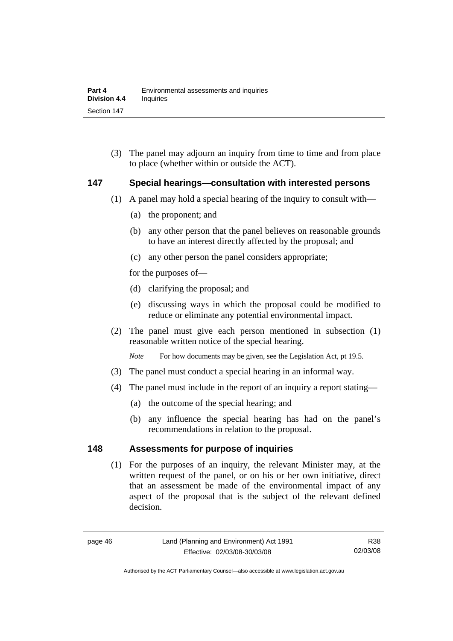(3) The panel may adjourn an inquiry from time to time and from place to place (whether within or outside the ACT).

#### **147 Special hearings—consultation with interested persons**

- (1) A panel may hold a special hearing of the inquiry to consult with—
	- (a) the proponent; and
	- (b) any other person that the panel believes on reasonable grounds to have an interest directly affected by the proposal; and
	- (c) any other person the panel considers appropriate;

for the purposes of—

- (d) clarifying the proposal; and
- (e) discussing ways in which the proposal could be modified to reduce or eliminate any potential environmental impact.
- (2) The panel must give each person mentioned in subsection (1) reasonable written notice of the special hearing.

*Note* For how documents may be given, see the Legislation Act, pt 19.5.

- (3) The panel must conduct a special hearing in an informal way.
- (4) The panel must include in the report of an inquiry a report stating—
	- (a) the outcome of the special hearing; and
	- (b) any influence the special hearing has had on the panel's recommendations in relation to the proposal.

#### **148 Assessments for purpose of inquiries**

 (1) For the purposes of an inquiry, the relevant Minister may, at the written request of the panel, or on his or her own initiative, direct that an assessment be made of the environmental impact of any aspect of the proposal that is the subject of the relevant defined decision.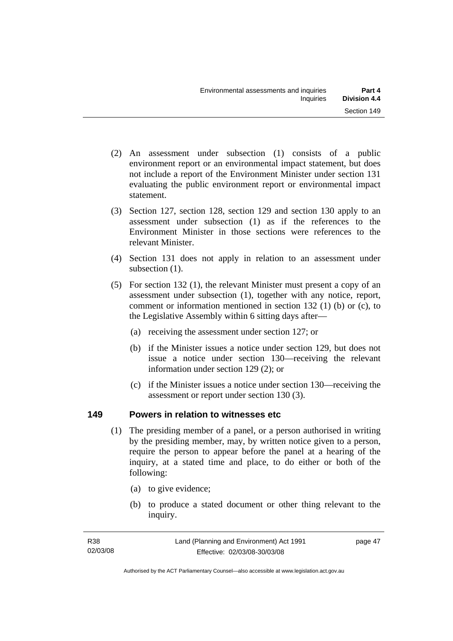- (2) An assessment under subsection (1) consists of a public environment report or an environmental impact statement, but does not include a report of the Environment Minister under section 131 evaluating the public environment report or environmental impact statement.
- (3) Section 127, section 128, section 129 and section 130 apply to an assessment under subsection (1) as if the references to the Environment Minister in those sections were references to the relevant Minister.
- (4) Section 131 does not apply in relation to an assessment under subsection  $(1)$ .
- (5) For section 132 (1), the relevant Minister must present a copy of an assessment under subsection (1), together with any notice, report, comment or information mentioned in section 132 (1) (b) or (c), to the Legislative Assembly within 6 sitting days after—
	- (a) receiving the assessment under section 127; or
	- (b) if the Minister issues a notice under section 129, but does not issue a notice under section 130—receiving the relevant information under section 129 (2); or
	- (c) if the Minister issues a notice under section 130—receiving the assessment or report under section 130 (3).

## **149 Powers in relation to witnesses etc**

- (1) The presiding member of a panel, or a person authorised in writing by the presiding member, may, by written notice given to a person, require the person to appear before the panel at a hearing of the inquiry, at a stated time and place, to do either or both of the following:
	- (a) to give evidence;
	- (b) to produce a stated document or other thing relevant to the inquiry.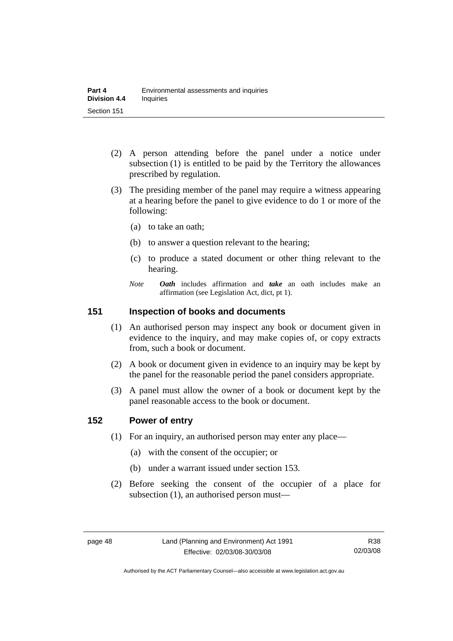- (2) A person attending before the panel under a notice under subsection (1) is entitled to be paid by the Territory the allowances prescribed by regulation.
- (3) The presiding member of the panel may require a witness appearing at a hearing before the panel to give evidence to do 1 or more of the following:
	- (a) to take an oath;
	- (b) to answer a question relevant to the hearing;
	- (c) to produce a stated document or other thing relevant to the hearing.
	- *Note Oath* includes affirmation and *take* an oath includes make an affirmation (see Legislation Act, dict, pt 1).

#### **151 Inspection of books and documents**

- (1) An authorised person may inspect any book or document given in evidence to the inquiry, and may make copies of, or copy extracts from, such a book or document.
- (2) A book or document given in evidence to an inquiry may be kept by the panel for the reasonable period the panel considers appropriate.
- (3) A panel must allow the owner of a book or document kept by the panel reasonable access to the book or document.

#### **152 Power of entry**

- (1) For an inquiry, an authorised person may enter any place—
	- (a) with the consent of the occupier; or
	- (b) under a warrant issued under section 153.
- (2) Before seeking the consent of the occupier of a place for subsection (1), an authorised person must—

Authorised by the ACT Parliamentary Counsel—also accessible at www.legislation.act.gov.au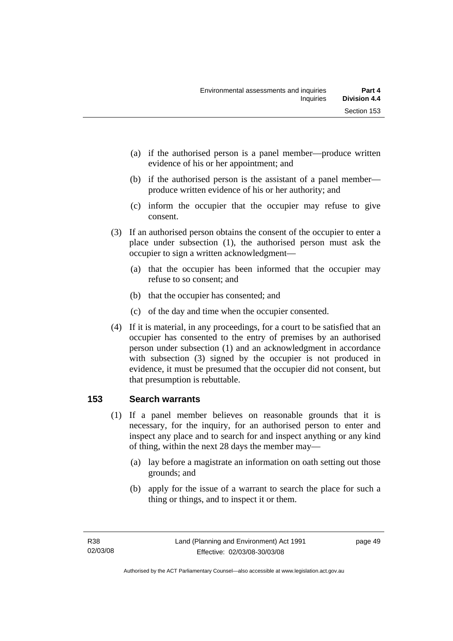- (a) if the authorised person is a panel member—produce written evidence of his or her appointment; and
- (b) if the authorised person is the assistant of a panel member produce written evidence of his or her authority; and
- (c) inform the occupier that the occupier may refuse to give consent.
- (3) If an authorised person obtains the consent of the occupier to enter a place under subsection (1), the authorised person must ask the occupier to sign a written acknowledgment—
	- (a) that the occupier has been informed that the occupier may refuse to so consent; and
	- (b) that the occupier has consented; and
	- (c) of the day and time when the occupier consented.
- (4) If it is material, in any proceedings, for a court to be satisfied that an occupier has consented to the entry of premises by an authorised person under subsection (1) and an acknowledgment in accordance with subsection (3) signed by the occupier is not produced in evidence, it must be presumed that the occupier did not consent, but that presumption is rebuttable.

## **153 Search warrants**

- (1) If a panel member believes on reasonable grounds that it is necessary, for the inquiry, for an authorised person to enter and inspect any place and to search for and inspect anything or any kind of thing, within the next 28 days the member may—
	- (a) lay before a magistrate an information on oath setting out those grounds; and
	- (b) apply for the issue of a warrant to search the place for such a thing or things, and to inspect it or them.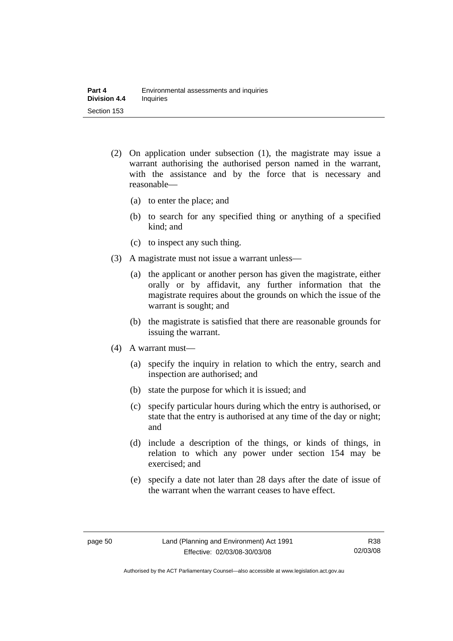- (2) On application under subsection (1), the magistrate may issue a warrant authorising the authorised person named in the warrant, with the assistance and by the force that is necessary and reasonable—
	- (a) to enter the place; and
	- (b) to search for any specified thing or anything of a specified kind; and
	- (c) to inspect any such thing.
- (3) A magistrate must not issue a warrant unless—
	- (a) the applicant or another person has given the magistrate, either orally or by affidavit, any further information that the magistrate requires about the grounds on which the issue of the warrant is sought; and
	- (b) the magistrate is satisfied that there are reasonable grounds for issuing the warrant.
- (4) A warrant must—
	- (a) specify the inquiry in relation to which the entry, search and inspection are authorised; and
	- (b) state the purpose for which it is issued; and
	- (c) specify particular hours during which the entry is authorised, or state that the entry is authorised at any time of the day or night; and
	- (d) include a description of the things, or kinds of things, in relation to which any power under section 154 may be exercised; and
	- (e) specify a date not later than 28 days after the date of issue of the warrant when the warrant ceases to have effect.

Authorised by the ACT Parliamentary Counsel—also accessible at www.legislation.act.gov.au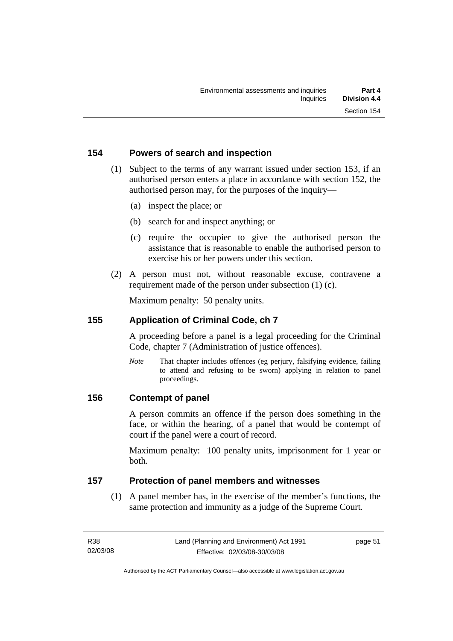#### **154 Powers of search and inspection**

- (1) Subject to the terms of any warrant issued under section 153, if an authorised person enters a place in accordance with section 152, the authorised person may, for the purposes of the inquiry—
	- (a) inspect the place; or
	- (b) search for and inspect anything; or
	- (c) require the occupier to give the authorised person the assistance that is reasonable to enable the authorised person to exercise his or her powers under this section.
- (2) A person must not, without reasonable excuse, contravene a requirement made of the person under subsection (1) (c).

Maximum penalty: 50 penalty units.

#### **155 Application of Criminal Code, ch 7**

A proceeding before a panel is a legal proceeding for the Criminal Code, chapter 7 (Administration of justice offences).

*Note* That chapter includes offences (eg perjury, falsifying evidence, failing to attend and refusing to be sworn) applying in relation to panel proceedings.

#### **156 Contempt of panel**

A person commits an offence if the person does something in the face, or within the hearing, of a panel that would be contempt of court if the panel were a court of record.

Maximum penalty: 100 penalty units, imprisonment for 1 year or both.

#### **157 Protection of panel members and witnesses**

 (1) A panel member has, in the exercise of the member's functions, the same protection and immunity as a judge of the Supreme Court.

page 51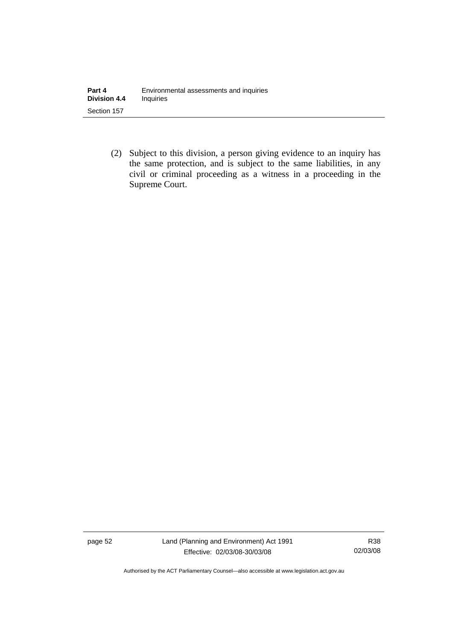(2) Subject to this division, a person giving evidence to an inquiry has the same protection, and is subject to the same liabilities, in any civil or criminal proceeding as a witness in a proceeding in the Supreme Court.

page 52 Land (Planning and Environment) Act 1991 Effective: 02/03/08-30/03/08

R38 02/03/08

Authorised by the ACT Parliamentary Counsel—also accessible at www.legislation.act.gov.au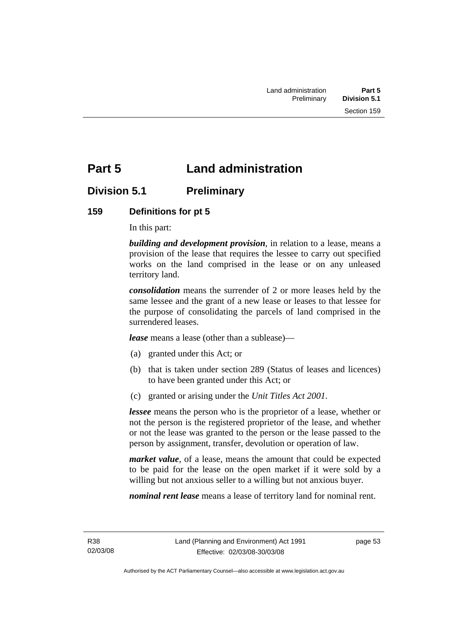## **Part 5 Land administration**

## **Division 5.1 Preliminary**

## **159 Definitions for pt 5**

In this part:

*building and development provision*, in relation to a lease, means a provision of the lease that requires the lessee to carry out specified works on the land comprised in the lease or on any unleased territory land.

*consolidation* means the surrender of 2 or more leases held by the same lessee and the grant of a new lease or leases to that lessee for the purpose of consolidating the parcels of land comprised in the surrendered leases.

*lease* means a lease (other than a sublease)—

- (a) granted under this Act; or
- (b) that is taken under section 289 (Status of leases and licences) to have been granted under this Act; or
- (c) granted or arising under the *Unit Titles Act 2001*.

*lessee* means the person who is the proprietor of a lease, whether or not the person is the registered proprietor of the lease, and whether or not the lease was granted to the person or the lease passed to the person by assignment, transfer, devolution or operation of law.

*market value*, of a lease, means the amount that could be expected to be paid for the lease on the open market if it were sold by a willing but not anxious seller to a willing but not anxious buyer.

*nominal rent lease* means a lease of territory land for nominal rent.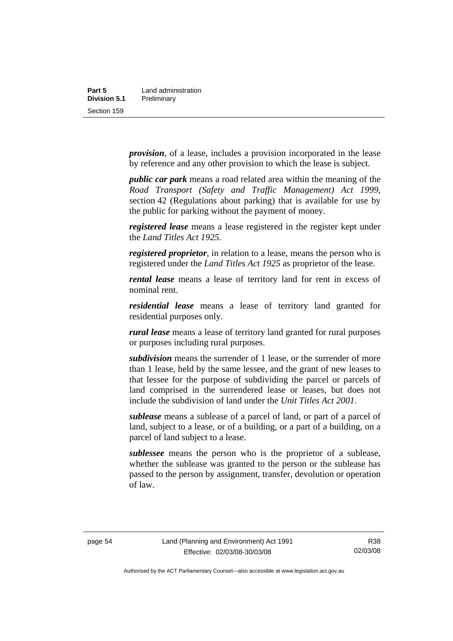*provision*, of a lease, includes a provision incorporated in the lease by reference and any other provision to which the lease is subject.

*public car park* means a road related area within the meaning of the *Road Transport (Safety and Traffic Management) Act 1999*, section 42 (Regulations about parking) that is available for use by the public for parking without the payment of money.

*registered lease* means a lease registered in the register kept under the *Land Titles Act 1925.*

*registered proprietor*, in relation to a lease, means the person who is registered under the *Land Titles Act 1925* as proprietor of the lease.

*rental lease* means a lease of territory land for rent in excess of nominal rent.

*residential lease* means a lease of territory land granted for residential purposes only.

*rural lease* means a lease of territory land granted for rural purposes or purposes including rural purposes.

*subdivision* means the surrender of 1 lease, or the surrender of more than 1 lease, held by the same lessee, and the grant of new leases to that lessee for the purpose of subdividing the parcel or parcels of land comprised in the surrendered lease or leases, but does not include the subdivision of land under the *Unit Titles Act 2001*.

*sublease* means a sublease of a parcel of land, or part of a parcel of land, subject to a lease, or of a building, or a part of a building, on a parcel of land subject to a lease.

*sublessee* means the person who is the proprietor of a sublease, whether the sublease was granted to the person or the sublease has passed to the person by assignment, transfer, devolution or operation of law.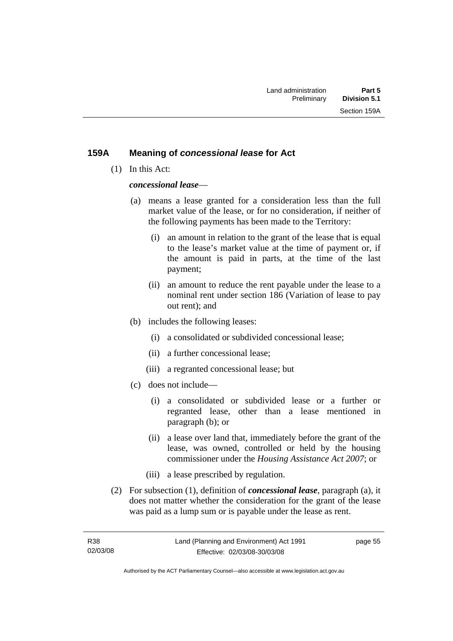#### **159A Meaning of** *concessional lease* **for Act**

(1) In this Act:

*concessional lease*—

- (a) means a lease granted for a consideration less than the full market value of the lease, or for no consideration, if neither of the following payments has been made to the Territory:
	- (i) an amount in relation to the grant of the lease that is equal to the lease's market value at the time of payment or, if the amount is paid in parts, at the time of the last payment;
	- (ii) an amount to reduce the rent payable under the lease to a nominal rent under section 186 (Variation of lease to pay out rent); and
- (b) includes the following leases:
	- (i) a consolidated or subdivided concessional lease;
	- (ii) a further concessional lease;
	- (iii) a regranted concessional lease; but
- (c) does not include—
	- (i) a consolidated or subdivided lease or a further or regranted lease, other than a lease mentioned in paragraph (b); or
	- (ii) a lease over land that, immediately before the grant of the lease, was owned, controlled or held by the housing commissioner under the *Housing Assistance Act 2007*; or
	- (iii) a lease prescribed by regulation.
- (2) For subsection (1), definition of *concessional lease*, paragraph (a), it does not matter whether the consideration for the grant of the lease was paid as a lump sum or is payable under the lease as rent.

page 55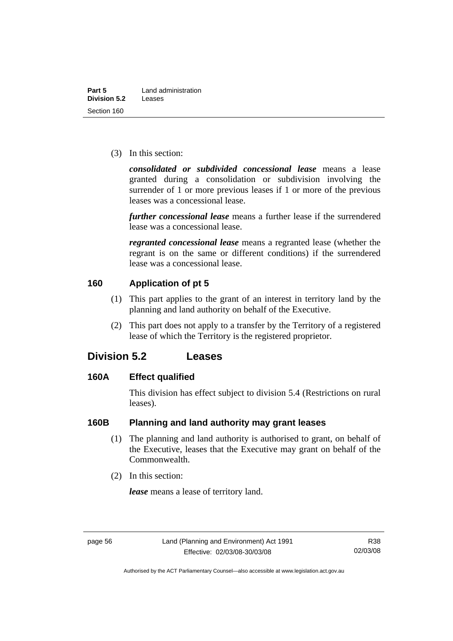(3) In this section:

*consolidated or subdivided concessional lease* means a lease granted during a consolidation or subdivision involving the surrender of 1 or more previous leases if 1 or more of the previous leases was a concessional lease.

*further concessional lease* means a further lease if the surrendered lease was a concessional lease.

*regranted concessional lease* means a regranted lease (whether the regrant is on the same or different conditions) if the surrendered lease was a concessional lease.

## **160 Application of pt 5**

- (1) This part applies to the grant of an interest in territory land by the planning and land authority on behalf of the Executive.
- (2) This part does not apply to a transfer by the Territory of a registered lease of which the Territory is the registered proprietor.

## **Division 5.2 Leases**

#### **160A Effect qualified**

This division has effect subject to division 5.4 (Restrictions on rural leases).

## **160B Planning and land authority may grant leases**

- (1) The planning and land authority is authorised to grant, on behalf of the Executive, leases that the Executive may grant on behalf of the Commonwealth.
- (2) In this section:

*lease* means a lease of territory land.

Authorised by the ACT Parliamentary Counsel—also accessible at www.legislation.act.gov.au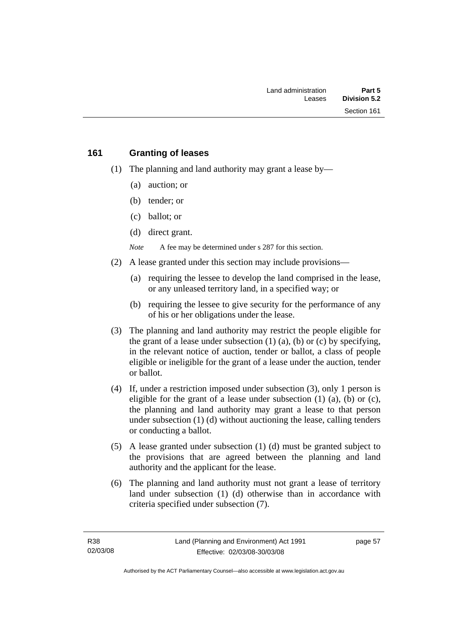#### **161 Granting of leases**

- (1) The planning and land authority may grant a lease by—
	- (a) auction; or
	- (b) tender; or
	- (c) ballot; or
	- (d) direct grant.

*Note* A fee may be determined under s 287 for this section.

- (2) A lease granted under this section may include provisions—
	- (a) requiring the lessee to develop the land comprised in the lease, or any unleased territory land, in a specified way; or
	- (b) requiring the lessee to give security for the performance of any of his or her obligations under the lease.
- (3) The planning and land authority may restrict the people eligible for the grant of a lease under subsection  $(1)$   $(a)$ ,  $(b)$  or  $(c)$  by specifying, in the relevant notice of auction, tender or ballot, a class of people eligible or ineligible for the grant of a lease under the auction, tender or ballot.
- (4) If, under a restriction imposed under subsection (3), only 1 person is eligible for the grant of a lease under subsection  $(1)$   $(a)$ ,  $(b)$  or  $(c)$ , the planning and land authority may grant a lease to that person under subsection (1) (d) without auctioning the lease, calling tenders or conducting a ballot.
- (5) A lease granted under subsection (1) (d) must be granted subject to the provisions that are agreed between the planning and land authority and the applicant for the lease.
- (6) The planning and land authority must not grant a lease of territory land under subsection (1) (d) otherwise than in accordance with criteria specified under subsection (7).

page 57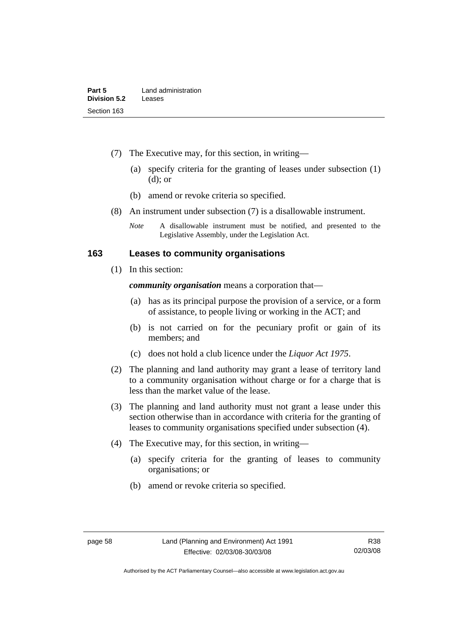- (7) The Executive may, for this section, in writing—
	- (a) specify criteria for the granting of leases under subsection (1) (d); or
	- (b) amend or revoke criteria so specified.
- (8) An instrument under subsection (7) is a disallowable instrument.
	- *Note* A disallowable instrument must be notified, and presented to the Legislative Assembly, under the Legislation Act.

#### **163 Leases to community organisations**

(1) In this section:

*community organisation* means a corporation that—

- (a) has as its principal purpose the provision of a service, or a form of assistance, to people living or working in the ACT; and
- (b) is not carried on for the pecuniary profit or gain of its members; and
- (c) does not hold a club licence under the *Liquor Act 1975*.
- (2) The planning and land authority may grant a lease of territory land to a community organisation without charge or for a charge that is less than the market value of the lease.
- (3) The planning and land authority must not grant a lease under this section otherwise than in accordance with criteria for the granting of leases to community organisations specified under subsection (4).
- (4) The Executive may, for this section, in writing—
	- (a) specify criteria for the granting of leases to community organisations; or
	- (b) amend or revoke criteria so specified.

Authorised by the ACT Parliamentary Counsel—also accessible at www.legislation.act.gov.au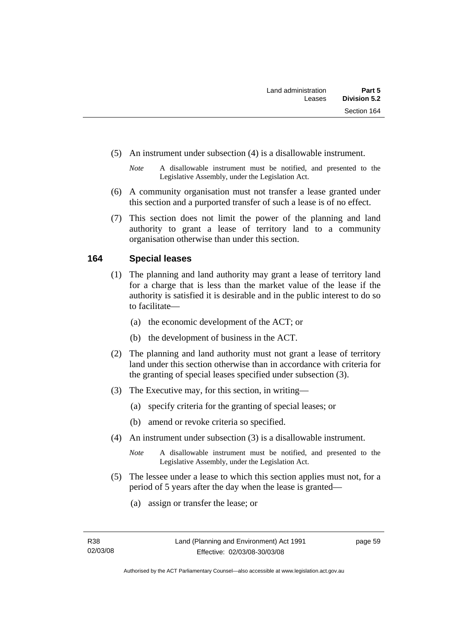- (5) An instrument under subsection (4) is a disallowable instrument.
	- *Note* A disallowable instrument must be notified, and presented to the Legislative Assembly, under the Legislation Act.
- (6) A community organisation must not transfer a lease granted under this section and a purported transfer of such a lease is of no effect.
- (7) This section does not limit the power of the planning and land authority to grant a lease of territory land to a community organisation otherwise than under this section.

#### **164 Special leases**

- (1) The planning and land authority may grant a lease of territory land for a charge that is less than the market value of the lease if the authority is satisfied it is desirable and in the public interest to do so to facilitate—
	- (a) the economic development of the ACT; or
	- (b) the development of business in the ACT.
- (2) The planning and land authority must not grant a lease of territory land under this section otherwise than in accordance with criteria for the granting of special leases specified under subsection (3).
- (3) The Executive may, for this section, in writing—
	- (a) specify criteria for the granting of special leases; or
	- (b) amend or revoke criteria so specified.
- (4) An instrument under subsection (3) is a disallowable instrument.
	- *Note* A disallowable instrument must be notified, and presented to the Legislative Assembly, under the Legislation Act.
- (5) The lessee under a lease to which this section applies must not, for a period of 5 years after the day when the lease is granted—
	- (a) assign or transfer the lease; or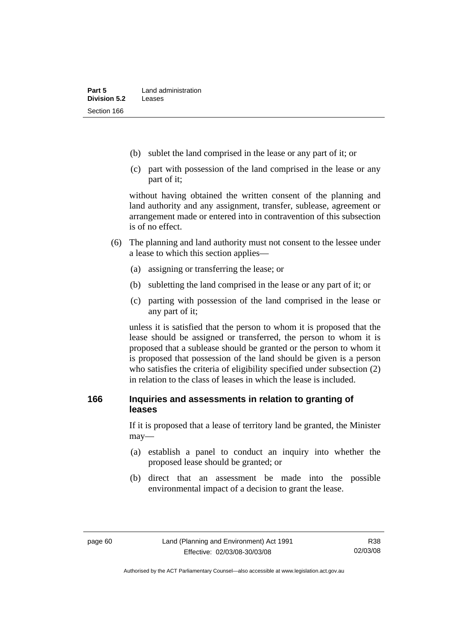- (b) sublet the land comprised in the lease or any part of it; or
- (c) part with possession of the land comprised in the lease or any part of it;

without having obtained the written consent of the planning and land authority and any assignment, transfer, sublease, agreement or arrangement made or entered into in contravention of this subsection is of no effect.

- (6) The planning and land authority must not consent to the lessee under a lease to which this section applies—
	- (a) assigning or transferring the lease; or
	- (b) subletting the land comprised in the lease or any part of it; or
	- (c) parting with possession of the land comprised in the lease or any part of it;

unless it is satisfied that the person to whom it is proposed that the lease should be assigned or transferred, the person to whom it is proposed that a sublease should be granted or the person to whom it is proposed that possession of the land should be given is a person who satisfies the criteria of eligibility specified under subsection (2) in relation to the class of leases in which the lease is included.

### **166 Inquiries and assessments in relation to granting of leases**

If it is proposed that a lease of territory land be granted, the Minister may—

- (a) establish a panel to conduct an inquiry into whether the proposed lease should be granted; or
- (b) direct that an assessment be made into the possible environmental impact of a decision to grant the lease.

Authorised by the ACT Parliamentary Counsel—also accessible at www.legislation.act.gov.au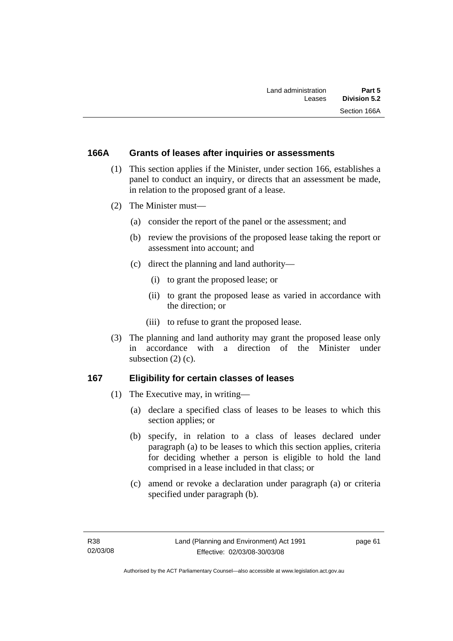#### **166A Grants of leases after inquiries or assessments**

- (1) This section applies if the Minister, under section 166, establishes a panel to conduct an inquiry, or directs that an assessment be made, in relation to the proposed grant of a lease.
- (2) The Minister must—
	- (a) consider the report of the panel or the assessment; and
	- (b) review the provisions of the proposed lease taking the report or assessment into account; and
	- (c) direct the planning and land authority—
		- (i) to grant the proposed lease; or
		- (ii) to grant the proposed lease as varied in accordance with the direction; or
		- (iii) to refuse to grant the proposed lease.
- (3) The planning and land authority may grant the proposed lease only in accordance with a direction of the Minister under subsection (2) (c).

#### **167 Eligibility for certain classes of leases**

- (1) The Executive may, in writing—
	- (a) declare a specified class of leases to be leases to which this section applies; or
	- (b) specify, in relation to a class of leases declared under paragraph (a) to be leases to which this section applies, criteria for deciding whether a person is eligible to hold the land comprised in a lease included in that class; or
	- (c) amend or revoke a declaration under paragraph (a) or criteria specified under paragraph (b).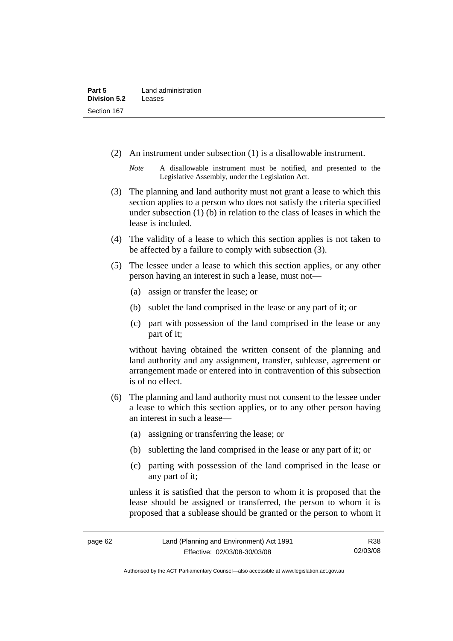(2) An instrument under subsection (1) is a disallowable instrument.

- (3) The planning and land authority must not grant a lease to which this section applies to a person who does not satisfy the criteria specified under subsection (1) (b) in relation to the class of leases in which the lease is included.
- (4) The validity of a lease to which this section applies is not taken to be affected by a failure to comply with subsection (3).
- (5) The lessee under a lease to which this section applies, or any other person having an interest in such a lease, must not—
	- (a) assign or transfer the lease; or
	- (b) sublet the land comprised in the lease or any part of it; or
	- (c) part with possession of the land comprised in the lease or any part of it;

without having obtained the written consent of the planning and land authority and any assignment, transfer, sublease, agreement or arrangement made or entered into in contravention of this subsection is of no effect.

- (6) The planning and land authority must not consent to the lessee under a lease to which this section applies, or to any other person having an interest in such a lease—
	- (a) assigning or transferring the lease; or
	- (b) subletting the land comprised in the lease or any part of it; or
	- (c) parting with possession of the land comprised in the lease or any part of it;

unless it is satisfied that the person to whom it is proposed that the lease should be assigned or transferred, the person to whom it is proposed that a sublease should be granted or the person to whom it

*Note* A disallowable instrument must be notified, and presented to the Legislative Assembly, under the Legislation Act.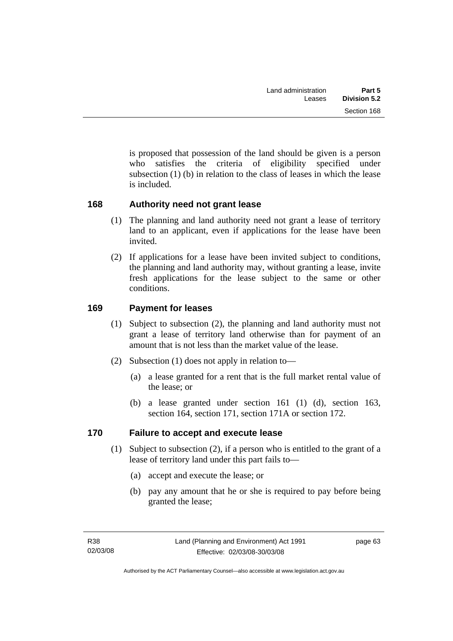is proposed that possession of the land should be given is a person who satisfies the criteria of eligibility specified under subsection  $(1)$  (b) in relation to the class of leases in which the lease is included.

### **168 Authority need not grant lease**

- (1) The planning and land authority need not grant a lease of territory land to an applicant, even if applications for the lease have been invited.
- (2) If applications for a lease have been invited subject to conditions, the planning and land authority may, without granting a lease, invite fresh applications for the lease subject to the same or other conditions.

### **169 Payment for leases**

- (1) Subject to subsection (2), the planning and land authority must not grant a lease of territory land otherwise than for payment of an amount that is not less than the market value of the lease.
- (2) Subsection (1) does not apply in relation to—
	- (a) a lease granted for a rent that is the full market rental value of the lease; or
	- (b) a lease granted under section 161 (1) (d), section 163, section 164, section 171, section 171A or section 172.

#### **170 Failure to accept and execute lease**

- (1) Subject to subsection (2), if a person who is entitled to the grant of a lease of territory land under this part fails to—
	- (a) accept and execute the lease; or
	- (b) pay any amount that he or she is required to pay before being granted the lease;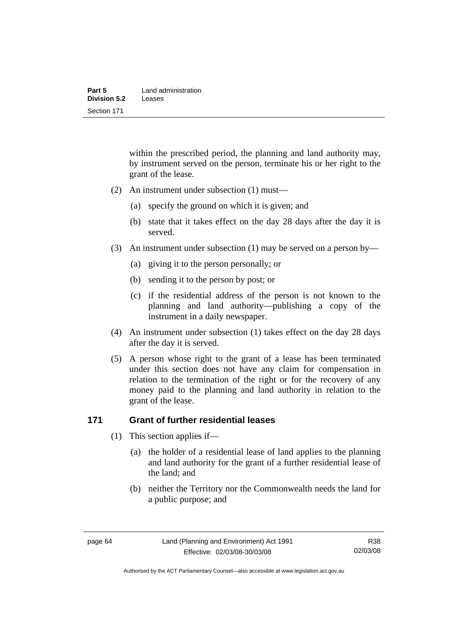| Part 5       | Land administration |
|--------------|---------------------|
| Division 5.2 | Leases              |
| Section 171  |                     |

within the prescribed period, the planning and land authority may, by instrument served on the person, terminate his or her right to the grant of the lease.

- (2) An instrument under subsection (1) must—
	- (a) specify the ground on which it is given; and
	- (b) state that it takes effect on the day 28 days after the day it is served.
- (3) An instrument under subsection (1) may be served on a person by—
	- (a) giving it to the person personally; or
	- (b) sending it to the person by post; or
	- (c) if the residential address of the person is not known to the planning and land authority—publishing a copy of the instrument in a daily newspaper.
- (4) An instrument under subsection (1) takes effect on the day 28 days after the day it is served.
- (5) A person whose right to the grant of a lease has been terminated under this section does not have any claim for compensation in relation to the termination of the right or for the recovery of any money paid to the planning and land authority in relation to the grant of the lease.

### **171 Grant of further residential leases**

- (1) This section applies if—
	- (a) the holder of a residential lease of land applies to the planning and land authority for the grant of a further residential lease of the land; and
	- (b) neither the Territory nor the Commonwealth needs the land for a public purpose; and

R38 02/03/08

Authorised by the ACT Parliamentary Counsel—also accessible at www.legislation.act.gov.au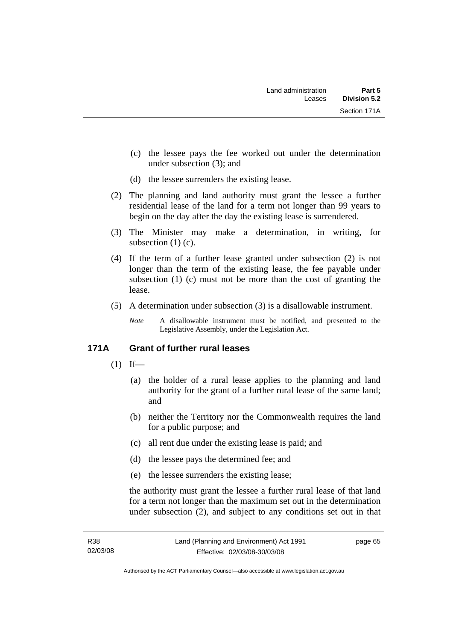- (c) the lessee pays the fee worked out under the determination under subsection (3); and
- (d) the lessee surrenders the existing lease.
- (2) The planning and land authority must grant the lessee a further residential lease of the land for a term not longer than 99 years to begin on the day after the day the existing lease is surrendered.
- (3) The Minister may make a determination, in writing, for subsection (1) (c).
- (4) If the term of a further lease granted under subsection (2) is not longer than the term of the existing lease, the fee payable under subsection (1) (c) must not be more than the cost of granting the lease.
- (5) A determination under subsection (3) is a disallowable instrument.
	- *Note* A disallowable instrument must be notified, and presented to the Legislative Assembly, under the Legislation Act.

#### **171A Grant of further rural leases**

- $(1)$  If—
	- (a) the holder of a rural lease applies to the planning and land authority for the grant of a further rural lease of the same land; and
	- (b) neither the Territory nor the Commonwealth requires the land for a public purpose; and
	- (c) all rent due under the existing lease is paid; and
	- (d) the lessee pays the determined fee; and
	- (e) the lessee surrenders the existing lease;

the authority must grant the lessee a further rural lease of that land for a term not longer than the maximum set out in the determination under subsection (2), and subject to any conditions set out in that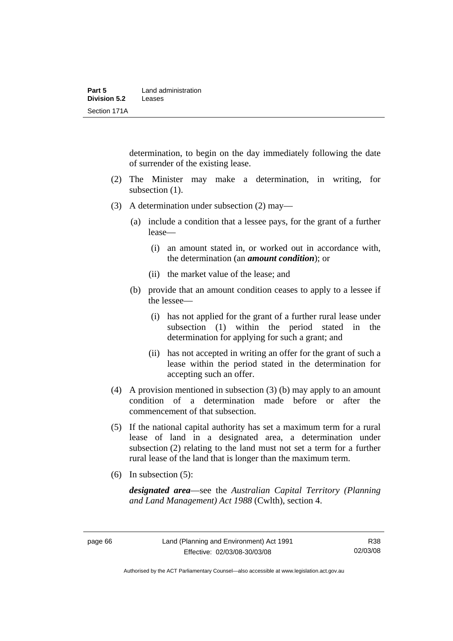determination, to begin on the day immediately following the date of surrender of the existing lease.

- (2) The Minister may make a determination, in writing, for subsection  $(1)$ .
- (3) A determination under subsection (2) may—
	- (a) include a condition that a lessee pays, for the grant of a further lease—
		- (i) an amount stated in, or worked out in accordance with, the determination (an *amount condition*); or
		- (ii) the market value of the lease; and
	- (b) provide that an amount condition ceases to apply to a lessee if the lessee—
		- (i) has not applied for the grant of a further rural lease under subsection (1) within the period stated in the determination for applying for such a grant; and
		- (ii) has not accepted in writing an offer for the grant of such a lease within the period stated in the determination for accepting such an offer.
- (4) A provision mentioned in subsection (3) (b) may apply to an amount condition of a determination made before or after the commencement of that subsection.
- (5) If the national capital authority has set a maximum term for a rural lease of land in a designated area, a determination under subsection (2) relating to the land must not set a term for a further rural lease of the land that is longer than the maximum term.
- (6) In subsection (5):

*designated area*—see the *Australian Capital Territory (Planning and Land Management) Act 1988* (Cwlth), section 4.

Authorised by the ACT Parliamentary Counsel—also accessible at www.legislation.act.gov.au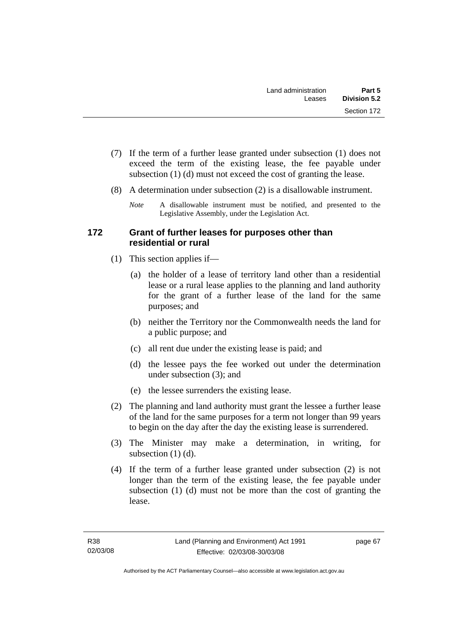- (7) If the term of a further lease granted under subsection (1) does not exceed the term of the existing lease, the fee payable under subsection (1) (d) must not exceed the cost of granting the lease.
- (8) A determination under subsection (2) is a disallowable instrument.
	- *Note* A disallowable instrument must be notified, and presented to the Legislative Assembly, under the Legislation Act.

### **172 Grant of further leases for purposes other than residential or rural**

- (1) This section applies if—
	- (a) the holder of a lease of territory land other than a residential lease or a rural lease applies to the planning and land authority for the grant of a further lease of the land for the same purposes; and
	- (b) neither the Territory nor the Commonwealth needs the land for a public purpose; and
	- (c) all rent due under the existing lease is paid; and
	- (d) the lessee pays the fee worked out under the determination under subsection (3); and
	- (e) the lessee surrenders the existing lease.
- (2) The planning and land authority must grant the lessee a further lease of the land for the same purposes for a term not longer than 99 years to begin on the day after the day the existing lease is surrendered.
- (3) The Minister may make a determination, in writing, for subsection  $(1)$   $(d)$ .
- (4) If the term of a further lease granted under subsection (2) is not longer than the term of the existing lease, the fee payable under subsection (1) (d) must not be more than the cost of granting the lease.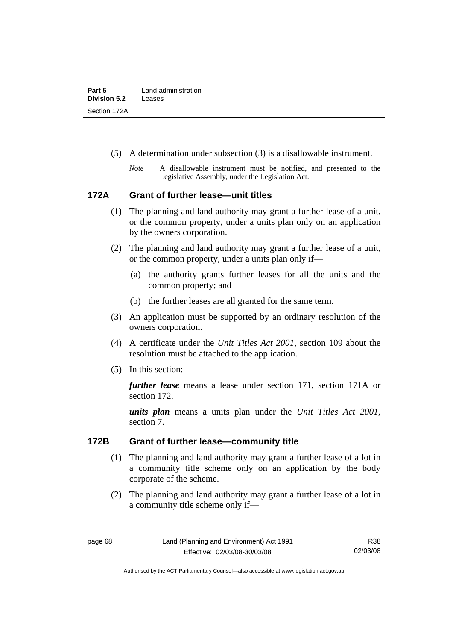| Part 5              | Land administration |
|---------------------|---------------------|
| <b>Division 5.2</b> | Leases              |
| Section 172A        |                     |

- (5) A determination under subsection (3) is a disallowable instrument.
	- *Note* A disallowable instrument must be notified, and presented to the Legislative Assembly, under the Legislation Act.

#### **172A Grant of further lease—unit titles**

- (1) The planning and land authority may grant a further lease of a unit, or the common property, under a units plan only on an application by the owners corporation.
- (2) The planning and land authority may grant a further lease of a unit, or the common property, under a units plan only if—
	- (a) the authority grants further leases for all the units and the common property; and
	- (b) the further leases are all granted for the same term.
- (3) An application must be supported by an ordinary resolution of the owners corporation.
- (4) A certificate under the *Unit Titles Act 2001*, section 109 about the resolution must be attached to the application.
- (5) In this section:

*further lease* means a lease under section 171, section 171A or section 172.

*units plan* means a units plan under the *Unit Titles Act 2001*, section 7.

#### **172B Grant of further lease—community title**

- (1) The planning and land authority may grant a further lease of a lot in a community title scheme only on an application by the body corporate of the scheme.
- (2) The planning and land authority may grant a further lease of a lot in a community title scheme only if—

Authorised by the ACT Parliamentary Counsel—also accessible at www.legislation.act.gov.au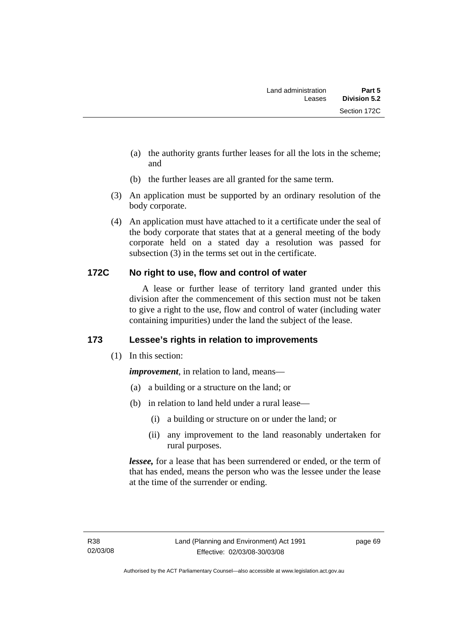- (a) the authority grants further leases for all the lots in the scheme; and
- (b) the further leases are all granted for the same term.
- (3) An application must be supported by an ordinary resolution of the body corporate.
- (4) An application must have attached to it a certificate under the seal of the body corporate that states that at a general meeting of the body corporate held on a stated day a resolution was passed for subsection (3) in the terms set out in the certificate.

### **172C No right to use, flow and control of water**

 A lease or further lease of territory land granted under this division after the commencement of this section must not be taken to give a right to the use, flow and control of water (including water containing impurities) under the land the subject of the lease.

### **173 Lessee's rights in relation to improvements**

(1) In this section:

*improvement*, in relation to land, means—

- (a) a building or a structure on the land; or
- (b) in relation to land held under a rural lease—
	- (i) a building or structure on or under the land; or
	- (ii) any improvement to the land reasonably undertaken for rural purposes.

*lessee,* for a lease that has been surrendered or ended, or the term of that has ended, means the person who was the lessee under the lease at the time of the surrender or ending.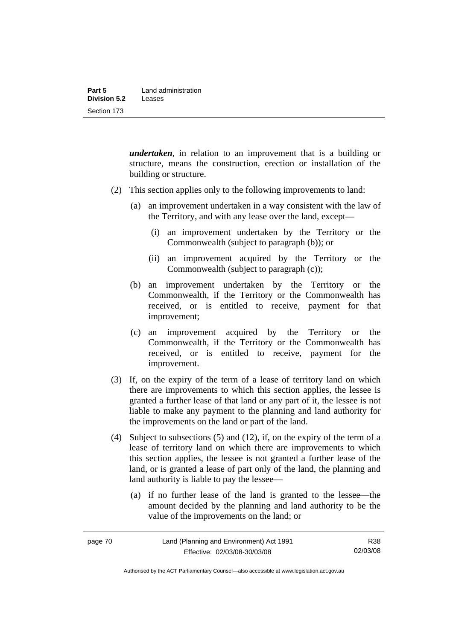*undertaken*, in relation to an improvement that is a building or structure, means the construction, erection or installation of the building or structure.

- (2) This section applies only to the following improvements to land:
	- (a) an improvement undertaken in a way consistent with the law of the Territory, and with any lease over the land, except—
		- (i) an improvement undertaken by the Territory or the Commonwealth (subject to paragraph (b)); or
		- (ii) an improvement acquired by the Territory or the Commonwealth (subject to paragraph (c));
	- (b) an improvement undertaken by the Territory or the Commonwealth, if the Territory or the Commonwealth has received, or is entitled to receive, payment for that improvement;
	- (c) an improvement acquired by the Territory or the Commonwealth, if the Territory or the Commonwealth has received, or is entitled to receive, payment for the improvement.
- (3) If, on the expiry of the term of a lease of territory land on which there are improvements to which this section applies, the lessee is granted a further lease of that land or any part of it, the lessee is not liable to make any payment to the planning and land authority for the improvements on the land or part of the land.
- (4) Subject to subsections (5) and (12), if, on the expiry of the term of a lease of territory land on which there are improvements to which this section applies, the lessee is not granted a further lease of the land, or is granted a lease of part only of the land, the planning and land authority is liable to pay the lessee—
	- (a) if no further lease of the land is granted to the lessee—the amount decided by the planning and land authority to be the value of the improvements on the land; or

Authorised by the ACT Parliamentary Counsel—also accessible at www.legislation.act.gov.au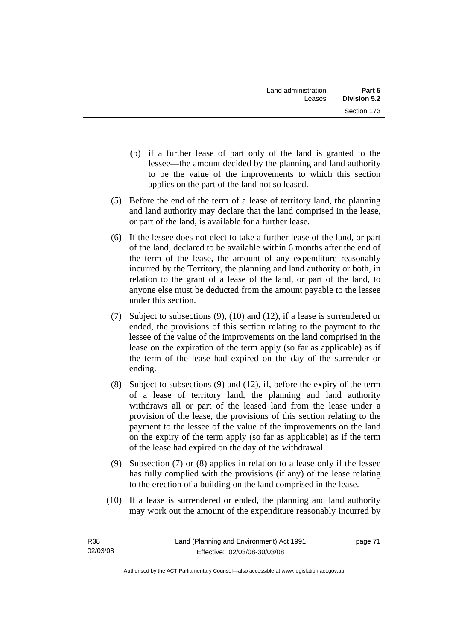- (b) if a further lease of part only of the land is granted to the lessee—the amount decided by the planning and land authority to be the value of the improvements to which this section applies on the part of the land not so leased.
- (5) Before the end of the term of a lease of territory land, the planning and land authority may declare that the land comprised in the lease, or part of the land, is available for a further lease.
- (6) If the lessee does not elect to take a further lease of the land, or part of the land, declared to be available within 6 months after the end of the term of the lease, the amount of any expenditure reasonably incurred by the Territory, the planning and land authority or both, in relation to the grant of a lease of the land, or part of the land, to anyone else must be deducted from the amount payable to the lessee under this section.
- (7) Subject to subsections (9), (10) and (12), if a lease is surrendered or ended, the provisions of this section relating to the payment to the lessee of the value of the improvements on the land comprised in the lease on the expiration of the term apply (so far as applicable) as if the term of the lease had expired on the day of the surrender or ending.
- (8) Subject to subsections (9) and (12), if, before the expiry of the term of a lease of territory land, the planning and land authority withdraws all or part of the leased land from the lease under a provision of the lease, the provisions of this section relating to the payment to the lessee of the value of the improvements on the land on the expiry of the term apply (so far as applicable) as if the term of the lease had expired on the day of the withdrawal.
- (9) Subsection (7) or (8) applies in relation to a lease only if the lessee has fully complied with the provisions (if any) of the lease relating to the erection of a building on the land comprised in the lease.
- (10) If a lease is surrendered or ended, the planning and land authority may work out the amount of the expenditure reasonably incurred by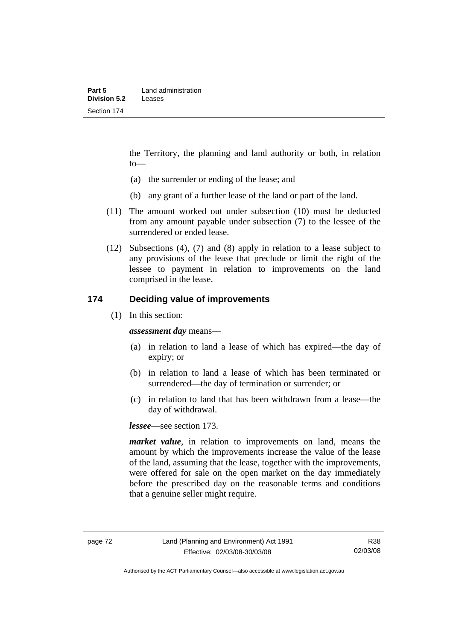the Territory, the planning and land authority or both, in relation to—

- (a) the surrender or ending of the lease; and
- (b) any grant of a further lease of the land or part of the land.
- (11) The amount worked out under subsection (10) must be deducted from any amount payable under subsection (7) to the lessee of the surrendered or ended lease.
- (12) Subsections (4), (7) and (8) apply in relation to a lease subject to any provisions of the lease that preclude or limit the right of the lessee to payment in relation to improvements on the land comprised in the lease.

### **174 Deciding value of improvements**

(1) In this section:

*assessment day* means—

- (a) in relation to land a lease of which has expired—the day of expiry; or
- (b) in relation to land a lease of which has been terminated or surrendered—the day of termination or surrender; or
- (c) in relation to land that has been withdrawn from a lease—the day of withdrawal.

*lessee*—see section 173.

*market value*, in relation to improvements on land, means the amount by which the improvements increase the value of the lease of the land, assuming that the lease, together with the improvements, were offered for sale on the open market on the day immediately before the prescribed day on the reasonable terms and conditions that a genuine seller might require.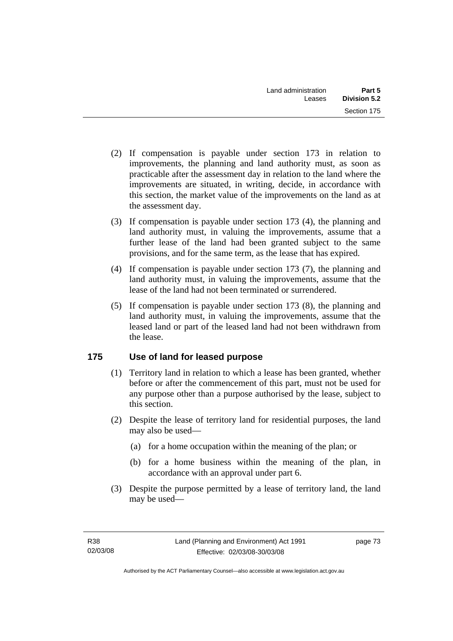- (2) If compensation is payable under section 173 in relation to improvements, the planning and land authority must, as soon as practicable after the assessment day in relation to the land where the improvements are situated, in writing, decide, in accordance with this section, the market value of the improvements on the land as at the assessment day.
- (3) If compensation is payable under section 173 (4), the planning and land authority must, in valuing the improvements, assume that a further lease of the land had been granted subject to the same provisions, and for the same term, as the lease that has expired.
- (4) If compensation is payable under section 173 (7), the planning and land authority must, in valuing the improvements, assume that the lease of the land had not been terminated or surrendered.
- (5) If compensation is payable under section 173 (8), the planning and land authority must, in valuing the improvements, assume that the leased land or part of the leased land had not been withdrawn from the lease.

### **175 Use of land for leased purpose**

- (1) Territory land in relation to which a lease has been granted, whether before or after the commencement of this part, must not be used for any purpose other than a purpose authorised by the lease, subject to this section.
- (2) Despite the lease of territory land for residential purposes, the land may also be used—
	- (a) for a home occupation within the meaning of the plan; or
	- (b) for a home business within the meaning of the plan, in accordance with an approval under part 6.
- (3) Despite the purpose permitted by a lease of territory land, the land may be used—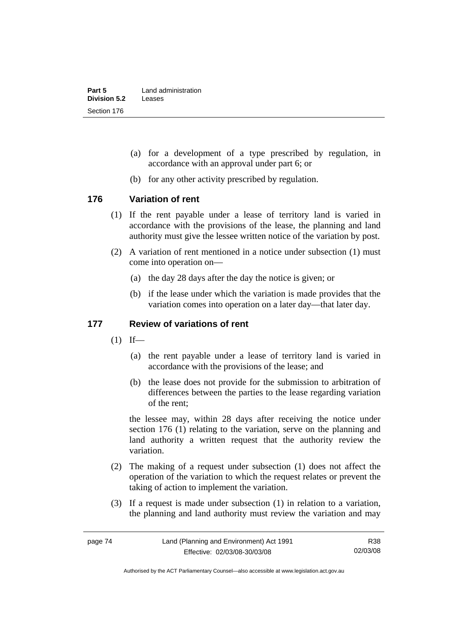- (a) for a development of a type prescribed by regulation, in accordance with an approval under part 6; or
- (b) for any other activity prescribed by regulation.

#### **176 Variation of rent**

- (1) If the rent payable under a lease of territory land is varied in accordance with the provisions of the lease, the planning and land authority must give the lessee written notice of the variation by post.
- (2) A variation of rent mentioned in a notice under subsection (1) must come into operation on—
	- (a) the day 28 days after the day the notice is given; or
	- (b) if the lease under which the variation is made provides that the variation comes into operation on a later day—that later day.

#### **177 Review of variations of rent**

- $(1)$  If—
	- (a) the rent payable under a lease of territory land is varied in accordance with the provisions of the lease; and
	- (b) the lease does not provide for the submission to arbitration of differences between the parties to the lease regarding variation of the rent;

the lessee may, within 28 days after receiving the notice under section 176 (1) relating to the variation, serve on the planning and land authority a written request that the authority review the variation.

- (2) The making of a request under subsection (1) does not affect the operation of the variation to which the request relates or prevent the taking of action to implement the variation.
- (3) If a request is made under subsection (1) in relation to a variation, the planning and land authority must review the variation and may

R38 02/03/08

Authorised by the ACT Parliamentary Counsel—also accessible at www.legislation.act.gov.au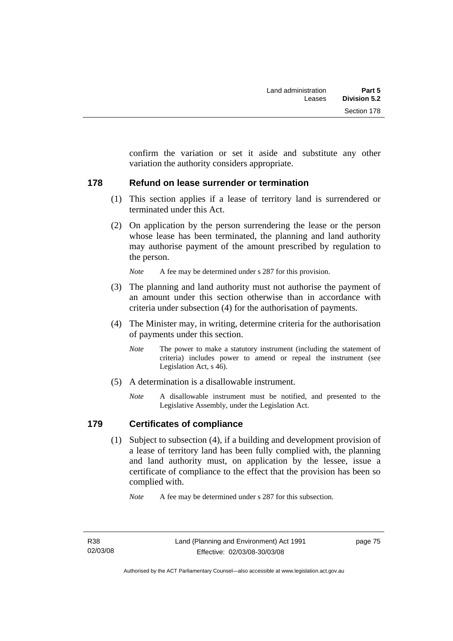confirm the variation or set it aside and substitute any other variation the authority considers appropriate.

### **178 Refund on lease surrender or termination**

- (1) This section applies if a lease of territory land is surrendered or terminated under this Act.
- (2) On application by the person surrendering the lease or the person whose lease has been terminated, the planning and land authority may authorise payment of the amount prescribed by regulation to the person.

*Note* A fee may be determined under s 287 for this provision.

- (3) The planning and land authority must not authorise the payment of an amount under this section otherwise than in accordance with criteria under subsection (4) for the authorisation of payments.
- (4) The Minister may, in writing, determine criteria for the authorisation of payments under this section.
	- *Note* The power to make a statutory instrument (including the statement of criteria) includes power to amend or repeal the instrument (see Legislation Act, s 46).
- (5) A determination is a disallowable instrument.
	- *Note* A disallowable instrument must be notified, and presented to the Legislative Assembly, under the Legislation Act.

### **179 Certificates of compliance**

 (1) Subject to subsection (4), if a building and development provision of a lease of territory land has been fully complied with, the planning and land authority must, on application by the lessee, issue a certificate of compliance to the effect that the provision has been so complied with.

*Note* A fee may be determined under s 287 for this subsection.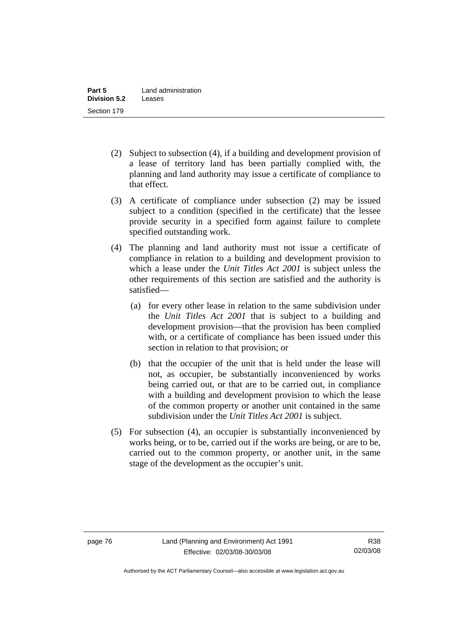- (2) Subject to subsection (4), if a building and development provision of a lease of territory land has been partially complied with, the planning and land authority may issue a certificate of compliance to that effect.
- (3) A certificate of compliance under subsection (2) may be issued subject to a condition (specified in the certificate) that the lessee provide security in a specified form against failure to complete specified outstanding work.
- (4) The planning and land authority must not issue a certificate of compliance in relation to a building and development provision to which a lease under the *Unit Titles Act 2001* is subject unless the other requirements of this section are satisfied and the authority is satisfied—
	- (a) for every other lease in relation to the same subdivision under the *Unit Titles Act 2001* that is subject to a building and development provision—that the provision has been complied with, or a certificate of compliance has been issued under this section in relation to that provision; or
	- (b) that the occupier of the unit that is held under the lease will not, as occupier, be substantially inconvenienced by works being carried out, or that are to be carried out, in compliance with a building and development provision to which the lease of the common property or another unit contained in the same subdivision under the *Unit Titles Act 2001* is subject.
- (5) For subsection (4), an occupier is substantially inconvenienced by works being, or to be, carried out if the works are being, or are to be, carried out to the common property, or another unit, in the same stage of the development as the occupier's unit.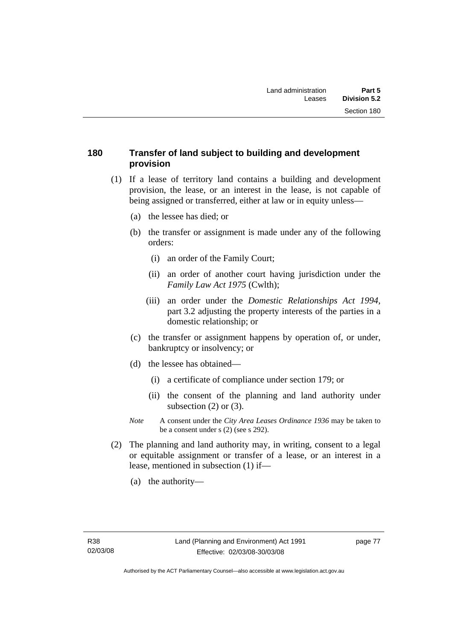### **180 Transfer of land subject to building and development provision**

- (1) If a lease of territory land contains a building and development provision, the lease, or an interest in the lease, is not capable of being assigned or transferred, either at law or in equity unless—
	- (a) the lessee has died; or
	- (b) the transfer or assignment is made under any of the following orders:
		- (i) an order of the Family Court;
		- (ii) an order of another court having jurisdiction under the *Family Law Act 1975* (Cwlth);
		- (iii) an order under the *Domestic Relationships Act 1994,*  part 3.2 adjusting the property interests of the parties in a domestic relationship; or
	- (c) the transfer or assignment happens by operation of, or under, bankruptcy or insolvency; or
	- (d) the lessee has obtained—
		- (i) a certificate of compliance under section 179; or
		- (ii) the consent of the planning and land authority under subsection  $(2)$  or  $(3)$ .
	- *Note* A consent under the *City Area Leases Ordinance 1936* may be taken to be a consent under s (2) (see s 292).
- (2) The planning and land authority may, in writing, consent to a legal or equitable assignment or transfer of a lease, or an interest in a lease, mentioned in subsection (1) if—
	- (a) the authority—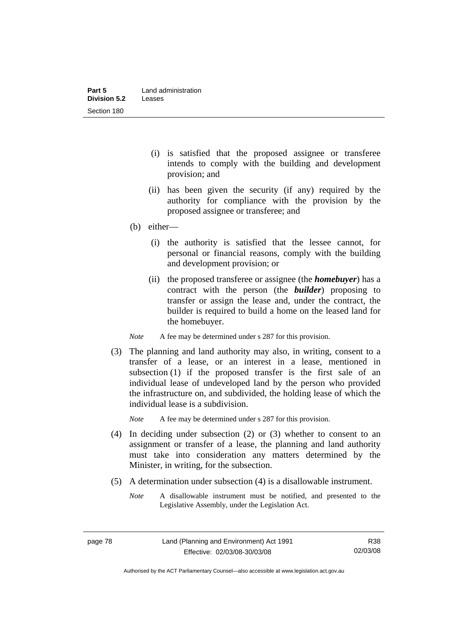- (i) is satisfied that the proposed assignee or transferee intends to comply with the building and development provision; and
- (ii) has been given the security (if any) required by the authority for compliance with the provision by the proposed assignee or transferee; and
- (b) either—
	- (i) the authority is satisfied that the lessee cannot, for personal or financial reasons, comply with the building and development provision; or
	- (ii) the proposed transferee or assignee (the *homebuyer*) has a contract with the person (the *builder*) proposing to transfer or assign the lease and, under the contract, the builder is required to build a home on the leased land for the homebuyer.

*Note* A fee may be determined under s 287 for this provision.

 (3) The planning and land authority may also, in writing, consent to a transfer of a lease, or an interest in a lease, mentioned in subsection (1) if the proposed transfer is the first sale of an individual lease of undeveloped land by the person who provided the infrastructure on, and subdivided, the holding lease of which the individual lease is a subdivision.

*Note* A fee may be determined under s 287 for this provision.

- (4) In deciding under subsection (2) or (3) whether to consent to an assignment or transfer of a lease, the planning and land authority must take into consideration any matters determined by the Minister, in writing, for the subsection.
- (5) A determination under subsection (4) is a disallowable instrument.
	- *Note* A disallowable instrument must be notified, and presented to the Legislative Assembly, under the Legislation Act.

R38 02/03/08

Authorised by the ACT Parliamentary Counsel—also accessible at www.legislation.act.gov.au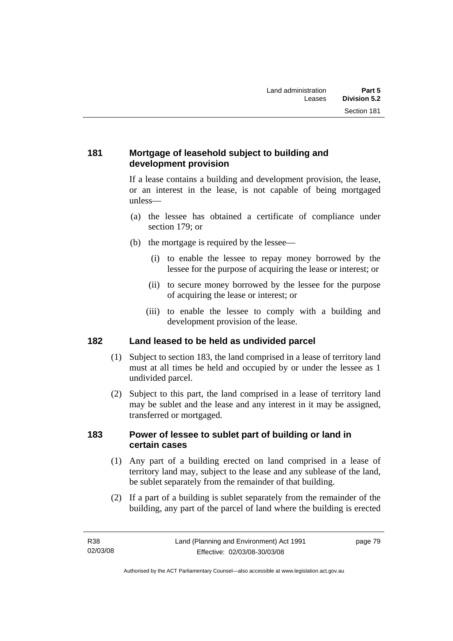### **181 Mortgage of leasehold subject to building and development provision**

If a lease contains a building and development provision, the lease, or an interest in the lease, is not capable of being mortgaged unless—

- (a) the lessee has obtained a certificate of compliance under section 179; or
- (b) the mortgage is required by the lessee—
	- (i) to enable the lessee to repay money borrowed by the lessee for the purpose of acquiring the lease or interest; or
	- (ii) to secure money borrowed by the lessee for the purpose of acquiring the lease or interest; or
	- (iii) to enable the lessee to comply with a building and development provision of the lease.

# **182 Land leased to be held as undivided parcel**

- (1) Subject to section 183, the land comprised in a lease of territory land must at all times be held and occupied by or under the lessee as 1 undivided parcel.
- (2) Subject to this part, the land comprised in a lease of territory land may be sublet and the lease and any interest in it may be assigned, transferred or mortgaged.

### **183 Power of lessee to sublet part of building or land in certain cases**

- (1) Any part of a building erected on land comprised in a lease of territory land may, subject to the lease and any sublease of the land, be sublet separately from the remainder of that building.
- (2) If a part of a building is sublet separately from the remainder of the building, any part of the parcel of land where the building is erected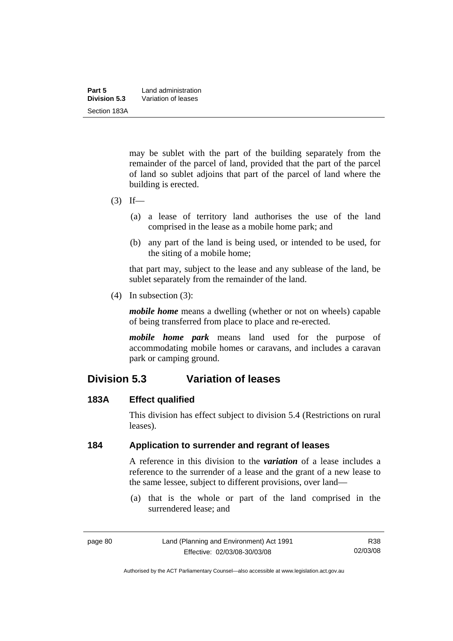| Part 5       | Land administration |
|--------------|---------------------|
| Division 5.3 | Variation of leases |
| Section 183A |                     |

may be sublet with the part of the building separately from the remainder of the parcel of land, provided that the part of the parcel of land so sublet adjoins that part of the parcel of land where the building is erected.

- $(3)$  If—
	- (a) a lease of territory land authorises the use of the land comprised in the lease as a mobile home park; and
	- (b) any part of the land is being used, or intended to be used, for the siting of a mobile home;

that part may, subject to the lease and any sublease of the land, be sublet separately from the remainder of the land.

(4) In subsection (3):

*mobile home* means a dwelling (whether or not on wheels) capable of being transferred from place to place and re-erected.

*mobile home park* means land used for the purpose of accommodating mobile homes or caravans, and includes a caravan park or camping ground.

# **Division 5.3 Variation of leases**

#### **183A Effect qualified**

This division has effect subject to division 5.4 (Restrictions on rural leases).

### **184 Application to surrender and regrant of leases**

A reference in this division to the *variation* of a lease includes a reference to the surrender of a lease and the grant of a new lease to the same lessee, subject to different provisions, over land—

 (a) that is the whole or part of the land comprised in the surrendered lease; and

Authorised by the ACT Parliamentary Counsel—also accessible at www.legislation.act.gov.au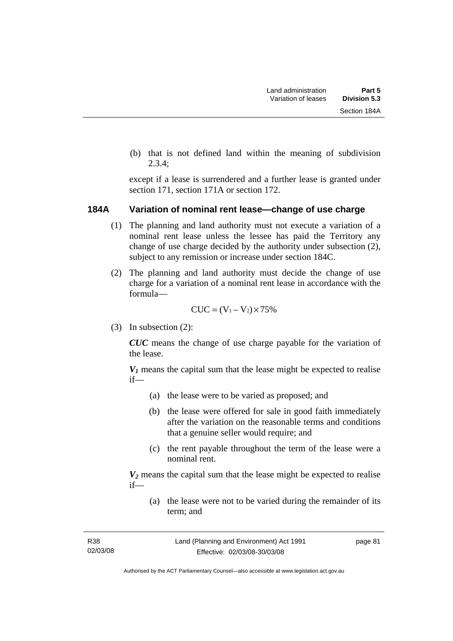(b) that is not defined land within the meaning of subdivision 2.3.4;

except if a lease is surrendered and a further lease is granted under section 171, section 171A or section 172.

#### **184A Variation of nominal rent lease—change of use charge**

- (1) The planning and land authority must not execute a variation of a nominal rent lease unless the lessee has paid the Territory any change of use charge decided by the authority under subsection (2), subject to any remission or increase under section 184C.
- (2) The planning and land authority must decide the change of use charge for a variation of a nominal rent lease in accordance with the formula—

$$
CUC = (V_1 - V_2) \times 75\%
$$

(3) In subsection (2):

*CUC* means the change of use charge payable for the variation of the lease.

 $V_1$  means the capital sum that the lease might be expected to realise if—

- (a) the lease were to be varied as proposed; and
- (b) the lease were offered for sale in good faith immediately after the variation on the reasonable terms and conditions that a genuine seller would require; and
- (c) the rent payable throughout the term of the lease were a nominal rent.

*V2* means the capital sum that the lease might be expected to realise if—

 (a) the lease were not to be varied during the remainder of its term; and

Authorised by the ACT Parliamentary Counsel—also accessible at www.legislation.act.gov.au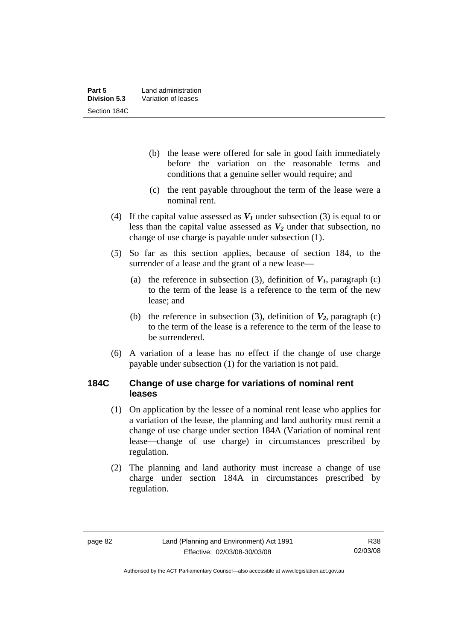- (b) the lease were offered for sale in good faith immediately before the variation on the reasonable terms and conditions that a genuine seller would require; and
- (c) the rent payable throughout the term of the lease were a nominal rent.
- (4) If the capital value assessed as  $V_I$  under subsection (3) is equal to or less than the capital value assessed as  $V_2$  under that subsection, no change of use charge is payable under subsection (1).
- (5) So far as this section applies, because of section 184, to the surrender of a lease and the grant of a new lease—
	- (a) the reference in subsection (3), definition of  $V_I$ , paragraph (c) to the term of the lease is a reference to the term of the new lease; and
	- (b) the reference in subsection (3), definition of  $V_2$ , paragraph (c) to the term of the lease is a reference to the term of the lease to be surrendered.
- (6) A variation of a lease has no effect if the change of use charge payable under subsection (1) for the variation is not paid.

### **184C Change of use charge for variations of nominal rent leases**

- (1) On application by the lessee of a nominal rent lease who applies for a variation of the lease, the planning and land authority must remit a change of use charge under section 184A (Variation of nominal rent lease—change of use charge) in circumstances prescribed by regulation.
- (2) The planning and land authority must increase a change of use charge under section 184A in circumstances prescribed by regulation.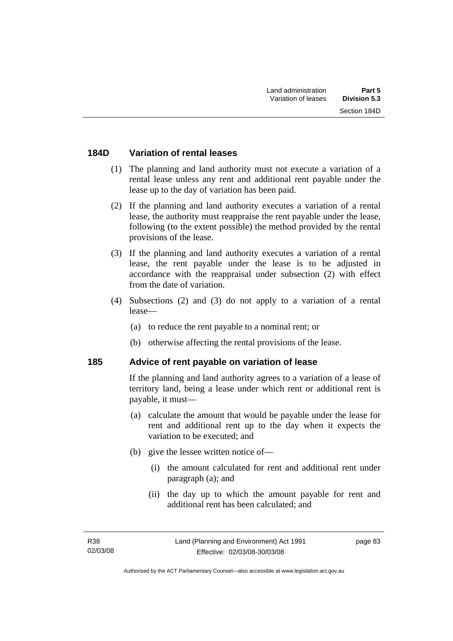### **184D Variation of rental leases**

- (1) The planning and land authority must not execute a variation of a rental lease unless any rent and additional rent payable under the lease up to the day of variation has been paid.
- (2) If the planning and land authority executes a variation of a rental lease, the authority must reappraise the rent payable under the lease, following (to the extent possible) the method provided by the rental provisions of the lease.
- (3) If the planning and land authority executes a variation of a rental lease, the rent payable under the lease is to be adjusted in accordance with the reappraisal under subsection (2) with effect from the date of variation.
- (4) Subsections (2) and (3) do not apply to a variation of a rental lease—
	- (a) to reduce the rent payable to a nominal rent; or
	- (b) otherwise affecting the rental provisions of the lease.

#### **185 Advice of rent payable on variation of lease**

If the planning and land authority agrees to a variation of a lease of territory land, being a lease under which rent or additional rent is payable, it must—

- (a) calculate the amount that would be payable under the lease for rent and additional rent up to the day when it expects the variation to be executed; and
- (b) give the lessee written notice of—
	- (i) the amount calculated for rent and additional rent under paragraph (a); and
	- (ii) the day up to which the amount payable for rent and additional rent has been calculated; and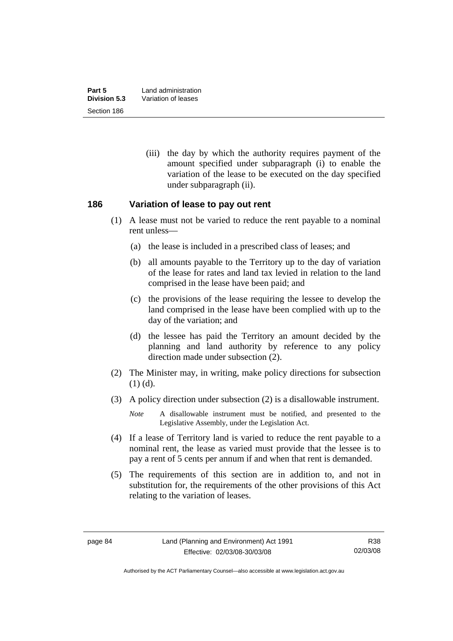(iii) the day by which the authority requires payment of the amount specified under subparagraph (i) to enable the variation of the lease to be executed on the day specified under subparagraph (ii).

#### **186 Variation of lease to pay out rent**

- (1) A lease must not be varied to reduce the rent payable to a nominal rent unless—
	- (a) the lease is included in a prescribed class of leases; and
	- (b) all amounts payable to the Territory up to the day of variation of the lease for rates and land tax levied in relation to the land comprised in the lease have been paid; and
	- (c) the provisions of the lease requiring the lessee to develop the land comprised in the lease have been complied with up to the day of the variation; and
	- (d) the lessee has paid the Territory an amount decided by the planning and land authority by reference to any policy direction made under subsection (2).
- (2) The Minister may, in writing, make policy directions for subsection (1) (d).
- (3) A policy direction under subsection (2) is a disallowable instrument.

*Note* A disallowable instrument must be notified, and presented to the Legislative Assembly, under the Legislation Act.

- (4) If a lease of Territory land is varied to reduce the rent payable to a nominal rent, the lease as varied must provide that the lessee is to pay a rent of 5 cents per annum if and when that rent is demanded.
- (5) The requirements of this section are in addition to, and not in substitution for, the requirements of the other provisions of this Act relating to the variation of leases.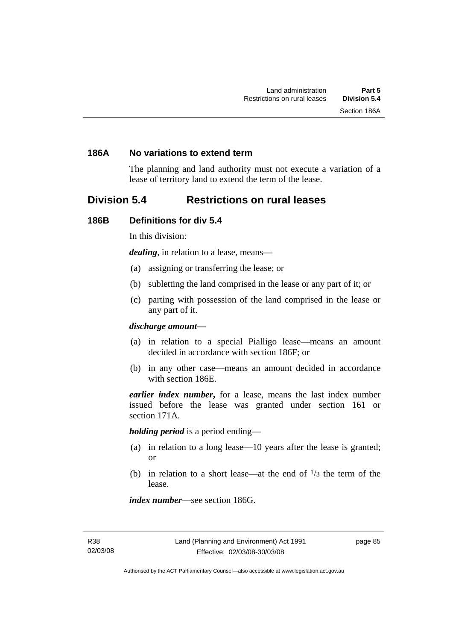#### **186A No variations to extend term**

The planning and land authority must not execute a variation of a lease of territory land to extend the term of the lease.

## **Division 5.4 Restrictions on rural leases**

#### **186B Definitions for div 5.4**

In this division:

*dealing*, in relation to a lease, means—

- (a) assigning or transferring the lease; or
- (b) subletting the land comprised in the lease or any part of it; or
- (c) parting with possession of the land comprised in the lease or any part of it.

#### *discharge amount—*

- (a) in relation to a special Pialligo lease—means an amount decided in accordance with section 186F; or
- (b) in any other case—means an amount decided in accordance with section 186E.

*earlier index number***,** for a lease, means the last index number issued before the lease was granted under section 161 or section 171A.

*holding period* is a period ending—

- (a) in relation to a long lease—10 years after the lease is granted; or
- (b) in relation to a short lease—at the end of  $\frac{1}{3}$  the term of the lease.

*index number*—see section 186G.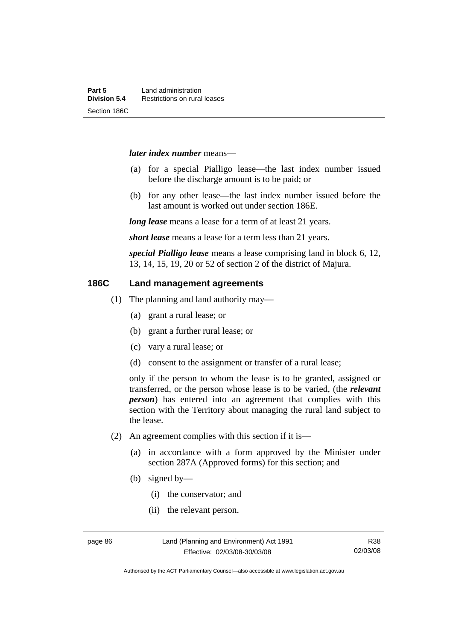#### *later index number* means—

- (a) for a special Pialligo lease—the last index number issued before the discharge amount is to be paid; or
- (b) for any other lease—the last index number issued before the last amount is worked out under section 186E.

*long lease* means a lease for a term of at least 21 years.

*short lease* means a lease for a term less than 21 years.

*special Pialligo lease* means a lease comprising land in block 6, 12, 13, 14, 15, 19, 20 or 52 of section 2 of the district of Majura.

#### **186C Land management agreements**

- (1) The planning and land authority may—
	- (a) grant a rural lease; or
	- (b) grant a further rural lease; or
	- (c) vary a rural lease; or
	- (d) consent to the assignment or transfer of a rural lease;

only if the person to whom the lease is to be granted, assigned or transferred, or the person whose lease is to be varied, (the *relevant person*) has entered into an agreement that complies with this section with the Territory about managing the rural land subject to the lease.

- (2) An agreement complies with this section if it is—
	- (a) in accordance with a form approved by the Minister under section 287A (Approved forms) for this section; and
	- (b) signed by—
		- (i) the conservator; and
		- (ii) the relevant person.

R38 02/03/08

Authorised by the ACT Parliamentary Counsel—also accessible at www.legislation.act.gov.au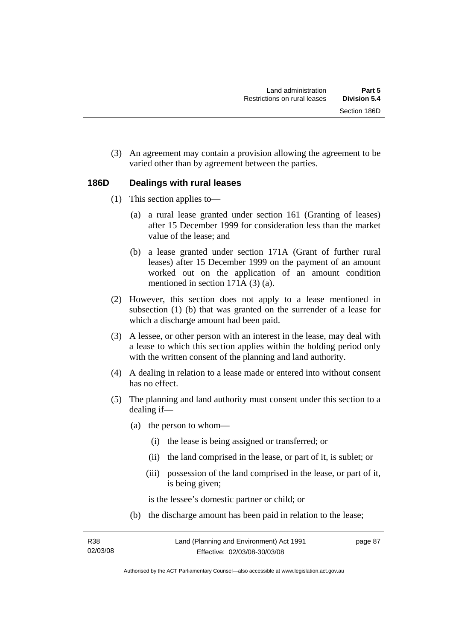(3) An agreement may contain a provision allowing the agreement to be varied other than by agreement between the parties.

#### **186D Dealings with rural leases**

- (1) This section applies to—
	- (a) a rural lease granted under section 161 (Granting of leases) after 15 December 1999 for consideration less than the market value of the lease; and
	- (b) a lease granted under section 171A (Grant of further rural leases) after 15 December 1999 on the payment of an amount worked out on the application of an amount condition mentioned in section 171A (3) (a).
- (2) However, this section does not apply to a lease mentioned in subsection (1) (b) that was granted on the surrender of a lease for which a discharge amount had been paid.
- (3) A lessee, or other person with an interest in the lease, may deal with a lease to which this section applies within the holding period only with the written consent of the planning and land authority.
- (4) A dealing in relation to a lease made or entered into without consent has no effect.
- (5) The planning and land authority must consent under this section to a dealing if—
	- (a) the person to whom—
		- (i) the lease is being assigned or transferred; or
		- (ii) the land comprised in the lease, or part of it, is sublet; or
		- (iii) possession of the land comprised in the lease, or part of it, is being given;

is the lessee's domestic partner or child; or

(b) the discharge amount has been paid in relation to the lease;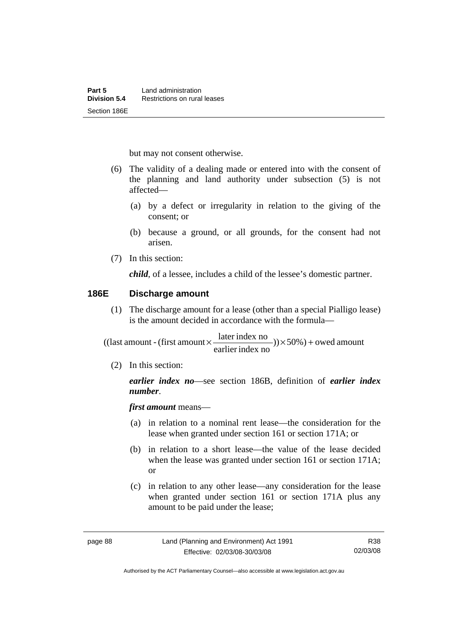but may not consent otherwise.

- (6) The validity of a dealing made or entered into with the consent of the planning and land authority under subsection (5) is not affected—
	- (a) by a defect or irregularity in relation to the giving of the consent; or
	- (b) because a ground, or all grounds, for the consent had not arisen.
- (7) In this section:

*child*, of a lessee, includes a child of the lessee's domestic partner.

#### **186E Discharge amount**

 (1) The discharge amount for a lease (other than a special Pialligo lease) is the amount decided in accordance with the formula—

 $)) \times 50\%$ ) + owed amount earlier index no  $((\text{last amount - (first amount} \times \frac{\text{later index no}}{\dots \dots})) \times 50\%) +$ 

(2) In this section:

*earlier index no*—see section 186B, definition of *earlier index number*.

*first amount* means—

- (a) in relation to a nominal rent lease—the consideration for the lease when granted under section 161 or section 171A; or
- (b) in relation to a short lease—the value of the lease decided when the lease was granted under section 161 or section 171A; or
- (c) in relation to any other lease—any consideration for the lease when granted under section 161 or section 171A plus any amount to be paid under the lease;

Authorised by the ACT Parliamentary Counsel—also accessible at www.legislation.act.gov.au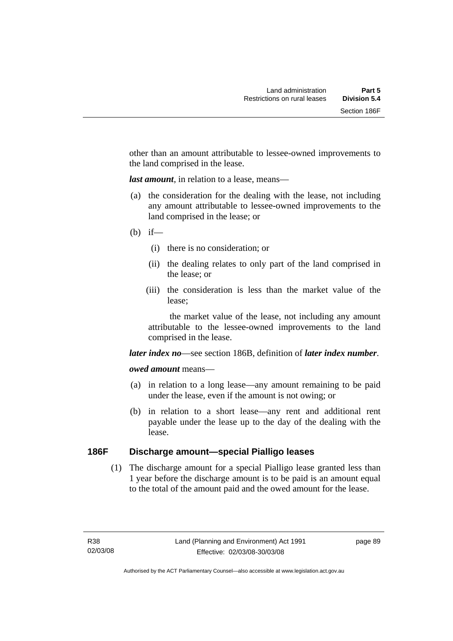other than an amount attributable to lessee-owned improvements to the land comprised in the lease.

*last amount*, in relation to a lease, means—

- (a) the consideration for the dealing with the lease, not including any amount attributable to lessee-owned improvements to the land comprised in the lease; or
- $(b)$  if—
	- (i) there is no consideration; or
	- (ii) the dealing relates to only part of the land comprised in the lease; or
	- (iii) the consideration is less than the market value of the lease;

 the market value of the lease, not including any amount attributable to the lessee-owned improvements to the land comprised in the lease.

*later index no*—see section 186B, definition of *later index number*.

#### *owed amount* means—

- (a) in relation to a long lease—any amount remaining to be paid under the lease, even if the amount is not owing; or
- (b) in relation to a short lease—any rent and additional rent payable under the lease up to the day of the dealing with the lease.

### **186F Discharge amount—special Pialligo leases**

 (1) The discharge amount for a special Pialligo lease granted less than 1 year before the discharge amount is to be paid is an amount equal to the total of the amount paid and the owed amount for the lease.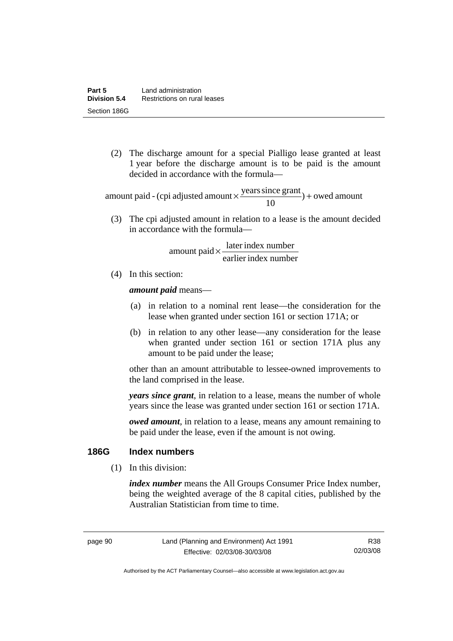(2) The discharge amount for a special Pialligo lease granted at least 1 year before the discharge amount is to be paid is the amount decided in accordance with the formula—

 $) +$  owed amount 10 amount paid - (cpi adjusted amount  $\times \frac{\text{years since grant}}{10}$ ) +

 (3) The cpi adjusted amount in relation to a lease is the amount decided in accordance with the formula—

> earlier index number  $amount$  paid  $\times \frac{later$  index number

(4) In this section:

*amount paid* means—

- (a) in relation to a nominal rent lease—the consideration for the lease when granted under section 161 or section 171A; or
- (b) in relation to any other lease—any consideration for the lease when granted under section 161 or section 171A plus any amount to be paid under the lease;

other than an amount attributable to lessee-owned improvements to the land comprised in the lease.

*years since grant*, in relation to a lease, means the number of whole years since the lease was granted under section 161 or section 171A.

*owed amount*, in relation to a lease, means any amount remaining to be paid under the lease, even if the amount is not owing.

### **186G Index numbers**

(1) In this division:

*index number* means the All Groups Consumer Price Index number, being the weighted average of the 8 capital cities, published by the Australian Statistician from time to time.

Authorised by the ACT Parliamentary Counsel—also accessible at www.legislation.act.gov.au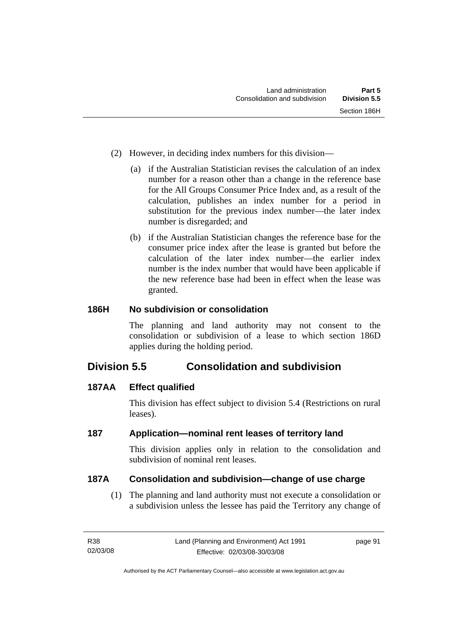- (2) However, in deciding index numbers for this division—
	- (a) if the Australian Statistician revises the calculation of an index number for a reason other than a change in the reference base for the All Groups Consumer Price Index and, as a result of the calculation, publishes an index number for a period in substitution for the previous index number—the later index number is disregarded; and
	- (b) if the Australian Statistician changes the reference base for the consumer price index after the lease is granted but before the calculation of the later index number—the earlier index number is the index number that would have been applicable if the new reference base had been in effect when the lease was granted.

### **186H No subdivision or consolidation**

The planning and land authority may not consent to the consolidation or subdivision of a lease to which section 186D applies during the holding period.

# **Division 5.5 Consolidation and subdivision**

### **187AA Effect qualified**

This division has effect subject to division 5.4 (Restrictions on rural leases).

### **187 Application—nominal rent leases of territory land**

This division applies only in relation to the consolidation and subdivision of nominal rent leases.

#### **187A Consolidation and subdivision—change of use charge**

 (1) The planning and land authority must not execute a consolidation or a subdivision unless the lessee has paid the Territory any change of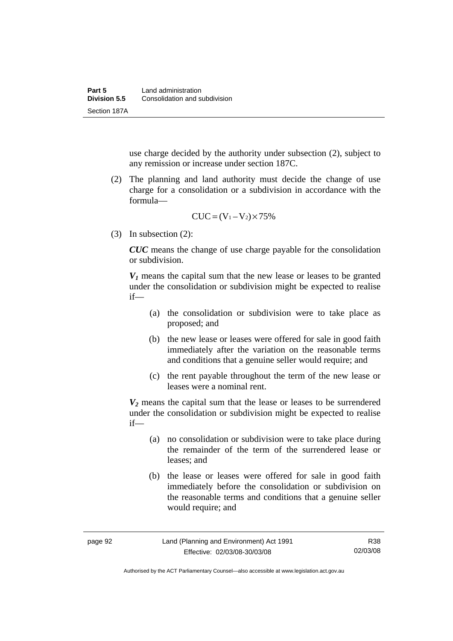use charge decided by the authority under subsection (2), subject to any remission or increase under section 187C.

 (2) The planning and land authority must decide the change of use charge for a consolidation or a subdivision in accordance with the formula—

$$
CUC = (V_1 - V_2) \times 75\%
$$

(3) In subsection (2):

*CUC* means the change of use charge payable for the consolidation or subdivision.

 $V_1$  means the capital sum that the new lease or leases to be granted under the consolidation or subdivision might be expected to realise if—

- (a) the consolidation or subdivision were to take place as proposed; and
- (b) the new lease or leases were offered for sale in good faith immediately after the variation on the reasonable terms and conditions that a genuine seller would require; and
- (c) the rent payable throughout the term of the new lease or leases were a nominal rent.

*V2* means the capital sum that the lease or leases to be surrendered under the consolidation or subdivision might be expected to realise if—

- (a) no consolidation or subdivision were to take place during the remainder of the term of the surrendered lease or leases; and
- (b) the lease or leases were offered for sale in good faith immediately before the consolidation or subdivision on the reasonable terms and conditions that a genuine seller would require; and

Authorised by the ACT Parliamentary Counsel—also accessible at www.legislation.act.gov.au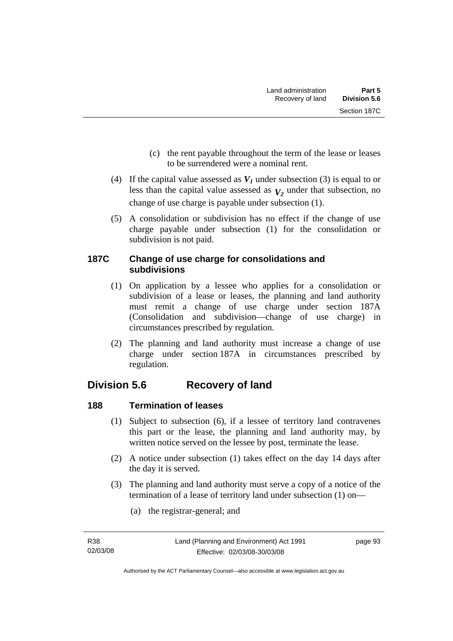- (c) the rent payable throughout the term of the lease or leases to be surrendered were a nominal rent.
- (4) If the capital value assessed as  $V_I$  under subsection (3) is equal to or less than the capital value assessed as  $V_2$  under that subsection, no change of use charge is payable under subsection (1).
- (5) A consolidation or subdivision has no effect if the change of use charge payable under subsection (1) for the consolidation or subdivision is not paid.

### **187C Change of use charge for consolidations and subdivisions**

- (1) On application by a lessee who applies for a consolidation or subdivision of a lease or leases, the planning and land authority must remit a change of use charge under section 187A (Consolidation and subdivision—change of use charge) in circumstances prescribed by regulation.
- (2) The planning and land authority must increase a change of use charge under section 187A in circumstances prescribed by regulation.

# **Division 5.6 Recovery of land**

# **188 Termination of leases**

- (1) Subject to subsection (6), if a lessee of territory land contravenes this part or the lease, the planning and land authority may, by written notice served on the lessee by post, terminate the lease.
- (2) A notice under subsection (1) takes effect on the day 14 days after the day it is served.
- (3) The planning and land authority must serve a copy of a notice of the termination of a lease of territory land under subsection (1) on—
	- (a) the registrar-general; and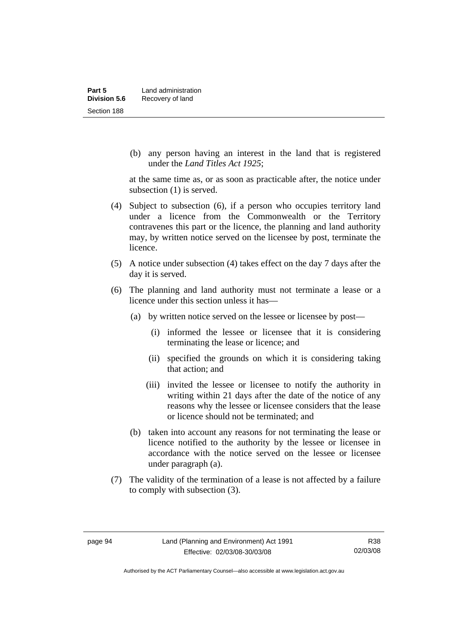(b) any person having an interest in the land that is registered under the *Land Titles Act 1925*;

at the same time as, or as soon as practicable after, the notice under subsection (1) is served.

- (4) Subject to subsection (6), if a person who occupies territory land under a licence from the Commonwealth or the Territory contravenes this part or the licence, the planning and land authority may, by written notice served on the licensee by post, terminate the licence.
- (5) A notice under subsection (4) takes effect on the day 7 days after the day it is served.
- (6) The planning and land authority must not terminate a lease or a licence under this section unless it has—
	- (a) by written notice served on the lessee or licensee by post—
		- (i) informed the lessee or licensee that it is considering terminating the lease or licence; and
		- (ii) specified the grounds on which it is considering taking that action; and
		- (iii) invited the lessee or licensee to notify the authority in writing within 21 days after the date of the notice of any reasons why the lessee or licensee considers that the lease or licence should not be terminated; and
	- (b) taken into account any reasons for not terminating the lease or licence notified to the authority by the lessee or licensee in accordance with the notice served on the lessee or licensee under paragraph (a).
- (7) The validity of the termination of a lease is not affected by a failure to comply with subsection (3).

Authorised by the ACT Parliamentary Counsel—also accessible at www.legislation.act.gov.au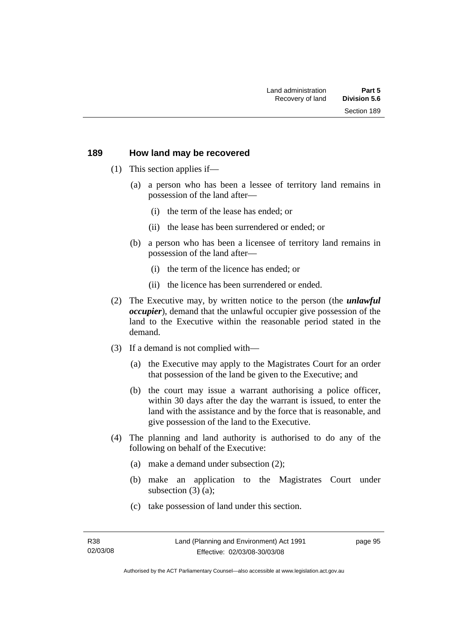#### **189 How land may be recovered**

- (1) This section applies if—
	- (a) a person who has been a lessee of territory land remains in possession of the land after—
		- (i) the term of the lease has ended; or
		- (ii) the lease has been surrendered or ended; or
	- (b) a person who has been a licensee of territory land remains in possession of the land after—
		- (i) the term of the licence has ended; or
		- (ii) the licence has been surrendered or ended.
- (2) The Executive may, by written notice to the person (the *unlawful occupier*), demand that the unlawful occupier give possession of the land to the Executive within the reasonable period stated in the demand.
- (3) If a demand is not complied with—
	- (a) the Executive may apply to the Magistrates Court for an order that possession of the land be given to the Executive; and
	- (b) the court may issue a warrant authorising a police officer, within 30 days after the day the warrant is issued, to enter the land with the assistance and by the force that is reasonable, and give possession of the land to the Executive.
- (4) The planning and land authority is authorised to do any of the following on behalf of the Executive:
	- (a) make a demand under subsection (2);
	- (b) make an application to the Magistrates Court under subsection (3) (a);
	- (c) take possession of land under this section.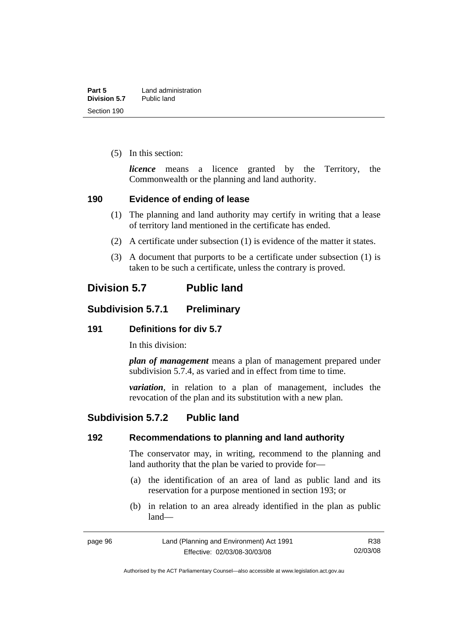(5) In this section:

*licence* means a licence granted by the Territory, the Commonwealth or the planning and land authority.

## **190 Evidence of ending of lease**

- (1) The planning and land authority may certify in writing that a lease of territory land mentioned in the certificate has ended.
- (2) A certificate under subsection (1) is evidence of the matter it states.
- (3) A document that purports to be a certificate under subsection (1) is taken to be such a certificate, unless the contrary is proved.

# **Division 5.7 Public land**

# **Subdivision 5.7.1 Preliminary**

## **191 Definitions for div 5.7**

In this division:

*plan of management* means a plan of management prepared under subdivision 5.7.4, as varied and in effect from time to time.

*variation*, in relation to a plan of management, includes the revocation of the plan and its substitution with a new plan.

# **Subdivision 5.7.2 Public land**

## **192 Recommendations to planning and land authority**

The conservator may, in writing, recommend to the planning and land authority that the plan be varied to provide for—

- (a) the identification of an area of land as public land and its reservation for a purpose mentioned in section 193; or
- (b) in relation to an area already identified in the plan as public land—

Authorised by the ACT Parliamentary Counsel—also accessible at www.legislation.act.gov.au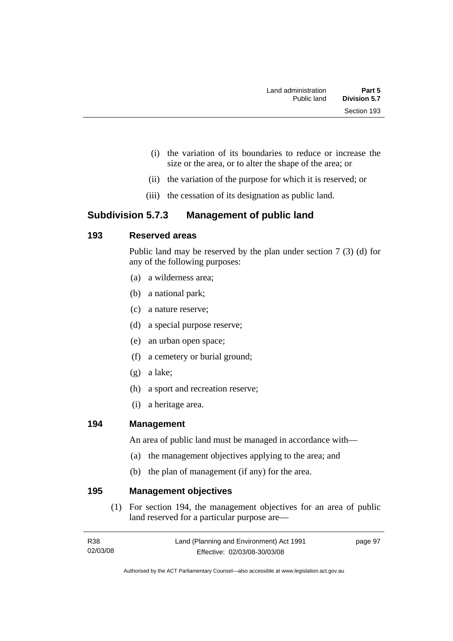- (i) the variation of its boundaries to reduce or increase the size or the area, or to alter the shape of the area; or
- (ii) the variation of the purpose for which it is reserved; or
- (iii) the cessation of its designation as public land.

# **Subdivision 5.7.3 Management of public land**

# **193 Reserved areas**

Public land may be reserved by the plan under section 7 (3) (d) for any of the following purposes:

- (a) a wilderness area;
- (b) a national park;
- (c) a nature reserve;
- (d) a special purpose reserve;
- (e) an urban open space;
- (f) a cemetery or burial ground;
- (g) a lake;
- (h) a sport and recreation reserve;
- (i) a heritage area.

## **194 Management**

An area of public land must be managed in accordance with—

- (a) the management objectives applying to the area; and
- (b) the plan of management (if any) for the area.

## **195 Management objectives**

 (1) For section 194, the management objectives for an area of public land reserved for a particular purpose are—

| R38      | Land (Planning and Environment) Act 1991 | page 97 |
|----------|------------------------------------------|---------|
| 02/03/08 | Effective: 02/03/08-30/03/08             |         |

Authorised by the ACT Parliamentary Counsel—also accessible at www.legislation.act.gov.au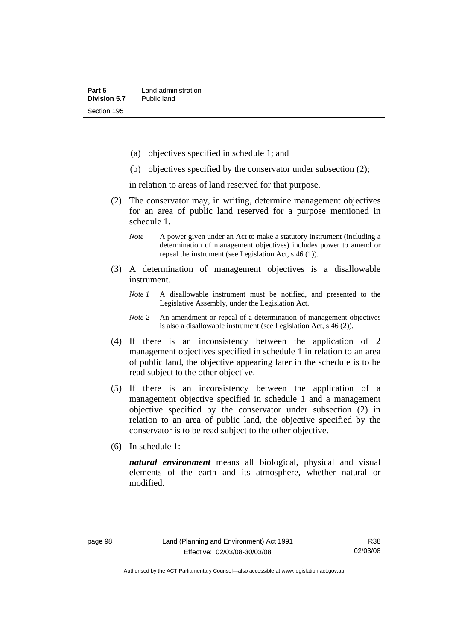- (a) objectives specified in schedule 1; and
- (b) objectives specified by the conservator under subsection (2);

in relation to areas of land reserved for that purpose.

- (2) The conservator may, in writing, determine management objectives for an area of public land reserved for a purpose mentioned in schedule 1.
	- *Note* A power given under an Act to make a statutory instrument (including a determination of management objectives) includes power to amend or repeal the instrument (see Legislation Act, s 46 (1)).
- (3) A determination of management objectives is a disallowable instrument.
	- *Note 1* A disallowable instrument must be notified, and presented to the Legislative Assembly, under the Legislation Act.
	- *Note 2* An amendment or repeal of a determination of management objectives is also a disallowable instrument (see Legislation Act, s 46 (2))*.*
- (4) If there is an inconsistency between the application of 2 management objectives specified in schedule 1 in relation to an area of public land, the objective appearing later in the schedule is to be read subject to the other objective.
- (5) If there is an inconsistency between the application of a management objective specified in schedule 1 and a management objective specified by the conservator under subsection (2) in relation to an area of public land, the objective specified by the conservator is to be read subject to the other objective.
- (6) In schedule 1:

*natural environment* means all biological, physical and visual elements of the earth and its atmosphere, whether natural or modified.

Authorised by the ACT Parliamentary Counsel—also accessible at www.legislation.act.gov.au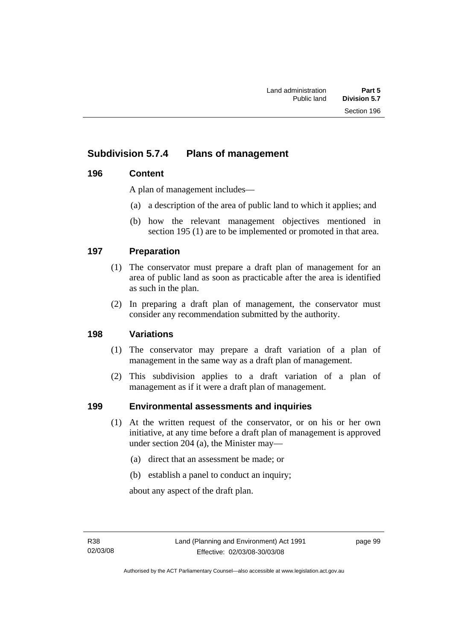# **Subdivision 5.7.4 Plans of management**

# **196 Content**

A plan of management includes—

- (a) a description of the area of public land to which it applies; and
- (b) how the relevant management objectives mentioned in section 195 (1) are to be implemented or promoted in that area.

# **197 Preparation**

- (1) The conservator must prepare a draft plan of management for an area of public land as soon as practicable after the area is identified as such in the plan.
- (2) In preparing a draft plan of management, the conservator must consider any recommendation submitted by the authority.

## **198 Variations**

- (1) The conservator may prepare a draft variation of a plan of management in the same way as a draft plan of management.
- (2) This subdivision applies to a draft variation of a plan of management as if it were a draft plan of management.

## **199 Environmental assessments and inquiries**

- (1) At the written request of the conservator, or on his or her own initiative, at any time before a draft plan of management is approved under section 204 (a), the Minister may—
	- (a) direct that an assessment be made; or
	- (b) establish a panel to conduct an inquiry;

about any aspect of the draft plan.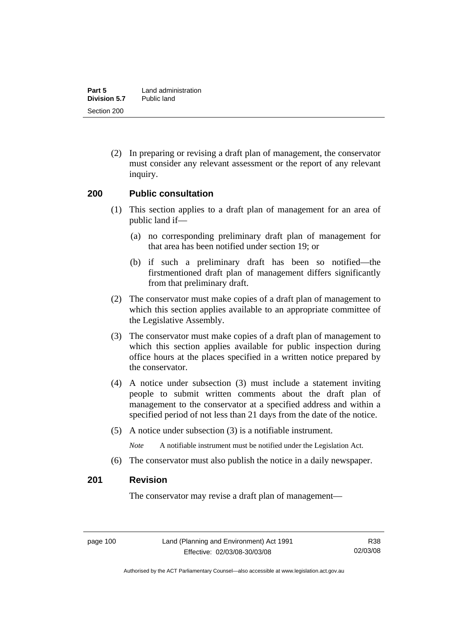(2) In preparing or revising a draft plan of management, the conservator must consider any relevant assessment or the report of any relevant inquiry.

#### **200 Public consultation**

- (1) This section applies to a draft plan of management for an area of public land if—
	- (a) no corresponding preliminary draft plan of management for that area has been notified under section 19; or
	- (b) if such a preliminary draft has been so notified—the firstmentioned draft plan of management differs significantly from that preliminary draft.
- (2) The conservator must make copies of a draft plan of management to which this section applies available to an appropriate committee of the Legislative Assembly.
- (3) The conservator must make copies of a draft plan of management to which this section applies available for public inspection during office hours at the places specified in a written notice prepared by the conservator.
- (4) A notice under subsection (3) must include a statement inviting people to submit written comments about the draft plan of management to the conservator at a specified address and within a specified period of not less than 21 days from the date of the notice.
- (5) A notice under subsection (3) is a notifiable instrument.

*Note* A notifiable instrument must be notified under the Legislation Act.

(6) The conservator must also publish the notice in a daily newspaper.

# **201 Revision**

The conservator may revise a draft plan of management—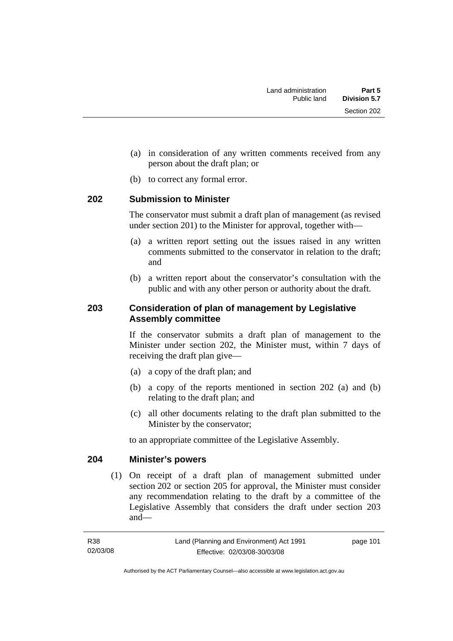- (a) in consideration of any written comments received from any person about the draft plan; or
- (b) to correct any formal error.

## **202 Submission to Minister**

The conservator must submit a draft plan of management (as revised under section 201) to the Minister for approval, together with—

- (a) a written report setting out the issues raised in any written comments submitted to the conservator in relation to the draft; and
- (b) a written report about the conservator's consultation with the public and with any other person or authority about the draft.

## **203 Consideration of plan of management by Legislative Assembly committee**

If the conservator submits a draft plan of management to the Minister under section 202, the Minister must, within 7 days of receiving the draft plan give—

- (a) a copy of the draft plan; and
- (b) a copy of the reports mentioned in section 202 (a) and (b) relating to the draft plan; and
- (c) all other documents relating to the draft plan submitted to the Minister by the conservator;

to an appropriate committee of the Legislative Assembly.

## **204 Minister's powers**

 (1) On receipt of a draft plan of management submitted under section 202 or section 205 for approval, the Minister must consider any recommendation relating to the draft by a committee of the Legislative Assembly that considers the draft under section 203 and—

Authorised by the ACT Parliamentary Counsel—also accessible at www.legislation.act.gov.au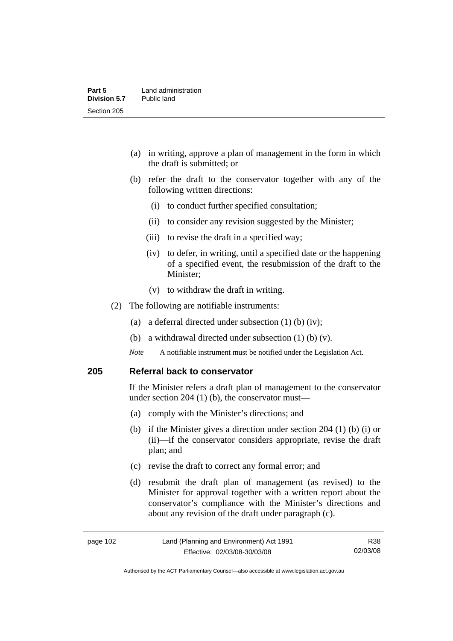- (a) in writing, approve a plan of management in the form in which the draft is submitted; or
- (b) refer the draft to the conservator together with any of the following written directions:
	- (i) to conduct further specified consultation;
	- (ii) to consider any revision suggested by the Minister;
	- (iii) to revise the draft in a specified way;
	- (iv) to defer, in writing, until a specified date or the happening of a specified event, the resubmission of the draft to the Minister;
	- (v) to withdraw the draft in writing.
- (2) The following are notifiable instruments:
	- (a) a deferral directed under subsection (1) (b) (iv);
	- (b) a withdrawal directed under subsection (1) (b) (v).
	- *Note* A notifiable instrument must be notified under the Legislation Act.

#### **205 Referral back to conservator**

If the Minister refers a draft plan of management to the conservator under section 204 (1) (b), the conservator must—

- (a) comply with the Minister's directions; and
- (b) if the Minister gives a direction under section 204 (1) (b) (i) or (ii)—if the conservator considers appropriate, revise the draft plan; and
- (c) revise the draft to correct any formal error; and
- (d) resubmit the draft plan of management (as revised) to the Minister for approval together with a written report about the conservator's compliance with the Minister's directions and about any revision of the draft under paragraph (c).

page 102 Land (Planning and Environment) Act 1991 Effective: 02/03/08-30/03/08 R38 02/03/08

Authorised by the ACT Parliamentary Counsel—also accessible at www.legislation.act.gov.au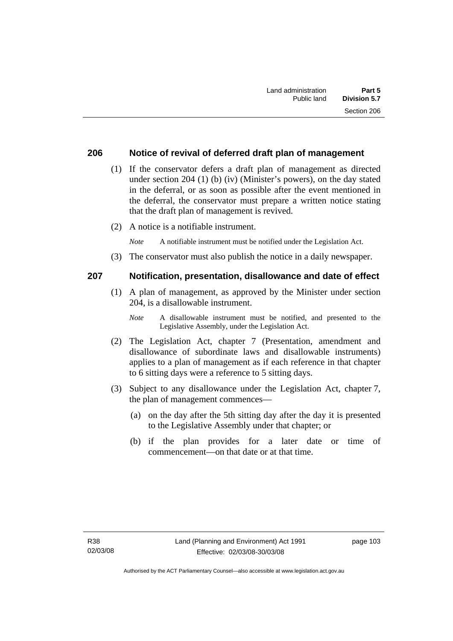#### **206 Notice of revival of deferred draft plan of management**

- (1) If the conservator defers a draft plan of management as directed under section 204 (1) (b) (iv) (Minister's powers), on the day stated in the deferral, or as soon as possible after the event mentioned in the deferral, the conservator must prepare a written notice stating that the draft plan of management is revived.
- (2) A notice is a notifiable instrument.

*Note* A notifiable instrument must be notified under the Legislation Act.

(3) The conservator must also publish the notice in a daily newspaper.

#### **207 Notification, presentation, disallowance and date of effect**

- (1) A plan of management, as approved by the Minister under section 204, is a disallowable instrument.
	- *Note* A disallowable instrument must be notified, and presented to the Legislative Assembly, under the Legislation Act.
- (2) The Legislation Act, chapter 7 (Presentation, amendment and disallowance of subordinate laws and disallowable instruments) applies to a plan of management as if each reference in that chapter to 6 sitting days were a reference to 5 sitting days.
- (3) Subject to any disallowance under the Legislation Act, chapter 7, the plan of management commences—
	- (a) on the day after the 5th sitting day after the day it is presented to the Legislative Assembly under that chapter; or
	- (b) if the plan provides for a later date or time of commencement—on that date or at that time.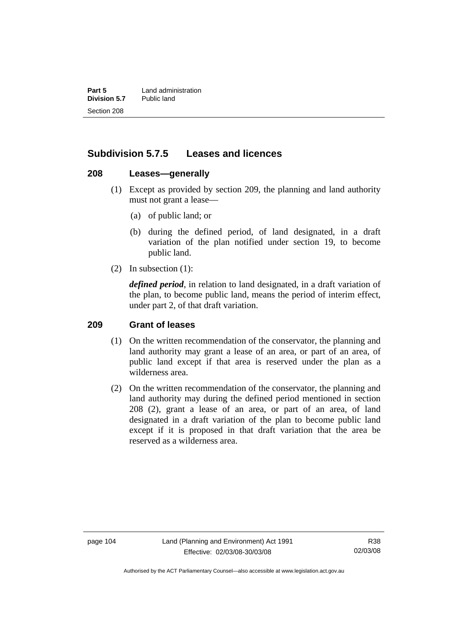**Part 5** Land administration<br>**Division 5.7** Public land **Division 5.7** Section 208

# **Subdivision 5.7.5 Leases and licences**

#### **208 Leases—generally**

- (1) Except as provided by section 209, the planning and land authority must not grant a lease—
	- (a) of public land; or
	- (b) during the defined period, of land designated, in a draft variation of the plan notified under section 19, to become public land.
- (2) In subsection (1):

*defined period*, in relation to land designated, in a draft variation of the plan, to become public land, means the period of interim effect, under part 2, of that draft variation.

#### **209 Grant of leases**

- (1) On the written recommendation of the conservator, the planning and land authority may grant a lease of an area, or part of an area, of public land except if that area is reserved under the plan as a wilderness area.
- (2) On the written recommendation of the conservator, the planning and land authority may during the defined period mentioned in section 208 (2), grant a lease of an area, or part of an area, of land designated in a draft variation of the plan to become public land except if it is proposed in that draft variation that the area be reserved as a wilderness area.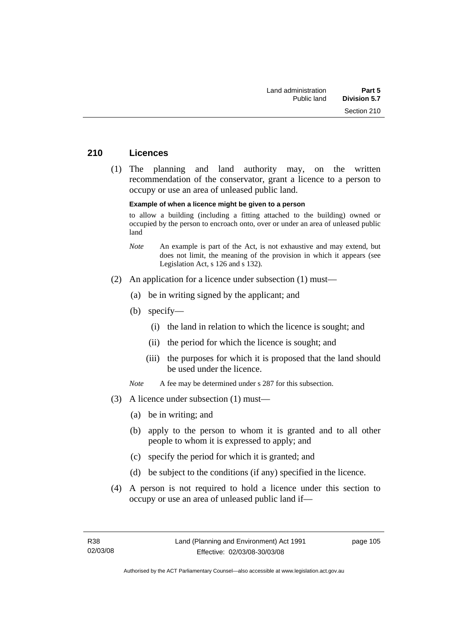#### **210 Licences**

 (1) The planning and land authority may, on the written recommendation of the conservator, grant a licence to a person to occupy or use an area of unleased public land.

#### **Example of when a licence might be given to a person**

to allow a building (including a fitting attached to the building) owned or occupied by the person to encroach onto, over or under an area of unleased public land

- *Note* An example is part of the Act, is not exhaustive and may extend, but does not limit, the meaning of the provision in which it appears (see Legislation Act, s 126 and s 132).
- (2) An application for a licence under subsection (1) must—
	- (a) be in writing signed by the applicant; and
	- (b) specify—
		- (i) the land in relation to which the licence is sought; and
		- (ii) the period for which the licence is sought; and
		- (iii) the purposes for which it is proposed that the land should be used under the licence.

*Note* A fee may be determined under s 287 for this subsection.

- (3) A licence under subsection (1) must—
	- (a) be in writing; and
	- (b) apply to the person to whom it is granted and to all other people to whom it is expressed to apply; and
	- (c) specify the period for which it is granted; and
	- (d) be subject to the conditions (if any) specified in the licence.
- (4) A person is not required to hold a licence under this section to occupy or use an area of unleased public land if—

page 105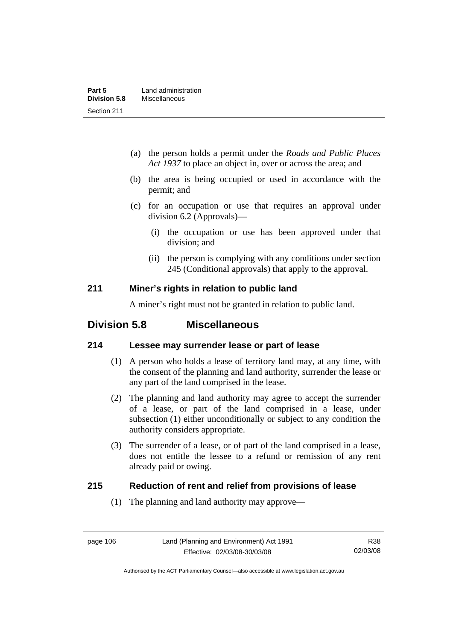- (a) the person holds a permit under the *Roads and Public Places Act 1937* to place an object in, over or across the area; and
- (b) the area is being occupied or used in accordance with the permit; and
- (c) for an occupation or use that requires an approval under division 6.2 (Approvals)—
	- (i) the occupation or use has been approved under that division; and
	- (ii) the person is complying with any conditions under section 245 (Conditional approvals) that apply to the approval.

## **211 Miner's rights in relation to public land**

A miner's right must not be granted in relation to public land.

# **Division 5.8 Miscellaneous**

# **214 Lessee may surrender lease or part of lease**

- (1) A person who holds a lease of territory land may, at any time, with the consent of the planning and land authority, surrender the lease or any part of the land comprised in the lease.
- (2) The planning and land authority may agree to accept the surrender of a lease, or part of the land comprised in a lease, under subsection (1) either unconditionally or subject to any condition the authority considers appropriate.
- (3) The surrender of a lease, or of part of the land comprised in a lease, does not entitle the lessee to a refund or remission of any rent already paid or owing.

## **215 Reduction of rent and relief from provisions of lease**

(1) The planning and land authority may approve—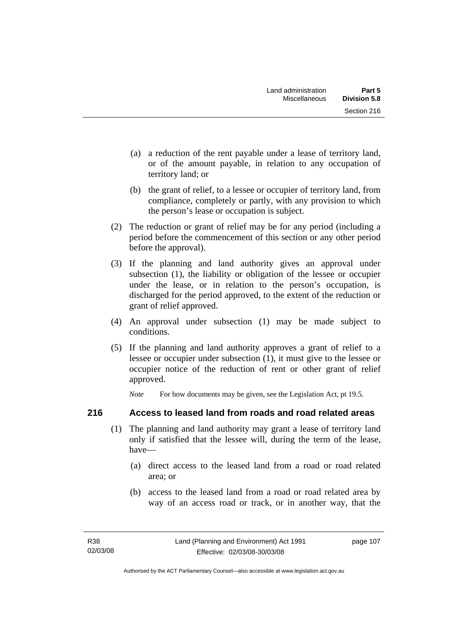- (a) a reduction of the rent payable under a lease of territory land, or of the amount payable, in relation to any occupation of territory land; or
- (b) the grant of relief, to a lessee or occupier of territory land, from compliance, completely or partly, with any provision to which the person's lease or occupation is subject.
- (2) The reduction or grant of relief may be for any period (including a period before the commencement of this section or any other period before the approval).
- (3) If the planning and land authority gives an approval under subsection (1), the liability or obligation of the lessee or occupier under the lease, or in relation to the person's occupation, is discharged for the period approved, to the extent of the reduction or grant of relief approved.
- (4) An approval under subsection (1) may be made subject to conditions.
- (5) If the planning and land authority approves a grant of relief to a lessee or occupier under subsection (1), it must give to the lessee or occupier notice of the reduction of rent or other grant of relief approved.

*Note* For how documents may be given, see the Legislation Act, pt 19.5.

# **216 Access to leased land from roads and road related areas**

- (1) The planning and land authority may grant a lease of territory land only if satisfied that the lessee will, during the term of the lease, have—
	- (a) direct access to the leased land from a road or road related area; or
	- (b) access to the leased land from a road or road related area by way of an access road or track, or in another way, that the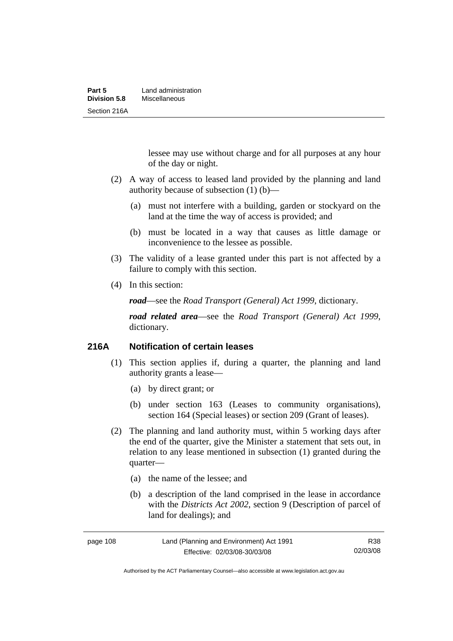lessee may use without charge and for all purposes at any hour of the day or night.

- (2) A way of access to leased land provided by the planning and land authority because of subsection (1) (b)—
	- (a) must not interfere with a building, garden or stockyard on the land at the time the way of access is provided; and
	- (b) must be located in a way that causes as little damage or inconvenience to the lessee as possible.
- (3) The validity of a lease granted under this part is not affected by a failure to comply with this section.
- (4) In this section:

*road*—see the *Road Transport (General) Act 1999*, dictionary.

*road related area*—see the *Road Transport (General) Act 1999*, dictionary.

## **216A Notification of certain leases**

- (1) This section applies if, during a quarter, the planning and land authority grants a lease—
	- (a) by direct grant; or
	- (b) under section 163 (Leases to community organisations), section 164 (Special leases) or section 209 (Grant of leases).
- (2) The planning and land authority must, within 5 working days after the end of the quarter, give the Minister a statement that sets out, in relation to any lease mentioned in subsection (1) granted during the quarter—
	- (a) the name of the lessee; and
	- (b) a description of the land comprised in the lease in accordance with the *Districts Act 2002*, section 9 (Description of parcel of land for dealings); and

| page 108 | Land (Planning and Environment) Act 1991 | R38      |
|----------|------------------------------------------|----------|
|          | Effective: 02/03/08-30/03/08             | 02/03/08 |

Authorised by the ACT Parliamentary Counsel—also accessible at www.legislation.act.gov.au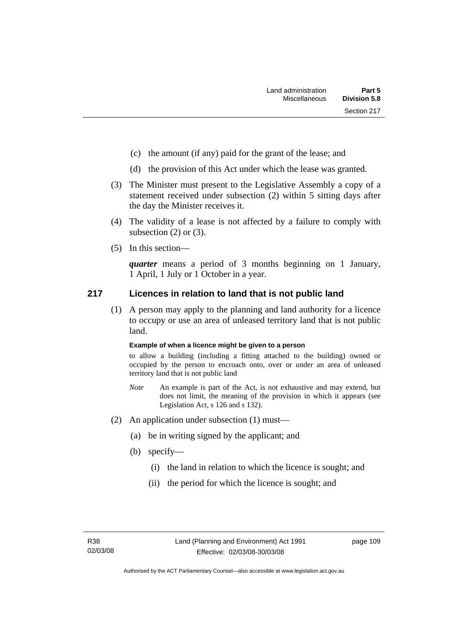- (c) the amount (if any) paid for the grant of the lease; and
- (d) the provision of this Act under which the lease was granted.
- (3) The Minister must present to the Legislative Assembly a copy of a statement received under subsection (2) within 5 sitting days after the day the Minister receives it.
- (4) The validity of a lease is not affected by a failure to comply with subsection  $(2)$  or  $(3)$ .
- (5) In this section—

*quarter* means a period of 3 months beginning on 1 January, 1 April, 1 July or 1 October in a year.

# **217 Licences in relation to land that is not public land**

 (1) A person may apply to the planning and land authority for a licence to occupy or use an area of unleased territory land that is not public land.

#### **Example of when a licence might be given to a person**

to allow a building (including a fitting attached to the building) owned or occupied by the person to encroach onto, over or under an area of unleased territory land that is not public land

- *Note* An example is part of the Act, is not exhaustive and may extend, but does not limit, the meaning of the provision in which it appears (see Legislation Act, s 126 and s 132).
- (2) An application under subsection (1) must—
	- (a) be in writing signed by the applicant; and
	- (b) specify—
		- (i) the land in relation to which the licence is sought; and
		- (ii) the period for which the licence is sought; and

page 109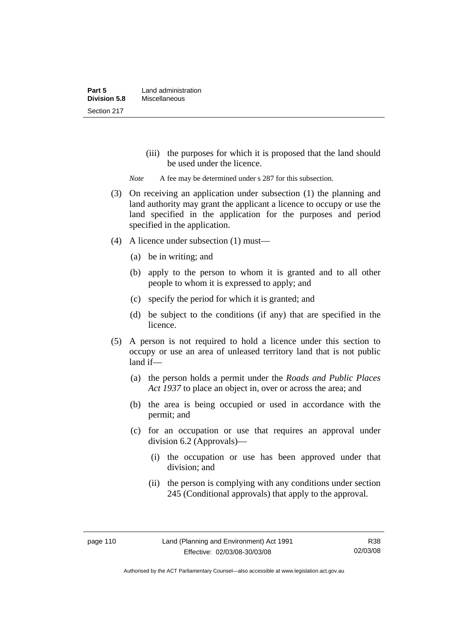(iii) the purposes for which it is proposed that the land should be used under the licence.

*Note* A fee may be determined under s 287 for this subsection.

- (3) On receiving an application under subsection (1) the planning and land authority may grant the applicant a licence to occupy or use the land specified in the application for the purposes and period specified in the application.
- (4) A licence under subsection (1) must—
	- (a) be in writing; and
	- (b) apply to the person to whom it is granted and to all other people to whom it is expressed to apply; and
	- (c) specify the period for which it is granted; and
	- (d) be subject to the conditions (if any) that are specified in the licence.
- (5) A person is not required to hold a licence under this section to occupy or use an area of unleased territory land that is not public land if—
	- (a) the person holds a permit under the *Roads and Public Places Act 1937* to place an object in, over or across the area; and
	- (b) the area is being occupied or used in accordance with the permit; and
	- (c) for an occupation or use that requires an approval under division 6.2 (Approvals)—
		- (i) the occupation or use has been approved under that division; and
		- (ii) the person is complying with any conditions under section 245 (Conditional approvals) that apply to the approval.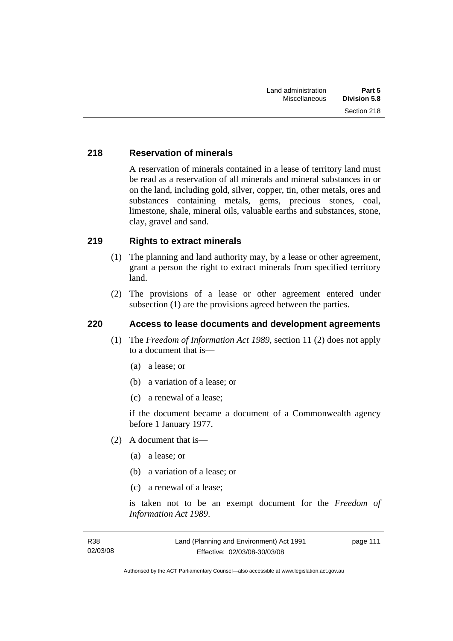# **218 Reservation of minerals**

A reservation of minerals contained in a lease of territory land must be read as a reservation of all minerals and mineral substances in or on the land, including gold, silver, copper, tin, other metals, ores and substances containing metals, gems, precious stones, coal, limestone, shale, mineral oils, valuable earths and substances, stone, clay, gravel and sand.

# **219 Rights to extract minerals**

- (1) The planning and land authority may, by a lease or other agreement, grant a person the right to extract minerals from specified territory land.
- (2) The provisions of a lease or other agreement entered under subsection (1) are the provisions agreed between the parties.

# **220 Access to lease documents and development agreements**

- (1) The *Freedom of Information Act 1989*, section 11 (2) does not apply to a document that is—
	- (a) a lease; or
	- (b) a variation of a lease; or
	- (c) a renewal of a lease;

if the document became a document of a Commonwealth agency before 1 January 1977.

- (2) A document that is—
	- (a) a lease; or
	- (b) a variation of a lease; or
	- (c) a renewal of a lease;

is taken not to be an exempt document for the *Freedom of Information Act 1989*.

page 111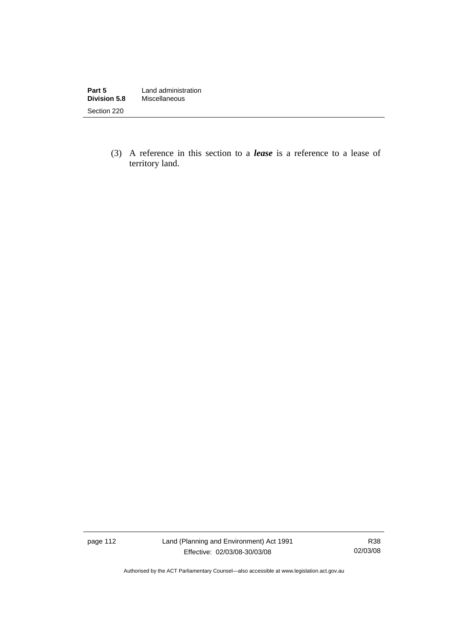| Part 5              | Land administration |
|---------------------|---------------------|
| <b>Division 5.8</b> | Miscellaneous       |
| Section 220         |                     |

 (3) A reference in this section to a *lease* is a reference to a lease of territory land.

page 112 Land (Planning and Environment) Act 1991 Effective: 02/03/08-30/03/08

R38 02/03/08

Authorised by the ACT Parliamentary Counsel—also accessible at www.legislation.act.gov.au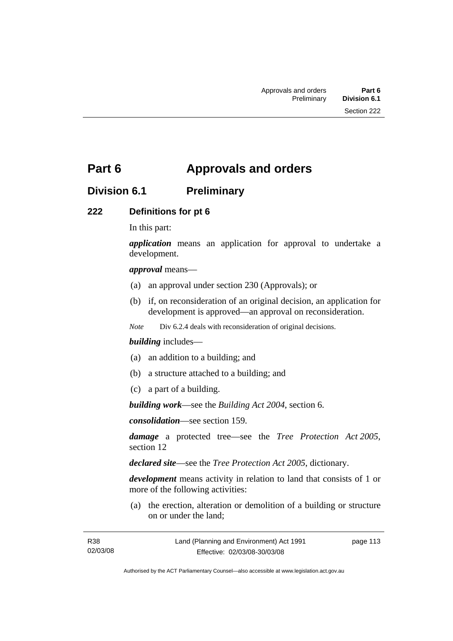# **Part 6 Approvals and orders**

# **Division 6.1 Preliminary**

# **222 Definitions for pt 6**

In this part:

*application* means an application for approval to undertake a development.

#### *approval* means—

- (a) an approval under section 230 (Approvals); or
- (b) if, on reconsideration of an original decision, an application for development is approved—an approval on reconsideration.

*Note* Div 6.2.4 deals with reconsideration of original decisions.

#### *building* includes—

- (a) an addition to a building; and
- (b) a structure attached to a building; and
- (c) a part of a building.

*building work*—see the *Building Act 2004*, section 6.

*consolidation*—see section 159.

*damage* a protected tree—see the *Tree Protection Act 2005*, section 12

*declared site*—see the *Tree Protection Act 2005*, dictionary.

*development* means activity in relation to land that consists of 1 or more of the following activities:

 (a) the erection, alteration or demolition of a building or structure on or under the land;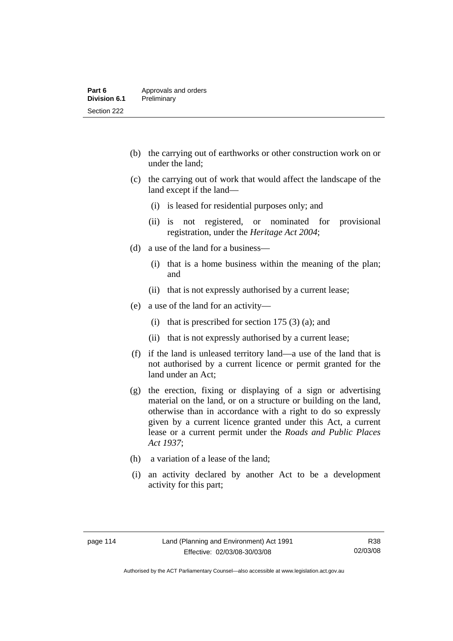- (b) the carrying out of earthworks or other construction work on or under the land;
- (c) the carrying out of work that would affect the landscape of the land except if the land—
	- (i) is leased for residential purposes only; and
	- (ii) is not registered, or nominated for provisional registration, under the *Heritage Act 2004*;
- (d) a use of the land for a business—
	- (i) that is a home business within the meaning of the plan; and
	- (ii) that is not expressly authorised by a current lease;
- (e) a use of the land for an activity—
	- (i) that is prescribed for section 175  $(3)$  (a); and
	- (ii) that is not expressly authorised by a current lease;
- (f) if the land is unleased territory land—a use of the land that is not authorised by a current licence or permit granted for the land under an Act;
- (g) the erection, fixing or displaying of a sign or advertising material on the land, or on a structure or building on the land, otherwise than in accordance with a right to do so expressly given by a current licence granted under this Act, a current lease or a current permit under the *Roads and Public Places Act 1937*;
- (h) a variation of a lease of the land;
- (i) an activity declared by another Act to be a development activity for this part;

Authorised by the ACT Parliamentary Counsel—also accessible at www.legislation.act.gov.au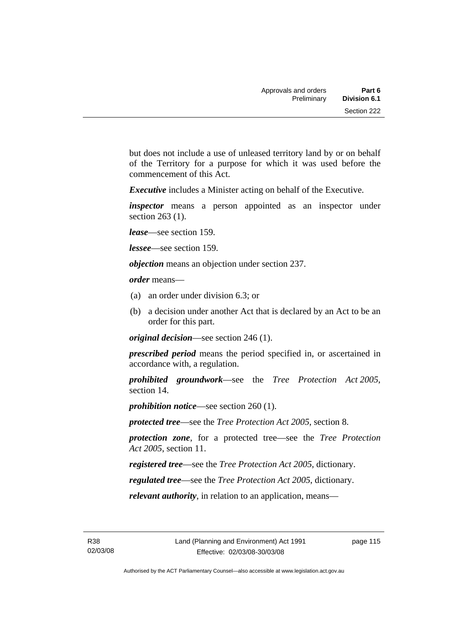but does not include a use of unleased territory land by or on behalf of the Territory for a purpose for which it was used before the commencement of this Act.

*Executive* includes a Minister acting on behalf of the Executive.

*inspector* means a person appointed as an inspector under section 263 (1).

*lease*—see section 159.

*lessee*—see section 159.

*objection* means an objection under section 237.

*order* means—

- (a) an order under division 6.3; or
- (b) a decision under another Act that is declared by an Act to be an order for this part.

*original decision*—see section 246 (1).

*prescribed period* means the period specified in, or ascertained in accordance with, a regulation.

*prohibited groundwork*—see the *Tree Protection Act 2005*, section 14.

*prohibition notice*—see section 260 (1).

*protected tree*—see the *Tree Protection Act 2005*, section 8.

*protection zone*, for a protected tree—see the *Tree Protection Act 2005*, section 11.

*registered tree*—see the *Tree Protection Act 2005*, dictionary.

*regulated tree*—see the *Tree Protection Act 2005*, dictionary.

*relevant authority*, in relation to an application, means—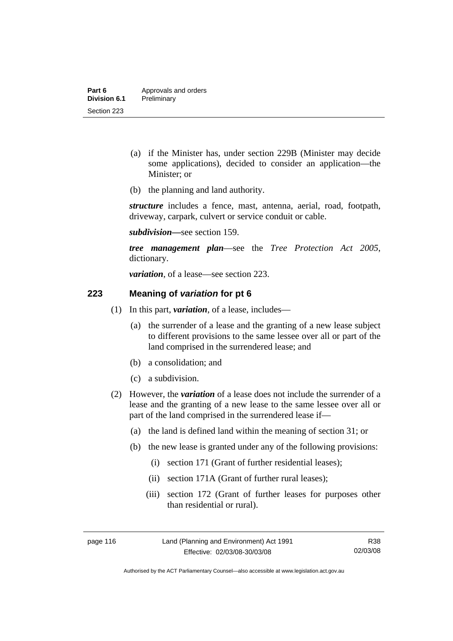- (a) if the Minister has, under section 229B (Minister may decide some applications), decided to consider an application—the Minister; or
- (b) the planning and land authority.

*structure* includes a fence, mast, antenna, aerial, road, footpath, driveway, carpark, culvert or service conduit or cable.

*subdivision—*see section 159.

*tree management plan*—see the *Tree Protection Act 2005*, dictionary.

*variation*, of a lease—see section 223.

## **223 Meaning of** *variation* **for pt 6**

- (1) In this part, *variation*, of a lease, includes—
	- (a) the surrender of a lease and the granting of a new lease subject to different provisions to the same lessee over all or part of the land comprised in the surrendered lease; and
	- (b) a consolidation; and
	- (c) a subdivision.
- (2) However, the *variation* of a lease does not include the surrender of a lease and the granting of a new lease to the same lessee over all or part of the land comprised in the surrendered lease if—
	- (a) the land is defined land within the meaning of section 31; or
	- (b) the new lease is granted under any of the following provisions:
		- (i) section 171 (Grant of further residential leases);
		- (ii) section 171A (Grant of further rural leases);
		- (iii) section 172 (Grant of further leases for purposes other than residential or rural).

Authorised by the ACT Parliamentary Counsel—also accessible at www.legislation.act.gov.au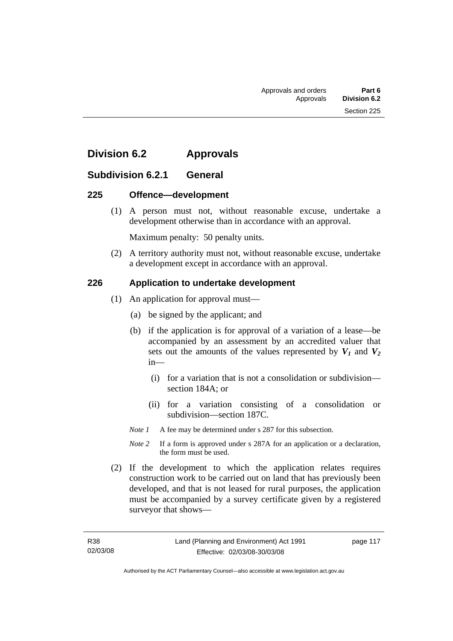# **Division 6.2 Approvals**

# **Subdivision 6.2.1 General**

## **225 Offence—development**

 (1) A person must not, without reasonable excuse, undertake a development otherwise than in accordance with an approval.

Maximum penalty: 50 penalty units.

 (2) A territory authority must not, without reasonable excuse, undertake a development except in accordance with an approval.

# **226 Application to undertake development**

- (1) An application for approval must—
	- (a) be signed by the applicant; and
	- (b) if the application is for approval of a variation of a lease—be accompanied by an assessment by an accredited valuer that sets out the amounts of the values represented by  $V_1$  and  $V_2$ in—
		- (i) for a variation that is not a consolidation or subdivision section 184A; or
		- (ii) for a variation consisting of a consolidation or subdivision—section 187C.

*Note 1* A fee may be determined under s 287 for this subsection.

- *Note 2* If a form is approved under s 287A for an application or a declaration, the form must be used.
- (2) If the development to which the application relates requires construction work to be carried out on land that has previously been developed, and that is not leased for rural purposes, the application must be accompanied by a survey certificate given by a registered surveyor that shows—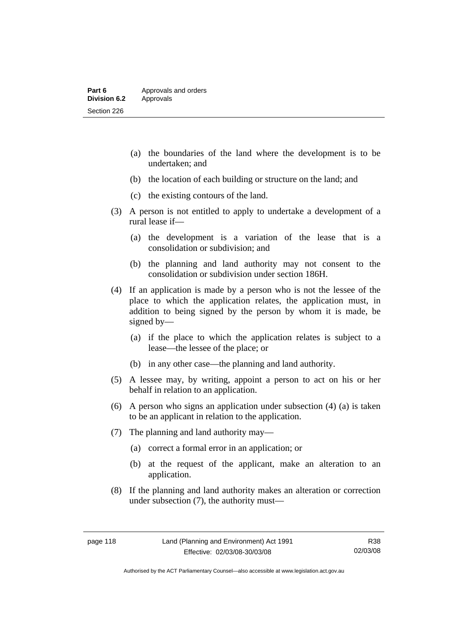- (a) the boundaries of the land where the development is to be undertaken; and
- (b) the location of each building or structure on the land; and
- (c) the existing contours of the land.
- (3) A person is not entitled to apply to undertake a development of a rural lease if—
	- (a) the development is a variation of the lease that is a consolidation or subdivision; and
	- (b) the planning and land authority may not consent to the consolidation or subdivision under section 186H.
- (4) If an application is made by a person who is not the lessee of the place to which the application relates, the application must, in addition to being signed by the person by whom it is made, be signed by—
	- (a) if the place to which the application relates is subject to a lease—the lessee of the place; or
	- (b) in any other case—the planning and land authority.
- (5) A lessee may, by writing, appoint a person to act on his or her behalf in relation to an application.
- (6) A person who signs an application under subsection (4) (a) is taken to be an applicant in relation to the application.
- (7) The planning and land authority may—
	- (a) correct a formal error in an application; or
	- (b) at the request of the applicant, make an alteration to an application.
- (8) If the planning and land authority makes an alteration or correction under subsection (7), the authority must—

Authorised by the ACT Parliamentary Counsel—also accessible at www.legislation.act.gov.au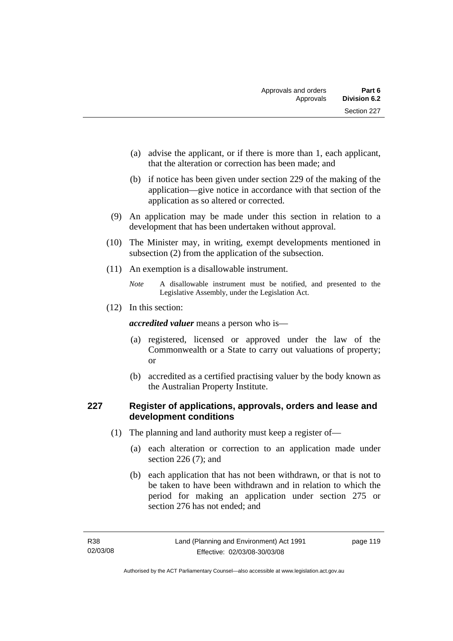- (a) advise the applicant, or if there is more than 1, each applicant, that the alteration or correction has been made; and
- (b) if notice has been given under section 229 of the making of the application—give notice in accordance with that section of the application as so altered or corrected.
- (9) An application may be made under this section in relation to a development that has been undertaken without approval.
- (10) The Minister may, in writing, exempt developments mentioned in subsection (2) from the application of the subsection.
- (11) An exemption is a disallowable instrument.

(12) In this section:

*accredited valuer* means a person who is—

- (a) registered, licensed or approved under the law of the Commonwealth or a State to carry out valuations of property; or
- (b) accredited as a certified practising valuer by the body known as the Australian Property Institute.

# **227 Register of applications, approvals, orders and lease and development conditions**

- (1) The planning and land authority must keep a register of—
	- (a) each alteration or correction to an application made under section 226 (7); and
	- (b) each application that has not been withdrawn, or that is not to be taken to have been withdrawn and in relation to which the period for making an application under section 275 or section 276 has not ended; and

*Note* A disallowable instrument must be notified, and presented to the Legislative Assembly, under the Legislation Act.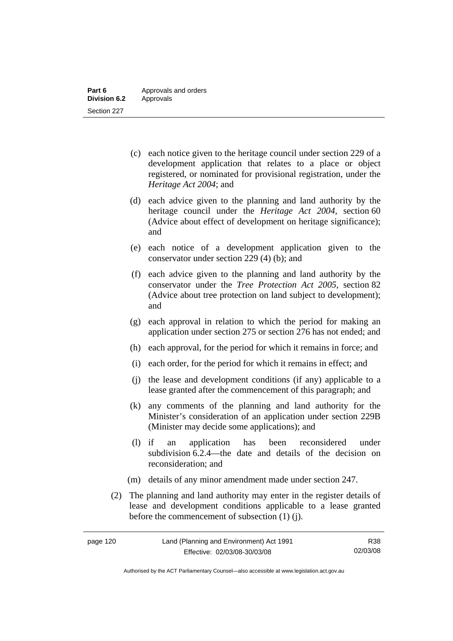- (c) each notice given to the heritage council under section 229 of a development application that relates to a place or object registered, or nominated for provisional registration, under the *Heritage Act 2004*; and
- (d) each advice given to the planning and land authority by the heritage council under the *Heritage Act 2004*, section 60 (Advice about effect of development on heritage significance); and
- (e) each notice of a development application given to the conservator under section 229 (4) (b); and
- (f) each advice given to the planning and land authority by the conservator under the *Tree Protection Act 2005*, section 82 (Advice about tree protection on land subject to development); and
- (g) each approval in relation to which the period for making an application under section 275 or section 276 has not ended; and
- (h) each approval, for the period for which it remains in force; and
- (i) each order, for the period for which it remains in effect; and
- (j) the lease and development conditions (if any) applicable to a lease granted after the commencement of this paragraph; and
- (k) any comments of the planning and land authority for the Minister's consideration of an application under section 229B (Minister may decide some applications); and
- (l) if an application has been reconsidered under subdivision 6.2.4—the date and details of the decision on reconsideration; and
- (m) details of any minor amendment made under section 247.
- (2) The planning and land authority may enter in the register details of lease and development conditions applicable to a lease granted before the commencement of subsection (1) (j).

| page 120 | Land (Planning and Environment) Act 1991 | R38      |
|----------|------------------------------------------|----------|
|          | Effective: 02/03/08-30/03/08             | 02/03/08 |

Authorised by the ACT Parliamentary Counsel—also accessible at www.legislation.act.gov.au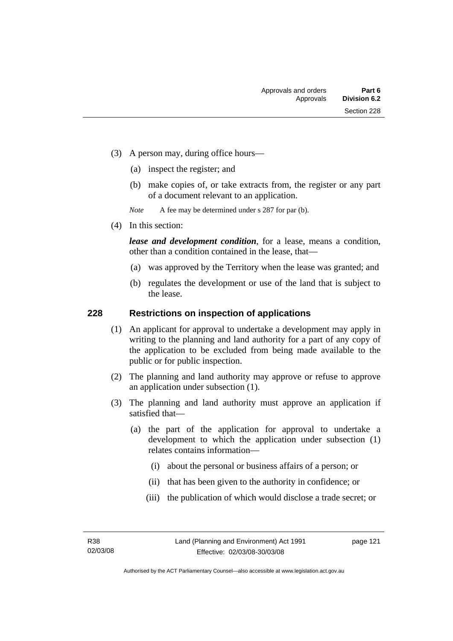- (3) A person may, during office hours—
	- (a) inspect the register; and
	- (b) make copies of, or take extracts from, the register or any part of a document relevant to an application.

*Note* A fee may be determined under s 287 for par (b).

(4) In this section:

*lease and development condition*, for a lease, means a condition, other than a condition contained in the lease, that—

- (a) was approved by the Territory when the lease was granted; and
- (b) regulates the development or use of the land that is subject to the lease.

## **228 Restrictions on inspection of applications**

- (1) An applicant for approval to undertake a development may apply in writing to the planning and land authority for a part of any copy of the application to be excluded from being made available to the public or for public inspection.
- (2) The planning and land authority may approve or refuse to approve an application under subsection (1).
- (3) The planning and land authority must approve an application if satisfied that—
	- (a) the part of the application for approval to undertake a development to which the application under subsection (1) relates contains information—
		- (i) about the personal or business affairs of a person; or
		- (ii) that has been given to the authority in confidence; or
		- (iii) the publication of which would disclose a trade secret; or

page 121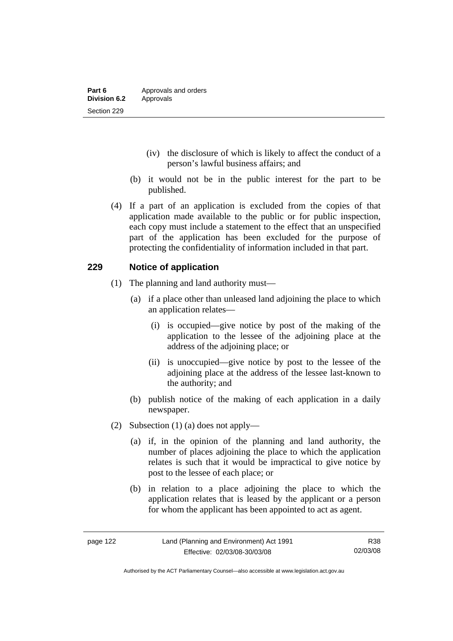- (iv) the disclosure of which is likely to affect the conduct of a person's lawful business affairs; and
- (b) it would not be in the public interest for the part to be published.
- (4) If a part of an application is excluded from the copies of that application made available to the public or for public inspection, each copy must include a statement to the effect that an unspecified part of the application has been excluded for the purpose of protecting the confidentiality of information included in that part.

## **229 Notice of application**

- (1) The planning and land authority must—
	- (a) if a place other than unleased land adjoining the place to which an application relates—
		- (i) is occupied—give notice by post of the making of the application to the lessee of the adjoining place at the address of the adjoining place; or
		- (ii) is unoccupied—give notice by post to the lessee of the adjoining place at the address of the lessee last-known to the authority; and
	- (b) publish notice of the making of each application in a daily newspaper.
- (2) Subsection (1) (a) does not apply—
	- (a) if, in the opinion of the planning and land authority, the number of places adjoining the place to which the application relates is such that it would be impractical to give notice by post to the lessee of each place; or
	- (b) in relation to a place adjoining the place to which the application relates that is leased by the applicant or a person for whom the applicant has been appointed to act as agent.

Authorised by the ACT Parliamentary Counsel—also accessible at www.legislation.act.gov.au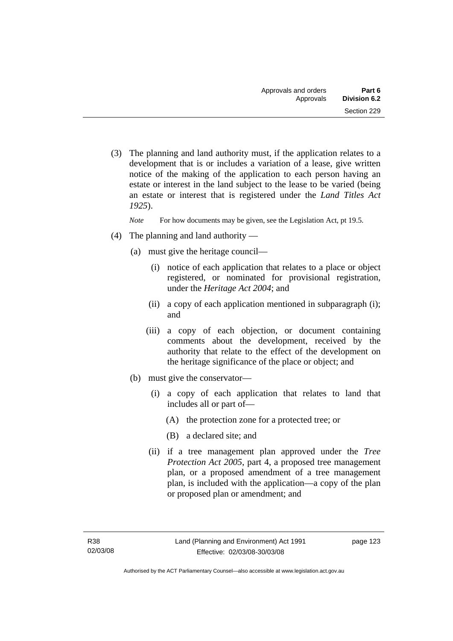(3) The planning and land authority must, if the application relates to a development that is or includes a variation of a lease, give written notice of the making of the application to each person having an estate or interest in the land subject to the lease to be varied (being an estate or interest that is registered under the *Land Titles Act 1925*).

*Note* For how documents may be given, see the Legislation Act, pt 19.5.

- (4) The planning and land authority
	- (a) must give the heritage council—
		- (i) notice of each application that relates to a place or object registered, or nominated for provisional registration, under the *Heritage Act 2004*; and
		- (ii) a copy of each application mentioned in subparagraph (i); and
		- (iii) a copy of each objection, or document containing comments about the development, received by the authority that relate to the effect of the development on the heritage significance of the place or object; and
	- (b) must give the conservator—
		- (i) a copy of each application that relates to land that includes all or part of—
			- (A) the protection zone for a protected tree; or
			- (B) a declared site; and
		- (ii) if a tree management plan approved under the *Tree Protection Act 2005*, part 4, a proposed tree management plan, or a proposed amendment of a tree management plan, is included with the application—a copy of the plan or proposed plan or amendment; and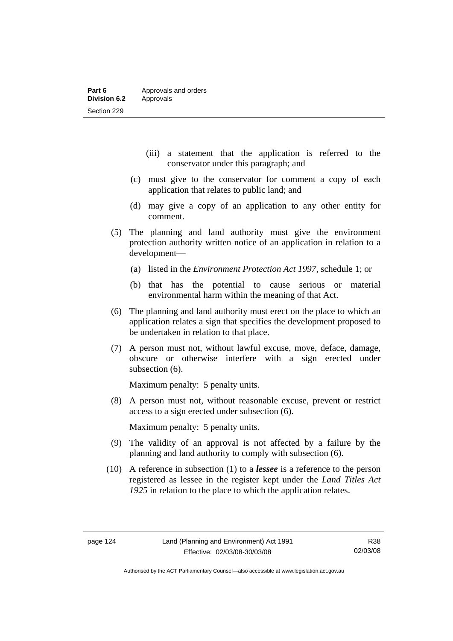- (iii) a statement that the application is referred to the conservator under this paragraph; and
- (c) must give to the conservator for comment a copy of each application that relates to public land; and
- (d) may give a copy of an application to any other entity for comment.
- (5) The planning and land authority must give the environment protection authority written notice of an application in relation to a development—
	- (a) listed in the *Environment Protection Act 1997*, schedule 1; or
	- (b) that has the potential to cause serious or material environmental harm within the meaning of that Act.
- (6) The planning and land authority must erect on the place to which an application relates a sign that specifies the development proposed to be undertaken in relation to that place.
- (7) A person must not, without lawful excuse, move, deface, damage, obscure or otherwise interfere with a sign erected under subsection (6).

Maximum penalty: 5 penalty units.

 (8) A person must not, without reasonable excuse, prevent or restrict access to a sign erected under subsection (6).

Maximum penalty: 5 penalty units.

- (9) The validity of an approval is not affected by a failure by the planning and land authority to comply with subsection (6).
- (10) A reference in subsection (1) to a *lessee* is a reference to the person registered as lessee in the register kept under the *Land Titles Act 1925* in relation to the place to which the application relates.

Authorised by the ACT Parliamentary Counsel—also accessible at www.legislation.act.gov.au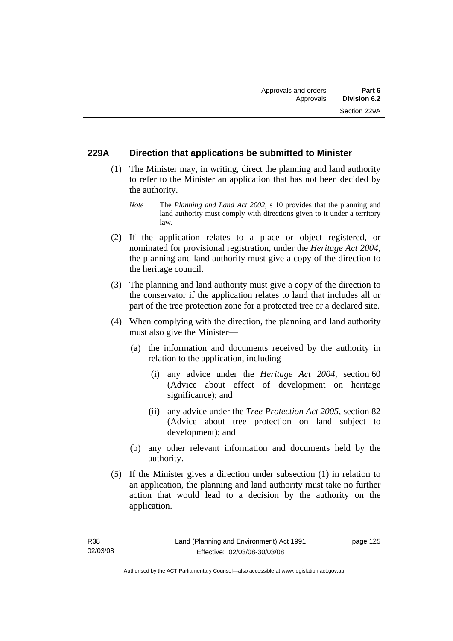# **229A Direction that applications be submitted to Minister**

- (1) The Minister may, in writing, direct the planning and land authority to refer to the Minister an application that has not been decided by the authority.
	- *Note* The *Planning and Land Act 2002*, s 10 provides that the planning and land authority must comply with directions given to it under a territory law.
- (2) If the application relates to a place or object registered, or nominated for provisional registration, under the *Heritage Act 2004*, the planning and land authority must give a copy of the direction to the heritage council.
- (3) The planning and land authority must give a copy of the direction to the conservator if the application relates to land that includes all or part of the tree protection zone for a protected tree or a declared site.
- (4) When complying with the direction, the planning and land authority must also give the Minister—
	- (a) the information and documents received by the authority in relation to the application, including—
		- (i) any advice under the *Heritage Act 2004*, section 60 (Advice about effect of development on heritage significance); and
		- (ii) any advice under the *Tree Protection Act 2005*, section 82 (Advice about tree protection on land subject to development); and
	- (b) any other relevant information and documents held by the authority.
- (5) If the Minister gives a direction under subsection (1) in relation to an application, the planning and land authority must take no further action that would lead to a decision by the authority on the application.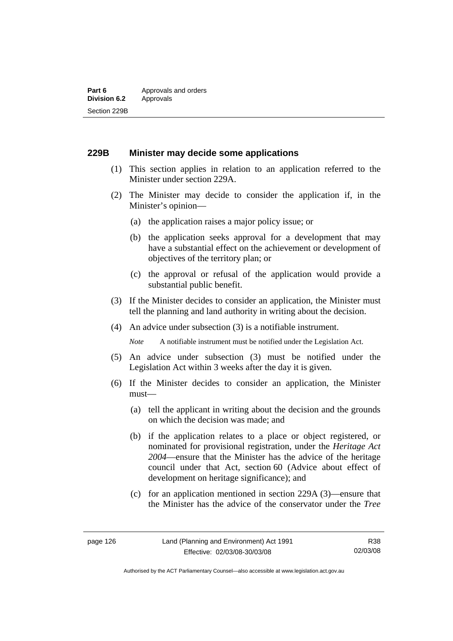## **229B Minister may decide some applications**

- (1) This section applies in relation to an application referred to the Minister under section 229A.
- (2) The Minister may decide to consider the application if, in the Minister's opinion—
	- (a) the application raises a major policy issue; or
	- (b) the application seeks approval for a development that may have a substantial effect on the achievement or development of objectives of the territory plan; or
	- (c) the approval or refusal of the application would provide a substantial public benefit.
- (3) If the Minister decides to consider an application, the Minister must tell the planning and land authority in writing about the decision.
- (4) An advice under subsection (3) is a notifiable instrument.

*Note* A notifiable instrument must be notified under the Legislation Act.

- (5) An advice under subsection (3) must be notified under the Legislation Act within 3 weeks after the day it is given.
- (6) If the Minister decides to consider an application, the Minister must—
	- (a) tell the applicant in writing about the decision and the grounds on which the decision was made; and
	- (b) if the application relates to a place or object registered, or nominated for provisional registration, under the *Heritage Act 2004*—ensure that the Minister has the advice of the heritage council under that Act, section 60 (Advice about effect of development on heritage significance); and
	- (c) for an application mentioned in section 229A (3)—ensure that the Minister has the advice of the conservator under the *Tree*

R38 02/03/08

Authorised by the ACT Parliamentary Counsel—also accessible at www.legislation.act.gov.au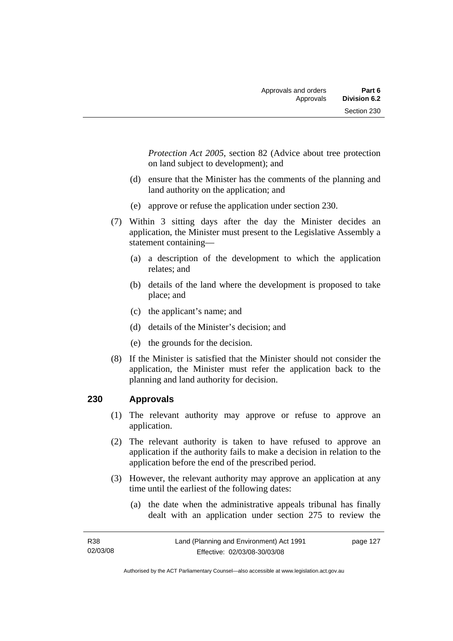*Protection Act 2005*, section 82 (Advice about tree protection on land subject to development); and

- (d) ensure that the Minister has the comments of the planning and land authority on the application; and
- (e) approve or refuse the application under section 230.
- (7) Within 3 sitting days after the day the Minister decides an application, the Minister must present to the Legislative Assembly a statement containing—
	- (a) a description of the development to which the application relates; and
	- (b) details of the land where the development is proposed to take place; and
	- (c) the applicant's name; and
	- (d) details of the Minister's decision; and
	- (e) the grounds for the decision.
- (8) If the Minister is satisfied that the Minister should not consider the application, the Minister must refer the application back to the planning and land authority for decision.

# **230 Approvals**

- (1) The relevant authority may approve or refuse to approve an application.
- (2) The relevant authority is taken to have refused to approve an application if the authority fails to make a decision in relation to the application before the end of the prescribed period.
- (3) However, the relevant authority may approve an application at any time until the earliest of the following dates:
	- (a) the date when the administrative appeals tribunal has finally dealt with an application under section 275 to review the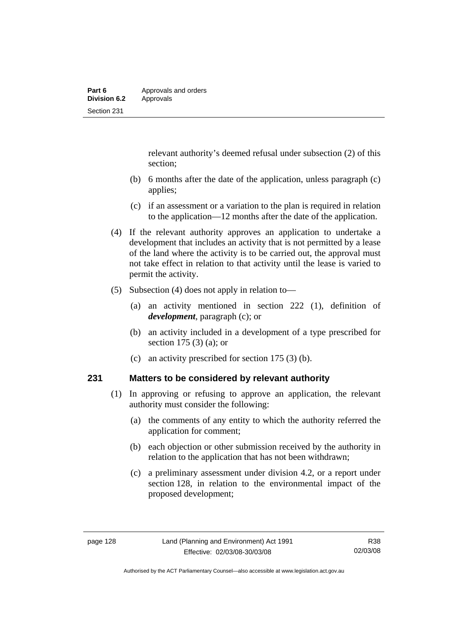relevant authority's deemed refusal under subsection (2) of this section;

- (b) 6 months after the date of the application, unless paragraph (c) applies;
- (c) if an assessment or a variation to the plan is required in relation to the application—12 months after the date of the application.
- (4) If the relevant authority approves an application to undertake a development that includes an activity that is not permitted by a lease of the land where the activity is to be carried out, the approval must not take effect in relation to that activity until the lease is varied to permit the activity.
- (5) Subsection (4) does not apply in relation to—
	- (a) an activity mentioned in section 222 (1), definition of *development*, paragraph (c); or
	- (b) an activity included in a development of a type prescribed for section 175 (3) (a); or
	- (c) an activity prescribed for section 175 (3) (b).

## **231 Matters to be considered by relevant authority**

- (1) In approving or refusing to approve an application, the relevant authority must consider the following:
	- (a) the comments of any entity to which the authority referred the application for comment;
	- (b) each objection or other submission received by the authority in relation to the application that has not been withdrawn;
	- (c) a preliminary assessment under division 4.2, or a report under section 128, in relation to the environmental impact of the proposed development;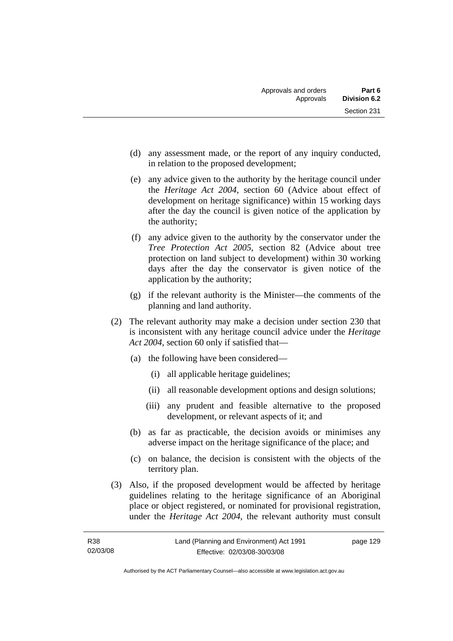- (d) any assessment made, or the report of any inquiry conducted, in relation to the proposed development;
- (e) any advice given to the authority by the heritage council under the *Heritage Act 2004*, section 60 (Advice about effect of development on heritage significance) within 15 working days after the day the council is given notice of the application by the authority;
- (f) any advice given to the authority by the conservator under the *Tree Protection Act 2005*, section 82 (Advice about tree protection on land subject to development) within 30 working days after the day the conservator is given notice of the application by the authority;
- (g) if the relevant authority is the Minister—the comments of the planning and land authority.
- (2) The relevant authority may make a decision under section 230 that is inconsistent with any heritage council advice under the *Heritage Act 2004*, section 60 only if satisfied that—
	- (a) the following have been considered—
		- (i) all applicable heritage guidelines;
		- (ii) all reasonable development options and design solutions;
		- (iii) any prudent and feasible alternative to the proposed development, or relevant aspects of it; and
	- (b) as far as practicable, the decision avoids or minimises any adverse impact on the heritage significance of the place; and
	- (c) on balance, the decision is consistent with the objects of the territory plan.
- (3) Also, if the proposed development would be affected by heritage guidelines relating to the heritage significance of an Aboriginal place or object registered, or nominated for provisional registration, under the *Heritage Act 2004*, the relevant authority must consult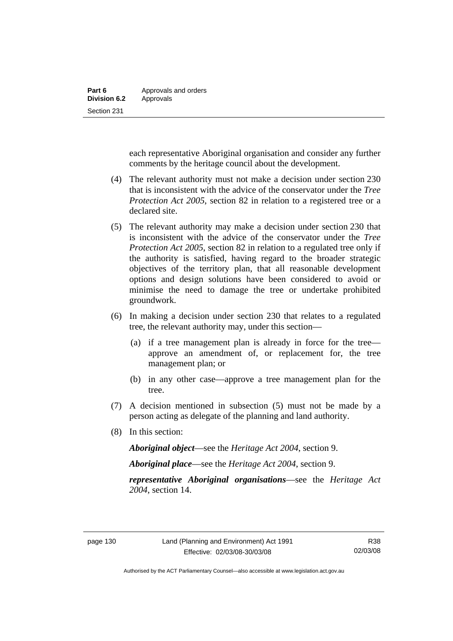each representative Aboriginal organisation and consider any further comments by the heritage council about the development.

- (4) The relevant authority must not make a decision under section 230 that is inconsistent with the advice of the conservator under the *Tree Protection Act 2005*, section 82 in relation to a registered tree or a declared site.
- (5) The relevant authority may make a decision under section 230 that is inconsistent with the advice of the conservator under the *Tree Protection Act 2005*, section 82 in relation to a regulated tree only if the authority is satisfied, having regard to the broader strategic objectives of the territory plan, that all reasonable development options and design solutions have been considered to avoid or minimise the need to damage the tree or undertake prohibited groundwork.
- (6) In making a decision under section 230 that relates to a regulated tree, the relevant authority may, under this section—
	- (a) if a tree management plan is already in force for the tree approve an amendment of, or replacement for, the tree management plan; or
	- (b) in any other case—approve a tree management plan for the tree.
- (7) A decision mentioned in subsection (5) must not be made by a person acting as delegate of the planning and land authority.
- (8) In this section:

*Aboriginal object*—see the *Heritage Act 2004*, section 9.

*Aboriginal place*—see the *Heritage Act 2004*, section 9.

*representative Aboriginal organisations*—see the *Heritage Act 2004*, section 14.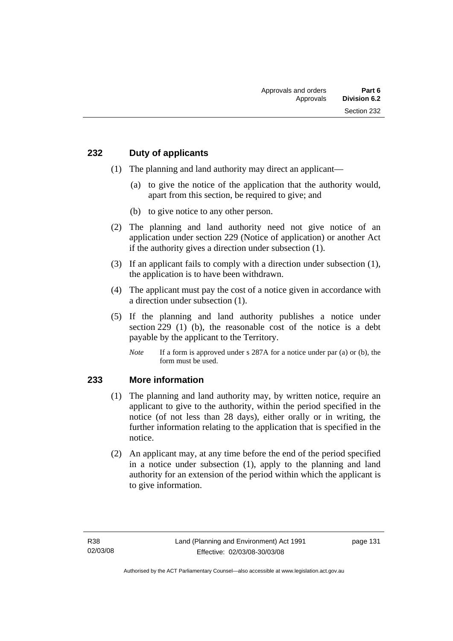### **232 Duty of applicants**

- (1) The planning and land authority may direct an applicant—
	- (a) to give the notice of the application that the authority would, apart from this section, be required to give; and
	- (b) to give notice to any other person.
- (2) The planning and land authority need not give notice of an application under section 229 (Notice of application) or another Act if the authority gives a direction under subsection (1).
- (3) If an applicant fails to comply with a direction under subsection (1), the application is to have been withdrawn.
- (4) The applicant must pay the cost of a notice given in accordance with a direction under subsection (1).
- (5) If the planning and land authority publishes a notice under section 229 (1) (b), the reasonable cost of the notice is a debt payable by the applicant to the Territory.
	- *Note* If a form is approved under s 287A for a notice under par (a) or (b), the form must be used.

### **233 More information**

- (1) The planning and land authority may, by written notice, require an applicant to give to the authority, within the period specified in the notice (of not less than 28 days), either orally or in writing, the further information relating to the application that is specified in the notice.
- (2) An applicant may, at any time before the end of the period specified in a notice under subsection (1), apply to the planning and land authority for an extension of the period within which the applicant is to give information.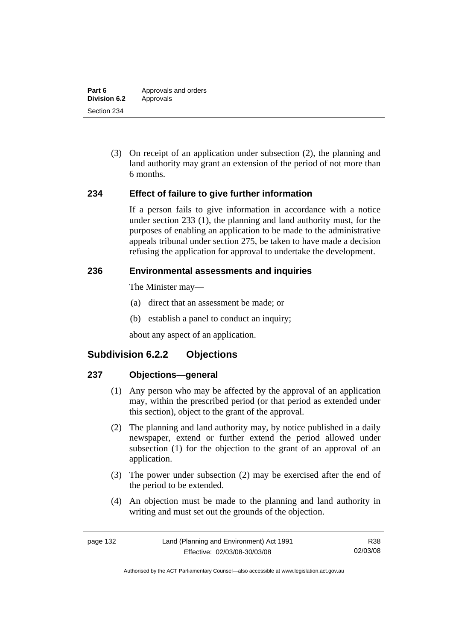(3) On receipt of an application under subsection (2), the planning and land authority may grant an extension of the period of not more than 6 months.

### **234 Effect of failure to give further information**

If a person fails to give information in accordance with a notice under section 233 (1), the planning and land authority must, for the purposes of enabling an application to be made to the administrative appeals tribunal under section 275, be taken to have made a decision refusing the application for approval to undertake the development.

### **236 Environmental assessments and inquiries**

The Minister may—

- (a) direct that an assessment be made; or
- (b) establish a panel to conduct an inquiry;

about any aspect of an application.

# **Subdivision 6.2.2 Objections**

### **237 Objections—general**

- (1) Any person who may be affected by the approval of an application may, within the prescribed period (or that period as extended under this section), object to the grant of the approval.
- (2) The planning and land authority may, by notice published in a daily newspaper, extend or further extend the period allowed under subsection (1) for the objection to the grant of an approval of an application.
- (3) The power under subsection (2) may be exercised after the end of the period to be extended.
- (4) An objection must be made to the planning and land authority in writing and must set out the grounds of the objection.

Authorised by the ACT Parliamentary Counsel—also accessible at www.legislation.act.gov.au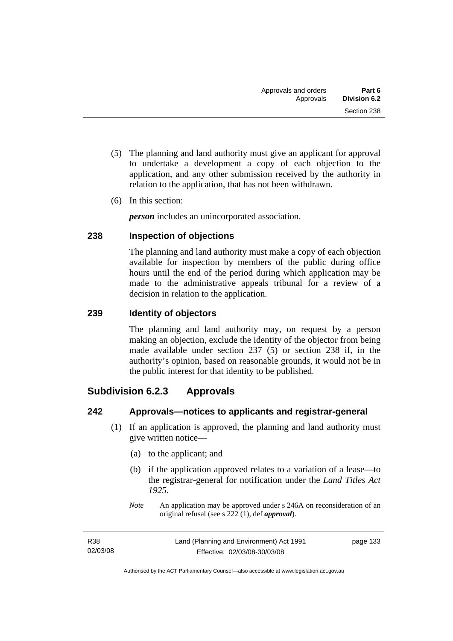- (5) The planning and land authority must give an applicant for approval to undertake a development a copy of each objection to the application, and any other submission received by the authority in relation to the application, that has not been withdrawn.
- (6) In this section:

*person* includes an unincorporated association.

### **238 Inspection of objections**

The planning and land authority must make a copy of each objection available for inspection by members of the public during office hours until the end of the period during which application may be made to the administrative appeals tribunal for a review of a decision in relation to the application.

### **239 Identity of objectors**

The planning and land authority may, on request by a person making an objection, exclude the identity of the objector from being made available under section 237 (5) or section 238 if, in the authority's opinion, based on reasonable grounds, it would not be in the public interest for that identity to be published.

# **Subdivision 6.2.3 Approvals**

### **242 Approvals—notices to applicants and registrar-general**

- (1) If an application is approved, the planning and land authority must give written notice—
	- (a) to the applicant; and
	- (b) if the application approved relates to a variation of a lease—to the registrar-general for notification under the *Land Titles Act 1925*.
	- *Note* An application may be approved under s 246A on reconsideration of an original refusal (see s 222 (1), def *approval*).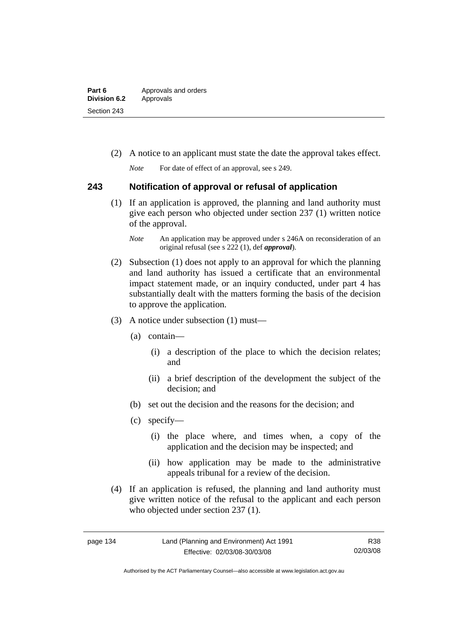| Part 6              | Approvals and orders |
|---------------------|----------------------|
| <b>Division 6.2</b> | Approvals            |
| Section 243         |                      |

(2) A notice to an applicant must state the date the approval takes effect.

*Note* For date of effect of an approval, see s 249.

### **243 Notification of approval or refusal of application**

- (1) If an application is approved, the planning and land authority must give each person who objected under section 237 (1) written notice of the approval.
	- *Note* An application may be approved under s 246A on reconsideration of an original refusal (see s 222 (1), def *approval*).
- (2) Subsection (1) does not apply to an approval for which the planning and land authority has issued a certificate that an environmental impact statement made, or an inquiry conducted, under part 4 has substantially dealt with the matters forming the basis of the decision to approve the application.
- (3) A notice under subsection (1) must—
	- (a) contain—
		- (i) a description of the place to which the decision relates; and
		- (ii) a brief description of the development the subject of the decision; and
	- (b) set out the decision and the reasons for the decision; and
	- (c) specify—
		- (i) the place where, and times when, a copy of the application and the decision may be inspected; and
		- (ii) how application may be made to the administrative appeals tribunal for a review of the decision.
- (4) If an application is refused, the planning and land authority must give written notice of the refusal to the applicant and each person who objected under section 237 (1).

R38 02/03/08

Authorised by the ACT Parliamentary Counsel—also accessible at www.legislation.act.gov.au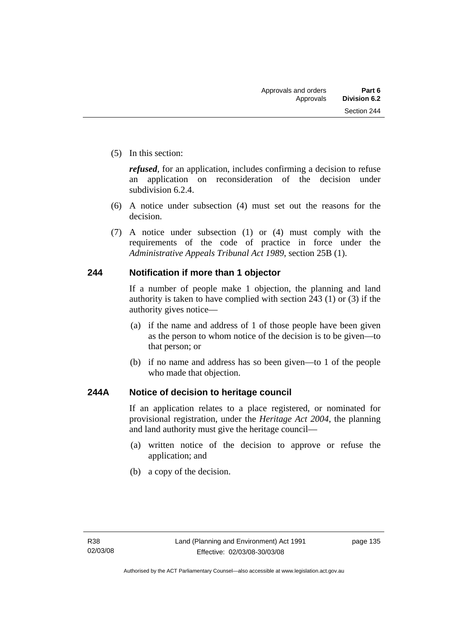(5) In this section:

*refused*, for an application, includes confirming a decision to refuse an application on reconsideration of the decision under subdivision 6.2.4.

- (6) A notice under subsection (4) must set out the reasons for the decision.
- (7) A notice under subsection (1) or (4) must comply with the requirements of the code of practice in force under the *Administrative Appeals Tribunal Act 1989*, section 25B (1).

### **244 Notification if more than 1 objector**

If a number of people make 1 objection, the planning and land authority is taken to have complied with section 243 (1) or (3) if the authority gives notice—

- (a) if the name and address of 1 of those people have been given as the person to whom notice of the decision is to be given—to that person; or
- (b) if no name and address has so been given—to 1 of the people who made that objection.

### **244A Notice of decision to heritage council**

If an application relates to a place registered, or nominated for provisional registration, under the *Heritage Act 2004*, the planning and land authority must give the heritage council—

- (a) written notice of the decision to approve or refuse the application; and
- (b) a copy of the decision.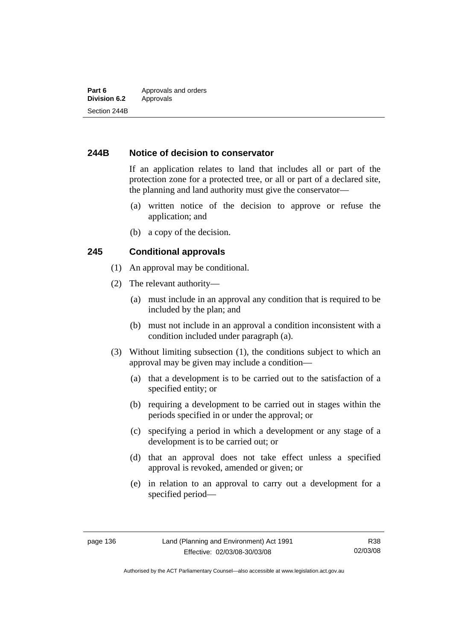### **244B Notice of decision to conservator**

If an application relates to land that includes all or part of the protection zone for a protected tree, or all or part of a declared site, the planning and land authority must give the conservator—

- (a) written notice of the decision to approve or refuse the application; and
- (b) a copy of the decision.

### **245 Conditional approvals**

- (1) An approval may be conditional.
- (2) The relevant authority—
	- (a) must include in an approval any condition that is required to be included by the plan; and
	- (b) must not include in an approval a condition inconsistent with a condition included under paragraph (a).
- (3) Without limiting subsection (1), the conditions subject to which an approval may be given may include a condition—
	- (a) that a development is to be carried out to the satisfaction of a specified entity; or
	- (b) requiring a development to be carried out in stages within the periods specified in or under the approval; or
	- (c) specifying a period in which a development or any stage of a development is to be carried out; or
	- (d) that an approval does not take effect unless a specified approval is revoked, amended or given; or
	- (e) in relation to an approval to carry out a development for a specified period—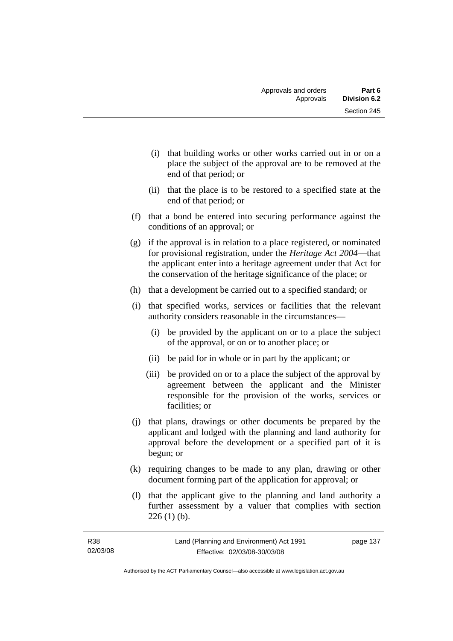- (i) that building works or other works carried out in or on a place the subject of the approval are to be removed at the end of that period; or
- (ii) that the place is to be restored to a specified state at the end of that period; or
- (f) that a bond be entered into securing performance against the conditions of an approval; or
- (g) if the approval is in relation to a place registered, or nominated for provisional registration, under the *Heritage Act 2004*—that the applicant enter into a heritage agreement under that Act for the conservation of the heritage significance of the place; or
- (h) that a development be carried out to a specified standard; or
- (i) that specified works, services or facilities that the relevant authority considers reasonable in the circumstances—
	- (i) be provided by the applicant on or to a place the subject of the approval, or on or to another place; or
	- (ii) be paid for in whole or in part by the applicant; or
	- (iii) be provided on or to a place the subject of the approval by agreement between the applicant and the Minister responsible for the provision of the works, services or facilities; or
- (j) that plans, drawings or other documents be prepared by the applicant and lodged with the planning and land authority for approval before the development or a specified part of it is begun; or
- (k) requiring changes to be made to any plan, drawing or other document forming part of the application for approval; or
- (l) that the applicant give to the planning and land authority a further assessment by a valuer that complies with section  $226(1)(b)$ .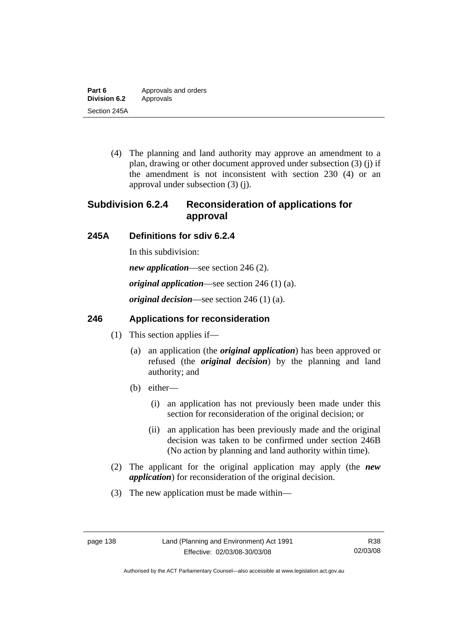(4) The planning and land authority may approve an amendment to a plan, drawing or other document approved under subsection (3) (j) if the amendment is not inconsistent with section 230 (4) or an approval under subsection (3) (j).

# **Subdivision 6.2.4 Reconsideration of applications for approval**

# **245A Definitions for sdiv 6.2.4**

In this subdivision:

*new application*—see section 246 (2).

*original application*—see section 246 (1) (a).

*original decision*—see section 246 (1) (a).

# **246 Applications for reconsideration**

- (1) This section applies if—
	- (a) an application (the *original application*) has been approved or refused (the *original decision*) by the planning and land authority; and
	- (b) either—
		- (i) an application has not previously been made under this section for reconsideration of the original decision; or
		- (ii) an application has been previously made and the original decision was taken to be confirmed under section 246B (No action by planning and land authority within time).
- (2) The applicant for the original application may apply (the *new application*) for reconsideration of the original decision.
- (3) The new application must be made within—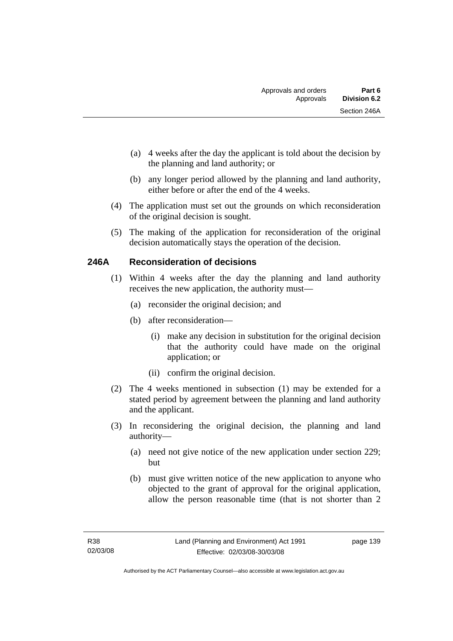- (a) 4 weeks after the day the applicant is told about the decision by the planning and land authority; or
- (b) any longer period allowed by the planning and land authority, either before or after the end of the 4 weeks.
- (4) The application must set out the grounds on which reconsideration of the original decision is sought.
- (5) The making of the application for reconsideration of the original decision automatically stays the operation of the decision.

### **246A Reconsideration of decisions**

- (1) Within 4 weeks after the day the planning and land authority receives the new application, the authority must—
	- (a) reconsider the original decision; and
	- (b) after reconsideration—
		- (i) make any decision in substitution for the original decision that the authority could have made on the original application; or
		- (ii) confirm the original decision.
- (2) The 4 weeks mentioned in subsection (1) may be extended for a stated period by agreement between the planning and land authority and the applicant.
- (3) In reconsidering the original decision, the planning and land authority—
	- (a) need not give notice of the new application under section 229; but
	- (b) must give written notice of the new application to anyone who objected to the grant of approval for the original application, allow the person reasonable time (that is not shorter than 2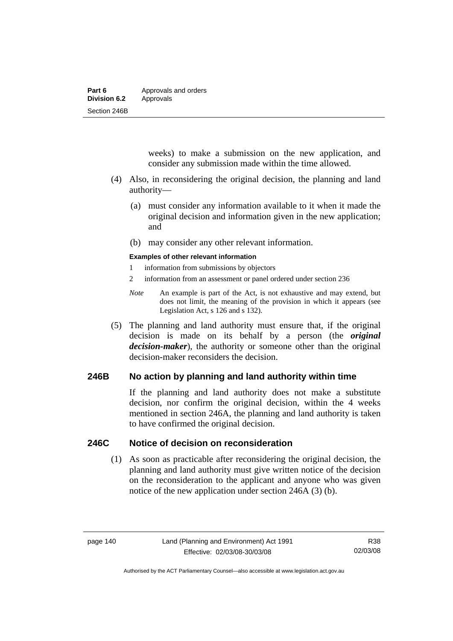| Part 6              | Approvals and orders |
|---------------------|----------------------|
| <b>Division 6.2</b> | Approvals            |
| Section 246B        |                      |

weeks) to make a submission on the new application, and consider any submission made within the time allowed.

- (4) Also, in reconsidering the original decision, the planning and land authority—
	- (a) must consider any information available to it when it made the original decision and information given in the new application; and
	- (b) may consider any other relevant information.

#### **Examples of other relevant information**

- 1 information from submissions by objectors
- 2 information from an assessment or panel ordered under section 236
- *Note* An example is part of the Act, is not exhaustive and may extend, but does not limit, the meaning of the provision in which it appears (see Legislation Act, s 126 and s 132).
- (5) The planning and land authority must ensure that, if the original decision is made on its behalf by a person (the *original decision-maker*), the authority or someone other than the original decision-maker reconsiders the decision.

### **246B No action by planning and land authority within time**

If the planning and land authority does not make a substitute decision, nor confirm the original decision, within the 4 weeks mentioned in section 246A, the planning and land authority is taken to have confirmed the original decision.

### **246C Notice of decision on reconsideration**

 (1) As soon as practicable after reconsidering the original decision, the planning and land authority must give written notice of the decision on the reconsideration to the applicant and anyone who was given notice of the new application under section 246A (3) (b).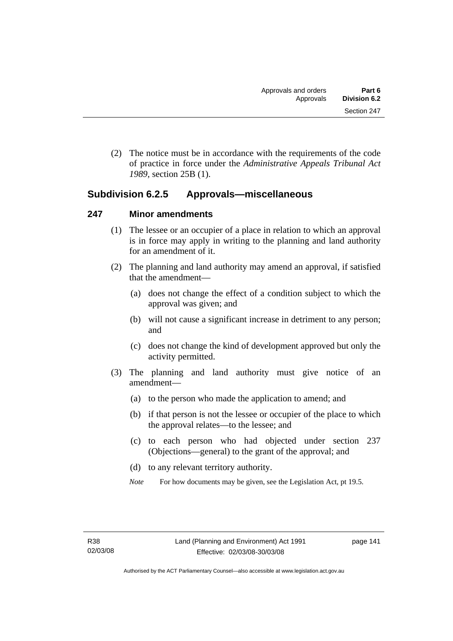(2) The notice must be in accordance with the requirements of the code of practice in force under the *Administrative Appeals Tribunal Act 1989*, section 25B (1).

# **Subdivision 6.2.5 Approvals—miscellaneous**

### **247 Minor amendments**

- (1) The lessee or an occupier of a place in relation to which an approval is in force may apply in writing to the planning and land authority for an amendment of it.
- (2) The planning and land authority may amend an approval, if satisfied that the amendment—
	- (a) does not change the effect of a condition subject to which the approval was given; and
	- (b) will not cause a significant increase in detriment to any person; and
	- (c) does not change the kind of development approved but only the activity permitted.
- (3) The planning and land authority must give notice of an amendment—
	- (a) to the person who made the application to amend; and
	- (b) if that person is not the lessee or occupier of the place to which the approval relates—to the lessee; and
	- (c) to each person who had objected under section 237 (Objections—general) to the grant of the approval; and
	- (d) to any relevant territory authority.
	- *Note* For how documents may be given, see the Legislation Act, pt 19.5.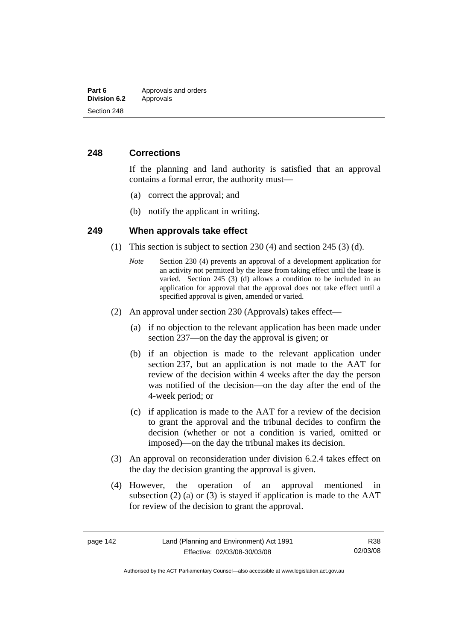### **248 Corrections**

If the planning and land authority is satisfied that an approval contains a formal error, the authority must—

- (a) correct the approval; and
- (b) notify the applicant in writing.

### **249 When approvals take effect**

- (1) This section is subject to section 230 (4) and section 245 (3) (d).
	- *Note* Section 230 (4) prevents an approval of a development application for an activity not permitted by the lease from taking effect until the lease is varied. Section 245 (3) (d) allows a condition to be included in an application for approval that the approval does not take effect until a specified approval is given, amended or varied.
- (2) An approval under section 230 (Approvals) takes effect—
	- (a) if no objection to the relevant application has been made under section 237—on the day the approval is given; or
	- (b) if an objection is made to the relevant application under section 237, but an application is not made to the AAT for review of the decision within 4 weeks after the day the person was notified of the decision—on the day after the end of the 4-week period; or
	- (c) if application is made to the AAT for a review of the decision to grant the approval and the tribunal decides to confirm the decision (whether or not a condition is varied, omitted or imposed)—on the day the tribunal makes its decision.
- (3) An approval on reconsideration under division 6.2.4 takes effect on the day the decision granting the approval is given.
- (4) However, the operation of an approval mentioned in subsection (2) (a) or (3) is stayed if application is made to the  $AAT$ for review of the decision to grant the approval.

Authorised by the ACT Parliamentary Counsel—also accessible at www.legislation.act.gov.au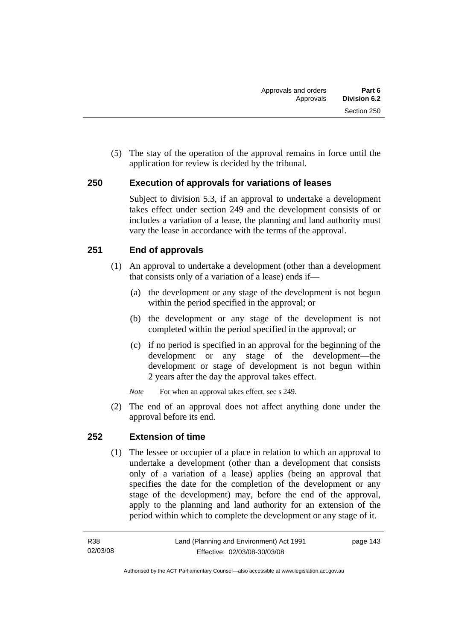(5) The stay of the operation of the approval remains in force until the application for review is decided by the tribunal.

### **250 Execution of approvals for variations of leases**

Subject to division 5.3, if an approval to undertake a development takes effect under section 249 and the development consists of or includes a variation of a lease, the planning and land authority must vary the lease in accordance with the terms of the approval.

### **251 End of approvals**

- (1) An approval to undertake a development (other than a development that consists only of a variation of a lease) ends if—
	- (a) the development or any stage of the development is not begun within the period specified in the approval; or
	- (b) the development or any stage of the development is not completed within the period specified in the approval; or
	- (c) if no period is specified in an approval for the beginning of the development or any stage of the development—the development or stage of development is not begun within 2 years after the day the approval takes effect.
	- *Note* For when an approval takes effect, see s 249.
- (2) The end of an approval does not affect anything done under the approval before its end.

### **252 Extension of time**

 (1) The lessee or occupier of a place in relation to which an approval to undertake a development (other than a development that consists only of a variation of a lease) applies (being an approval that specifies the date for the completion of the development or any stage of the development) may, before the end of the approval, apply to the planning and land authority for an extension of the period within which to complete the development or any stage of it.

page 143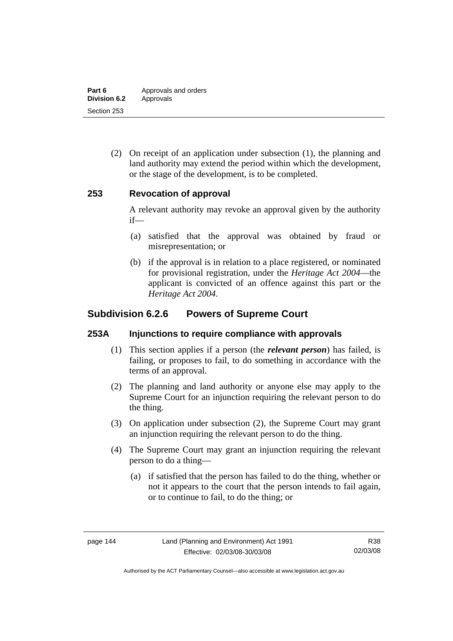| Part 6              | Approvals and orders |
|---------------------|----------------------|
| <b>Division 6.2</b> | Approvals            |
| Section 253         |                      |

 (2) On receipt of an application under subsection (1), the planning and land authority may extend the period within which the development, or the stage of the development, is to be completed.

### **253 Revocation of approval**

A relevant authority may revoke an approval given by the authority if—

- (a) satisfied that the approval was obtained by fraud or misrepresentation; or
- (b) if the approval is in relation to a place registered, or nominated for provisional registration, under the *Heritage Act 2004*—the applicant is convicted of an offence against this part or the *Heritage Act 2004*.

# **Subdivision 6.2.6 Powers of Supreme Court**

### **253A Injunctions to require compliance with approvals**

- (1) This section applies if a person (the *relevant person*) has failed, is failing, or proposes to fail, to do something in accordance with the terms of an approval.
- (2) The planning and land authority or anyone else may apply to the Supreme Court for an injunction requiring the relevant person to do the thing.
- (3) On application under subsection (2), the Supreme Court may grant an injunction requiring the relevant person to do the thing.
- (4) The Supreme Court may grant an injunction requiring the relevant person to do a thing—
	- (a) if satisfied that the person has failed to do the thing, whether or not it appears to the court that the person intends to fail again, or to continue to fail, to do the thing; or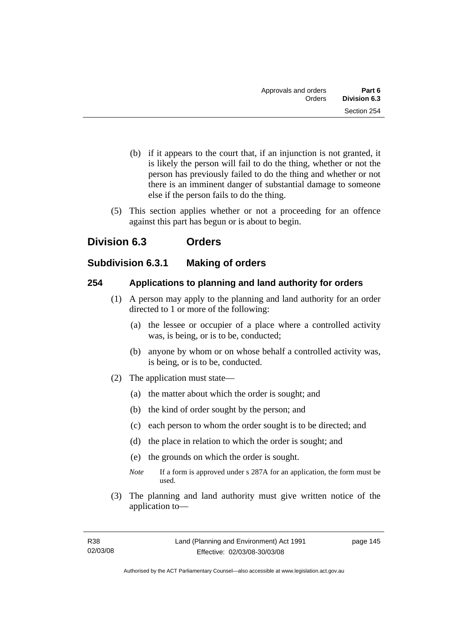- (b) if it appears to the court that, if an injunction is not granted, it is likely the person will fail to do the thing, whether or not the person has previously failed to do the thing and whether or not there is an imminent danger of substantial damage to someone else if the person fails to do the thing.
- (5) This section applies whether or not a proceeding for an offence against this part has begun or is about to begin.

# **Division 6.3 Orders**

# **Subdivision 6.3.1 Making of orders**

### **254 Applications to planning and land authority for orders**

- (1) A person may apply to the planning and land authority for an order directed to 1 or more of the following:
	- (a) the lessee or occupier of a place where a controlled activity was, is being, or is to be, conducted;
	- (b) anyone by whom or on whose behalf a controlled activity was, is being, or is to be, conducted.
- (2) The application must state—
	- (a) the matter about which the order is sought; and
	- (b) the kind of order sought by the person; and
	- (c) each person to whom the order sought is to be directed; and
	- (d) the place in relation to which the order is sought; and
	- (e) the grounds on which the order is sought.
	- *Note* If a form is approved under s 287A for an application, the form must be used.
- (3) The planning and land authority must give written notice of the application to—

page 145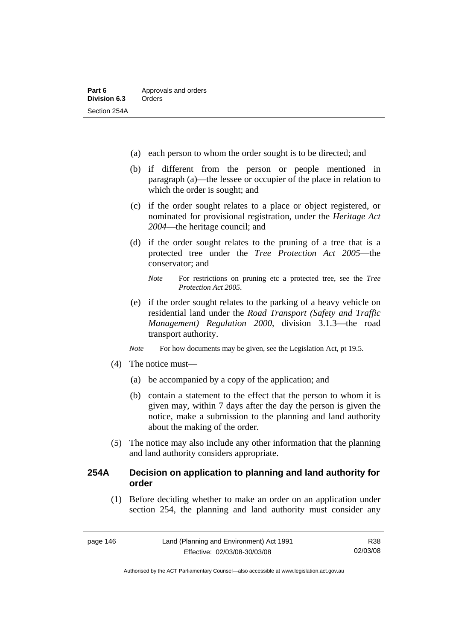- (a) each person to whom the order sought is to be directed; and
- (b) if different from the person or people mentioned in paragraph (a)—the lessee or occupier of the place in relation to which the order is sought; and
- (c) if the order sought relates to a place or object registered, or nominated for provisional registration, under the *Heritage Act 2004*—the heritage council; and
- (d) if the order sought relates to the pruning of a tree that is a protected tree under the *Tree Protection Act 2005*—the conservator; and
	- *Note* For restrictions on pruning etc a protected tree, see the *Tree Protection Act 2005*.
- (e) if the order sought relates to the parking of a heavy vehicle on residential land under the *Road Transport (Safety and Traffic Management) Regulation 2000*, division 3.1.3—the road transport authority.
- *Note* For how documents may be given, see the Legislation Act, pt 19.5.
- (4) The notice must—
	- (a) be accompanied by a copy of the application; and
	- (b) contain a statement to the effect that the person to whom it is given may, within 7 days after the day the person is given the notice, make a submission to the planning and land authority about the making of the order.
- (5) The notice may also include any other information that the planning and land authority considers appropriate.

### **254A Decision on application to planning and land authority for order**

 (1) Before deciding whether to make an order on an application under section 254, the planning and land authority must consider any

Authorised by the ACT Parliamentary Counsel—also accessible at www.legislation.act.gov.au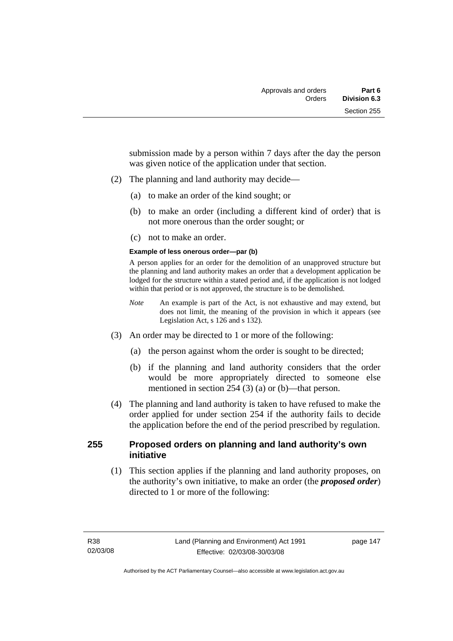submission made by a person within 7 days after the day the person was given notice of the application under that section.

- (2) The planning and land authority may decide—
	- (a) to make an order of the kind sought; or
	- (b) to make an order (including a different kind of order) that is not more onerous than the order sought; or
	- (c) not to make an order.

#### **Example of less onerous order—par (b)**

A person applies for an order for the demolition of an unapproved structure but the planning and land authority makes an order that a development application be lodged for the structure within a stated period and, if the application is not lodged within that period or is not approved, the structure is to be demolished.

- *Note* An example is part of the Act, is not exhaustive and may extend, but does not limit, the meaning of the provision in which it appears (see Legislation Act, s 126 and s 132).
- (3) An order may be directed to 1 or more of the following:
	- (a) the person against whom the order is sought to be directed;
	- (b) if the planning and land authority considers that the order would be more appropriately directed to someone else mentioned in section 254 (3) (a) or (b)—that person.
- (4) The planning and land authority is taken to have refused to make the order applied for under section 254 if the authority fails to decide the application before the end of the period prescribed by regulation.

### **255 Proposed orders on planning and land authority's own initiative**

 (1) This section applies if the planning and land authority proposes, on the authority's own initiative, to make an order (the *proposed order*) directed to 1 or more of the following: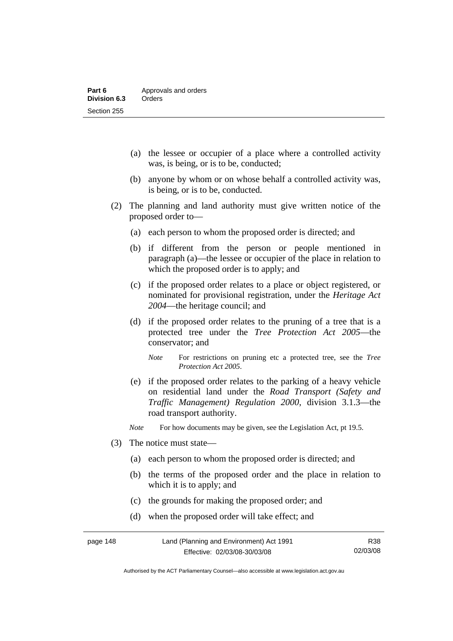- (a) the lessee or occupier of a place where a controlled activity was, is being, or is to be, conducted;
- (b) anyone by whom or on whose behalf a controlled activity was, is being, or is to be, conducted.
- (2) The planning and land authority must give written notice of the proposed order to—
	- (a) each person to whom the proposed order is directed; and
	- (b) if different from the person or people mentioned in paragraph (a)—the lessee or occupier of the place in relation to which the proposed order is to apply; and
	- (c) if the proposed order relates to a place or object registered, or nominated for provisional registration, under the *Heritage Act 2004*—the heritage council; and
	- (d) if the proposed order relates to the pruning of a tree that is a protected tree under the *Tree Protection Act 2005*—the conservator; and
		- *Note* For restrictions on pruning etc a protected tree, see the *Tree Protection Act 2005*.
	- (e) if the proposed order relates to the parking of a heavy vehicle on residential land under the *Road Transport (Safety and Traffic Management) Regulation 2000*, division 3.1.3—the road transport authority.

*Note* For how documents may be given, see the Legislation Act, pt 19.5.

- (3) The notice must state—
	- (a) each person to whom the proposed order is directed; and
	- (b) the terms of the proposed order and the place in relation to which it is to apply; and
	- (c) the grounds for making the proposed order; and
	- (d) when the proposed order will take effect; and

| page 148 | Land (Planning and Environment) Act 1991 | R38      |
|----------|------------------------------------------|----------|
|          | Effective: 02/03/08-30/03/08             | 02/03/08 |

Authorised by the ACT Parliamentary Counsel—also accessible at www.legislation.act.gov.au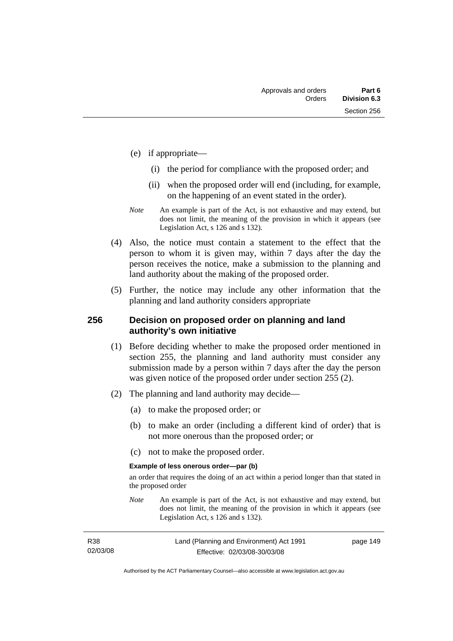- (e) if appropriate—
	- (i) the period for compliance with the proposed order; and
	- (ii) when the proposed order will end (including, for example, on the happening of an event stated in the order).
- *Note* An example is part of the Act, is not exhaustive and may extend, but does not limit, the meaning of the provision in which it appears (see Legislation Act, s 126 and s 132).
- (4) Also, the notice must contain a statement to the effect that the person to whom it is given may, within 7 days after the day the person receives the notice, make a submission to the planning and land authority about the making of the proposed order.
- (5) Further, the notice may include any other information that the planning and land authority considers appropriate

### **256 Decision on proposed order on planning and land authority's own initiative**

- (1) Before deciding whether to make the proposed order mentioned in section 255, the planning and land authority must consider any submission made by a person within 7 days after the day the person was given notice of the proposed order under section 255 (2).
- (2) The planning and land authority may decide—
	- (a) to make the proposed order; or
	- (b) to make an order (including a different kind of order) that is not more onerous than the proposed order; or
	- (c) not to make the proposed order.

#### **Example of less onerous order—par (b)**

an order that requires the doing of an act within a period longer than that stated in the proposed order

*Note* An example is part of the Act, is not exhaustive and may extend, but does not limit, the meaning of the provision in which it appears (see Legislation Act, s 126 and s 132).

| R38      | Land (Planning and Environment) Act 1991 | page 149 |
|----------|------------------------------------------|----------|
| 02/03/08 | Effective: 02/03/08-30/03/08             |          |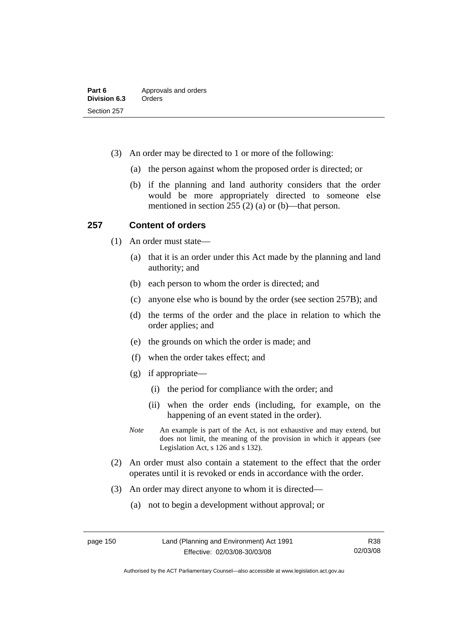- (3) An order may be directed to 1 or more of the following:
	- (a) the person against whom the proposed order is directed; or
	- (b) if the planning and land authority considers that the order would be more appropriately directed to someone else mentioned in section 255 (2) (a) or (b)—that person.

### **257 Content of orders**

- (1) An order must state—
	- (a) that it is an order under this Act made by the planning and land authority; and
	- (b) each person to whom the order is directed; and
	- (c) anyone else who is bound by the order (see section 257B); and
	- (d) the terms of the order and the place in relation to which the order applies; and
	- (e) the grounds on which the order is made; and
	- (f) when the order takes effect; and
	- (g) if appropriate—
		- (i) the period for compliance with the order; and
		- (ii) when the order ends (including, for example, on the happening of an event stated in the order).
	- *Note* An example is part of the Act, is not exhaustive and may extend, but does not limit, the meaning of the provision in which it appears (see Legislation Act, s 126 and s 132).
- (2) An order must also contain a statement to the effect that the order operates until it is revoked or ends in accordance with the order.
- (3) An order may direct anyone to whom it is directed—
	- (a) not to begin a development without approval; or

Authorised by the ACT Parliamentary Counsel—also accessible at www.legislation.act.gov.au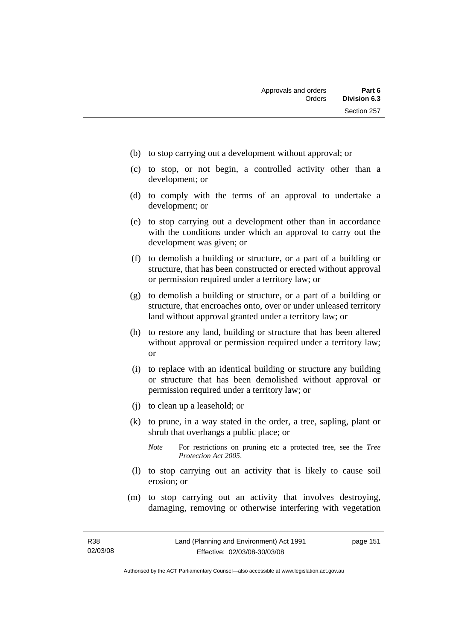- (b) to stop carrying out a development without approval; or
- (c) to stop, or not begin, a controlled activity other than a development; or
- (d) to comply with the terms of an approval to undertake a development; or
- (e) to stop carrying out a development other than in accordance with the conditions under which an approval to carry out the development was given; or
- (f) to demolish a building or structure, or a part of a building or structure, that has been constructed or erected without approval or permission required under a territory law; or
- (g) to demolish a building or structure, or a part of a building or structure, that encroaches onto, over or under unleased territory land without approval granted under a territory law; or
- (h) to restore any land, building or structure that has been altered without approval or permission required under a territory law; or
- (i) to replace with an identical building or structure any building or structure that has been demolished without approval or permission required under a territory law; or
- (j) to clean up a leasehold; or
- (k) to prune, in a way stated in the order, a tree, sapling, plant or shrub that overhangs a public place; or
	- *Note* For restrictions on pruning etc a protected tree, see the *Tree Protection Act 2005*.
- (l) to stop carrying out an activity that is likely to cause soil erosion; or
- (m) to stop carrying out an activity that involves destroying, damaging, removing or otherwise interfering with vegetation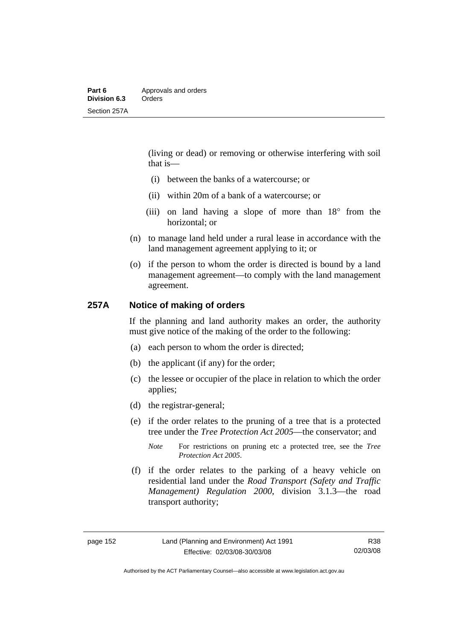(living or dead) or removing or otherwise interfering with soil that is—

- (i) between the banks of a watercourse; or
- (ii) within 20m of a bank of a watercourse; or
- (iii) on land having a slope of more than 18° from the horizontal; or
- (n) to manage land held under a rural lease in accordance with the land management agreement applying to it; or
- (o) if the person to whom the order is directed is bound by a land management agreement—to comply with the land management agreement.

### **257A Notice of making of orders**

If the planning and land authority makes an order, the authority must give notice of the making of the order to the following:

- (a) each person to whom the order is directed;
- (b) the applicant (if any) for the order;
- (c) the lessee or occupier of the place in relation to which the order applies;
- (d) the registrar-general;
- (e) if the order relates to the pruning of a tree that is a protected tree under the *Tree Protection Act 2005*—the conservator; and
	- *Note* For restrictions on pruning etc a protected tree, see the *Tree Protection Act 2005*.
- (f) if the order relates to the parking of a heavy vehicle on residential land under the *Road Transport (Safety and Traffic Management) Regulation 2000*, division 3.1.3—the road transport authority;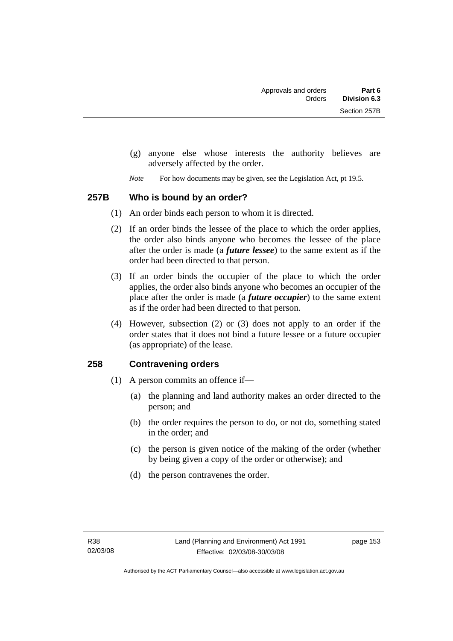- (g) anyone else whose interests the authority believes are adversely affected by the order.
- *Note* For how documents may be given, see the Legislation Act, pt 19.5.

### **257B Who is bound by an order?**

- (1) An order binds each person to whom it is directed.
- (2) If an order binds the lessee of the place to which the order applies, the order also binds anyone who becomes the lessee of the place after the order is made (a *future lessee*) to the same extent as if the order had been directed to that person.
- (3) If an order binds the occupier of the place to which the order applies, the order also binds anyone who becomes an occupier of the place after the order is made (a *future occupier*) to the same extent as if the order had been directed to that person.
- (4) However, subsection (2) or (3) does not apply to an order if the order states that it does not bind a future lessee or a future occupier (as appropriate) of the lease.

### **258 Contravening orders**

- (1) A person commits an offence if—
	- (a) the planning and land authority makes an order directed to the person; and
	- (b) the order requires the person to do, or not do, something stated in the order; and
	- (c) the person is given notice of the making of the order (whether by being given a copy of the order or otherwise); and
	- (d) the person contravenes the order.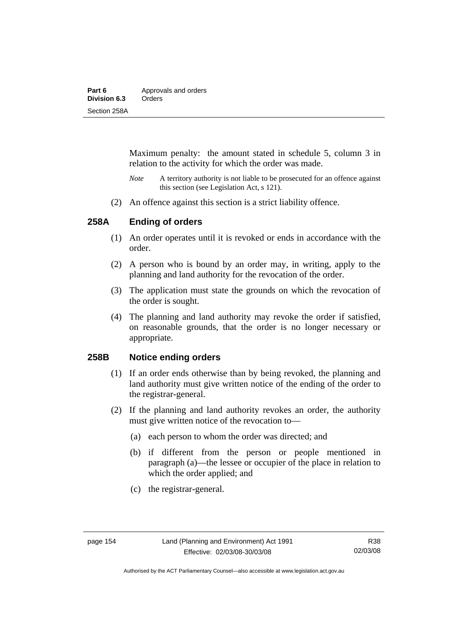| Part 6       | Approvals and orders |
|--------------|----------------------|
| Division 6.3 | Orders               |
| Section 258A |                      |

Maximum penalty: the amount stated in schedule 5, column 3 in relation to the activity for which the order was made.

- *Note* A territory authority is not liable to be prosecuted for an offence against this section (see Legislation Act, s 121).
- (2) An offence against this section is a strict liability offence.

### **258A Ending of orders**

- (1) An order operates until it is revoked or ends in accordance with the order.
- (2) A person who is bound by an order may, in writing, apply to the planning and land authority for the revocation of the order.
- (3) The application must state the grounds on which the revocation of the order is sought.
- (4) The planning and land authority may revoke the order if satisfied, on reasonable grounds, that the order is no longer necessary or appropriate.

### **258B Notice ending orders**

- (1) If an order ends otherwise than by being revoked, the planning and land authority must give written notice of the ending of the order to the registrar-general.
- (2) If the planning and land authority revokes an order, the authority must give written notice of the revocation to—
	- (a) each person to whom the order was directed; and
	- (b) if different from the person or people mentioned in paragraph (a)—the lessee or occupier of the place in relation to which the order applied; and
	- (c) the registrar-general.

Authorised by the ACT Parliamentary Counsel—also accessible at www.legislation.act.gov.au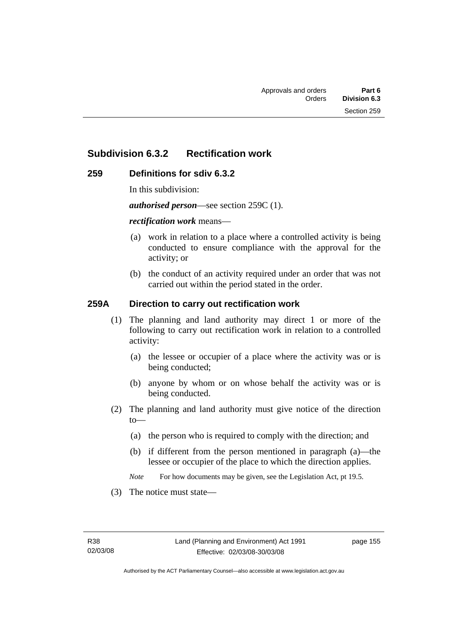# **Subdivision 6.3.2 Rectification work**

### **259 Definitions for sdiv 6.3.2**

In this subdivision:

*authorised person*—see section 259C (1).

#### *rectification work* means—

- (a) work in relation to a place where a controlled activity is being conducted to ensure compliance with the approval for the activity; or
- (b) the conduct of an activity required under an order that was not carried out within the period stated in the order.

### **259A Direction to carry out rectification work**

- (1) The planning and land authority may direct 1 or more of the following to carry out rectification work in relation to a controlled activity:
	- (a) the lessee or occupier of a place where the activity was or is being conducted;
	- (b) anyone by whom or on whose behalf the activity was or is being conducted.
- (2) The planning and land authority must give notice of the direction to—
	- (a) the person who is required to comply with the direction; and
	- (b) if different from the person mentioned in paragraph (a)—the lessee or occupier of the place to which the direction applies.
	- *Note* For how documents may be given, see the Legislation Act, pt 19.5.
- (3) The notice must state—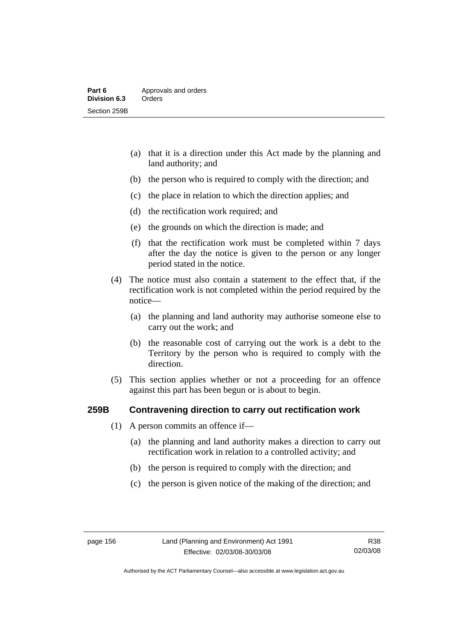- (a) that it is a direction under this Act made by the planning and land authority; and
- (b) the person who is required to comply with the direction; and
- (c) the place in relation to which the direction applies; and
- (d) the rectification work required; and
- (e) the grounds on which the direction is made; and
- (f) that the rectification work must be completed within 7 days after the day the notice is given to the person or any longer period stated in the notice.
- (4) The notice must also contain a statement to the effect that, if the rectification work is not completed within the period required by the notice—
	- (a) the planning and land authority may authorise someone else to carry out the work; and
	- (b) the reasonable cost of carrying out the work is a debt to the Territory by the person who is required to comply with the direction.
- (5) This section applies whether or not a proceeding for an offence against this part has been begun or is about to begin.

### **259B Contravening direction to carry out rectification work**

- (1) A person commits an offence if—
	- (a) the planning and land authority makes a direction to carry out rectification work in relation to a controlled activity; and
	- (b) the person is required to comply with the direction; and
	- (c) the person is given notice of the making of the direction; and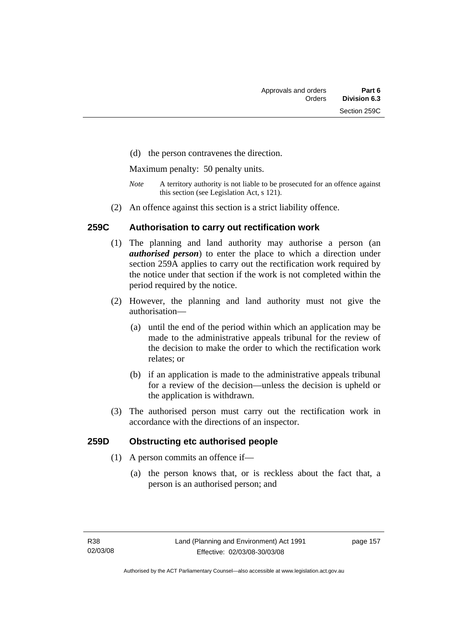(d) the person contravenes the direction.

Maximum penalty: 50 penalty units.

- *Note* A territory authority is not liable to be prosecuted for an offence against this section (see Legislation Act, s 121).
- (2) An offence against this section is a strict liability offence.

### **259C Authorisation to carry out rectification work**

- (1) The planning and land authority may authorise a person (an *authorised person*) to enter the place to which a direction under section 259A applies to carry out the rectification work required by the notice under that section if the work is not completed within the period required by the notice.
- (2) However, the planning and land authority must not give the authorisation—
	- (a) until the end of the period within which an application may be made to the administrative appeals tribunal for the review of the decision to make the order to which the rectification work relates; or
	- (b) if an application is made to the administrative appeals tribunal for a review of the decision—unless the decision is upheld or the application is withdrawn.
- (3) The authorised person must carry out the rectification work in accordance with the directions of an inspector.

### **259D Obstructing etc authorised people**

- (1) A person commits an offence if—
	- (a) the person knows that, or is reckless about the fact that, a person is an authorised person; and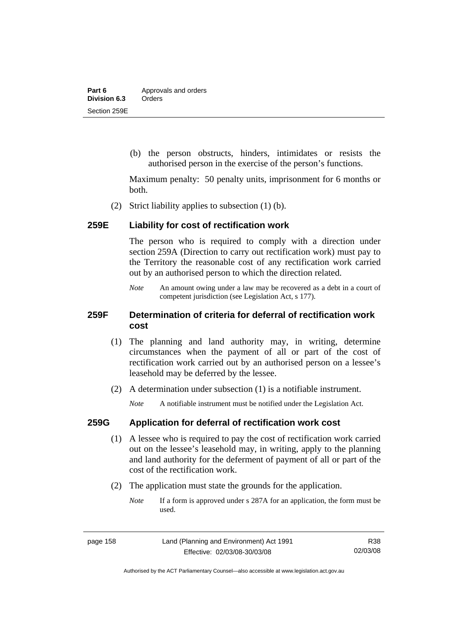(b) the person obstructs, hinders, intimidates or resists the authorised person in the exercise of the person's functions.

Maximum penalty: 50 penalty units, imprisonment for 6 months or both.

(2) Strict liability applies to subsection (1) (b).

### **259E Liability for cost of rectification work**

The person who is required to comply with a direction under section 259A (Direction to carry out rectification work) must pay to the Territory the reasonable cost of any rectification work carried out by an authorised person to which the direction related.

*Note* An amount owing under a law may be recovered as a debt in a court of competent jurisdiction (see Legislation Act, s 177).

### **259F Determination of criteria for deferral of rectification work cost**

- (1) The planning and land authority may, in writing, determine circumstances when the payment of all or part of the cost of rectification work carried out by an authorised person on a lessee's leasehold may be deferred by the lessee.
- (2) A determination under subsection (1) is a notifiable instrument.

*Note* A notifiable instrument must be notified under the Legislation Act.

### **259G Application for deferral of rectification work cost**

- (1) A lessee who is required to pay the cost of rectification work carried out on the lessee's leasehold may, in writing, apply to the planning and land authority for the deferment of payment of all or part of the cost of the rectification work.
- (2) The application must state the grounds for the application.
	- *Note* If a form is approved under s 287A for an application, the form must be used.

Authorised by the ACT Parliamentary Counsel—also accessible at www.legislation.act.gov.au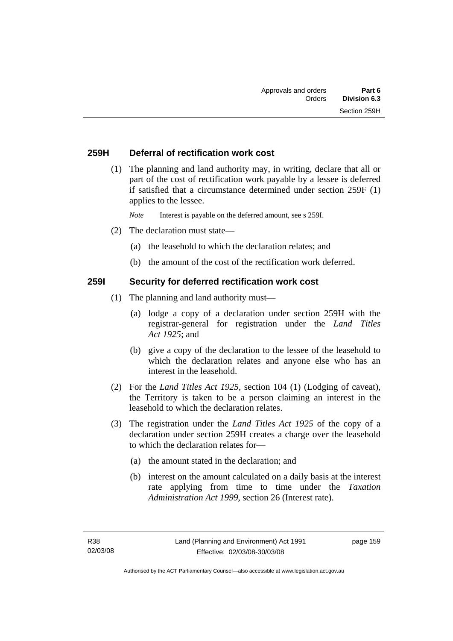### **259H Deferral of rectification work cost**

 (1) The planning and land authority may, in writing, declare that all or part of the cost of rectification work payable by a lessee is deferred if satisfied that a circumstance determined under section 259F (1) applies to the lessee.

*Note* Interest is payable on the deferred amount, see s 259I.

- (2) The declaration must state—
	- (a) the leasehold to which the declaration relates; and
	- (b) the amount of the cost of the rectification work deferred.

### **259I Security for deferred rectification work cost**

- (1) The planning and land authority must—
	- (a) lodge a copy of a declaration under section 259H with the registrar-general for registration under the *Land Titles Act 1925*; and
	- (b) give a copy of the declaration to the lessee of the leasehold to which the declaration relates and anyone else who has an interest in the leasehold.
- (2) For the *Land Titles Act 1925*, section 104 (1) (Lodging of caveat), the Territory is taken to be a person claiming an interest in the leasehold to which the declaration relates.
- (3) The registration under the *Land Titles Act 1925* of the copy of a declaration under section 259H creates a charge over the leasehold to which the declaration relates for—
	- (a) the amount stated in the declaration; and
	- (b) interest on the amount calculated on a daily basis at the interest rate applying from time to time under the *Taxation Administration Act 1999*, section 26 (Interest rate).

page 159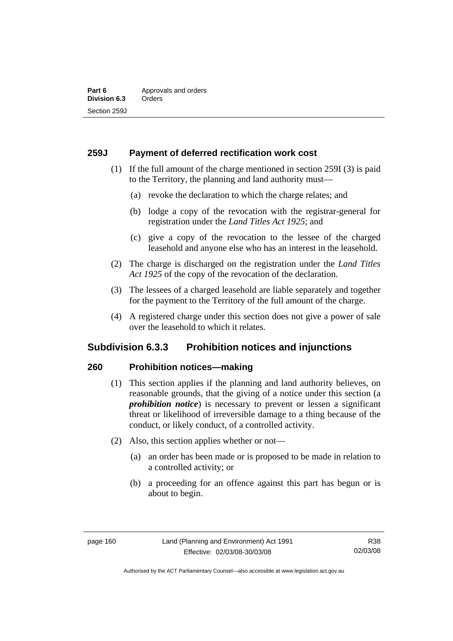### **259J Payment of deferred rectification work cost**

- (1) If the full amount of the charge mentioned in section 259I (3) is paid to the Territory, the planning and land authority must—
	- (a) revoke the declaration to which the charge relates; and
	- (b) lodge a copy of the revocation with the registrar-general for registration under the *Land Titles Act 1925*; and
	- (c) give a copy of the revocation to the lessee of the charged leasehold and anyone else who has an interest in the leasehold.
- (2) The charge is discharged on the registration under the *Land Titles Act 1925* of the copy of the revocation of the declaration.
- (3) The lessees of a charged leasehold are liable separately and together for the payment to the Territory of the full amount of the charge.
- (4) A registered charge under this section does not give a power of sale over the leasehold to which it relates.

# **Subdivision 6.3.3 Prohibition notices and injunctions**

### **260 Prohibition notices—making**

- (1) This section applies if the planning and land authority believes, on reasonable grounds, that the giving of a notice under this section (a *prohibition notice*) is necessary to prevent or lessen a significant threat or likelihood of irreversible damage to a thing because of the conduct, or likely conduct, of a controlled activity.
- (2) Also, this section applies whether or not—
	- (a) an order has been made or is proposed to be made in relation to a controlled activity; or
	- (b) a proceeding for an offence against this part has begun or is about to begin.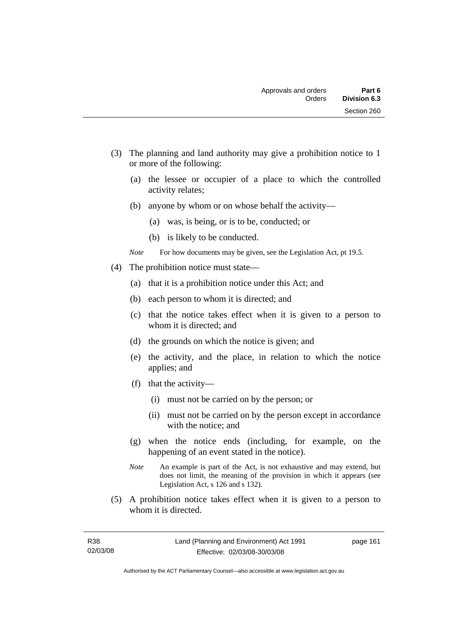- (3) The planning and land authority may give a prohibition notice to 1 or more of the following:
	- (a) the lessee or occupier of a place to which the controlled activity relates;
	- (b) anyone by whom or on whose behalf the activity—
		- (a) was, is being, or is to be, conducted; or
		- (b) is likely to be conducted.
	- *Note* For how documents may be given, see the Legislation Act, pt 19.5.
- (4) The prohibition notice must state—
	- (a) that it is a prohibition notice under this Act; and
	- (b) each person to whom it is directed; and
	- (c) that the notice takes effect when it is given to a person to whom it is directed; and
	- (d) the grounds on which the notice is given; and
	- (e) the activity, and the place, in relation to which the notice applies; and
	- (f) that the activity—
		- (i) must not be carried on by the person; or
		- (ii) must not be carried on by the person except in accordance with the notice; and
	- (g) when the notice ends (including, for example, on the happening of an event stated in the notice).
	- *Note* An example is part of the Act, is not exhaustive and may extend, but does not limit, the meaning of the provision in which it appears (see Legislation Act, s 126 and s 132).
- (5) A prohibition notice takes effect when it is given to a person to whom it is directed.

page 161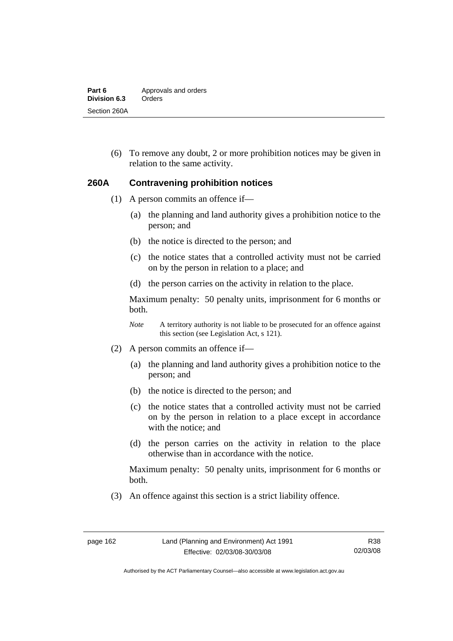| Part 6       | Approvals and orders |
|--------------|----------------------|
| Division 6.3 | Orders               |
| Section 260A |                      |

 (6) To remove any doubt, 2 or more prohibition notices may be given in relation to the same activity.

#### **260A Contravening prohibition notices**

- (1) A person commits an offence if—
	- (a) the planning and land authority gives a prohibition notice to the person; and
	- (b) the notice is directed to the person; and
	- (c) the notice states that a controlled activity must not be carried on by the person in relation to a place; and
	- (d) the person carries on the activity in relation to the place.

Maximum penalty: 50 penalty units, imprisonment for 6 months or both.

*Note* A territory authority is not liable to be prosecuted for an offence against this section (see Legislation Act, s 121).

- (2) A person commits an offence if—
	- (a) the planning and land authority gives a prohibition notice to the person; and
	- (b) the notice is directed to the person; and
	- (c) the notice states that a controlled activity must not be carried on by the person in relation to a place except in accordance with the notice; and
	- (d) the person carries on the activity in relation to the place otherwise than in accordance with the notice.

Maximum penalty: 50 penalty units, imprisonment for 6 months or both.

(3) An offence against this section is a strict liability offence.

Authorised by the ACT Parliamentary Counsel—also accessible at www.legislation.act.gov.au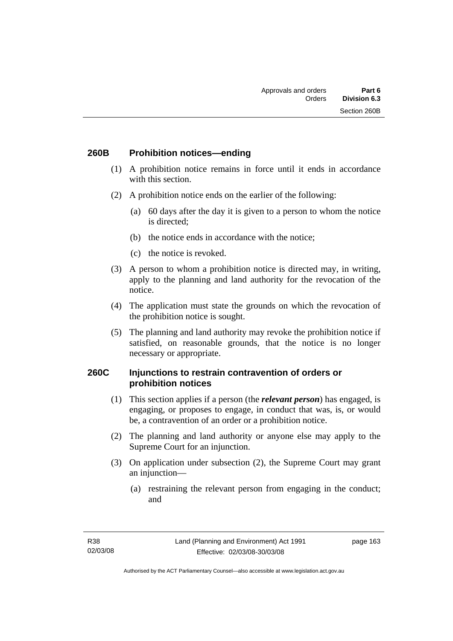### **260B Prohibition notices—ending**

- (1) A prohibition notice remains in force until it ends in accordance with this section.
- (2) A prohibition notice ends on the earlier of the following:
	- (a) 60 days after the day it is given to a person to whom the notice is directed;
	- (b) the notice ends in accordance with the notice;
	- (c) the notice is revoked.
- (3) A person to whom a prohibition notice is directed may, in writing, apply to the planning and land authority for the revocation of the notice.
- (4) The application must state the grounds on which the revocation of the prohibition notice is sought.
- (5) The planning and land authority may revoke the prohibition notice if satisfied, on reasonable grounds, that the notice is no longer necessary or appropriate.

### **260C Injunctions to restrain contravention of orders or prohibition notices**

- (1) This section applies if a person (the *relevant person*) has engaged, is engaging, or proposes to engage, in conduct that was, is, or would be, a contravention of an order or a prohibition notice.
- (2) The planning and land authority or anyone else may apply to the Supreme Court for an injunction.
- (3) On application under subsection (2), the Supreme Court may grant an injunction—
	- (a) restraining the relevant person from engaging in the conduct; and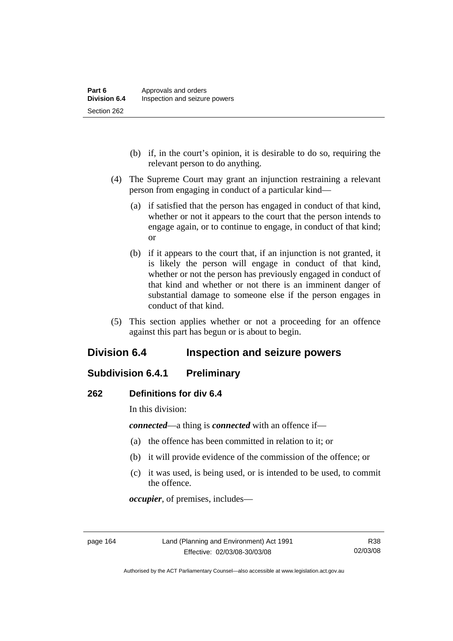- (b) if, in the court's opinion, it is desirable to do so, requiring the relevant person to do anything.
- (4) The Supreme Court may grant an injunction restraining a relevant person from engaging in conduct of a particular kind—
	- (a) if satisfied that the person has engaged in conduct of that kind, whether or not it appears to the court that the person intends to engage again, or to continue to engage, in conduct of that kind; or
	- (b) if it appears to the court that, if an injunction is not granted, it is likely the person will engage in conduct of that kind, whether or not the person has previously engaged in conduct of that kind and whether or not there is an imminent danger of substantial damage to someone else if the person engages in conduct of that kind.
- (5) This section applies whether or not a proceeding for an offence against this part has begun or is about to begin.

# **Division 6.4 Inspection and seizure powers**

# **Subdivision 6.4.1 Preliminary**

### **262 Definitions for div 6.4**

In this division:

*connected*—a thing is *connected* with an offence if—

- (a) the offence has been committed in relation to it; or
- (b) it will provide evidence of the commission of the offence; or
- (c) it was used, is being used, or is intended to be used, to commit the offence.

*occupier*, of premises, includes—

Authorised by the ACT Parliamentary Counsel—also accessible at www.legislation.act.gov.au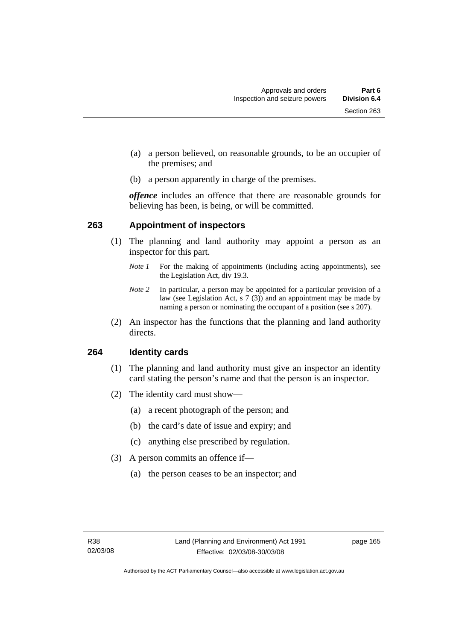- (a) a person believed, on reasonable grounds, to be an occupier of the premises; and
- (b) a person apparently in charge of the premises.

*offence* includes an offence that there are reasonable grounds for believing has been, is being, or will be committed.

### **263 Appointment of inspectors**

- (1) The planning and land authority may appoint a person as an inspector for this part.
	- *Note 1* For the making of appointments (including acting appointments), see the Legislation Act, div 19.3.
	- *Note 2* In particular, a person may be appointed for a particular provision of a law (see Legislation Act, s 7 (3)) and an appointment may be made by naming a person or nominating the occupant of a position (see s 207).
- (2) An inspector has the functions that the planning and land authority directs.

### **264 Identity cards**

- (1) The planning and land authority must give an inspector an identity card stating the person's name and that the person is an inspector.
- (2) The identity card must show—
	- (a) a recent photograph of the person; and
	- (b) the card's date of issue and expiry; and
	- (c) anything else prescribed by regulation.
- (3) A person commits an offence if—
	- (a) the person ceases to be an inspector; and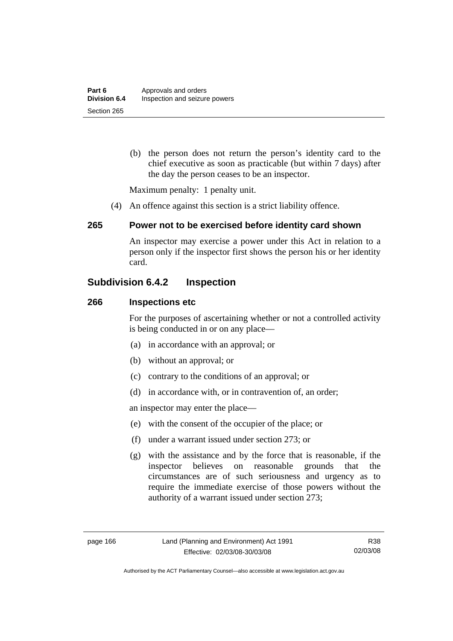(b) the person does not return the person's identity card to the chief executive as soon as practicable (but within 7 days) after the day the person ceases to be an inspector.

Maximum penalty: 1 penalty unit.

(4) An offence against this section is a strict liability offence.

### **265 Power not to be exercised before identity card shown**

An inspector may exercise a power under this Act in relation to a person only if the inspector first shows the person his or her identity card.

# **Subdivision 6.4.2 Inspection**

### **266 Inspections etc**

For the purposes of ascertaining whether or not a controlled activity is being conducted in or on any place—

- (a) in accordance with an approval; or
- (b) without an approval; or
- (c) contrary to the conditions of an approval; or
- (d) in accordance with, or in contravention of, an order;

an inspector may enter the place—

- (e) with the consent of the occupier of the place; or
- (f) under a warrant issued under section 273; or
- (g) with the assistance and by the force that is reasonable, if the inspector believes on reasonable grounds that the circumstances are of such seriousness and urgency as to require the immediate exercise of those powers without the authority of a warrant issued under section 273;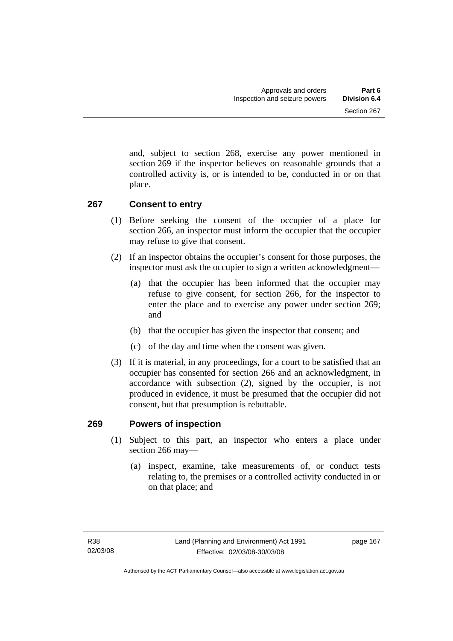and, subject to section 268, exercise any power mentioned in section 269 if the inspector believes on reasonable grounds that a controlled activity is, or is intended to be, conducted in or on that place.

# **267 Consent to entry**

- (1) Before seeking the consent of the occupier of a place for section 266, an inspector must inform the occupier that the occupier may refuse to give that consent.
- (2) If an inspector obtains the occupier's consent for those purposes, the inspector must ask the occupier to sign a written acknowledgment—
	- (a) that the occupier has been informed that the occupier may refuse to give consent, for section 266, for the inspector to enter the place and to exercise any power under section 269; and
	- (b) that the occupier has given the inspector that consent; and
	- (c) of the day and time when the consent was given.
- (3) If it is material, in any proceedings, for a court to be satisfied that an occupier has consented for section 266 and an acknowledgment, in accordance with subsection (2), signed by the occupier, is not produced in evidence, it must be presumed that the occupier did not consent, but that presumption is rebuttable.

# **269 Powers of inspection**

- (1) Subject to this part, an inspector who enters a place under section 266 may—
	- (a) inspect, examine, take measurements of, or conduct tests relating to, the premises or a controlled activity conducted in or on that place; and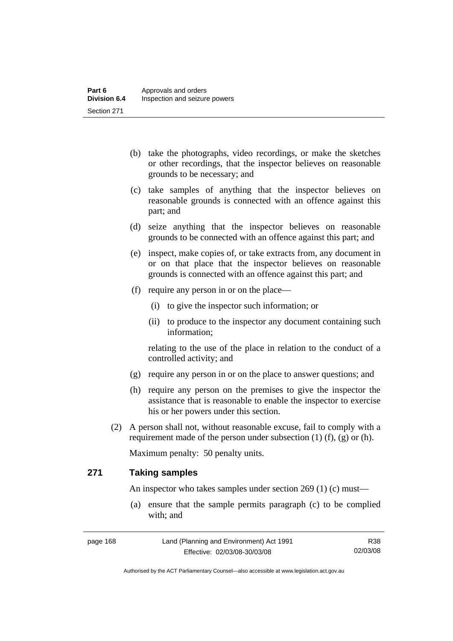- (b) take the photographs, video recordings, or make the sketches or other recordings, that the inspector believes on reasonable grounds to be necessary; and
- (c) take samples of anything that the inspector believes on reasonable grounds is connected with an offence against this part; and
- (d) seize anything that the inspector believes on reasonable grounds to be connected with an offence against this part; and
- (e) inspect, make copies of, or take extracts from, any document in or on that place that the inspector believes on reasonable grounds is connected with an offence against this part; and
- (f) require any person in or on the place—
	- (i) to give the inspector such information; or
	- (ii) to produce to the inspector any document containing such information;

relating to the use of the place in relation to the conduct of a controlled activity; and

- (g) require any person in or on the place to answer questions; and
- (h) require any person on the premises to give the inspector the assistance that is reasonable to enable the inspector to exercise his or her powers under this section.
- (2) A person shall not, without reasonable excuse, fail to comply with a requirement made of the person under subsection  $(1)$   $(f)$ ,  $(g)$  or  $(h)$ .

Maximum penalty: 50 penalty units.

# **271 Taking samples**

An inspector who takes samples under section 269 (1) (c) must—

 (a) ensure that the sample permits paragraph (c) to be complied with; and

| page 168 | Land (Planning and Environment) Act 1991 | R38      |
|----------|------------------------------------------|----------|
|          | Effective: 02/03/08-30/03/08             | 02/03/08 |

Authorised by the ACT Parliamentary Counsel—also accessible at www.legislation.act.gov.au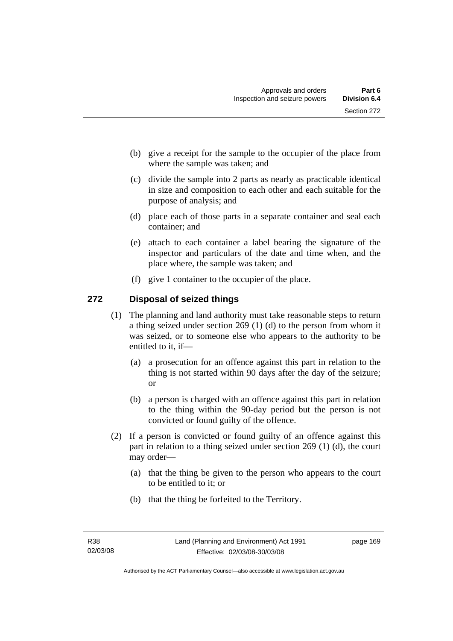- (b) give a receipt for the sample to the occupier of the place from where the sample was taken; and
- (c) divide the sample into 2 parts as nearly as practicable identical in size and composition to each other and each suitable for the purpose of analysis; and
- (d) place each of those parts in a separate container and seal each container; and
- (e) attach to each container a label bearing the signature of the inspector and particulars of the date and time when, and the place where, the sample was taken; and
- (f) give 1 container to the occupier of the place.

# **272 Disposal of seized things**

- (1) The planning and land authority must take reasonable steps to return a thing seized under section 269 (1) (d) to the person from whom it was seized, or to someone else who appears to the authority to be entitled to it, if—
	- (a) a prosecution for an offence against this part in relation to the thing is not started within 90 days after the day of the seizure; or
	- (b) a person is charged with an offence against this part in relation to the thing within the 90-day period but the person is not convicted or found guilty of the offence.
- (2) If a person is convicted or found guilty of an offence against this part in relation to a thing seized under section 269 (1) (d), the court may order—
	- (a) that the thing be given to the person who appears to the court to be entitled to it; or
	- (b) that the thing be forfeited to the Territory.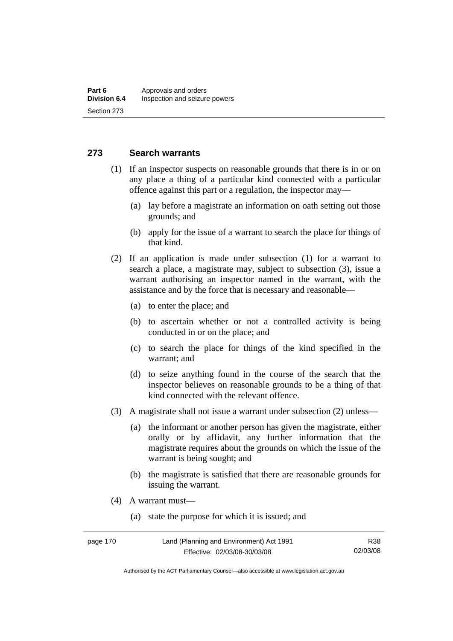# **273 Search warrants**

- (1) If an inspector suspects on reasonable grounds that there is in or on any place a thing of a particular kind connected with a particular offence against this part or a regulation, the inspector may—
	- (a) lay before a magistrate an information on oath setting out those grounds; and
	- (b) apply for the issue of a warrant to search the place for things of that kind.
- (2) If an application is made under subsection (1) for a warrant to search a place, a magistrate may, subject to subsection (3), issue a warrant authorising an inspector named in the warrant, with the assistance and by the force that is necessary and reasonable—
	- (a) to enter the place; and
	- (b) to ascertain whether or not a controlled activity is being conducted in or on the place; and
	- (c) to search the place for things of the kind specified in the warrant; and
	- (d) to seize anything found in the course of the search that the inspector believes on reasonable grounds to be a thing of that kind connected with the relevant offence.
- (3) A magistrate shall not issue a warrant under subsection (2) unless—
	- (a) the informant or another person has given the magistrate, either orally or by affidavit, any further information that the magistrate requires about the grounds on which the issue of the warrant is being sought; and
	- (b) the magistrate is satisfied that there are reasonable grounds for issuing the warrant.
- (4) A warrant must—
	- (a) state the purpose for which it is issued; and

Authorised by the ACT Parliamentary Counsel—also accessible at www.legislation.act.gov.au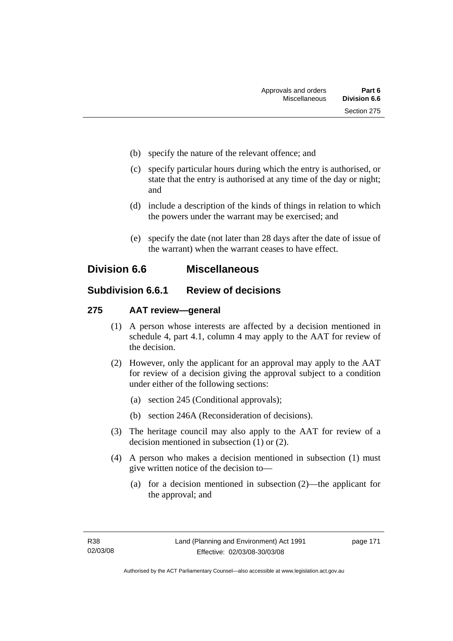- (b) specify the nature of the relevant offence; and
- (c) specify particular hours during which the entry is authorised, or state that the entry is authorised at any time of the day or night; and
- (d) include a description of the kinds of things in relation to which the powers under the warrant may be exercised; and
- (e) specify the date (not later than 28 days after the date of issue of the warrant) when the warrant ceases to have effect.

# **Division 6.6 Miscellaneous**

# **Subdivision 6.6.1 Review of decisions**

# **275 AAT review—general**

- (1) A person whose interests are affected by a decision mentioned in schedule 4, part 4.1, column 4 may apply to the AAT for review of the decision.
- (2) However, only the applicant for an approval may apply to the AAT for review of a decision giving the approval subject to a condition under either of the following sections:
	- (a) section 245 (Conditional approvals);
	- (b) section 246A (Reconsideration of decisions).
- (3) The heritage council may also apply to the AAT for review of a decision mentioned in subsection (1) or (2).
- (4) A person who makes a decision mentioned in subsection (1) must give written notice of the decision to—
	- (a) for a decision mentioned in subsection (2)—the applicant for the approval; and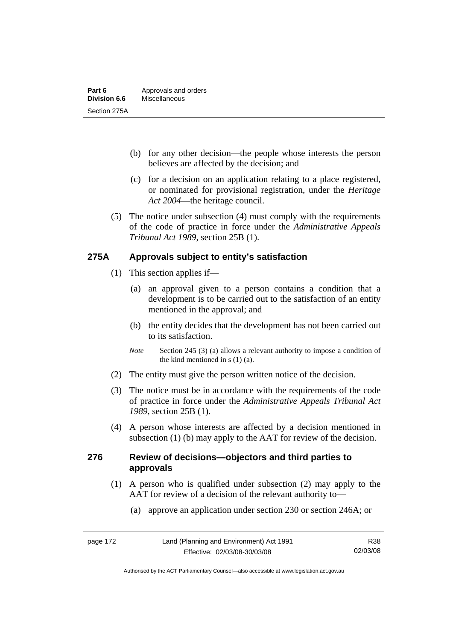- (b) for any other decision—the people whose interests the person believes are affected by the decision; and
- (c) for a decision on an application relating to a place registered, or nominated for provisional registration, under the *Heritage Act 2004*—the heritage council.
- (5) The notice under subsection (4) must comply with the requirements of the code of practice in force under the *Administrative Appeals Tribunal Act 1989*, section 25B (1).

# **275A Approvals subject to entity's satisfaction**

- (1) This section applies if—
	- (a) an approval given to a person contains a condition that a development is to be carried out to the satisfaction of an entity mentioned in the approval; and
	- (b) the entity decides that the development has not been carried out to its satisfaction.
	- *Note* Section 245 (3) (a) allows a relevant authority to impose a condition of the kind mentioned in s (1) (a).
- (2) The entity must give the person written notice of the decision.
- (3) The notice must be in accordance with the requirements of the code of practice in force under the *Administrative Appeals Tribunal Act 1989*, section 25B (1).
- (4) A person whose interests are affected by a decision mentioned in subsection (1) (b) may apply to the AAT for review of the decision.

# **276 Review of decisions—objectors and third parties to approvals**

- (1) A person who is qualified under subsection (2) may apply to the AAT for review of a decision of the relevant authority to—
	- (a) approve an application under section 230 or section 246A; or

Authorised by the ACT Parliamentary Counsel—also accessible at www.legislation.act.gov.au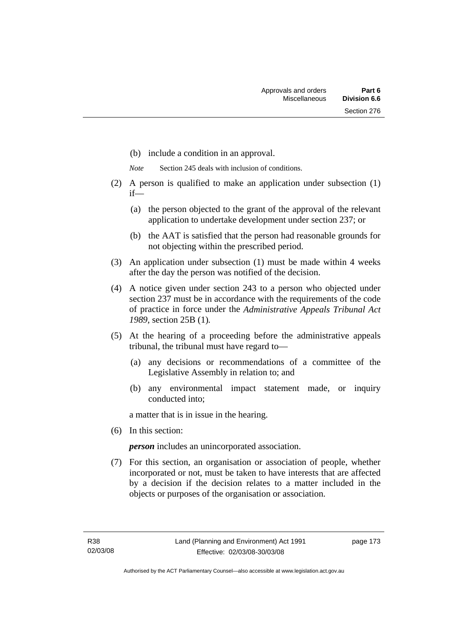- (b) include a condition in an approval.
- *Note* Section 245 deals with inclusion of conditions.
- (2) A person is qualified to make an application under subsection (1) if—
	- (a) the person objected to the grant of the approval of the relevant application to undertake development under section 237; or
	- (b) the AAT is satisfied that the person had reasonable grounds for not objecting within the prescribed period.
- (3) An application under subsection (1) must be made within 4 weeks after the day the person was notified of the decision.
- (4) A notice given under section 243 to a person who objected under section 237 must be in accordance with the requirements of the code of practice in force under the *Administrative Appeals Tribunal Act 1989*, section 25B (1)*.*
- (5) At the hearing of a proceeding before the administrative appeals tribunal, the tribunal must have regard to—
	- (a) any decisions or recommendations of a committee of the Legislative Assembly in relation to; and
	- (b) any environmental impact statement made, or inquiry conducted into;

a matter that is in issue in the hearing.

(6) In this section:

*person* includes an unincorporated association.

 (7) For this section, an organisation or association of people, whether incorporated or not, must be taken to have interests that are affected by a decision if the decision relates to a matter included in the objects or purposes of the organisation or association.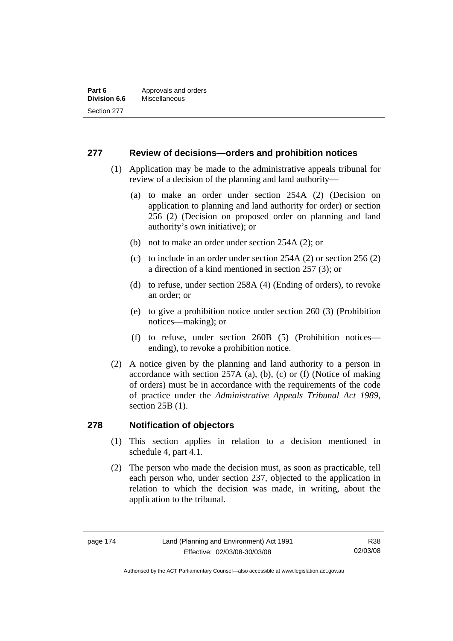# **277 Review of decisions—orders and prohibition notices**

- (1) Application may be made to the administrative appeals tribunal for review of a decision of the planning and land authority—
	- (a) to make an order under section 254A (2) (Decision on application to planning and land authority for order) or section 256 (2) (Decision on proposed order on planning and land authority's own initiative); or
	- (b) not to make an order under section 254A (2); or
	- (c) to include in an order under section 254A (2) or section 256 (2) a direction of a kind mentioned in section 257 (3); or
	- (d) to refuse, under section 258A (4) (Ending of orders), to revoke an order; or
	- (e) to give a prohibition notice under section 260 (3) (Prohibition notices—making); or
	- (f) to refuse, under section 260B (5) (Prohibition notices ending), to revoke a prohibition notice.
- (2) A notice given by the planning and land authority to a person in accordance with section 257A (a), (b), (c) or (f) (Notice of making of orders) must be in accordance with the requirements of the code of practice under the *Administrative Appeals Tribunal Act 1989*, section 25B (1).

# **278 Notification of objectors**

- (1) This section applies in relation to a decision mentioned in schedule 4, part 4.1.
- (2) The person who made the decision must, as soon as practicable, tell each person who, under section 237, objected to the application in relation to which the decision was made, in writing, about the application to the tribunal.

Authorised by the ACT Parliamentary Counsel—also accessible at www.legislation.act.gov.au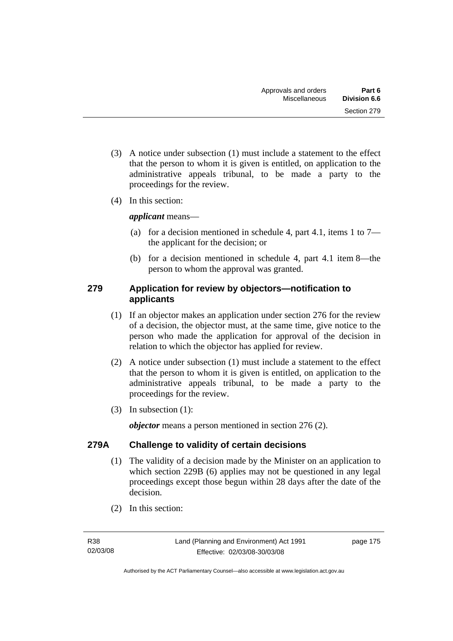- (3) A notice under subsection (1) must include a statement to the effect that the person to whom it is given is entitled, on application to the administrative appeals tribunal, to be made a party to the proceedings for the review.
- (4) In this section:

*applicant* means—

- (a) for a decision mentioned in schedule 4, part 4.1, items 1 to  $7$ the applicant for the decision; or
- (b) for a decision mentioned in schedule 4, part 4.1 item 8—the person to whom the approval was granted.

# **279 Application for review by objectors—notification to applicants**

- (1) If an objector makes an application under section 276 for the review of a decision, the objector must, at the same time, give notice to the person who made the application for approval of the decision in relation to which the objector has applied for review.
- (2) A notice under subsection (1) must include a statement to the effect that the person to whom it is given is entitled, on application to the administrative appeals tribunal, to be made a party to the proceedings for the review.
- (3) In subsection (1):

*objector* means a person mentioned in section 276 (2).

# **279A Challenge to validity of certain decisions**

- (1) The validity of a decision made by the Minister on an application to which section 229B (6) applies may not be questioned in any legal proceedings except those begun within 28 days after the date of the decision.
- (2) In this section: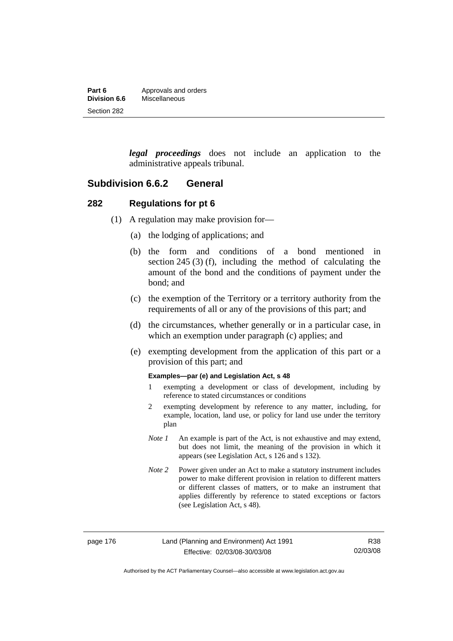| Part 6              | Approvals and orders |
|---------------------|----------------------|
| <b>Division 6.6</b> | Miscellaneous        |
| Section 282         |                      |

*legal proceedings* does not include an application to the administrative appeals tribunal.

### **Subdivision 6.6.2 General**

### **282 Regulations for pt 6**

- (1) A regulation may make provision for—
	- (a) the lodging of applications; and
	- (b) the form and conditions of a bond mentioned in section 245 (3) (f), including the method of calculating the amount of the bond and the conditions of payment under the bond; and
	- (c) the exemption of the Territory or a territory authority from the requirements of all or any of the provisions of this part; and
	- (d) the circumstances, whether generally or in a particular case, in which an exemption under paragraph (c) applies; and
	- (e) exempting development from the application of this part or a provision of this part; and

#### **Examples—par (e) and Legislation Act, s 48**

- 1 exempting a development or class of development, including by reference to stated circumstances or conditions
- 2 exempting development by reference to any matter, including, for example, location, land use, or policy for land use under the territory plan
- *Note 1* An example is part of the Act, is not exhaustive and may extend, but does not limit, the meaning of the provision in which it appears (see Legislation Act, s 126 and s 132).
- *Note* 2 Power given under an Act to make a statutory instrument includes power to make different provision in relation to different matters or different classes of matters, or to make an instrument that applies differently by reference to stated exceptions or factors (see Legislation Act, s 48).

R38 02/03/08

Authorised by the ACT Parliamentary Counsel—also accessible at www.legislation.act.gov.au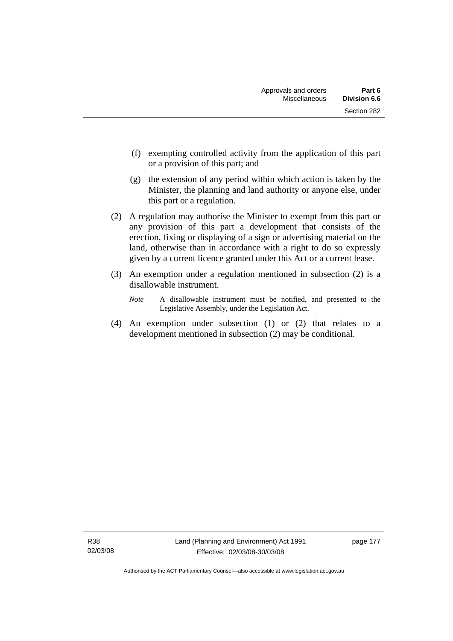- (f) exempting controlled activity from the application of this part or a provision of this part; and
- (g) the extension of any period within which action is taken by the Minister, the planning and land authority or anyone else, under this part or a regulation.
- (2) A regulation may authorise the Minister to exempt from this part or any provision of this part a development that consists of the erection, fixing or displaying of a sign or advertising material on the land, otherwise than in accordance with a right to do so expressly given by a current licence granted under this Act or a current lease.
- (3) An exemption under a regulation mentioned in subsection (2) is a disallowable instrument.
	- *Note* A disallowable instrument must be notified, and presented to the Legislative Assembly, under the Legislation Act.
- (4) An exemption under subsection (1) or (2) that relates to a development mentioned in subsection (2) may be conditional.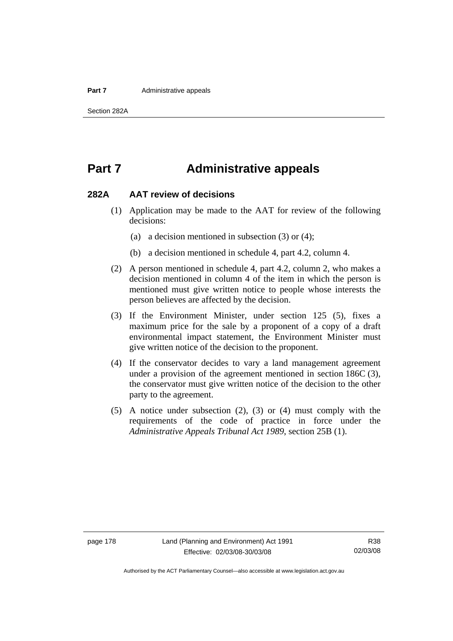#### **Part 7** Administrative appeals

# **Part 7 Administrative appeals**

#### **282A AAT review of decisions**

- (1) Application may be made to the AAT for review of the following decisions:
	- (a) a decision mentioned in subsection (3) or (4);
	- (b) a decision mentioned in schedule 4, part 4.2, column 4.
- (2) A person mentioned in schedule 4, part 4.2, column 2, who makes a decision mentioned in column 4 of the item in which the person is mentioned must give written notice to people whose interests the person believes are affected by the decision.
- (3) If the Environment Minister, under section 125 (5), fixes a maximum price for the sale by a proponent of a copy of a draft environmental impact statement, the Environment Minister must give written notice of the decision to the proponent.
- (4) If the conservator decides to vary a land management agreement under a provision of the agreement mentioned in section 186C (3), the conservator must give written notice of the decision to the other party to the agreement.
- (5) A notice under subsection (2), (3) or (4) must comply with the requirements of the code of practice in force under the *Administrative Appeals Tribunal Act 1989*, section 25B (1).

Authorised by the ACT Parliamentary Counsel—also accessible at www.legislation.act.gov.au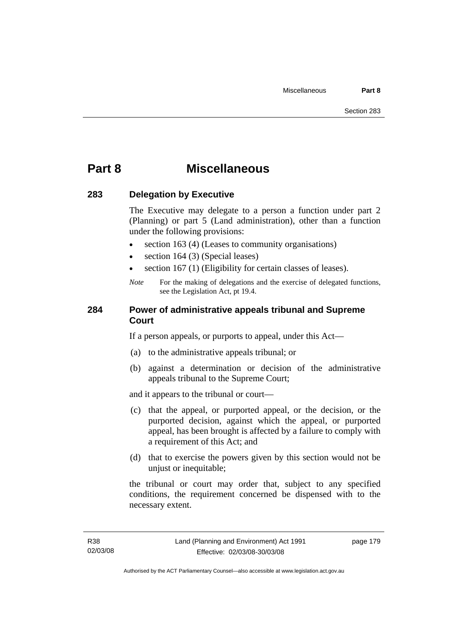# **Part 8 Miscellaneous**

### **283 Delegation by Executive**

The Executive may delegate to a person a function under part 2 (Planning) or part 5 (Land administration), other than a function under the following provisions:

- section 163 (4) (Leases to community organisations)
- section 164 (3) (Special leases)
- section 167 (1) (Eligibility for certain classes of leases).
- *Note* For the making of delegations and the exercise of delegated functions, see the Legislation Act, pt 19.4.

# **284 Power of administrative appeals tribunal and Supreme Court**

If a person appeals, or purports to appeal, under this Act—

- (a) to the administrative appeals tribunal; or
- (b) against a determination or decision of the administrative appeals tribunal to the Supreme Court;

and it appears to the tribunal or court—

- (c) that the appeal, or purported appeal, or the decision, or the purported decision, against which the appeal, or purported appeal, has been brought is affected by a failure to comply with a requirement of this Act; and
- (d) that to exercise the powers given by this section would not be unjust or inequitable;

the tribunal or court may order that, subject to any specified conditions, the requirement concerned be dispensed with to the necessary extent.

page 179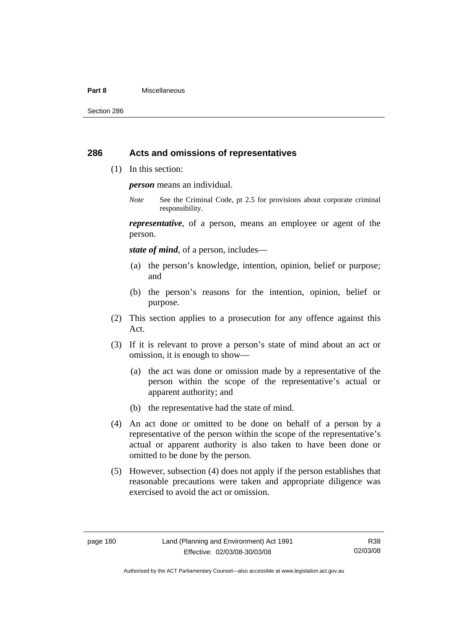#### **Part 8** Miscellaneous

Section 286

### **286 Acts and omissions of representatives**

(1) In this section:

*person* means an individual.

*Note* See the Criminal Code, pt 2.5 for provisions about corporate criminal responsibility.

*representative*, of a person, means an employee or agent of the person.

*state of mind*, of a person, includes—

- (a) the person's knowledge, intention, opinion, belief or purpose; and
- (b) the person's reasons for the intention, opinion, belief or purpose.
- (2) This section applies to a prosecution for any offence against this Act.
- (3) If it is relevant to prove a person's state of mind about an act or omission, it is enough to show—
	- (a) the act was done or omission made by a representative of the person within the scope of the representative's actual or apparent authority; and
	- (b) the representative had the state of mind.
- (4) An act done or omitted to be done on behalf of a person by a representative of the person within the scope of the representative's actual or apparent authority is also taken to have been done or omitted to be done by the person.
- (5) However, subsection (4) does not apply if the person establishes that reasonable precautions were taken and appropriate diligence was exercised to avoid the act or omission.

R38 02/03/08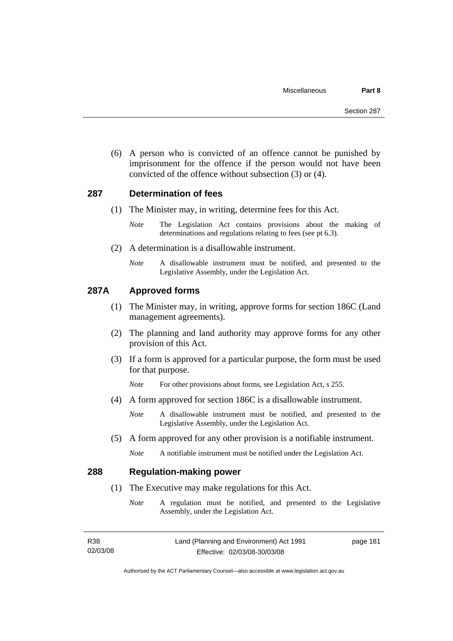(6) A person who is convicted of an offence cannot be punished by imprisonment for the offence if the person would not have been convicted of the offence without subsection (3) or (4).

### **287 Determination of fees**

- (1) The Minister may, in writing, determine fees for this Act.
	- *Note* The Legislation Act contains provisions about the making of determinations and regulations relating to fees (see pt 6.3).
- (2) A determination is a disallowable instrument.
	- *Note* A disallowable instrument must be notified, and presented to the Legislative Assembly, under the Legislation Act.

### **287A Approved forms**

- (1) The Minister may, in writing, approve forms for section 186C (Land management agreements).
- (2) The planning and land authority may approve forms for any other provision of this Act.
- (3) If a form is approved for a particular purpose, the form must be used for that purpose.

*Note* For other provisions about forms, see Legislation Act, s 255.

(4) A form approved for section 186C is a disallowable instrument.

*Note* A disallowable instrument must be notified, and presented to the Legislative Assembly, under the Legislation Act.

- (5) A form approved for any other provision is a notifiable instrument.
	- *Note* A notifiable instrument must be notified under the Legislation Act.

## **288 Regulation-making power**

- (1) The Executive may make regulations for this Act.
	- *Note* A regulation must be notified, and presented to the Legislative Assembly, under the Legislation Act.

| R38      | Land (Planning and Environment) Act 1991 | page 181 |
|----------|------------------------------------------|----------|
| 02/03/08 | Effective: 02/03/08-30/03/08             |          |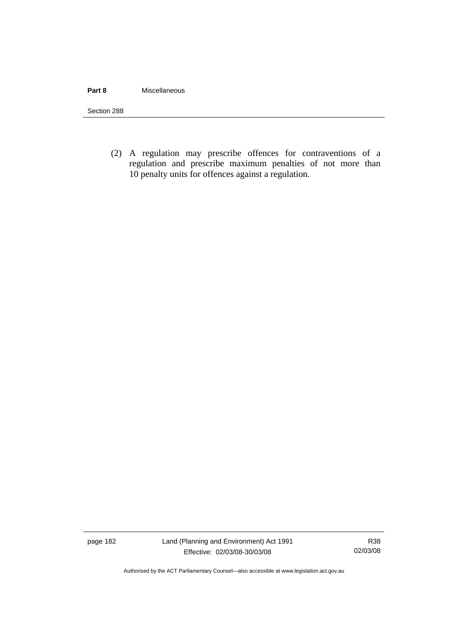#### **Part 8** Miscellaneous

Section 288

(2) A regulation may prescribe offences for contraventions of a regulation and prescribe maximum penalties of not more than 10 penalty units for offences against a regulation.

page 182 Land (Planning and Environment) Act 1991 Effective: 02/03/08-30/03/08

R38 02/03/08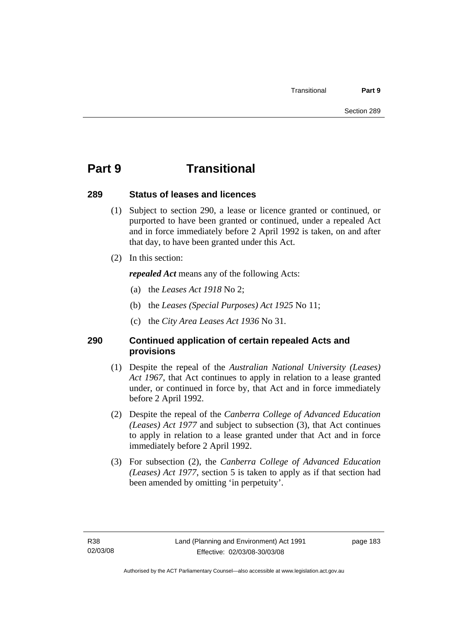# **Part 9 Transitional**

# **289 Status of leases and licences**

- (1) Subject to section 290, a lease or licence granted or continued, or purported to have been granted or continued, under a repealed Act and in force immediately before 2 April 1992 is taken, on and after that day, to have been granted under this Act.
- (2) In this section:

*repealed Act* means any of the following Acts:

- (a) the *Leases Act 1918* No 2;
- (b) the *Leases (Special Purposes) Act 1925* No 11;
- (c) the *City Area Leases Act 1936* No 31.

# **290 Continued application of certain repealed Acts and provisions**

- (1) Despite the repeal of the *Australian National University (Leases) Act 1967*, that Act continues to apply in relation to a lease granted under, or continued in force by, that Act and in force immediately before 2 April 1992.
- (2) Despite the repeal of the *Canberra College of Advanced Education (Leases) Act 1977* and subject to subsection (3), that Act continues to apply in relation to a lease granted under that Act and in force immediately before 2 April 1992.
- (3) For subsection (2), the *Canberra College of Advanced Education (Leases) Act 1977*, section 5 is taken to apply as if that section had been amended by omitting 'in perpetuity'.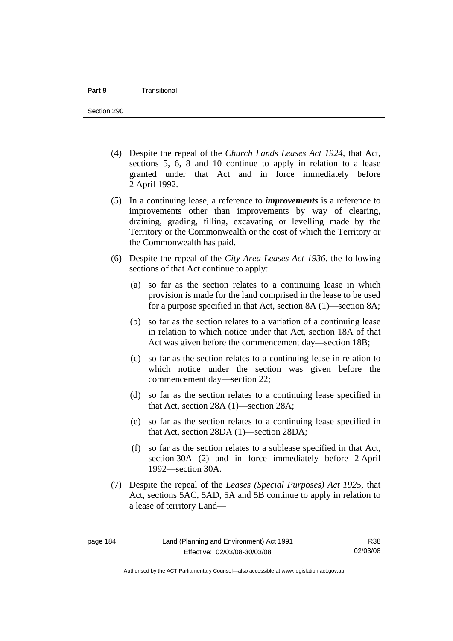- (4) Despite the repeal of the *Church Lands Leases Act 1924*, that Act, sections 5, 6, 8 and 10 continue to apply in relation to a lease granted under that Act and in force immediately before 2 April 1992.
- (5) In a continuing lease, a reference to *improvements* is a reference to improvements other than improvements by way of clearing, draining, grading, filling, excavating or levelling made by the Territory or the Commonwealth or the cost of which the Territory or the Commonwealth has paid.
- (6) Despite the repeal of the *City Area Leases Act 1936*, the following sections of that Act continue to apply:
	- (a) so far as the section relates to a continuing lease in which provision is made for the land comprised in the lease to be used for a purpose specified in that Act, section 8A (1)—section 8A;
	- (b) so far as the section relates to a variation of a continuing lease in relation to which notice under that Act, section 18A of that Act was given before the commencement day—section 18B;
	- (c) so far as the section relates to a continuing lease in relation to which notice under the section was given before the commencement day—section 22;
	- (d) so far as the section relates to a continuing lease specified in that Act, section 28A (1)—section 28A;
	- (e) so far as the section relates to a continuing lease specified in that Act, section 28DA (1)—section 28DA;
	- (f) so far as the section relates to a sublease specified in that Act, section 30A (2) and in force immediately before 2 April 1992—section 30A.
- (7) Despite the repeal of the *Leases (Special Purposes) Act 1925*, that Act, sections 5AC, 5AD, 5A and 5B continue to apply in relation to a lease of territory Land—

Authorised by the ACT Parliamentary Counsel—also accessible at www.legislation.act.gov.au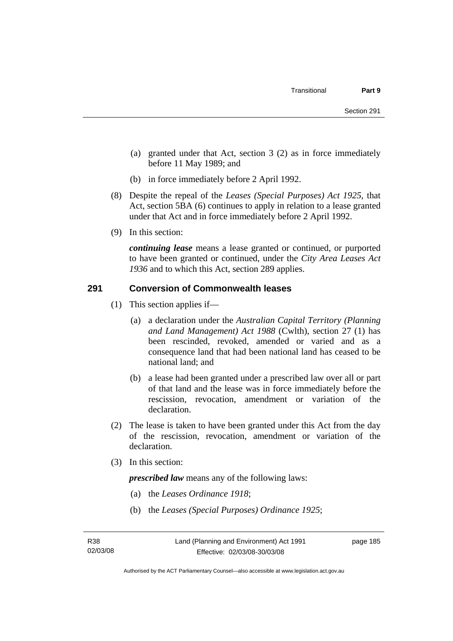- (a) granted under that Act, section 3 (2) as in force immediately before 11 May 1989; and
- (b) in force immediately before 2 April 1992.
- (8) Despite the repeal of the *Leases (Special Purposes) Act 1925*, that Act, section 5BA (6) continues to apply in relation to a lease granted under that Act and in force immediately before 2 April 1992.
- (9) In this section:

*continuing lease* means a lease granted or continued, or purported to have been granted or continued, under the *City Area Leases Act 1936* and to which this Act, section 289 applies.

# **291 Conversion of Commonwealth leases**

- (1) This section applies if—
	- (a) a declaration under the *Australian Capital Territory (Planning and Land Management) Act 1988* (Cwlth), section 27 (1) has been rescinded, revoked, amended or varied and as a consequence land that had been national land has ceased to be national land; and
	- (b) a lease had been granted under a prescribed law over all or part of that land and the lease was in force immediately before the rescission, revocation, amendment or variation of the declaration.
- (2) The lease is taken to have been granted under this Act from the day of the rescission, revocation, amendment or variation of the declaration.
- (3) In this section:

*prescribed law* means any of the following laws:

- (a) the *Leases Ordinance 1918*;
- (b) the *Leases (Special Purposes) Ordinance 1925*;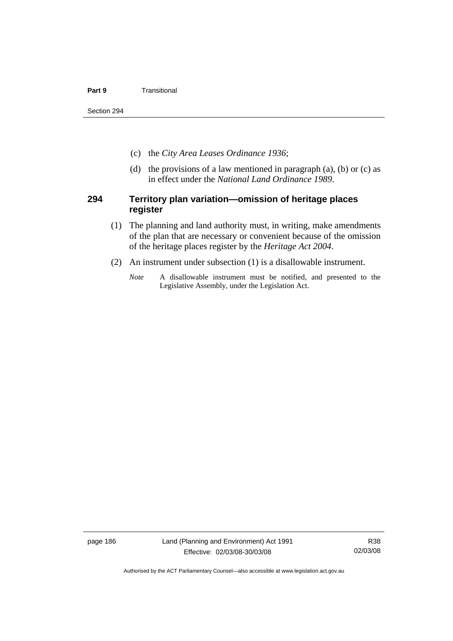#### **Part 9 Transitional**

Section 294

- (c) the *City Area Leases Ordinance 1936*;
- (d) the provisions of a law mentioned in paragraph  $(a)$ ,  $(b)$  or  $(c)$  as in effect under the *National Land Ordinance 1989*.

### **294 Territory plan variation—omission of heritage places register**

- (1) The planning and land authority must, in writing, make amendments of the plan that are necessary or convenient because of the omission of the heritage places register by the *Heritage Act 2004*.
- (2) An instrument under subsection (1) is a disallowable instrument.
	- *Note* A disallowable instrument must be notified, and presented to the Legislative Assembly, under the Legislation Act.

page 186 Land (Planning and Environment) Act 1991 Effective: 02/03/08-30/03/08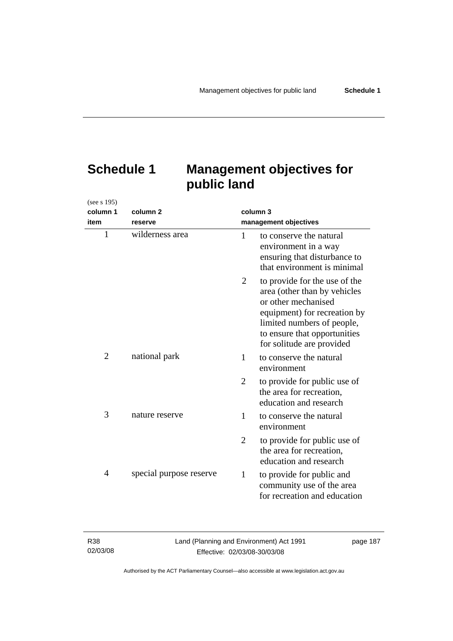| (see s 195)    |                         |                |                                                                                                                                                                                                                 |
|----------------|-------------------------|----------------|-----------------------------------------------------------------------------------------------------------------------------------------------------------------------------------------------------------------|
| column 1       | column 2                | column 3       |                                                                                                                                                                                                                 |
| item           | reserve                 |                | management objectives                                                                                                                                                                                           |
| $\mathbf{1}$   | wilderness area         | 1              | to conserve the natural<br>environment in a way<br>ensuring that disturbance to<br>that environment is minimal                                                                                                  |
|                |                         | 2              | to provide for the use of the<br>area (other than by vehicles<br>or other mechanised<br>equipment) for recreation by<br>limited numbers of people,<br>to ensure that opportunities<br>for solitude are provided |
| $\overline{2}$ | national park           | 1              | to conserve the natural<br>environment                                                                                                                                                                          |
|                |                         | $\overline{2}$ | to provide for public use of<br>the area for recreation,<br>education and research                                                                                                                              |
| 3              | nature reserve          | 1              | to conserve the natural<br>environment                                                                                                                                                                          |
|                |                         | 2              | to provide for public use of<br>the area for recreation,<br>education and research                                                                                                                              |
| 4              | special purpose reserve | $\mathbf{1}$   | to provide for public and<br>community use of the area<br>for recreation and education                                                                                                                          |

# **Schedule 1 Management objectives for public land**

| R38      |  |
|----------|--|
| 02/03/08 |  |

page 187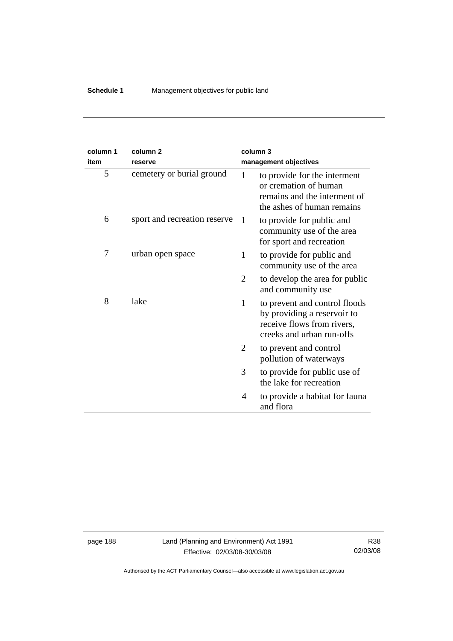| column 1<br>item | column <sub>2</sub><br>reserve |              | column 3<br>management objectives                                                                                       |
|------------------|--------------------------------|--------------|-------------------------------------------------------------------------------------------------------------------------|
| 5                | cemetery or burial ground      | $\mathbf{1}$ | to provide for the interment<br>or cremation of human<br>remains and the interment of<br>the ashes of human remains     |
| 6                | sport and recreation reserve   | 1            | to provide for public and<br>community use of the area<br>for sport and recreation                                      |
| 7                | urban open space               | 1            | to provide for public and<br>community use of the area                                                                  |
|                  |                                | 2            | to develop the area for public<br>and community use                                                                     |
| 8                | lake                           | 1            | to prevent and control floods<br>by providing a reservoir to<br>receive flows from rivers,<br>creeks and urban run-offs |
|                  |                                | 2            | to prevent and control<br>pollution of waterways                                                                        |
|                  |                                | 3            | to provide for public use of<br>the lake for recreation                                                                 |
|                  |                                | 4            | to provide a habitat for fauna<br>and flora                                                                             |

page 188 Land (Planning and Environment) Act 1991 Effective: 02/03/08-30/03/08

R38 02/03/08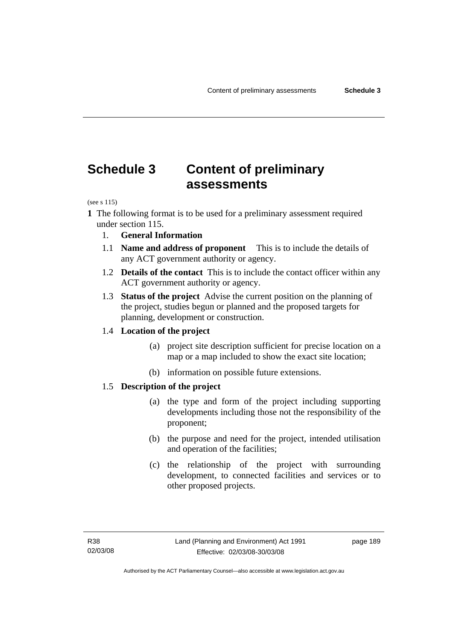# **Schedule 3 Content of preliminary assessments**

(see s 115)

- **1** The following format is to be used for a preliminary assessment required under section 115.
	- 1. **General Information**
	- 1.1 **Name and address of proponent** This is to include the details of any ACT government authority or agency.
	- 1.2 **Details of the contact** This is to include the contact officer within any ACT government authority or agency.
	- 1.3 **Status of the project** Advise the current position on the planning of the project, studies begun or planned and the proposed targets for planning, development or construction.

### 1.4 **Location of the project**

- (a) project site description sufficient for precise location on a map or a map included to show the exact site location;
- (b) information on possible future extensions.

### 1.5 **Description of the project**

- (a) the type and form of the project including supporting developments including those not the responsibility of the proponent;
- (b) the purpose and need for the project, intended utilisation and operation of the facilities;
- (c) the relationship of the project with surrounding development, to connected facilities and services or to other proposed projects.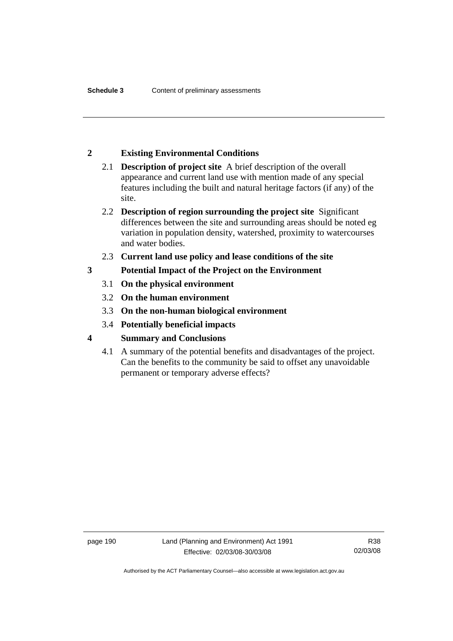# **2 Existing Environmental Conditions**

- 2.1 **Description of project site** A brief description of the overall appearance and current land use with mention made of any special features including the built and natural heritage factors (if any) of the site.
- 2.2 **Description of region surrounding the project site** Significant differences between the site and surrounding areas should be noted eg variation in population density, watershed, proximity to watercourses and water bodies.
- 2.3 **Current land use policy and lease conditions of the site**
- **3 Potential Impact of the Project on the Environment** 
	- 3.1 **On the physical environment**
	- 3.2 **On the human environment**
	- 3.3 **On the non-human biological environment**
	- 3.4 **Potentially beneficial impacts**
- **4 Summary and Conclusions** 
	- 4.1 A summary of the potential benefits and disadvantages of the project. Can the benefits to the community be said to offset any unavoidable permanent or temporary adverse effects?

Authorised by the ACT Parliamentary Counsel—also accessible at www.legislation.act.gov.au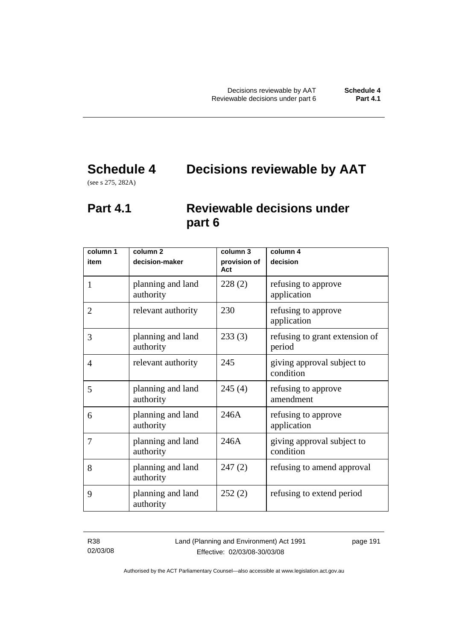# **Schedule 4 Decisions reviewable by AAT**

(see s 275, 282A)

# **Part 4.1 Reviewable decisions under part 6**

| column 1<br>item | column <sub>2</sub><br>decision-maker | column 3<br>provision of | column 4<br>decision                     |
|------------------|---------------------------------------|--------------------------|------------------------------------------|
| 1                | planning and land<br>authority        | Act<br>228(2)            | refusing to approve<br>application       |
| $\overline{2}$   | relevant authority                    | 230                      | refusing to approve<br>application       |
| 3                | planning and land<br>authority        | 233(3)                   | refusing to grant extension of<br>period |
| 4                | relevant authority                    | 245                      | giving approval subject to<br>condition  |
| 5                | planning and land<br>authority        | 245(4)                   | refusing to approve<br>amendment         |
| 6                | planning and land<br>authority        | 246A                     | refusing to approve<br>application       |
| 7                | planning and land<br>authority        | 246A                     | giving approval subject to<br>condition  |
| 8                | planning and land<br>authority        | 247(2)                   | refusing to amend approval               |
| 9                | planning and land<br>authority        | 252(2)                   | refusing to extend period                |

R38 02/03/08 Land (Planning and Environment) Act 1991 Effective: 02/03/08-30/03/08

page 191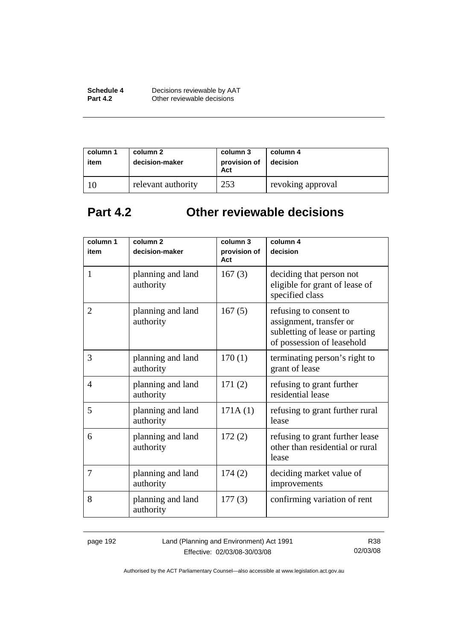| Schedule 4      | Decisions reviewable by AAT |
|-----------------|-----------------------------|
| <b>Part 4.2</b> | Other reviewable decisions  |

| column 1<br>item | column 2<br>decision-maker | column 3<br>provision of<br>Act | column 4<br>decision |
|------------------|----------------------------|---------------------------------|----------------------|
|                  | relevant authority         | 253                             | revoking approval    |

# **Part 4.2 Other reviewable decisions**

| column 1<br>item | column <sub>2</sub><br>decision-maker | column 3<br>provision of<br>Act | column 4<br>decision                                                                                              |
|------------------|---------------------------------------|---------------------------------|-------------------------------------------------------------------------------------------------------------------|
| 1                | planning and land<br>authority        | 167(3)                          | deciding that person not<br>eligible for grant of lease of<br>specified class                                     |
| $\overline{2}$   | planning and land<br>authority        | 167(5)                          | refusing to consent to<br>assignment, transfer or<br>subletting of lease or parting<br>of possession of leasehold |
| 3                | planning and land<br>authority        | 170(1)                          | terminating person's right to<br>grant of lease                                                                   |
| $\overline{4}$   | planning and land<br>authority        | 171(2)                          | refusing to grant further<br>residential lease                                                                    |
| 5                | planning and land<br>authority        | 171A(1)                         | refusing to grant further rural<br>lease                                                                          |
| 6                | planning and land<br>authority        | 172(2)                          | refusing to grant further lease<br>other than residential or rural<br>lease                                       |
| 7                | planning and land<br>authority        | 174(2)                          | deciding market value of<br>improvements                                                                          |
| 8                | planning and land<br>authority        | 177(3)                          | confirming variation of rent                                                                                      |

page 192 Land (Planning and Environment) Act 1991 Effective: 02/03/08-30/03/08

R38 02/03/08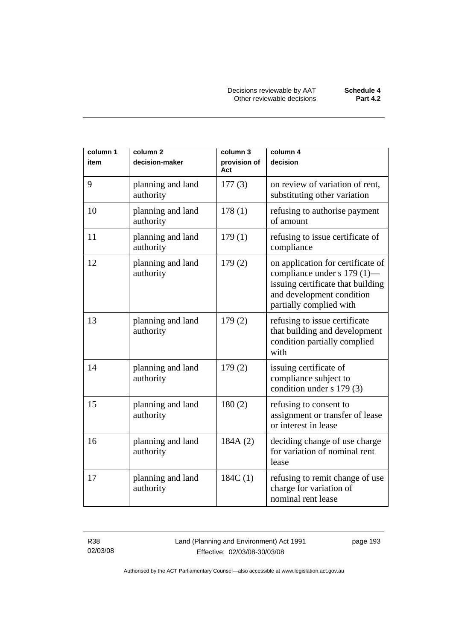| column 1 | column <sub>2</sub>            | column 3            | column 4                                                                                                                                                      |
|----------|--------------------------------|---------------------|---------------------------------------------------------------------------------------------------------------------------------------------------------------|
| item     | decision-maker                 | provision of<br>Act | decision                                                                                                                                                      |
| 9        | planning and land<br>authority | 177(3)              | on review of variation of rent,<br>substituting other variation                                                                                               |
| 10       | planning and land<br>authority | 178(1)              | refusing to authorise payment<br>of amount                                                                                                                    |
| 11       | planning and land<br>authority | 179(1)              | refusing to issue certificate of<br>compliance                                                                                                                |
| 12       | planning and land<br>authority | 179(2)              | on application for certificate of<br>compliance under s 179 (1)-<br>issuing certificate that building<br>and development condition<br>partially complied with |
| 13       | planning and land<br>authority | 179(2)              | refusing to issue certificate<br>that building and development<br>condition partially complied<br>with                                                        |
| 14       | planning and land<br>authority | 179(2)              | issuing certificate of<br>compliance subject to<br>condition under s 179 (3)                                                                                  |
| 15       | planning and land<br>authority | 180(2)              | refusing to consent to<br>assignment or transfer of lease<br>or interest in lease                                                                             |
| 16       | planning and land<br>authority | 184A (2)            | deciding change of use charge<br>for variation of nominal rent<br>lease                                                                                       |
| 17       | planning and land<br>authority | 184C(1)             | refusing to remit change of use<br>charge for variation of<br>nominal rent lease                                                                              |

R38 02/03/08 Land (Planning and Environment) Act 1991 Effective: 02/03/08-30/03/08

page 193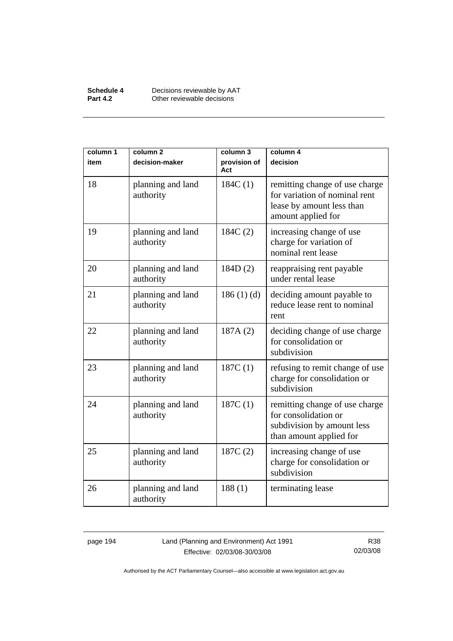| Schedule 4      | Decisions reviewable by AAT |
|-----------------|-----------------------------|
| <b>Part 4.2</b> | Other reviewable decisions  |

| column 1 | column <sub>2</sub>            | column 3            | column 4                                                                                                           |
|----------|--------------------------------|---------------------|--------------------------------------------------------------------------------------------------------------------|
| item     | decision-maker                 | provision of<br>Act | decision                                                                                                           |
| 18       | planning and land<br>authority | 184C(1)             | remitting change of use charge<br>for variation of nominal rent<br>lease by amount less than<br>amount applied for |
| 19       | planning and land<br>authority | 184C(2)             | increasing change of use<br>charge for variation of<br>nominal rent lease                                          |
| 20       | planning and land<br>authority | 184D(2)             | reappraising rent payable<br>under rental lease                                                                    |
| 21       | planning and land<br>authority | 186(1)(d)           | deciding amount payable to<br>reduce lease rent to nominal<br>rent                                                 |
| 22       | planning and land<br>authority | 187A(2)             | deciding change of use charge<br>for consolidation or<br>subdivision                                               |
| 23       | planning and land<br>authority | 187C(1)             | refusing to remit change of use<br>charge for consolidation or<br>subdivision                                      |
| 24       | planning and land<br>authority | 187C(1)             | remitting change of use charge<br>for consolidation or<br>subdivision by amount less<br>than amount applied for    |
| 25       | planning and land<br>authority | 187C(2)             | increasing change of use<br>charge for consolidation or<br>subdivision                                             |
| 26       | planning and land<br>authority | 188(1)              | terminating lease                                                                                                  |

page 194 Land (Planning and Environment) Act 1991 Effective: 02/03/08-30/03/08

R38 02/03/08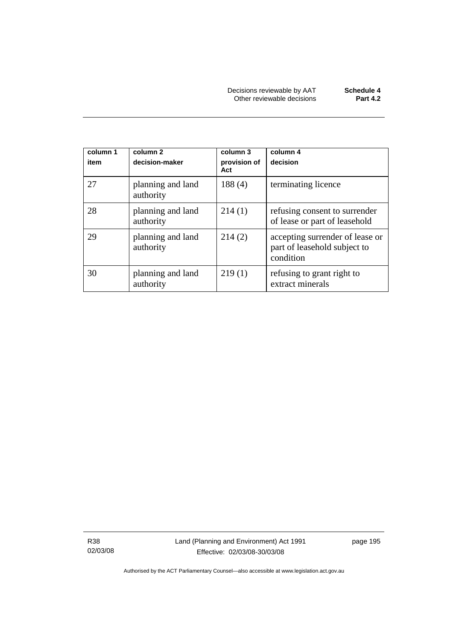| column 1<br>item | column 2<br>decision-maker     | column 3<br>provision of<br>Act | column 4<br>decision                                                         |
|------------------|--------------------------------|---------------------------------|------------------------------------------------------------------------------|
| 27               | planning and land<br>authority | 188(4)                          | terminating licence                                                          |
| 28               | planning and land<br>authority | 214(1)                          | refusing consent to surrender<br>of lease or part of leasehold               |
| 29               | planning and land<br>authority | 214(2)                          | accepting surrender of lease or<br>part of leasehold subject to<br>condition |
| 30               | planning and land<br>authority | 219(1)                          | refusing to grant right to<br>extract minerals                               |

R38 02/03/08 Land (Planning and Environment) Act 1991 Effective: 02/03/08-30/03/08

page 195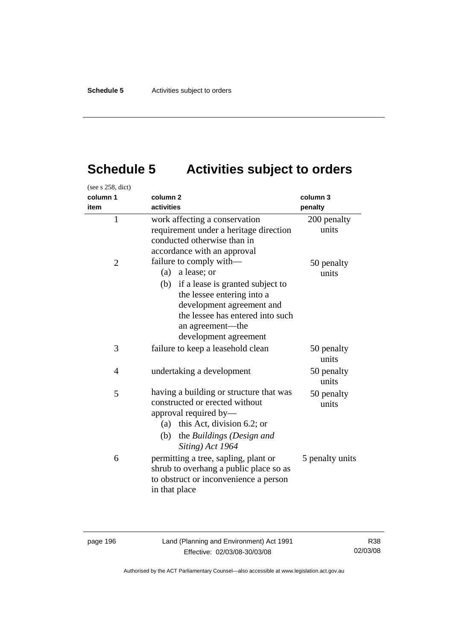# **Schedule 5 Activities subject to orders**

| (see s 258, dict)<br>column 1<br>item | column <sub>2</sub><br>activities                                                                                                                                                                                                | column 3<br>penalty  |
|---------------------------------------|----------------------------------------------------------------------------------------------------------------------------------------------------------------------------------------------------------------------------------|----------------------|
| $\mathbf{1}$                          | work affecting a conservation<br>requirement under a heritage direction<br>conducted otherwise than in<br>accordance with an approval                                                                                            | 200 penalty<br>units |
| $\overline{2}$                        | failure to comply with—<br>$(a)$ a lease; or<br>(b) if a lease is granted subject to<br>the lessee entering into a<br>development agreement and<br>the lessee has entered into such<br>an agreement-the<br>development agreement | 50 penalty<br>units  |
| 3                                     | failure to keep a leasehold clean                                                                                                                                                                                                | 50 penalty<br>units  |
| 4                                     | undertaking a development                                                                                                                                                                                                        | 50 penalty<br>units  |
| 5                                     | having a building or structure that was<br>constructed or erected without<br>approval required by—<br>(a) this Act, division 6.2; or<br>(b) the Buildings (Design and<br>Siting) Act 1964                                        | 50 penalty<br>units  |
| 6                                     | permitting a tree, sapling, plant or<br>shrub to overhang a public place so as<br>to obstruct or inconvenience a person<br>in that place                                                                                         | 5 penalty units      |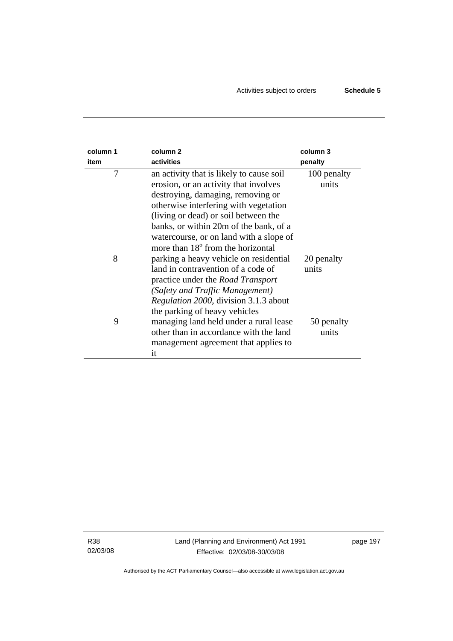| column 1<br>item | column <sub>2</sub><br>activities             | column 3<br>penalty |
|------------------|-----------------------------------------------|---------------------|
| 7                | an activity that is likely to cause soil      | 100 penalty         |
|                  | erosion, or an activity that involves         | units               |
|                  | destroying, damaging, removing or             |                     |
|                  | otherwise interfering with vegetation         |                     |
|                  | (living or dead) or soil between the          |                     |
|                  | banks, or within 20m of the bank, of a        |                     |
|                  | watercourse, or on land with a slope of       |                     |
|                  | more than 18 <sup>°</sup> from the horizontal |                     |
| 8                | parking a heavy vehicle on residential        | 20 penalty          |
|                  | land in contravention of a code of            | units               |
|                  | practice under the <i>Road Transport</i>      |                     |
|                  | (Safety and Traffic Management)               |                     |
|                  | <i>Regulation 2000</i> , division 3.1.3 about |                     |
|                  | the parking of heavy vehicles                 |                     |
| 9                | managing land held under a rural lease        | 50 penalty          |
|                  | other than in accordance with the land        | units               |
|                  | management agreement that applies to          |                     |
|                  | it                                            |                     |

R38 02/03/08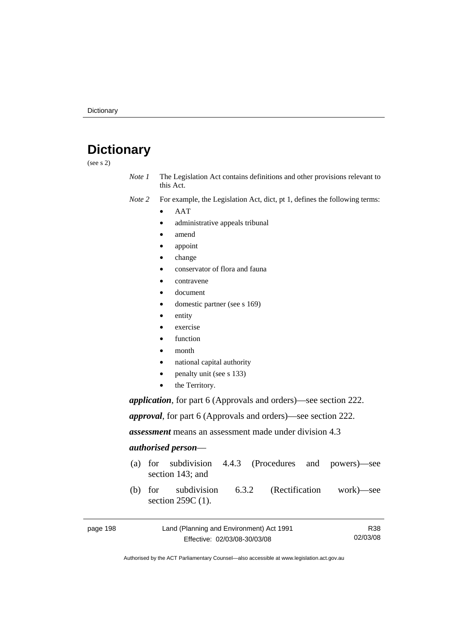# **Dictionary**

(see s 2)

- *Note 1* The Legislation Act contains definitions and other provisions relevant to this Act.
- *Note 2* For example, the Legislation Act, dict, pt 1, defines the following terms:
	- AAT
		- administrative appeals tribunal
		- amend
		- appoint
		- change
		- conservator of flora and fauna
		- contravene
		- document
		- domestic partner (see s 169)
		- entity
		- exercise
		- function
		- month
		- national capital authority
		- penalty unit (see s 133)
		- the Territory.

*application*, for part 6 (Approvals and orders)—see section 222.

*approval*, for part 6 (Approvals and orders)—see section 222.

*assessment* means an assessment made under division 4.3

#### *authorised person*—

- (a) for subdivision 4.4.3 (Procedures and powers)—see section 143; and
- (b) for subdivision 6.3.2 (Rectification work)—see section 259C (1).

| page 198 | Land (Planning and Environment) Act 1991 | R38      |
|----------|------------------------------------------|----------|
|          | Effective: 02/03/08-30/03/08             | 02/03/08 |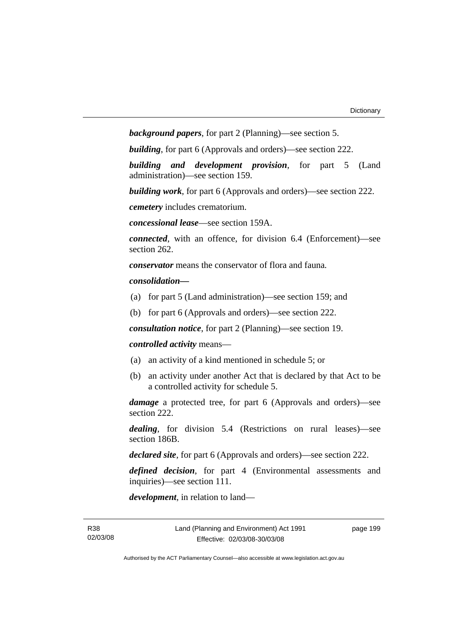*background papers*, for part 2 (Planning)—see section 5.

*building*, for part 6 (Approvals and orders)—see section 222.

*building and development provision*, for part 5 (Land administration)—see section 159.

*building work*, for part 6 (Approvals and orders)—see section 222.

*cemetery* includes crematorium.

*concessional lease*—see section 159A.

*connected*, with an offence, for division 6.4 (Enforcement)—see section 262.

*conservator* means the conservator of flora and fauna*.*

*consolidation—*

- (a) for part 5 (Land administration)—see section 159; and
- (b) for part 6 (Approvals and orders)—see section 222.

*consultation notice*, for part 2 (Planning)—see section 19.

#### *controlled activity* means—

- (a) an activity of a kind mentioned in schedule 5; or
- (b) an activity under another Act that is declared by that Act to be a controlled activity for schedule 5.

*damage* a protected tree, for part 6 (Approvals and orders)—see section 222.

*dealing*, for division 5.4 (Restrictions on rural leases)—see section 186B.

*declared site*, for part 6 (Approvals and orders)—see section 222.

*defined decision*, for part 4 (Environmental assessments and inquiries)—see section 111.

*development*, in relation to land—

page 199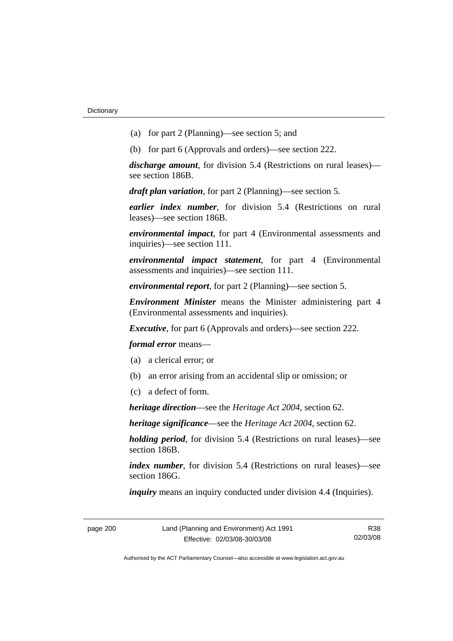- (a) for part 2 (Planning)—see section 5; and
- (b) for part 6 (Approvals and orders)—see section 222.

*discharge amount*, for division 5.4 (Restrictions on rural leases) see section 186B.

*draft plan variation*, for part 2 (Planning)—see section 5.

*earlier index number*, for division 5.4 (Restrictions on rural leases)—see section 186B.

*environmental impact*, for part 4 (Environmental assessments and inquiries)—see section 111.

*environmental impact statement*, for part 4 (Environmental assessments and inquiries)—see section 111.

*environmental report*, for part 2 (Planning)—see section 5.

*Environment Minister* means the Minister administering part 4 (Environmental assessments and inquiries).

*Executive*, for part 6 (Approvals and orders)—see section 222.

*formal error* means—

- (a) a clerical error; or
- (b) an error arising from an accidental slip or omission; or
- (c) a defect of form.

*heritage direction*—see the *Heritage Act 2004*, section 62.

*heritage significance*—see the *Heritage Act 2004*, section 62.

*holding period*, for division 5.4 (Restrictions on rural leases)—see section 186B.

*index number*, for division 5.4 (Restrictions on rural leases)—see section 186G.

*inquiry* means an inquiry conducted under division 4.4 (Inquiries).

| page 200 |
|----------|
|----------|

page 200 Land (Planning and Environment) Act 1991 Effective: 02/03/08-30/03/08

R38 02/03/08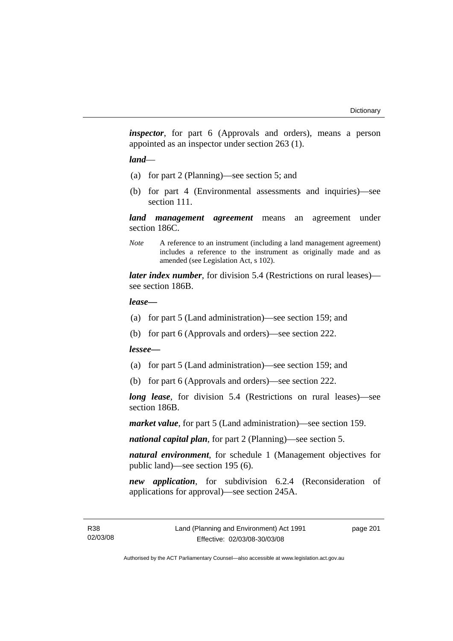*inspector*, for part 6 (Approvals and orders), means a person appointed as an inspector under section 263 (1).

#### *land*—

- (a) for part 2 (Planning)—see section 5; and
- (b) for part 4 (Environmental assessments and inquiries)—see section 111.

*land management agreement* means an agreement under section 186C.

*Note* A reference to an instrument (including a land management agreement) includes a reference to the instrument as originally made and as amended (see Legislation Act, s 102).

*later index number*, for division 5.4 (Restrictions on rural leases) see section 186B.

#### *lease—*

- (a) for part 5 (Land administration)—see section 159; and
- (b) for part 6 (Approvals and orders)—see section 222.

#### *lessee—*

- (a) for part 5 (Land administration)—see section 159; and
- (b) for part 6 (Approvals and orders)—see section 222.

*long lease*, for division 5.4 (Restrictions on rural leases)—see section 186B.

*market value*, for part 5 (Land administration)—see section 159.

*national capital plan*, for part 2 (Planning)—see section 5.

*natural environment*, for schedule 1 (Management objectives for public land)—see section 195 (6).

*new application*, for subdivision 6.2.4 (Reconsideration of applications for approval)—see section 245A.

page 201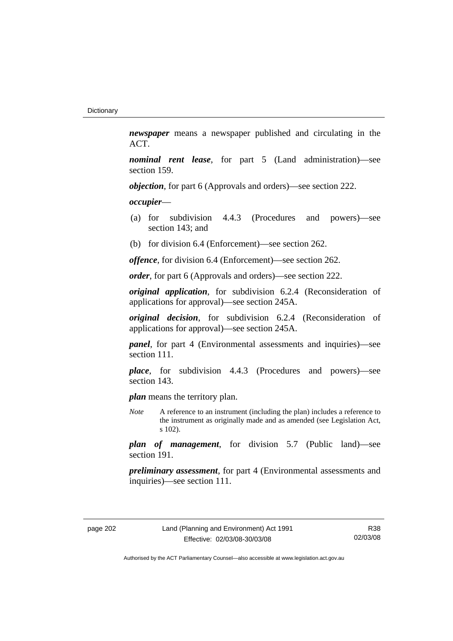*newspaper* means a newspaper published and circulating in the ACT.

*nominal rent lease*, for part 5 (Land administration)—see section 159.

*objection*, for part 6 (Approvals and orders)—see section 222.

*occupier*—

- (a) for subdivision 4.4.3 (Procedures and powers)—see section 143; and
- (b) for division 6.4 (Enforcement)—see section 262.

*offence*, for division 6.4 (Enforcement)—see section 262.

*order*, for part 6 (Approvals and orders)—see section 222.

*original application*, for subdivision 6.2.4 (Reconsideration of applications for approval)—see section 245A.

*original decision*, for subdivision 6.2.4 (Reconsideration of applications for approval)—see section 245A.

*panel*, for part 4 (Environmental assessments and inquiries)—see section 111.

*place*, for subdivision 4.4.3 (Procedures and powers)—see section 143.

*plan* means the territory plan.

*Note* A reference to an instrument (including the plan) includes a reference to the instrument as originally made and as amended (see Legislation Act, s 102).

*plan of management*, for division 5.7 (Public land)—see section 191.

*preliminary assessment*, for part 4 (Environmental assessments and inquiries)—see section 111.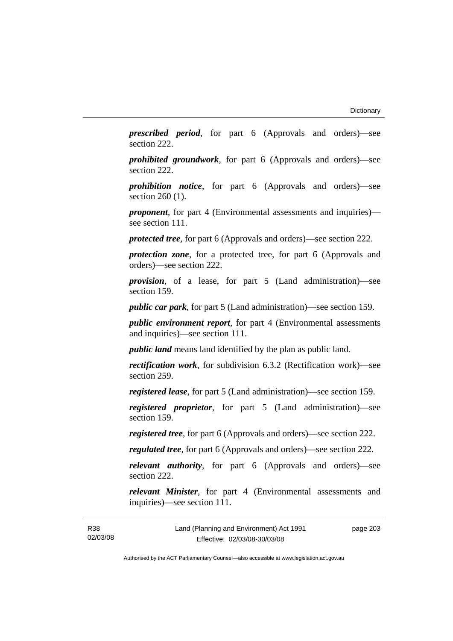*prescribed period*, for part 6 (Approvals and orders)—see section 222.

*prohibited groundwork*, for part 6 (Approvals and orders)—see section 222.

*prohibition notice*, for part 6 (Approvals and orders)—see section 260 (1).

*proponent*, for part 4 (Environmental assessments and inquiries) see section 111.

*protected tree*, for part 6 (Approvals and orders)—see section 222.

*protection zone*, for a protected tree, for part 6 (Approvals and orders)—see section 222.

*provision*, of a lease, for part 5 (Land administration)—see section 159.

*public car park*, for part 5 (Land administration)—see section 159.

*public environment report*, for part 4 (Environmental assessments and inquiries)—see section 111.

*public land* means land identified by the plan as public land.

*rectification work*, for subdivision 6.3.2 (Rectification work)—see section 259.

*registered lease*, for part 5 (Land administration)—see section 159.

*registered proprietor*, for part 5 (Land administration)—see section 159.

*registered tree*, for part 6 (Approvals and orders)—see section 222.

*regulated tree*, for part 6 (Approvals and orders)—see section 222.

*relevant authority*, for part 6 (Approvals and orders)—see section 222.

*relevant Minister*, for part 4 (Environmental assessments and inquiries)—see section 111.

R38 02/03/08 page 203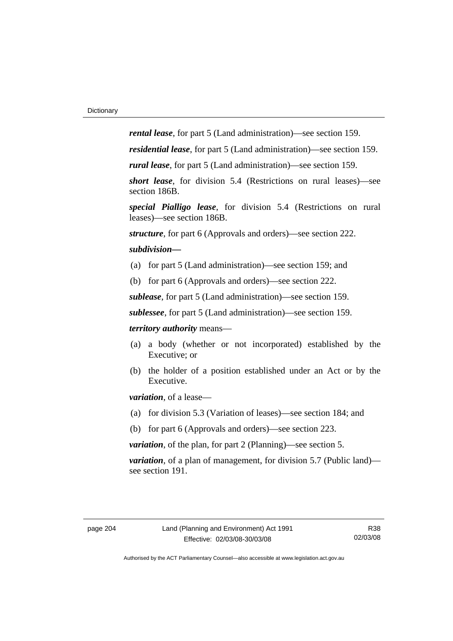*rental lease*, for part 5 (Land administration)—see section 159.

*residential lease*, for part 5 (Land administration)—see section 159.

*rural lease*, for part 5 (Land administration)—see section 159.

*short lease*, for division 5.4 (Restrictions on rural leases)—see section 186B.

*special Pialligo lease*, for division 5.4 (Restrictions on rural leases)—see section 186B.

*structure*, for part 6 (Approvals and orders)—see section 222.

#### *subdivision—*

- (a) for part 5 (Land administration)—see section 159; and
- (b) for part 6 (Approvals and orders)—see section 222.

*sublease*, for part 5 (Land administration)—see section 159.

*sublessee*, for part 5 (Land administration)—see section 159.

*territory authority* means—

- (a) a body (whether or not incorporated) established by the Executive; or
- (b) the holder of a position established under an Act or by the Executive.

*variation*, of a lease—

- (a) for division 5.3 (Variation of leases)—see section 184; and
- (b) for part 6 (Approvals and orders)—see section 223.

*variation*, of the plan, for part 2 (Planning)—see section 5.

*variation*, of a plan of management, for division 5.7 (Public land) see section 191.

R38 02/03/08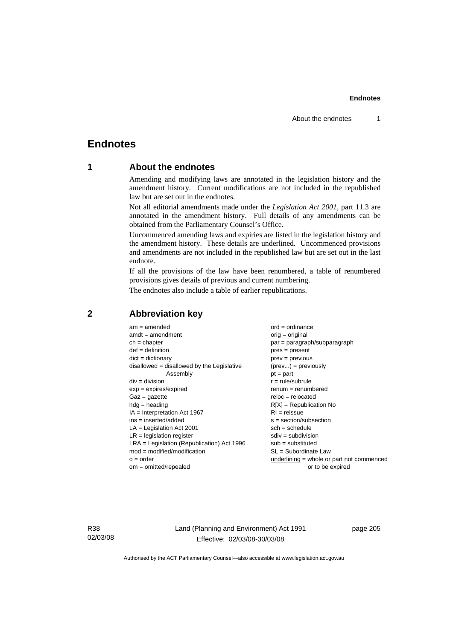# **Endnotes**

# **1 About the endnotes**

Amending and modifying laws are annotated in the legislation history and the amendment history. Current modifications are not included in the republished law but are set out in the endnotes.

Not all editorial amendments made under the *Legislation Act 2001*, part 11.3 are annotated in the amendment history. Full details of any amendments can be obtained from the Parliamentary Counsel's Office.

Uncommenced amending laws and expiries are listed in the legislation history and the amendment history. These details are underlined. Uncommenced provisions and amendments are not included in the republished law but are set out in the last endnote.

If all the provisions of the law have been renumbered, a table of renumbered provisions gives details of previous and current numbering.

The endnotes also include a table of earlier republications.

| $am = amended$                               | $ord = ordinance$                           |
|----------------------------------------------|---------------------------------------------|
| $amdt = amendment$                           | orig = original                             |
| $ch = chapter$                               | par = paragraph/subparagraph                |
| $def = definition$                           | $pres = present$                            |
| $dict = dictionary$                          | $prev = previous$                           |
| disallowed = disallowed by the Legislative   | $(\text{prev}) = \text{previously}$         |
| Assembly                                     | $pt = part$                                 |
| $div = division$                             | $r = rule/subrule$                          |
| $exp = expires/expired$                      | $renum = renumbered$                        |
| $Gaz = gazette$                              | $reloc = relocated$                         |
| $h dq =$ heading                             | $R[X]$ = Republication No                   |
| $IA = Interpretation Act 1967$               | $RI = reissue$                              |
| $ins = inserted/added$                       | $s = section/subsection$                    |
| $LA =$ Legislation Act 2001                  | $sch = schedule$                            |
| $LR =$ legislation register                  | $sdiv = subdivision$                        |
| $LRA =$ Legislation (Republication) Act 1996 | $sub =$ substituted                         |
| $mod = modified/modification$                | $SL = Subordinate$ Law                      |
| $o = order$                                  | $underlining = whole or part not commenced$ |
| $om = omitted/repealed$                      | or to be expired                            |
|                                              |                                             |

# **2 Abbreviation key**

R38 02/03/08 Land (Planning and Environment) Act 1991 Effective: 02/03/08-30/03/08

page 205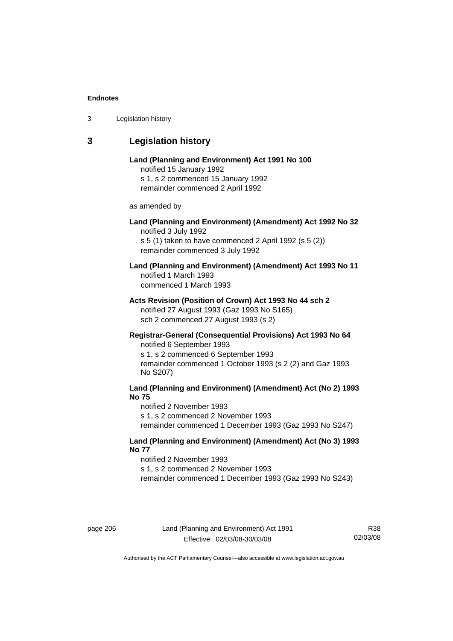# **3 Legislation history**

# **Land (Planning and Environment) Act 1991 No 100**  notified 15 January 1992 s 1, s 2 commenced 15 January 1992 remainder commenced 2 April 1992 as amended by **Land (Planning and Environment) (Amendment) Act 1992 No 32**  notified 3 July 1992 s 5 (1) taken to have commenced 2 April 1992 (s 5 (2)) remainder commenced 3 July 1992 **Land (Planning and Environment) (Amendment) Act 1993 No 11**  notified 1 March 1993 commenced 1 March 1993 **Acts Revision (Position of Crown) Act 1993 No 44 sch 2**  notified 27 August 1993 (Gaz 1993 No S165) sch 2 commenced 27 August 1993 (s 2) **Registrar-General (Consequential Provisions) Act 1993 No 64**  notified 6 September 1993 s 1, s 2 commenced 6 September 1993 remainder commenced 1 October 1993 (s 2 (2) and Gaz 1993 No S207) **Land (Planning and Environment) (Amendment) Act (No 2) 1993 No 75**

notified 2 November 1993 s 1, s 2 commenced 2 November 1993 remainder commenced 1 December 1993 (Gaz 1993 No S247)

# **Land (Planning and Environment) (Amendment) Act (No 3) 1993 No 77**

notified 2 November 1993 s 1, s 2 commenced 2 November 1993 remainder commenced 1 December 1993 (Gaz 1993 No S243)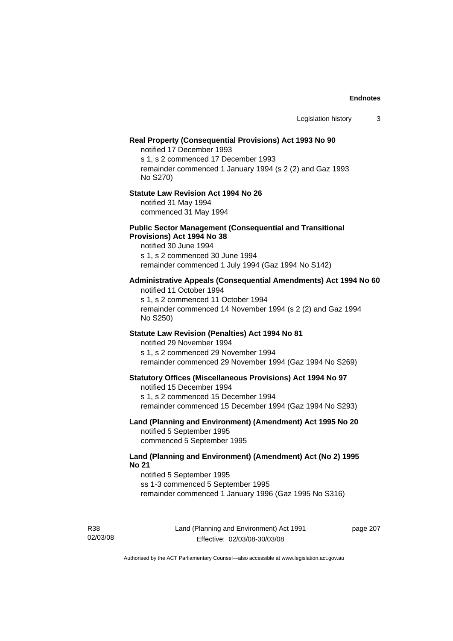#### **Real Property (Consequential Provisions) Act 1993 No 90**

notified 17 December 1993 s 1, s 2 commenced 17 December 1993 remainder commenced 1 January 1994 (s 2 (2) and Gaz 1993 No S270)

#### **Statute Law Revision Act 1994 No 26**

notified 31 May 1994 commenced 31 May 1994

#### **Public Sector Management (Consequential and Transitional Provisions) Act 1994 No 38**

notified 30 June 1994 s 1, s 2 commenced 30 June 1994 remainder commenced 1 July 1994 (Gaz 1994 No S142)

# **Administrative Appeals (Consequential Amendments) Act 1994 No 60**

notified 11 October 1994 s 1, s 2 commenced 11 October 1994 remainder commenced 14 November 1994 (s 2 (2) and Gaz 1994 No S250)

# **Statute Law Revision (Penalties) Act 1994 No 81**

notified 29 November 1994 s 1, s 2 commenced 29 November 1994 remainder commenced 29 November 1994 (Gaz 1994 No S269)

#### **Statutory Offices (Miscellaneous Provisions) Act 1994 No 97**

notified 15 December 1994 s 1, s 2 commenced 15 December 1994 remainder commenced 15 December 1994 (Gaz 1994 No S293)

**Land (Planning and Environment) (Amendment) Act 1995 No 20**  notified 5 September 1995 commenced 5 September 1995

# **Land (Planning and Environment) (Amendment) Act (No 2) 1995 No 21**

notified 5 September 1995 ss 1-3 commenced 5 September 1995 remainder commenced 1 January 1996 (Gaz 1995 No S316)

R38 02/03/08 page 207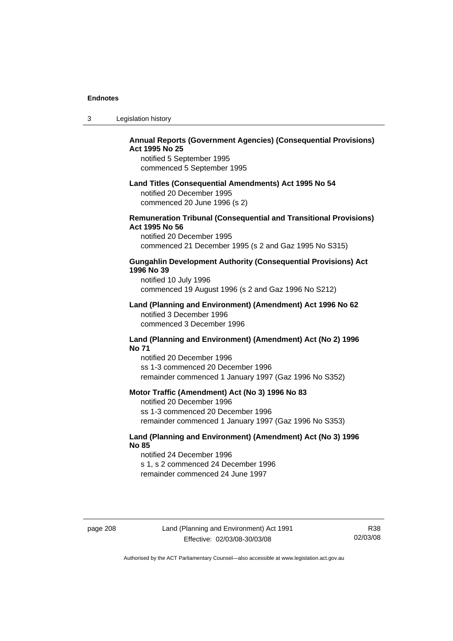| -3 | Legislation history |  |
|----|---------------------|--|
|----|---------------------|--|

# **Annual Reports (Government Agencies) (Consequential Provisions) Act 1995 No 25**

notified 5 September 1995 commenced 5 September 1995

#### **Land Titles (Consequential Amendments) Act 1995 No 54**

notified 20 December 1995 commenced 20 June 1996 (s 2)

# **Remuneration Tribunal (Consequential and Transitional Provisions) Act 1995 No 56**

notified 20 December 1995 commenced 21 December 1995 (s 2 and Gaz 1995 No S315)

# **Gungahlin Development Authority (Consequential Provisions) Act 1996 No 39**

notified 10 July 1996 commenced 19 August 1996 (s 2 and Gaz 1996 No S212)

#### **Land (Planning and Environment) (Amendment) Act 1996 No 62**  notified 3 December 1996 commenced 3 December 1996

#### **Land (Planning and Environment) (Amendment) Act (No 2) 1996 No 71**

notified 20 December 1996 ss 1-3 commenced 20 December 1996 remainder commenced 1 January 1997 (Gaz 1996 No S352)

# **Motor Traffic (Amendment) Act (No 3) 1996 No 83**

notified 20 December 1996 ss 1-3 commenced 20 December 1996 remainder commenced 1 January 1997 (Gaz 1996 No S353)

# **Land (Planning and Environment) (Amendment) Act (No 3) 1996 No 85**

notified 24 December 1996 s 1, s 2 commenced 24 December 1996 remainder commenced 24 June 1997

page 208 Land (Planning and Environment) Act 1991 Effective: 02/03/08-30/03/08

R38 02/03/08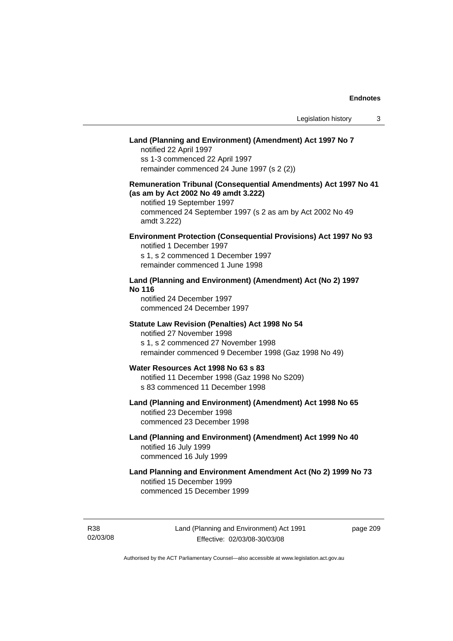# **Land (Planning and Environment) (Amendment) Act 1997 No 7**

notified 22 April 1997 ss 1-3 commenced 22 April 1997 remainder commenced 24 June 1997 (s 2 (2))

# **Remuneration Tribunal (Consequential Amendments) Act 1997 No 41 (as am by Act 2002 No 49 amdt 3.222)**

notified 19 September 1997 commenced 24 September 1997 (s 2 as am by Act 2002 No 49 amdt 3.222)

# **Environment Protection (Consequential Provisions) Act 1997 No 93**

notified 1 December 1997 s 1, s 2 commenced 1 December 1997 remainder commenced 1 June 1998

# **Land (Planning and Environment) (Amendment) Act (No 2) 1997 No 116**

notified 24 December 1997 commenced 24 December 1997

#### **Statute Law Revision (Penalties) Act 1998 No 54**

notified 27 November 1998 s 1, s 2 commenced 27 November 1998 remainder commenced 9 December 1998 (Gaz 1998 No 49)

# **Water Resources Act 1998 No 63 s 83**

notified 11 December 1998 (Gaz 1998 No S209) s 83 commenced 11 December 1998

# **Land (Planning and Environment) (Amendment) Act 1998 No 65**  notified 23 December 1998

commenced 23 December 1998

# **Land (Planning and Environment) (Amendment) Act 1999 No 40**  notified 16 July 1999 commenced 16 July 1999

# **Land Planning and Environment Amendment Act (No 2) 1999 No 73**  notified 15 December 1999 commenced 15 December 1999

R38 02/03/08 page 209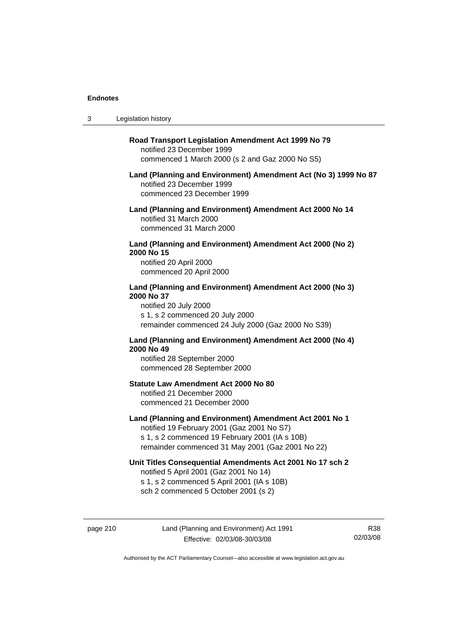$3<sub>1</sub>$ 

| Legislation history                                                                                                                                                                                         |  |
|-------------------------------------------------------------------------------------------------------------------------------------------------------------------------------------------------------------|--|
| Road Transport Legislation Amendment Act 1999 No 79<br>notified 23 December 1999<br>commenced 1 March 2000 (s 2 and Gaz 2000 No S5)                                                                         |  |
| Land (Planning and Environment) Amendment Act (No 3) 1999 No 87<br>notified 23 December 1999<br>commenced 23 December 1999                                                                                  |  |
| Land (Planning and Environment) Amendment Act 2000 No 14<br>notified 31 March 2000<br>commenced 31 March 2000                                                                                               |  |
| Land (Planning and Environment) Amendment Act 2000 (No 2)<br>2000 No 15<br>notified 20 April 2000<br>commenced 20 April 2000                                                                                |  |
| Land (Planning and Environment) Amendment Act 2000 (No 3)<br>2000 No 37<br>notified 20 July 2000<br>s 1, s 2 commenced 20 July 2000<br>remainder commenced 24 July 2000 (Gaz 2000 No S39)                   |  |
| Land (Planning and Environment) Amendment Act 2000 (No 4)<br>2000 No 49<br>notified 28 September 2000<br>commenced 28 September 2000                                                                        |  |
| Statute Law Amendment Act 2000 No 80<br>notified 21 December 2000<br>commenced 21 December 2000                                                                                                             |  |
| Land (Planning and Environment) Amendment Act 2001 No 1<br>notified 19 February 2001 (Gaz 2001 No S7)<br>s 1, s 2 commenced 19 February 2001 (IA s 10B)<br>remainder commenced 31 May 2001 (Gaz 2001 No 22) |  |
| Unit Titles Consequential Amendments Act 2001 No 17 sch 2<br>notified 5 April 2001 (Gaz 2001 No 14)<br>s 1, s 2 commenced 5 April 2001 (IA s 10B)<br>sch 2 commenced 5 October 2001 (s 2)                   |  |
|                                                                                                                                                                                                             |  |

page 210 Land (Planning and Environment) Act 1991 Effective: 02/03/08-30/03/08

R38 02/03/08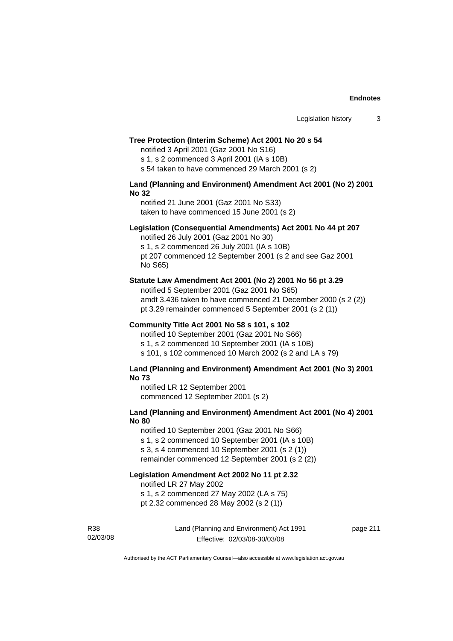#### **Tree Protection (Interim Scheme) Act 2001 No 20 s 54**

notified 3 April 2001 (Gaz 2001 No S16)

s 1, s 2 commenced 3 April 2001 (IA s 10B)

s 54 taken to have commenced 29 March 2001 (s 2)

#### **Land (Planning and Environment) Amendment Act 2001 (No 2) 2001 No 32**

notified 21 June 2001 (Gaz 2001 No S33) taken to have commenced 15 June 2001 (s 2)

#### **Legislation (Consequential Amendments) Act 2001 No 44 pt 207**

notified 26 July 2001 (Gaz 2001 No 30) s 1, s 2 commenced 26 July 2001 (IA s 10B) pt 207 commenced 12 September 2001 (s 2 and see Gaz 2001 No S65)

#### **Statute Law Amendment Act 2001 (No 2) 2001 No 56 pt 3.29**

notified 5 September 2001 (Gaz 2001 No S65) amdt 3.436 taken to have commenced 21 December 2000 (s 2 (2)) pt 3.29 remainder commenced 5 September 2001 (s 2 (1))

#### **Community Title Act 2001 No 58 s 101, s 102**

notified 10 September 2001 (Gaz 2001 No S66) s 1, s 2 commenced 10 September 2001 (IA s 10B) s 101, s 102 commenced 10 March 2002 (s 2 and LA s 79)

#### **Land (Planning and Environment) Amendment Act 2001 (No 3) 2001 No 73**

notified LR 12 September 2001 commenced 12 September 2001 (s 2)

# **Land (Planning and Environment) Amendment Act 2001 (No 4) 2001 No 80**

notified 10 September 2001 (Gaz 2001 No S66) s 1, s 2 commenced 10 September 2001 (IA s 10B) s 3, s 4 commenced 10 September 2001 (s 2 (1)) remainder commenced 12 September 2001 (s 2 (2))

# **Legislation Amendment Act 2002 No 11 pt 2.32**

notified LR 27 May 2002

s 1, s 2 commenced 27 May 2002 (LA s 75)

pt 2.32 commenced 28 May 2002 (s 2 (1))

R38 02/03/08 Land (Planning and Environment) Act 1991 Effective: 02/03/08-30/03/08

page 211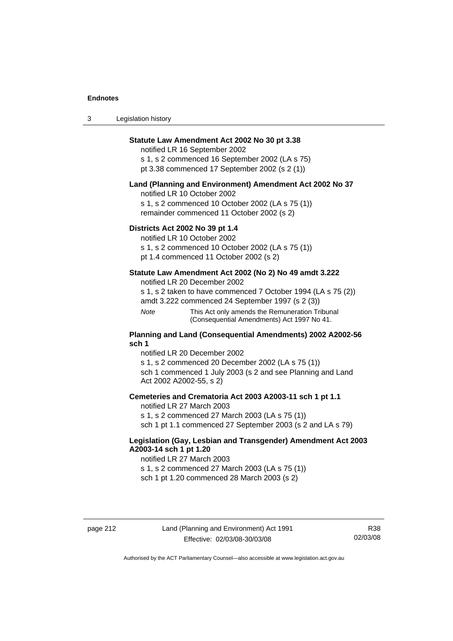| $\sqrt{2}$<br>- 3 | Legislation history |  |
|-------------------|---------------------|--|
|-------------------|---------------------|--|

# **Statute Law Amendment Act 2002 No 30 pt 3.38**

notified LR 16 September 2002 s 1, s 2 commenced 16 September 2002 (LA s 75) pt 3.38 commenced 17 September 2002 (s 2 (1))

#### **Land (Planning and Environment) Amendment Act 2002 No 37**

notified LR 10 October 2002

s 1, s 2 commenced 10 October 2002 (LA s 75 (1)) remainder commenced 11 October 2002 (s 2)

#### **Districts Act 2002 No 39 pt 1.4**

notified LR 10 October 2002

s 1, s 2 commenced 10 October 2002 (LA s 75 (1))

pt 1.4 commenced 11 October 2002 (s 2)

# **Statute Law Amendment Act 2002 (No 2) No 49 amdt 3.222**

notified LR 20 December 2002

s 1, s 2 taken to have commenced 7 October 1994 (LA s 75 (2))

amdt 3.222 commenced 24 September 1997 (s 2 (3))

*Note* This Act only amends the Remuneration Tribunal (Consequential Amendments) Act 1997 No 41.

## **Planning and Land (Consequential Amendments) 2002 A2002-56 sch 1**

notified LR 20 December 2002 s 1, s 2 commenced 20 December 2002 (LA s 75 (1)) sch 1 commenced 1 July 2003 (s 2 and see Planning and Land Act 2002 A2002-55, s 2)

# **Cemeteries and Crematoria Act 2003 A2003-11 sch 1 pt 1.1**

notified LR 27 March 2003 s 1, s 2 commenced 27 March 2003 (LA s 75 (1)) sch 1 pt 1.1 commenced 27 September 2003 (s 2 and LA s 79)

# **Legislation (Gay, Lesbian and Transgender) Amendment Act 2003 A2003-14 sch 1 pt 1.20**

notified LR 27 March 2003 s 1, s 2 commenced 27 March 2003 (LA s 75 (1)) sch 1 pt 1.20 commenced 28 March 2003 (s 2)

R38 02/03/08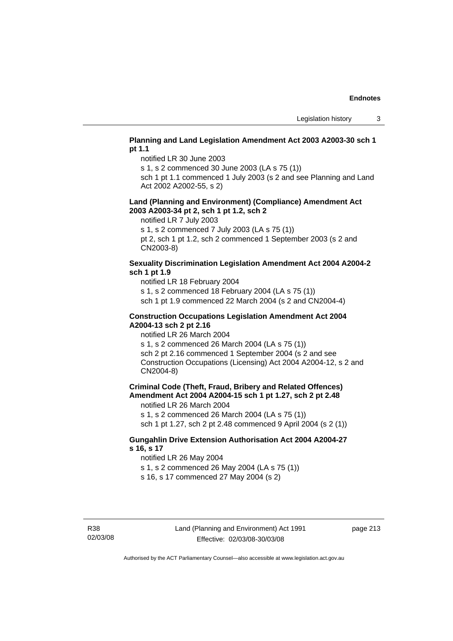# **Planning and Land Legislation Amendment Act 2003 A2003-30 sch 1 pt 1.1**

notified LR 30 June 2003

s 1, s 2 commenced 30 June 2003 (LA s 75 (1))

sch 1 pt 1.1 commenced 1 July 2003 (s 2 and see Planning and Land Act 2002 A2002-55, s 2)

### **Land (Planning and Environment) (Compliance) Amendment Act 2003 A2003-34 pt 2, sch 1 pt 1.2, sch 2**

notified LR 7 July 2003

s 1, s 2 commenced 7 July 2003 (LA s 75 (1))

pt 2, sch 1 pt 1.2, sch 2 commenced 1 September 2003 (s 2 and CN2003-8)

# **Sexuality Discrimination Legislation Amendment Act 2004 A2004-2 sch 1 pt 1.9**

notified LR 18 February 2004

s 1, s 2 commenced 18 February 2004 (LA s 75 (1))

sch 1 pt 1.9 commenced 22 March 2004 (s 2 and CN2004-4)

# **Construction Occupations Legislation Amendment Act 2004 A2004-13 sch 2 pt 2.16**

notified LR 26 March 2004

s 1, s 2 commenced 26 March 2004 (LA s 75 (1)) sch 2 pt 2.16 commenced 1 September 2004 (s 2 and see Construction Occupations (Licensing) Act 2004 A2004-12, s 2 and CN2004-8)

# **Criminal Code (Theft, Fraud, Bribery and Related Offences) Amendment Act 2004 A2004-15 sch 1 pt 1.27, sch 2 pt 2.48**

notified LR 26 March 2004

s 1, s 2 commenced 26 March 2004 (LA s 75 (1)) sch 1 pt 1.27, sch 2 pt 2.48 commenced 9 April 2004 (s 2 (1))

# **Gungahlin Drive Extension Authorisation Act 2004 A2004-27 s 16, s 17**

notified LR 26 May 2004

s 1, s 2 commenced 26 May 2004 (LA s 75 (1))

s 16, s 17 commenced 27 May 2004 (s 2)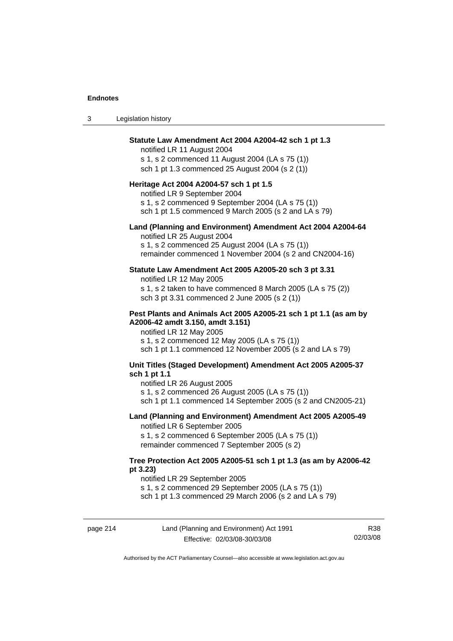| -3 | Legislation history |  |
|----|---------------------|--|
|----|---------------------|--|

#### **Statute Law Amendment Act 2004 A2004-42 sch 1 pt 1.3**

notified LR 11 August 2004 s 1, s 2 commenced 11 August 2004 (LA s 75 (1)) sch 1 pt 1.3 commenced 25 August 2004 (s 2 (1))

#### **Heritage Act 2004 A2004-57 sch 1 pt 1.5**

notified LR 9 September 2004

s 1, s 2 commenced 9 September 2004 (LA s 75 (1)) sch 1 pt 1.5 commenced 9 March 2005 (s 2 and LA s 79)

# **Land (Planning and Environment) Amendment Act 2004 A2004-64**

notified LR 25 August 2004 s 1, s 2 commenced 25 August 2004 (LA s 75 (1)) remainder commenced 1 November 2004 (s 2 and CN2004-16)

#### **Statute Law Amendment Act 2005 A2005-20 sch 3 pt 3.31**

notified LR 12 May 2005 s 1, s 2 taken to have commenced 8 March 2005 (LA s 75 (2))

sch 3 pt 3.31 commenced 2 June 2005 (s 2 (1))

# **Pest Plants and Animals Act 2005 A2005-21 sch 1 pt 1.1 (as am by A2006-42 amdt 3.150, amdt 3.151)**

notified LR 12 May 2005 s 1, s 2 commenced 12 May 2005 (LA s 75 (1)) sch 1 pt 1.1 commenced 12 November 2005 (s 2 and LA s 79)

# **Unit Titles (Staged Development) Amendment Act 2005 A2005-37 sch 1 pt 1.1**

notified LR 26 August 2005

s 1, s 2 commenced 26 August 2005 (LA s 75 (1))

sch 1 pt 1.1 commenced 14 September 2005 (s 2 and CN2005-21)

# **Land (Planning and Environment) Amendment Act 2005 A2005-49**

notified LR 6 September 2005

s 1, s 2 commenced 6 September 2005 (LA s 75 (1)) remainder commenced 7 September 2005 (s 2)

#### **Tree Protection Act 2005 A2005-51 sch 1 pt 1.3 (as am by A2006-42 pt 3.23)**

notified LR 29 September 2005

s 1, s 2 commenced 29 September 2005 (LA s 75 (1))

sch 1 pt 1.3 commenced 29 March 2006 (s 2 and LA s 79)

page 214 Land (Planning and Environment) Act 1991 Effective: 02/03/08-30/03/08

R38 02/03/08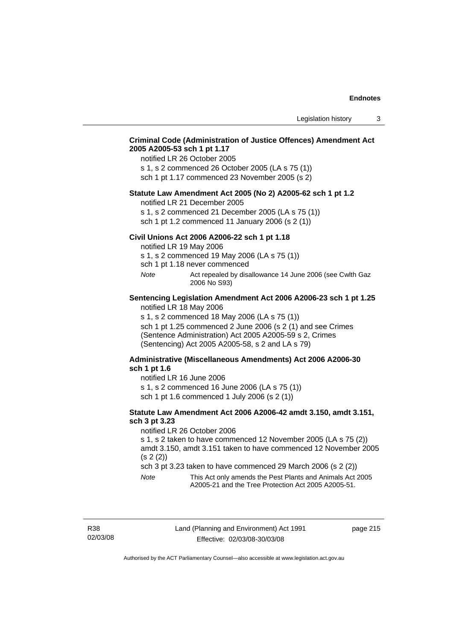# **Criminal Code (Administration of Justice Offences) Amendment Act 2005 A2005-53 sch 1 pt 1.17**

notified LR 26 October 2005

s 1, s 2 commenced 26 October 2005 (LA s 75 (1)) sch 1 pt 1.17 commenced 23 November 2005 (s 2)

#### **Statute Law Amendment Act 2005 (No 2) A2005-62 sch 1 pt 1.2**

notified LR 21 December 2005

s 1, s 2 commenced 21 December 2005 (LA s 75 (1)) sch 1 pt 1.2 commenced 11 January 2006 (s 2 (1))

# **Civil Unions Act 2006 A2006-22 sch 1 pt 1.18**

notified LR 19 May 2006

s 1, s 2 commenced 19 May 2006 (LA s 75 (1))

sch 1 pt 1.18 never commenced

*Note* Act repealed by disallowance 14 June 2006 (see Cwlth Gaz 2006 No S93)

#### **Sentencing Legislation Amendment Act 2006 A2006-23 sch 1 pt 1.25**  notified LR 18 May 2006

s 1, s 2 commenced 18 May 2006 (LA s 75 (1))

sch 1 pt 1.25 commenced 2 June 2006 (s 2 (1) and see Crimes (Sentence Administration) Act 2005 A2005-59 s 2, Crimes (Sentencing) Act 2005 A2005-58, s 2 and LA s 79)

# **Administrative (Miscellaneous Amendments) Act 2006 A2006-30 sch 1 pt 1.6**

notified LR 16 June 2006

s 1, s 2 commenced 16 June 2006 (LA s 75 (1)) sch 1 pt 1.6 commenced 1 July 2006 (s 2 (1))

### **Statute Law Amendment Act 2006 A2006-42 amdt 3.150, amdt 3.151, sch 3 pt 3.23**

notified LR 26 October 2006

s 1, s 2 taken to have commenced 12 November 2005 (LA s 75 (2)) amdt 3.150, amdt 3.151 taken to have commenced 12 November 2005 (s 2 (2))

sch 3 pt 3.23 taken to have commenced 29 March 2006 (s 2 (2))

*Note* This Act only amends the Pest Plants and Animals Act 2005 A2005-21 and the Tree Protection Act 2005 A2005-51.

R38 02/03/08 page 215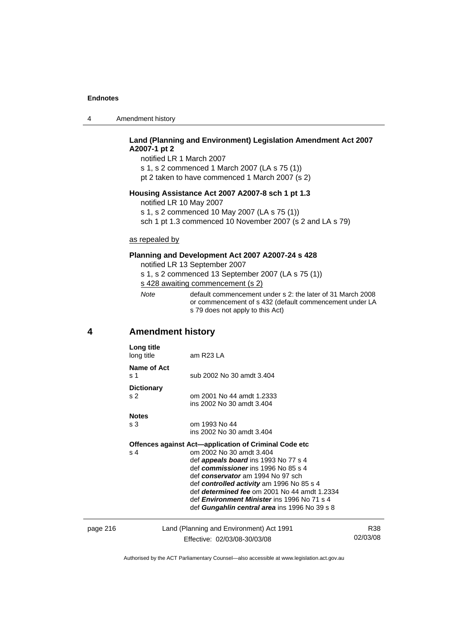|  | Amendment history |
|--|-------------------|
|--|-------------------|

# **Land (Planning and Environment) Legislation Amendment Act 2007 A2007-1 pt 2**

notified LR 1 March 2007 s 1, s 2 commenced 1 March 2007 (LA s 75 (1)) pt 2 taken to have commenced 1 March 2007 (s 2)

# **Housing Assistance Act 2007 A2007-8 sch 1 pt 1.3**

notified LR 10 May 2007

s 1, s 2 commenced 10 May 2007 (LA s 75 (1))

sch 1 pt 1.3 commenced 10 November 2007 (s 2 and LA s 79)

# as repealed by

# **Planning and Development Act 2007 A2007-24 s 428**

notified LR 13 September 2007

s 1, s 2 commenced 13 September 2007 (LA s 75 (1)) s 428 awaiting commencement (s 2)

| Note | default commencement under s 2: the later of 31 March 2008 |
|------|------------------------------------------------------------|
|      | or commencement of s 432 (default commencement under LA    |
|      | s 79 does not apply to this Act)                           |

# **4 Amendment history**

|          | Long title<br>long title            | am R23 LA                                                                                                                                                                                                                                                                                                                                                                                                        |                 |
|----------|-------------------------------------|------------------------------------------------------------------------------------------------------------------------------------------------------------------------------------------------------------------------------------------------------------------------------------------------------------------------------------------------------------------------------------------------------------------|-----------------|
|          | Name of Act<br>s 1                  | sub 2002 No 30 amdt 3.404                                                                                                                                                                                                                                                                                                                                                                                        |                 |
|          | <b>Dictionary</b><br>s <sub>2</sub> | om 2001 No 44 amdt 1.2333<br>ins 2002 No 30 amdt 3.404                                                                                                                                                                                                                                                                                                                                                           |                 |
|          | <b>Notes</b><br>s <sub>3</sub>      | om 1993 No 44<br>ins 2002 No 30 amdt 3.404                                                                                                                                                                                                                                                                                                                                                                       |                 |
|          | s 4                                 | Offences against Act—application of Criminal Code etc<br>om 2002 No 30 amdt 3.404<br>def <i>appeals board</i> ins 1993 No 77 s 4<br>def commissioner ins 1996 No 85 s 4<br>def conservator am 1994 No 97 sch<br>def controlled activity am 1996 No 85 s 4<br>def determined fee om 2001 No 44 amdt 1.2334<br>def <i>Environment Minister</i> ins 1996 No 71 s 4<br>def Gungahlin central area ins 1996 No 39 s 8 |                 |
| page 216 |                                     | Land (Planning and Environment) Act 1991<br>Effective: 02/03/08-30/03/08                                                                                                                                                                                                                                                                                                                                         | R38<br>02/03/08 |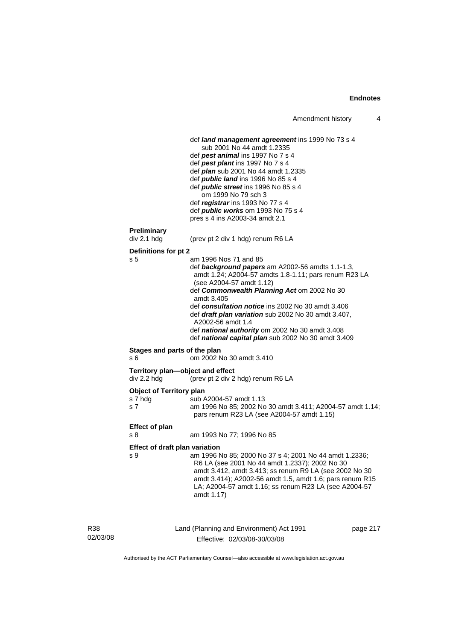```
 def land management agreement ins 1999 No 73 s 4 
                       sub 2001 No 44 amdt 1.2335 
                   def pest animal ins 1997 No 7 s 4 
                   def pest plant ins 1997 No 7 s 4 
                   def plan sub 2001 No 44 amdt 1.2335 
                   def public land ins 1996 No 85 s 4 
                   def public street ins 1996 No 85 s 4 
                       om 1999 No 79 sch 3 
                   def registrar ins 1993 No 77 s 4 
                   def public works om 1993 No 75 s 4 
                   pres s 4 ins A2003-34 amdt 2.1 
Preliminary 
div 2.1 hdg (prev pt 2 div 1 hdg) renum R6 LA 
Definitions for pt 2 
s 5 am 1996 Nos 71 and 85 
                   def background papers am A2002-56 amdts 1.1-1.3, 
                   amdt 1.24; A2004-57 amdts 1.8-1.11; pars renum R23 LA 
                   (see A2004-57 amdt 1.12) 
                   def Commonwealth Planning Act om 2002 No 30 
                   amdt 3.405 
                   def consultation notice ins 2002 No 30 amdt 3.406 
                   def draft plan variation sub 2002 No 30 amdt 3.407, 
                   A2002-56 amdt 1.4 
                   def national authority om 2002 No 30 amdt 3.408 
                   def national capital plan sub 2002 No 30 amdt 3.409 
Stages and parts of the plan 
s 6 om 2002 No 30 amdt 3.410 
Territory plan—object and effect div 2.2 hdg (prev pt 2 div 2
                  e<br>(prev pt 2 div 2 hdg) renum R6 LA
Object of Territory plan 
s 7 hdg sub A2004-57 amdt 1.13
s 7 am 1996 No 85; 2002 No 30 amdt 3.411; A2004-57 amdt 1.14; 
                   pars renum R23 LA (see A2004-57 amdt 1.15) 
Effect of plan 
s 8 am 1993 No 77; 1996 No 85 
Effect of draft plan variation 
s 9 am 1996 No 85; 2000 No 37 s 4; 2001 No 44 amdt 1.2336; 
                   R6 LA (see 2001 No 44 amdt 1.2337); 2002 No 30 
                   amdt 3.412, amdt 3.413; ss renum R9 LA (see 2002 No 30 
                   amdt 3.414); A2002-56 amdt 1.5, amdt 1.6; pars renum R15 
                   LA; A2004-57 amdt 1.16; ss renum R23 LA (see A2004-57 
                   amdt 1.17)
```
R38 02/03/08 Land (Planning and Environment) Act 1991 Effective: 02/03/08-30/03/08

page 217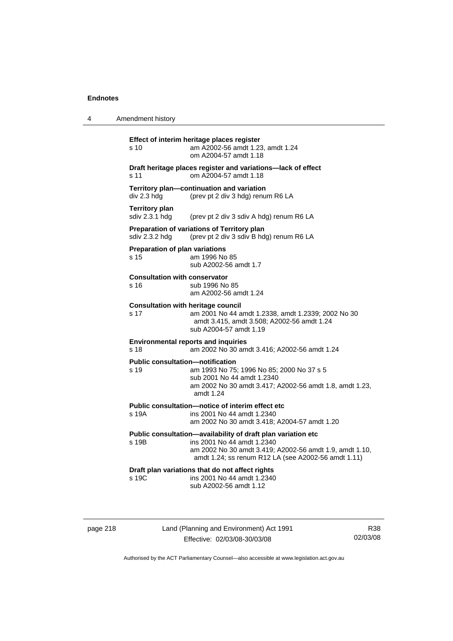4 Amendment history **Effect of interim heritage places register**  s 10 am A2002-56 amdt 1.23, amdt 1.24 om A2004-57 amdt 1.18 **Draft heritage places register and variations—lack of effect**  s 11 om A2004-57 amdt 1.18 **Territory plan—continuation and variation**  div 2.3 hdg (prev pt 2 div 3 hdg) renum R6 LA **Territory plan**<br>sdiv 2.3.1 hdg (prev pt 2 div 3 sdiv A hdg) renum R6 LA **Preparation of variations of Territory plan**  sdiv 2.3.2 hdg (prev pt 2 div 3 sdiv B hdg) renum R6 LA **Preparation of plan variations**  s 15 am 1996 No 85 sub A2002-56 amdt 1.7 **Consultation with conservator**  s 16 sub 1996 No 85 am A2002-56 amdt 1.24 **Consultation with heritage council**  s 17 am 2001 No 44 amdt 1.2338, amdt 1.2339; 2002 No 30 amdt 3.415, amdt 3.508; A2002-56 amdt 1.24 sub A2004-57 amdt 1.19 **Environmental reports and inquiries**  s 18 am 2002 No 30 amdt 3.416; A2002-56 amdt 1.24 **Public consultation—notification**  s 19 am 1993 No 75; 1996 No 85; 2000 No 37 s 5 sub 2001 No 44 amdt 1.2340 am 2002 No 30 amdt 3.417; A2002-56 amdt 1.8, amdt 1.23, amdt 1.24 **Public consultation—notice of interim effect etc**  s 19A ins 2001 No 44 amdt 1.2340 am 2002 No 30 amdt 3.418; A2004-57 amdt 1.20 **Public consultation—availability of draft plan variation etc**  s 19B ins 2001 No 44 amdt 1.2340 am 2002 No 30 amdt 3.419; A2002-56 amdt 1.9, amdt 1.10, amdt 1.24; ss renum R12 LA (see A2002-56 amdt 1.11) **Draft plan variations that do not affect rights**  s 19C ins 2001 No 44 amdt 1.2340 sub A2002-56 amdt 1.12

page 218 Land (Planning and Environment) Act 1991 Effective: 02/03/08-30/03/08

R38 02/03/08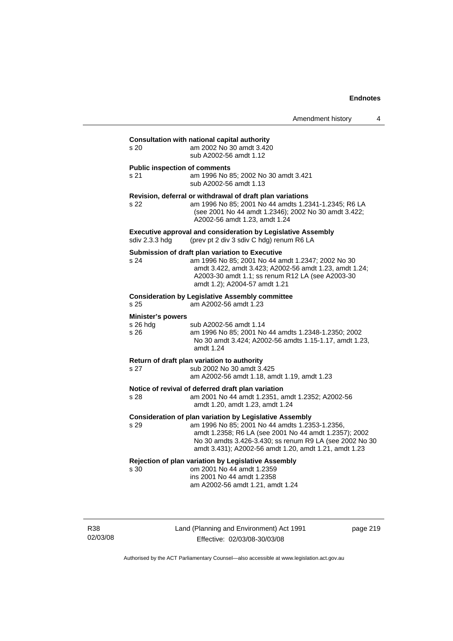| s <sub>20</sub>                              | Consultation with national capital authority<br>am 2002 No 30 amdt 3.420<br>sub A2002-56 amdt 1.12                                                                                                                                                                                            |
|----------------------------------------------|-----------------------------------------------------------------------------------------------------------------------------------------------------------------------------------------------------------------------------------------------------------------------------------------------|
| <b>Public inspection of comments</b><br>s 21 | am 1996 No 85; 2002 No 30 amdt 3.421<br>sub A2002-56 amdt 1.13                                                                                                                                                                                                                                |
| s 22                                         | Revision, deferral or withdrawal of draft plan variations<br>am 1996 No 85; 2001 No 44 amdts 1.2341-1.2345; R6 LA<br>(see 2001 No 44 amdt 1.2346); 2002 No 30 amdt 3.422;<br>A2002-56 amdt 1.23, amdt 1.24                                                                                    |
| sdiv 2.3.3 hdg                               | <b>Executive approval and consideration by Legislative Assembly</b><br>(prev pt 2 div 3 sdiv C hdg) renum R6 LA                                                                                                                                                                               |
| s 24                                         | Submission of draft plan variation to Executive<br>am 1996 No 85; 2001 No 44 amdt 1.2347; 2002 No 30<br>amdt 3.422, amdt 3.423; A2002-56 amdt 1.23, amdt 1.24;<br>A2003-30 amdt 1.1; ss renum R12 LA (see A2003-30<br>amdt 1.2); A2004-57 amdt 1.21                                           |
| s 25                                         | <b>Consideration by Legislative Assembly committee</b><br>am A2002-56 amdt 1.23                                                                                                                                                                                                               |
| <b>Minister's powers</b><br>s 26 hdg<br>s 26 | sub A2002-56 amdt 1.14<br>am 1996 No 85; 2001 No 44 amdts 1.2348-1.2350; 2002<br>No 30 amdt 3.424; A2002-56 amdts 1.15-1.17, amdt 1.23,<br>amdt 1.24                                                                                                                                          |
| s 27                                         | Return of draft plan variation to authority<br>sub 2002 No 30 amdt 3.425<br>am A2002-56 amdt 1.18, amdt 1.19, amdt 1.23                                                                                                                                                                       |
| s 28                                         | Notice of revival of deferred draft plan variation<br>am 2001 No 44 amdt 1.2351, amdt 1.2352; A2002-56<br>amdt 1.20, amdt 1.23, amdt 1.24                                                                                                                                                     |
| s 29                                         | <b>Consideration of plan variation by Legislative Assembly</b><br>am 1996 No 85; 2001 No 44 amdts 1.2353-1.2356,<br>amdt 1.2358; R6 LA (see 2001 No 44 amdt 1.2357); 2002<br>No 30 amdts 3.426-3.430; ss renum R9 LA (see 2002 No 30<br>amdt 3.431); A2002-56 amdt 1.20, amdt 1.21, amdt 1.23 |
| s 30                                         | Rejection of plan variation by Legislative Assembly<br>om 2001 No 44 amdt 1.2359<br>ins 2001 No 44 amdt 1.2358<br>am A2002-56 amdt 1.21, amdt 1.24                                                                                                                                            |

R38 02/03/08 Land (Planning and Environment) Act 1991 Effective: 02/03/08-30/03/08

page 219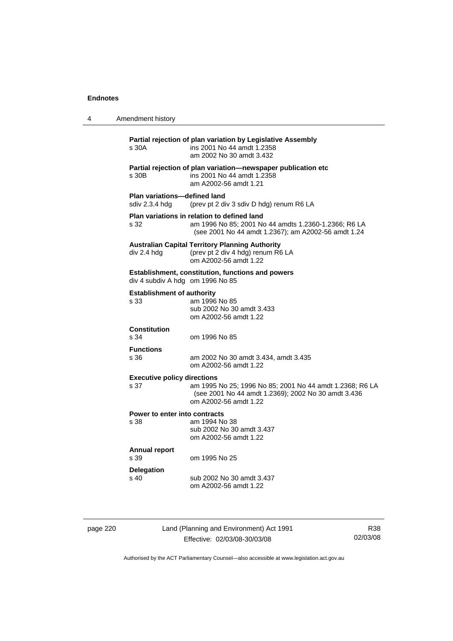| 4 | Amendment history                              |                                                                                                                                                            |  |
|---|------------------------------------------------|------------------------------------------------------------------------------------------------------------------------------------------------------------|--|
|   | s 30A                                          | Partial rejection of plan variation by Legislative Assembly<br>ins 2001 No 44 amdt 1.2358<br>am 2002 No 30 amdt 3.432                                      |  |
|   | s 30B                                          | Partial rejection of plan variation-newspaper publication etc<br>ins 2001 No 44 amdt 1.2358<br>am A2002-56 amdt 1.21                                       |  |
|   | Plan variations-defined land<br>sdiv 2.3.4 hdg | (prev pt 2 div 3 sdiv D hdg) renum R6 LA                                                                                                                   |  |
|   | s 32                                           | Plan variations in relation to defined land<br>am 1996 No 85; 2001 No 44 amdts 1.2360-1.2366; R6 LA<br>(see 2001 No 44 amdt 1.2367); am A2002-56 amdt 1.24 |  |
|   | div 2.4 hdg                                    | <b>Australian Capital Territory Planning Authority</b><br>(prev pt 2 div 4 hdg) renum R6 LA<br>om A2002-56 amdt 1.22                                       |  |
|   | div 4 subdiv A hdg om 1996 No 85               | Establishment, constitution, functions and powers                                                                                                          |  |
|   | <b>Establishment of authority</b><br>s 33      | am 1996 No 85<br>sub 2002 No 30 amdt 3.433<br>om A2002-56 amdt 1.22                                                                                        |  |
|   | <b>Constitution</b><br>s 34                    | om 1996 No 85                                                                                                                                              |  |
|   | <b>Functions</b><br>s 36                       | am 2002 No 30 amdt 3.434, amdt 3.435<br>om A2002-56 amdt 1.22                                                                                              |  |
|   | <b>Executive policy directions</b><br>s 37     | am 1995 No 25; 1996 No 85; 2001 No 44 amdt 1.2368; R6 LA<br>(see 2001 No 44 amdt 1.2369); 2002 No 30 amdt 3.436<br>om A2002-56 amdt 1.22                   |  |
|   | Power to enter into contracts<br>s 38          | am 1994 No 38<br>sub 2002 No 30 amdt 3.437<br>om A2002-56 amdt 1.22                                                                                        |  |
|   | <b>Annual report</b><br>s 39                   | om 1995 No 25                                                                                                                                              |  |
|   | <b>Delegation</b><br>s <sub>40</sub>           | sub 2002 No 30 amdt 3.437<br>om A2002-56 amdt 1.22                                                                                                         |  |
|   |                                                |                                                                                                                                                            |  |

page 220 Land (Planning and Environment) Act 1991 Effective: 02/03/08-30/03/08

R38 02/03/08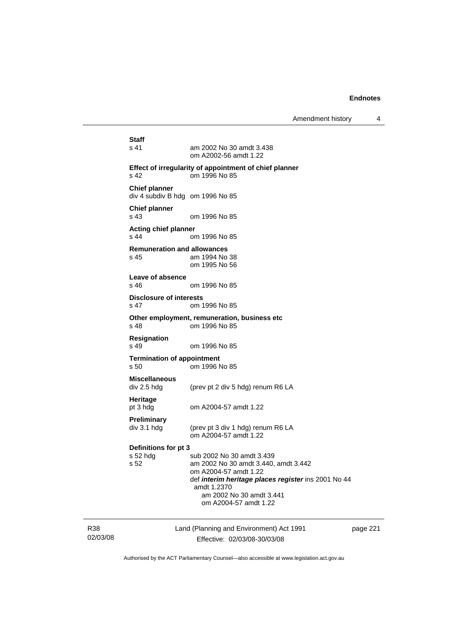Amendment history 4

| Staff<br>s 41                                            | am 2002 No 30 amdt 3.438<br>om A2002-56 amdt 1.22                                                                                                                                                                     |
|----------------------------------------------------------|-----------------------------------------------------------------------------------------------------------------------------------------------------------------------------------------------------------------------|
| s <sub>42</sub>                                          | Effect of irregularity of appointment of chief planner<br>om 1996 No 85                                                                                                                                               |
| <b>Chief planner</b><br>div 4 subdiv B hdg om 1996 No 85 |                                                                                                                                                                                                                       |
| <b>Chief planner</b><br>s <sub>43</sub>                  | om 1996 No 85                                                                                                                                                                                                         |
| <b>Acting chief planner</b><br>s 44                      | om 1996 No 85                                                                                                                                                                                                         |
| <b>Remuneration and allowances</b><br>s 45               | am 1994 No 38<br>om 1995 No 56                                                                                                                                                                                        |
| Leave of absence<br>s 46                                 | om 1996 No 85                                                                                                                                                                                                         |
| <b>Disclosure of interests</b><br>s 47                   | om 1996 No 85                                                                                                                                                                                                         |
| s 48                                                     | Other employment, remuneration, business etc<br>om 1996 No 85                                                                                                                                                         |
| <b>Resignation</b><br>s 49                               | om 1996 No 85                                                                                                                                                                                                         |
| <b>Termination of appointment</b><br>s 50                | om 1996 No 85                                                                                                                                                                                                         |
| <b>Miscellaneous</b><br>div 2.5 hdg                      | (prev pt 2 div 5 hdg) renum R6 LA                                                                                                                                                                                     |
| Heritage<br>pt 3 hdg                                     | om A2004-57 amdt 1.22                                                                                                                                                                                                 |
| Preliminary<br>div 3.1 hdg                               | (prev pt 3 div 1 hdg) renum R6 LA<br>om A2004-57 amdt 1.22                                                                                                                                                            |
| Definitions for pt 3<br>s 52 hdg<br>s 52                 | sub 2002 No 30 amdt 3.439<br>am 2002 No 30 amdt 3.440, amdt 3.442<br>om A2004-57 amdt 1.22<br>def interim heritage places register ins 2001 No 44<br>amdt 1.2370<br>am 2002 No 30 amdt 3.441<br>om A2004-57 amdt 1.22 |
|                                                          | Lond (Dionning and Environment) Act 1001                                                                                                                                                                              |

R38 02/03/08 Land (Planning and Environment) Act 1991 Effective: 02/03/08-30/03/08

page 221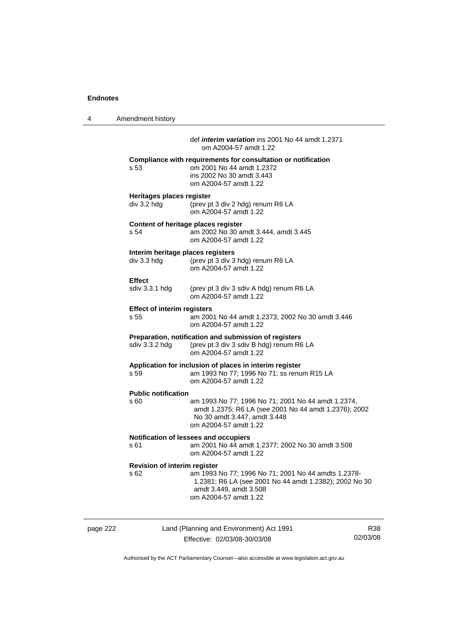4 Amendment history page 222 Land (Planning and Environment) Act 1991 R38 def *interim variation* ins 2001 No 44 amdt 1.2371 om A2004-57 amdt 1.22 **Compliance with requirements for consultation or notification**  s 53 om 2001 No 44 amdt 1.2372 ins 2002 No 30 amdt 3.443 om A2004-57 amdt 1.22 **Heritages places register**  div 3.2 hdg (prev pt 3 div 2 hdg) renum R6 LA om A2004-57 amdt 1.22 **Content of heritage places register**  s 54 am 2002 No 30 amdt 3.444, amdt 3.445 om A2004-57 amdt 1.22 **Interim heritage places registers**  div 3.3 hdg (prev pt 3 div 3 hdg) renum R6 LA om A2004-57 amdt 1.22 Effect<br>sdiv 3.3.1 hdg (prev pt 3 div 3 sdiv A hdg) renum R6 LA om A2004-57 amdt 1.22 **Effect of interim registers**  s 55 am 2001 No 44 amdt 1.2373; 2002 No 30 amdt 3.446 om A2004-57 amdt 1.22 **Preparation, notification and submission of registers**  sdiv 3.3.2 hdg (prev pt 3 div 3 sdiv B hdg) renum R6 LA om A2004-57 amdt 1.22 **Application for inclusion of places in interim register**  s 59 am 1993 No 77; 1996 No 71; ss renum R15 LA om A2004-57 amdt 1.22 **Public notification**  s 60 am 1993 No 77; 1996 No 71; 2001 No 44 amdt 1.2374, amdt 1.2375; R6 LA (see 2001 No 44 amdt 1.2376); 2002 No 30 amdt 3.447, amdt 3.448 om A2004-57 amdt 1.22 **Notification of lessees and occupiers**  s 61 am 2001 No 44 amdt 1.2377; 2002 No 30 amdt 3.508 om A2004-57 amdt 1.22 **Revision of interim register**  s 62 am 1993 No 77; 1996 No 71; 2001 No 44 amdts 1.2378- 1.2381; R6 LA (see 2001 No 44 amdt 1.2382); 2002 No 30 amdt 3.449, amdt 3.508 om A2004-57 amdt 1.22

Authorised by the ACT Parliamentary Counsel—also accessible at www.legislation.act.gov.au

02/03/08

Effective: 02/03/08-30/03/08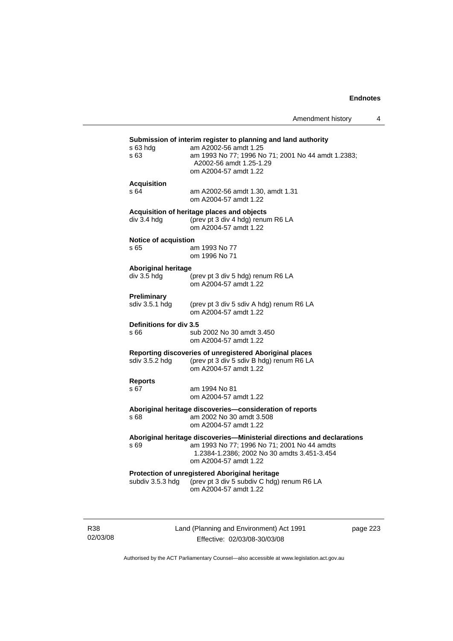| Amendment history |  |  |
|-------------------|--|--|
|-------------------|--|--|

|                             | Submission of interim register to planning and land authority                                                                   |
|-----------------------------|---------------------------------------------------------------------------------------------------------------------------------|
| s 63 hda<br>s 63            | am A2002-56 amdt 1.25<br>am 1993 No 77; 1996 No 71; 2001 No 44 amdt 1.2383;<br>A2002-56 amdt 1.25-1.29<br>om A2004-57 amdt 1.22 |
| <b>Acquisition</b>          |                                                                                                                                 |
| s 64                        | am A2002-56 amdt 1.30, amdt 1.31<br>om A2004-57 amdt 1.22                                                                       |
|                             | Acquisition of heritage places and objects                                                                                      |
| div 3.4 hdg                 | (prev pt 3 div 4 hdg) renum R6 LA<br>om A2004-57 amdt 1.22                                                                      |
| <b>Notice of acquistion</b> |                                                                                                                                 |
| s 65                        | am 1993 No 77<br>om 1996 No 71                                                                                                  |
| <b>Aboriginal heritage</b>  |                                                                                                                                 |
| div 3.5 hdg                 | (prev pt 3 div 5 hdg) renum R6 LA<br>om A2004-57 amdt 1.22                                                                      |
| Preliminary                 |                                                                                                                                 |
| sdiv 3.5.1 hdg              | (prev pt 3 div 5 sdiv A hdg) renum R6 LA<br>om A2004-57 amdt 1.22                                                               |
| Definitions for div 3.5     |                                                                                                                                 |
| s 66                        | sub 2002 No 30 amdt 3.450<br>om A2004-57 amdt 1.22                                                                              |
| sdiv 3.5.2 hdg              | Reporting discoveries of unregistered Aboriginal places<br>(prev pt 3 div 5 sdiv B hdg) renum R6 LA<br>om A2004-57 amdt 1.22    |
| <b>Reports</b>              |                                                                                                                                 |
| s 67                        | am 1994 No 81                                                                                                                   |
|                             | om A2004-57 amdt 1.22                                                                                                           |
| s 68                        | Aboriginal heritage discoveries-consideration of reports<br>am 2002 No 30 amdt 3.508                                            |
|                             | om A2004-57 amdt 1.22                                                                                                           |
|                             | Aboriginal heritage discoveries-Ministerial directions and declarations                                                         |
| s 69                        | am 1993 No 77; 1996 No 71; 2001 No 44 amdts<br>1.2384-1.2386; 2002 No 30 amdts 3.451-3.454<br>om A2004-57 amdt 1.22             |
|                             | Protection of unregistered Aboriginal heritage                                                                                  |
|                             | subdiv 3.5.3 hdg (prev pt 3 div 5 subdiv C hdg) renum R6 LA<br>om A2004-57 amdt 1.22                                            |
|                             |                                                                                                                                 |

R38 02/03/08 Land (Planning and Environment) Act 1991 Effective: 02/03/08-30/03/08

page 223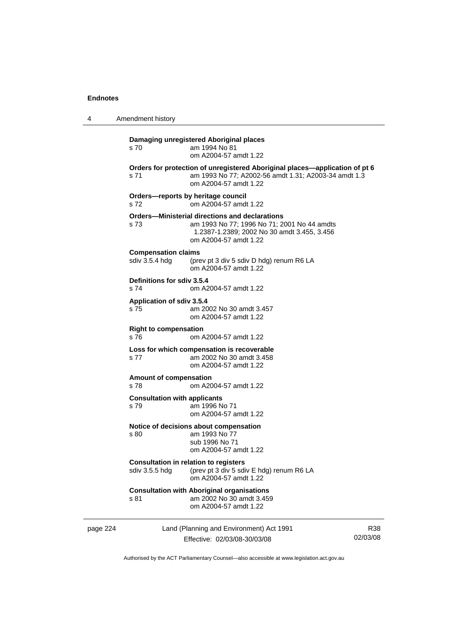| 4        | Amendment history                            |                                                                                                                                                                       |     |
|----------|----------------------------------------------|-----------------------------------------------------------------------------------------------------------------------------------------------------------------------|-----|
|          | s 70                                         | Damaging unregistered Aboriginal places<br>am 1994 No 81<br>om A2004-57 amdt 1.22                                                                                     |     |
|          | s 71                                         | Orders for protection of unregistered Aboriginal places—application of pt 6<br>am 1993 No 77; A2002-56 amdt 1.31; A2003-34 amdt 1.3<br>om A2004-57 amdt 1.22          |     |
|          | s 72                                         | Orders-reports by heritage council<br>om A2004-57 amdt 1.22                                                                                                           |     |
|          | s 73                                         | Orders—Ministerial directions and declarations<br>am 1993 No 77; 1996 No 71; 2001 No 44 amdts<br>1.2387-1.2389; 2002 No 30 amdt 3.455, 3.456<br>om A2004-57 amdt 1.22 |     |
|          | <b>Compensation claims</b><br>sdiv 3.5.4 hdg | (prev pt 3 div 5 sdiv D hdg) renum R6 LA<br>om A2004-57 amdt 1.22                                                                                                     |     |
|          | Definitions for sdiv 3.5.4<br>s 74           | om A2004-57 amdt 1.22                                                                                                                                                 |     |
|          | Application of sdiv 3.5.4<br>s 75            | am 2002 No 30 amdt 3.457<br>om A2004-57 amdt 1.22                                                                                                                     |     |
|          | <b>Right to compensation</b><br>s 76         | om A2004-57 amdt 1.22                                                                                                                                                 |     |
|          | s 77                                         | Loss for which compensation is recoverable<br>am 2002 No 30 amdt 3.458<br>om A2004-57 amdt 1.22                                                                       |     |
|          | Amount of compensation<br>s 78               | om A2004-57 amdt 1.22                                                                                                                                                 |     |
|          | <b>Consultation with applicants</b><br>s 79  | am 1996 No 71<br>om A2004-57 amdt 1.22                                                                                                                                |     |
|          | s 80                                         | Notice of decisions about compensation<br>am 1993 No 77<br>sub 1996 No 71<br>om A2004-57 amdt 1.22                                                                    |     |
|          | sdiv 3.5.5 hdg                               | <b>Consultation in relation to registers</b><br>(prev pt 3 div 5 sdiv E hdg) renum R6 LA<br>om A2004-57 amdt 1.22                                                     |     |
|          | s 81                                         | <b>Consultation with Aboriginal organisations</b><br>am 2002 No 30 amdt 3.459<br>om A2004-57 amdt 1.22                                                                |     |
| page 224 |                                              | Land (Planning and Environment) Act 1991                                                                                                                              | R38 |

Authorised by the ACT Parliamentary Counsel—also accessible at www.legislation.act.gov.au

Effective: 02/03/08-30/03/08

02/03/08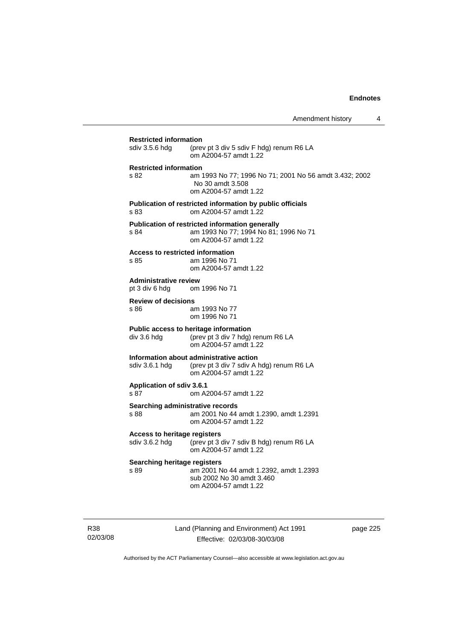# **Restricted information**<br>sdiv 3.5.6 hdg (prev (prev pt 3 div 5 sdiv F hdg) renum R6 LA om A2004-57 amdt 1.22 **Restricted information**  s 82 am 1993 No 77; 1996 No 71; 2001 No 56 amdt 3.432; 2002 No 30 amdt 3.508 om A2004-57 amdt 1.22 **Publication of restricted information by public officials**  s 83 om A2004-57 amdt 1.22 **Publication of restricted information generally**  s 84 am 1993 No 77; 1994 No 81; 1996 No 71 om A2004-57 amdt 1.22 **Access to restricted information**  s 85 am 1996 No 71 om A2004-57 amdt 1.22 **Administrative review** pt 3 div 6 hdg om om 1996 No 71 **Review of decisions**  s 86 am 1993 No 77 om 1996 No 71 **Public access to heritage information**  div 3.6 hdg (prev pt 3 div 7 hdg) renum R6 LA om A2004-57 amdt 1.22 **Information about administrative action**  sdiv 3.6.1 hdg (prev pt 3 div 7 sdiv A hdg) renum R6 LA om A2004-57 amdt 1.22 **Application of sdiv 3.6.1**  s 87 om A2004-57 amdt 1.22 **Searching administrative records**  s 88 am 2001 No 44 amdt 1.2390, amdt 1.2391 om A2004-57 amdt 1.22 **Access to heritage registers**  sdiv 3.6.2 hdg (prev pt 3 div 7 sdiv B hdg) renum R6 LA om A2004-57 amdt 1.22 **Searching heritage registers**<br>s 89 am 2001 N s 89 am 2001 No 44 amdt 1.2392, amdt 1.2393 sub 2002 No 30 amdt 3.460 om A2004-57 amdt 1.22

R38 02/03/08 Land (Planning and Environment) Act 1991 Effective: 02/03/08-30/03/08

page 225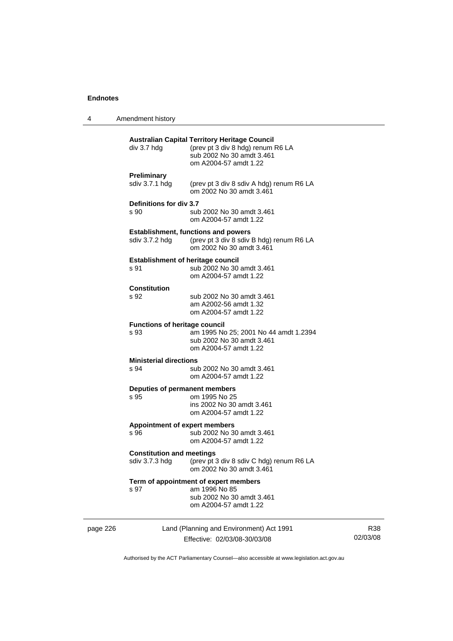| 4 | Amendment history                                                                            |                                                                      |
|---|----------------------------------------------------------------------------------------------|----------------------------------------------------------------------|
|   | <b>Australian Capital Territory Heritage Council</b><br>div 3.7 hdg<br>om A2004-57 amdt 1.22 | (prev pt 3 div 8 hdg) renum R6 LA<br>sub 2002 No 30 amdt 3.461       |
|   | <b>Preliminary</b><br>sdiv 3.7.1 hdg                                                         | (prev pt 3 div 8 sdiv A hdg) renum R6 LA<br>om 2002 No 30 amdt 3.461 |
|   | <b>Definitions for div 3.7</b><br>s 90<br>om A2004-57 amdt 1.22                              | sub 2002 No 30 amdt 3.461                                            |
|   | <b>Establishment, functions and powers</b><br>sdiv 3.7.2 hdg                                 | (prev pt 3 div 8 sdiv B hdg) renum R6 LA<br>om 2002 No 30 amdt 3.461 |
|   | <b>Establishment of heritage council</b><br>s 91<br>om A2004-57 amdt 1.22                    | sub 2002 No 30 amdt 3.461                                            |
|   | Constitution<br>s 92<br>am A2002-56 amdt 1.32<br>om A2004-57 amdt 1.22                       | sub 2002 No 30 amdt 3.461                                            |
|   | <b>Functions of heritage council</b><br>s 93<br>om A2004-57 amdt 1.22                        | am 1995 No 25; 2001 No 44 amdt 1.2394<br>sub 2002 No 30 amdt 3.461   |
|   | <b>Ministerial directions</b><br>s 94<br>om A2004-57 amdt 1.22                               | sub 2002 No 30 amdt 3.461                                            |
|   | Deputies of permanent members<br>s 95<br>om 1995 No 25<br>om A2004-57 amdt 1.22              | ins 2002 No 30 amdt 3.461                                            |
|   | <b>Appointment of expert members</b><br>s 96<br>om A2004-57 amdt 1.22                        | sub 2002 No 30 amdt 3.461                                            |
|   | <b>Constitution and meetings</b><br>sdiv 3.7.3 hdg                                           | (prev pt 3 div 8 sdiv C hdg) renum R6 LA<br>om 2002 No 30 amdt 3.461 |
|   | Term of appointment of expert members<br>am 1996 No 85<br>s 97<br>om A2004-57 amdt 1.22      | sub 2002 No 30 amdt 3.461                                            |

page 226 Land (Planning and Environment) Act 1991 Effective: 02/03/08-30/03/08

R38 02/03/08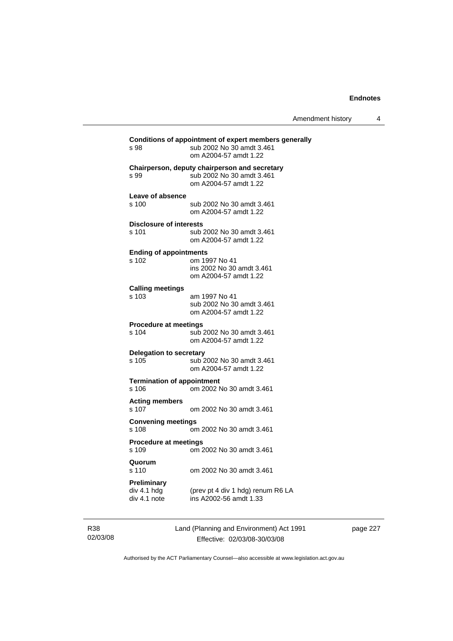| Amendment history |  |
|-------------------|--|
|-------------------|--|

| s 98                                              | Conditions of appointment of expert members generally<br>sub 2002 No 30 amdt 3.461<br>om A2004-57 amdt 1.22 |
|---------------------------------------------------|-------------------------------------------------------------------------------------------------------------|
| s 99                                              | Chairperson, deputy chairperson and secretary<br>sub 2002 No 30 amdt 3.461<br>om A2004-57 amdt 1.22         |
| Leave of absence<br>s 100                         | sub 2002 No 30 amdt 3.461<br>om A2004-57 amdt 1.22                                                          |
| <b>Disclosure of interests</b><br>s 101           | sub 2002 No 30 amdt 3.461<br>om A2004-57 amdt 1.22                                                          |
| <b>Ending of appointments</b><br>s 102            | om 1997 No 41<br>ins 2002 No 30 amdt 3.461<br>om A2004-57 amdt 1.22                                         |
| <b>Calling meetings</b><br>s 103                  | am 1997 No 41<br>sub 2002 No 30 amdt 3.461<br>om A2004-57 amdt 1.22                                         |
| <b>Procedure at meetings</b><br>s 104             | sub 2002 No 30 amdt 3.461<br>om A2004-57 amdt 1.22                                                          |
| <b>Delegation to secretary</b><br>s 105           | sub 2002 No 30 amdt 3.461<br>om A2004-57 amdt 1.22                                                          |
| <b>Termination of appointment</b><br>s 106        | om 2002 No 30 amdt 3.461                                                                                    |
| <b>Acting members</b><br>s 107                    | om 2002 No 30 amdt 3.461                                                                                    |
| <b>Convening meetings</b><br>s 108                | om 2002 No 30 amdt 3.461                                                                                    |
| <b>Procedure at meetings</b><br>s 109             | om 2002 No 30 amdt 3.461                                                                                    |
| Quorum<br>s 110                                   | om 2002 No 30 amdt 3.461                                                                                    |
| <b>Preliminary</b><br>div 4.1 hdg<br>div 4.1 note | (prev pt 4 div 1 hdg) renum R6 LA<br>ins A2002-56 amdt 1.33                                                 |

R38 02/03/08 Land (Planning and Environment) Act 1991 Effective: 02/03/08-30/03/08

page 227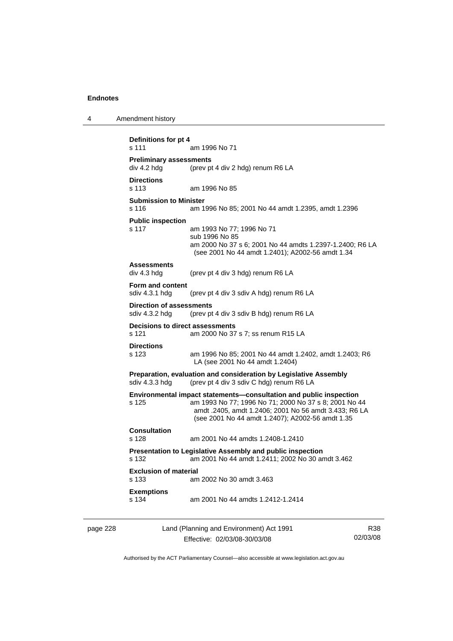```
4 Amendment history 
page 228 Land (Planning and Environment) Act 1991 
           Definitions for pt 4 
           s 111 am 1996 No 71 
           Preliminary assessments 
           div 4.2 hdg (prev pt 4 div 2 hdg) renum R6 LA 
           Directions 
           s 113 am 1996 No 85 
           Submission to Minister 
           s 116 am 1996 No 85; 2001 No 44 amdt 1.2395, amdt 1.2396 
           Public inspection 
           s 117 am 1993 No 77; 1996 No 71 
                             sub 1996 No 85 
                             am 2000 No 37 s 6; 2001 No 44 amdts 1.2397-1.2400; R6 LA 
                             (see 2001 No 44 amdt 1.2401); A2002-56 amdt 1.34 
           Assessments 
           div 4.3 hdg (prev pt 4 div 3 hdg) renum R6 LA 
           Form and content 
           sdiv 4.3.1 hdg (prev pt 4 div 3 sdiv A hdg) renum R6 LA 
           Direction of assessments 
           sdiv 4.3.2 hdg (prev pt 4 div 3 sdiv B hdg) renum R6 LA
           Decisions to direct assessments 
           s 121 am 2000 No 37 s 7; ss renum R15 LA 
           Directions 
           s 123 am 1996 No 85; 2001 No 44 amdt 1.2402, amdt 1.2403; R6 
                             LA (see 2001 No 44 amdt 1.2404) 
           Preparation, evaluation and consideration by Legislative Assembly 
           sdiv 4.3.3 hdg (prev pt 4 div 3 sdiv C hdg) renum R6 LA 
           Environmental impact statements—consultation and public inspection 
           s 125 am 1993 No 77; 1996 No 71; 2000 No 37 s 8; 2001 No 44 
                             amdt .2405, amdt 1.2406; 2001 No 56 amdt 3.433; R6 LA 
                             (see 2001 No 44 amdt 1.2407); A2002-56 amdt 1.35 
           Consultation 
           s 128 am 2001 No 44 amdts 1.2408-1.2410 
           Presentation to Legislative Assembly and public inspection 
           s 132 am 2001 No 44 amdt 1.2411; 2002 No 30 amdt 3.462 
           Exclusion of material 
           s 133 am 2002 No 30 amdt 3.463 
           Exemptions 
           s 134 am 2001 No 44 amdts 1.2412-1.2414
```
Effective: 02/03/08-30/03/08

R38 02/03/08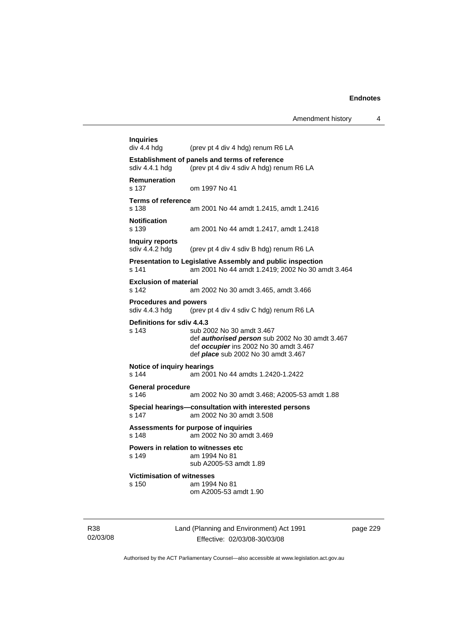| <b>Inquiries</b><br>div 4.4 hdg                | (prev pt 4 div 4 hdg) renum R6 LA                                                                                                                                    |
|------------------------------------------------|----------------------------------------------------------------------------------------------------------------------------------------------------------------------|
| sdiv 4.4.1 hdg                                 | <b>Establishment of panels and terms of reference</b><br>(prev pt 4 div 4 sdiv A hdg) renum R6 LA                                                                    |
| <b>Remuneration</b><br>s 137                   | om 1997 No 41                                                                                                                                                        |
| <b>Terms of reference</b><br>s 138             | am 2001 No 44 amdt 1.2415, amdt 1.2416                                                                                                                               |
| <b>Notification</b><br>s 139                   | am 2001 No 44 amdt 1.2417, amdt 1.2418                                                                                                                               |
| Inquiry reports<br>sdiv 4.4.2 hdg              | (prev pt 4 div 4 sdiv B hdg) renum R6 LA                                                                                                                             |
| s 141                                          | Presentation to Legislative Assembly and public inspection<br>am 2001 No 44 amdt 1.2419; 2002 No 30 amdt 3.464                                                       |
| <b>Exclusion of material</b><br>s 142          | am 2002 No 30 amdt 3.465, amdt 3.466                                                                                                                                 |
| <b>Procedures and powers</b><br>sdiv 4.4.3 hdg | (prev pt 4 div 4 sdiv C hdg) renum R6 LA                                                                                                                             |
| Definitions for sdiv 4.4.3<br>s 143            | sub 2002 No 30 amdt 3.467<br>def authorised person sub 2002 No 30 amdt 3.467<br>def occupier ins 2002 No 30 amdt 3.467<br>def <i>place</i> sub 2002 No 30 amdt 3.467 |
| Notice of inquiry hearings<br>s 144            | am 2001 No 44 amdts 1.2420-1.2422                                                                                                                                    |
| <b>General procedure</b><br>s 146              | am 2002 No 30 amdt 3.468; A2005-53 amdt 1.88                                                                                                                         |
| s 147                                          | Special hearings-consultation with interested persons<br>am 2002 No 30 amdt 3.508                                                                                    |
| s 148                                          | Assessments for purpose of inquiries<br>am 2002 No 30 amdt 3.469                                                                                                     |
| s 149                                          | Powers in relation to witnesses etc<br>am 1994 No 81<br>sub A2005-53 amdt 1.89                                                                                       |
| <b>Victimisation of witnesses</b>              |                                                                                                                                                                      |
| s 150                                          | am 1994 No 81                                                                                                                                                        |

R38 02/03/08 Land (Planning and Environment) Act 1991 Effective: 02/03/08-30/03/08

page 229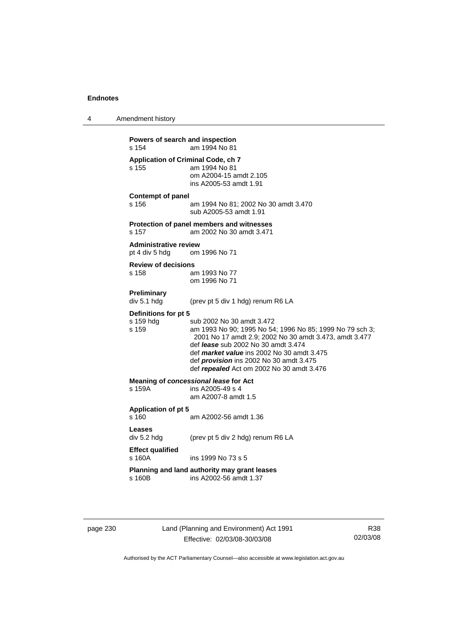4 Amendment history **Powers of search and inspection**  s 154 am 1994 No 81 **Application of Criminal Code, ch 7**  s 155 am 1994 No 81 om A2004-15 amdt 2.105 ins A2005-53 amdt 1.91 **Contempt of panel**  s 156 am 1994 No 81; 2002 No 30 amdt 3.470 sub A2005-53 amdt 1.91 **Protection of panel members and witnesses**  s 157 am 2002 No 30 amdt 3.471 **Administrative review**  pt 4 div 5 hdg om 1996 No 71 **Review of decisions**  s 158 am 1993 No 77 om 1996 No 71 **Preliminary**  div 5.1 hdg (prev pt 5 div 1 hdg) renum R6 LA **Definitions for pt 5**  s 159 hdg sub 2002 No 30 amdt 3.472<br>s 159 s 159 s am 1993 No 90; 1995 No 54 am 1993 No 90; 1995 No 54; 1996 No 85; 1999 No 79 sch 3; 2001 No 17 amdt 2.9; 2002 No 30 amdt 3.473, amdt 3.477 def *lease* sub 2002 No 30 amdt 3.474 def *market value* ins 2002 No 30 amdt 3.475 def *provision* ins 2002 No 30 amdt 3.475 def *repealed* Act om 2002 No 30 amdt 3.476 **Meaning of** *concessional lease* **for Act** <br>s 159A **ins A2005-49 s 4** ins A2005-49 s 4 am A2007-8 amdt 1.5 **Application of pt 5**  s 160 am A2002-56 amdt 1.36 **Leases**  div 5.2 hdg (prev pt 5 div 2 hdg) renum R6 LA **Effect qualified**  s 160A ins 1999 No 73 s 5 **Planning and land authority may grant leases**  s 160B ins A2002-56 amdt 1.37

page 230 Land (Planning and Environment) Act 1991 Effective: 02/03/08-30/03/08

R38 02/03/08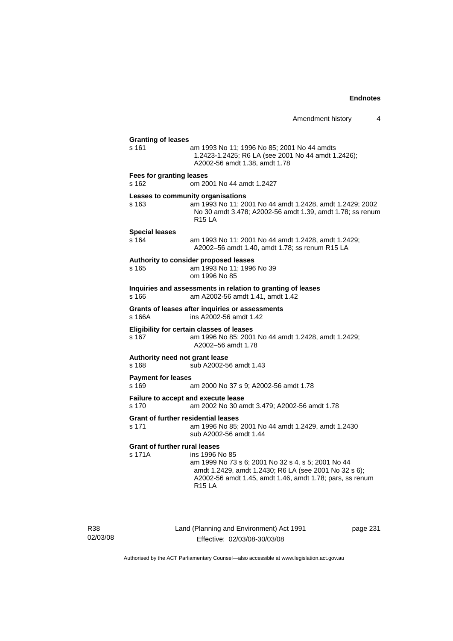| <b>Granting of leases</b>                           |                                                                                                                                                                                                            |
|-----------------------------------------------------|------------------------------------------------------------------------------------------------------------------------------------------------------------------------------------------------------------|
| s 161                                               | am 1993 No 11; 1996 No 85; 2001 No 44 amdts<br>1.2423-1.2425; R6 LA (see 2001 No 44 amdt 1.2426);<br>A2002-56 amdt 1.38, amdt 1.78                                                                         |
| <b>Fees for granting leases</b><br>s 162            | om 2001 No 44 amdt 1.2427                                                                                                                                                                                  |
| s 163                                               | Leases to community organisations<br>am 1993 No 11; 2001 No 44 amdt 1.2428, amdt 1.2429; 2002<br>No 30 amdt 3.478; A2002-56 amdt 1.39, amdt 1.78; ss renum<br><b>R15 LA</b>                                |
| <b>Special leases</b><br>s 164                      | am 1993 No 11; 2001 No 44 amdt 1.2428, amdt 1.2429;<br>A2002-56 amdt 1.40, amdt 1.78; ss renum R15 LA                                                                                                      |
| s 165                                               | Authority to consider proposed leases<br>am 1993 No 11; 1996 No 39<br>om 1996 No 85                                                                                                                        |
| s 166                                               | Inquiries and assessments in relation to granting of leases<br>am A2002-56 amdt 1.41, amdt 1.42                                                                                                            |
| s 166A                                              | Grants of leases after inquiries or assessments<br>ins A2002-56 amdt 1.42                                                                                                                                  |
| s 167                                               | Eligibility for certain classes of leases<br>am 1996 No 85; 2001 No 44 amdt 1.2428, amdt 1.2429;<br>A2002-56 amdt 1.78                                                                                     |
| Authority need not grant lease<br>s 168             | sub A2002-56 amdt 1.43                                                                                                                                                                                     |
| <b>Payment for leases</b><br>s 169                  | am 2000 No 37 s 9; A2002-56 amdt 1.78                                                                                                                                                                      |
| Failure to accept and execute lease<br>s 170        | am 2002 No 30 amdt 3.479; A2002-56 amdt 1.78                                                                                                                                                               |
| <b>Grant of further residential leases</b><br>s 171 | am 1996 No 85; 2001 No 44 amdt 1.2429, amdt 1.2430<br>sub A2002-56 amdt 1.44                                                                                                                               |
| <b>Grant of further rural leases</b><br>s 171A      | ins 1996 No 85<br>am 1999 No 73 s 6; 2001 No 32 s 4, s 5; 2001 No 44<br>amdt 1.2429, amdt 1.2430; R6 LA (see 2001 No 32 s 6);<br>A2002-56 amdt 1.45, amdt 1.46, amdt 1.78; pars, ss renum<br><b>R15 LA</b> |

R38 02/03/08 Land (Planning and Environment) Act 1991 Effective: 02/03/08-30/03/08

page 231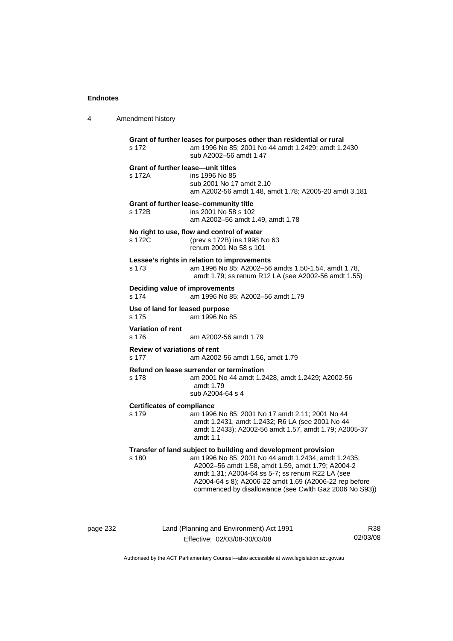4 Amendment history

| s 172                                               | Grant of further leases for purposes other than residential or rural<br>am 1996 No 85; 2001 No 44 amdt 1.2429; amdt 1.2430<br>sub A2002-56 amdt 1.47                                                                                                                                                                                               |
|-----------------------------------------------------|----------------------------------------------------------------------------------------------------------------------------------------------------------------------------------------------------------------------------------------------------------------------------------------------------------------------------------------------------|
| <b>Grant of further lease-unit titles</b><br>s 172A | ins 1996 No 85<br>sub 2001 No 17 amdt 2.10<br>am A2002-56 amdt 1.48, amdt 1.78; A2005-20 amdt 3.181                                                                                                                                                                                                                                                |
| s 172B                                              | Grant of further lease-community title<br>ins 2001 No 58 s 102<br>am A2002-56 amdt 1.49, amdt 1.78                                                                                                                                                                                                                                                 |
| s 172C                                              | No right to use, flow and control of water<br>(prev s 172B) ins 1998 No 63<br>renum 2001 No 58 s 101                                                                                                                                                                                                                                               |
| s 173                                               | Lessee's rights in relation to improvements<br>am 1996 No 85; A2002-56 amdts 1.50-1.54, amdt 1.78,<br>amdt 1.79; ss renum R12 LA (see A2002-56 amdt 1.55)                                                                                                                                                                                          |
| Deciding value of improvements<br>s 174             | am 1996 No 85; A2002-56 amdt 1.79                                                                                                                                                                                                                                                                                                                  |
| Use of land for leased purpose<br>s 175             | am 1996 No 85                                                                                                                                                                                                                                                                                                                                      |
| <b>Variation of rent</b><br>s 176                   | am A2002-56 amdt 1.79                                                                                                                                                                                                                                                                                                                              |
| <b>Review of variations of rent</b><br>s 177        | am A2002-56 amdt 1.56, amdt 1.79                                                                                                                                                                                                                                                                                                                   |
| s 178                                               | Refund on lease surrender or termination<br>am 2001 No 44 amdt 1.2428, amdt 1.2429; A2002-56<br>amdt 1.79<br>sub A2004-64 s 4                                                                                                                                                                                                                      |
| <b>Certificates of compliance</b><br>s 179          | am 1996 No 85; 2001 No 17 amdt 2.11; 2001 No 44<br>amdt 1.2431, amdt 1.2432; R6 LA (see 2001 No 44<br>amdt 1.2433); A2002-56 amdt 1.57, amdt 1.79; A2005-37<br>amdt $1.1$                                                                                                                                                                          |
| s 180                                               | Transfer of land subject to building and development provision<br>am 1996 No 85; 2001 No 44 amdt 1.2434, amdt 1.2435;<br>A2002-56 amdt 1.58, amdt 1.59, amdt 1.79; A2004-2<br>amdt 1.31; A2004-64 ss 5-7; ss renum R22 LA (see<br>A2004-64 s 8); A2006-22 amdt 1.69 (A2006-22 rep before<br>commenced by disallowance (see Cwlth Gaz 2006 No S93)) |

page 232 Land (Planning and Environment) Act 1991 Effective: 02/03/08-30/03/08

R38 02/03/08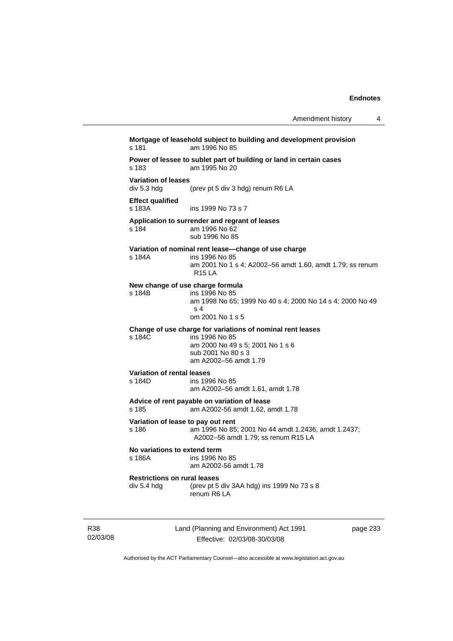Amendment history 4

| s 181                                     | Mortgage of leasehold subject to building and development provision<br>am 1996 No 85 |
|-------------------------------------------|--------------------------------------------------------------------------------------|
| s 183                                     | Power of lessee to sublet part of building or land in certain cases<br>am 1995 No 20 |
| <b>Variation of leases</b><br>div 5.3 hdg | (prev pt 5 div 3 hdg) renum R6 LA                                                    |
| <b>Effect qualified</b><br>s 183A         | ins 1999 No 73 s 7                                                                   |
| s 184                                     | Application to surrender and regrant of leases<br>am 1996 No 62<br>sub 1996 No 85    |
|                                           |                                                                                      |

#### **Variation of nominal rent lease—change of use charge**

s 184A ins 1996 No 85 am 2001 No 1 s 4; A2002–56 amdt 1.60, amdt 1.79; ss renum R15 LA

#### **New change of use charge formula**

s 184B ins 1996 No 85

 am 1998 No 65; 1999 No 40 s 4; 2000 No 14 s 4; 2000 No 49  $\sim 4$ om 2001 No 1 s 5

**Change of use charge for variations of nominal rent leases** 

s 184C ins 1996 No 85 am 2000 No 49 s 5; 2001 No 1 s 6 sub 2001 No 80 s 3 am A2002–56 amdt 1.79

# **Variation of rental leases**

ins 1996 No 85 am A2002–56 amdt 1.61, amdt 1.78

#### **Advice of rent payable on variation of lease**

s 185 am A2002-56 amdt 1.62, amdt 1.78

**Variation of lease to pay out rent**  s 186 am 1996 No 85; 2001 No 44 amdt 1.2436, amdt 1.2437; A2002–56 amdt 1.79; ss renum R15 LA

#### **No variations to extend term**  ins 1996 No 85

# am A2002-56 amdt 1.78

#### **Restrictions on rural leases**

div 5.4 hdg (prev pt 5 div 3AA hdg) ins 1999 No 73 s 8 renum R6 LA

R38 02/03/08 Land (Planning and Environment) Act 1991 Effective: 02/03/08-30/03/08

page 233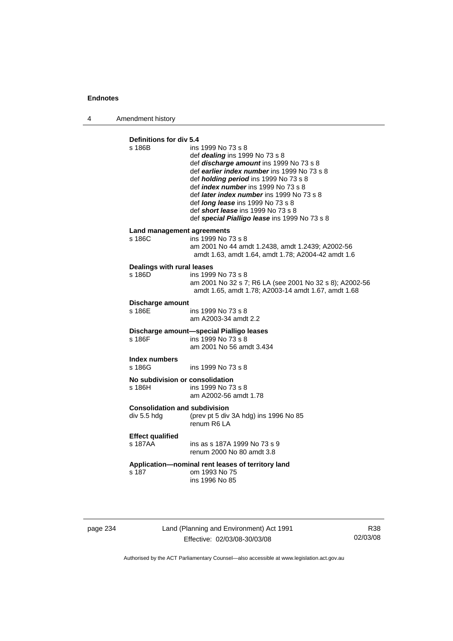4 Amendment history

| Definitions for div 5.4              |                                                                                                        |
|--------------------------------------|--------------------------------------------------------------------------------------------------------|
| s 186B                               | ins 1999 No 73 s 8                                                                                     |
|                                      | def <i>dealing</i> ins 1999 No 73 s 8                                                                  |
|                                      | def discharge amount ins 1999 No 73 s 8                                                                |
|                                      | def earlier index number ins 1999 No 73 s 8                                                            |
|                                      | def <i>holding period</i> ins 1999 No 73 s 8                                                           |
|                                      | def <i>index number</i> ins 1999 No 73 s 8<br>def <i>later index number</i> ins 1999 No 73 s 8         |
|                                      | def <i>long lease</i> ins 1999 No 73 s 8                                                               |
|                                      | def short lease ins 1999 No 73 s 8                                                                     |
|                                      | def special Pialligo lease ins 1999 No 73 s 8                                                          |
| Land management agreements           |                                                                                                        |
| s 186C                               | ins 1999 No 73 s 8                                                                                     |
|                                      | am 2001 No 44 amdt 1.2438, amdt 1.2439; A2002-56<br>amdt 1.63, amdt 1.64, amdt 1.78; A2004-42 amdt 1.6 |
|                                      |                                                                                                        |
| Dealings with rural leases<br>s 186D |                                                                                                        |
|                                      | ins 1999 No 73 s 8<br>am 2001 No 32 s 7; R6 LA (see 2001 No 32 s 8); A2002-56                          |
|                                      | amdt 1.65, amdt 1.78; A2003-14 amdt 1.67, amdt 1.68                                                    |
| Discharge amount                     |                                                                                                        |
| s 186E                               | ins 1999 No 73 s 8                                                                                     |
|                                      | am A2003-34 amdt 2.2                                                                                   |
|                                      | Discharge amount-special Pialligo leases                                                               |
| s 186F                               | ins 1999 No 73 s 8                                                                                     |
|                                      | am 2001 No 56 amdt 3.434                                                                               |
| Index numbers                        |                                                                                                        |
| s 186G                               | ins 1999 No 73 s 8                                                                                     |
| No subdivision or consolidation      |                                                                                                        |
| s 186H                               | ins 1999 No 73 s 8                                                                                     |
|                                      | am A2002-56 amdt 1.78                                                                                  |
| <b>Consolidation and subdivision</b> |                                                                                                        |
| div 5.5 hdg                          | (prev pt 5 div 3A hdg) ins 1996 No 85<br>renum R6 LA                                                   |
|                                      |                                                                                                        |
| <b>Effect qualified</b>              |                                                                                                        |
| s 187AA                              | ins as s 187A 1999 No 73 s 9<br>renum 2000 No 80 amdt 3.8                                              |
|                                      |                                                                                                        |
| s 187                                | Application-nominal rent leases of territory land<br>om 1993 No 75                                     |
|                                      | ins 1996 No 85                                                                                         |
|                                      |                                                                                                        |
|                                      |                                                                                                        |

page 234 Land (Planning and Environment) Act 1991 Effective: 02/03/08-30/03/08

R38 02/03/08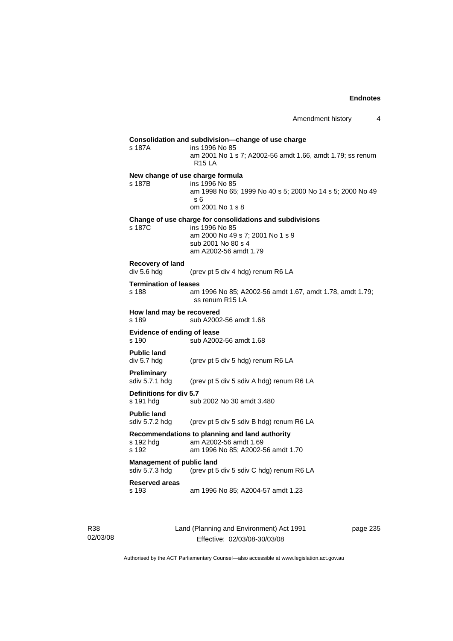| s 187A                                             | Consolidation and subdivision—change of use charge<br>ins 1996 No 85<br>am 2001 No 1 s 7; A2002-56 amdt 1.66, amdt 1.79; ss renum<br><b>R15 LA</b>            |
|----------------------------------------------------|---------------------------------------------------------------------------------------------------------------------------------------------------------------|
| s 187B                                             | New change of use charge formula<br>ins 1996 No 85<br>am 1998 No 65; 1999 No 40 s 5; 2000 No 14 s 5; 2000 No 49<br>s 6<br>om 2001 No 1 s 8                    |
| s 187C                                             | Change of use charge for consolidations and subdivisions<br>ins 1996 No 85<br>am 2000 No 49 s 7; 2001 No 1 s 9<br>sub 2001 No 80 s 4<br>am A2002-56 amdt 1.79 |
| Recovery of land<br>div 5.6 hdg                    | (prev pt 5 div 4 hdg) renum R6 LA                                                                                                                             |
| <b>Termination of leases</b><br>s 188              | am 1996 No 85; A2002-56 amdt 1.67, amdt 1.78, amdt 1.79;<br>ss renum R15 LA                                                                                   |
| How land may be recovered<br>s 189                 | sub A2002-56 amdt 1.68                                                                                                                                        |
| <b>Evidence of ending of lease</b><br>s 190        | sub A2002-56 amdt 1.68                                                                                                                                        |
| <b>Public land</b><br>div 5.7 hdg                  | (prev pt 5 div 5 hdg) renum R6 LA                                                                                                                             |
| Preliminary<br>sdiv 5.7.1 hdg                      | (prev pt 5 div 5 sdiv A hdg) renum R6 LA                                                                                                                      |
| Definitions for div 5.7<br>s 191 hdg               | sub 2002 No 30 amdt 3.480                                                                                                                                     |
| <b>Public land</b><br>sdiv 5.7.2 hdg               | (prev pt 5 div 5 sdiv B hdg) renum R6 LA                                                                                                                      |
| s 192 hda<br>s 192                                 | Recommendations to planning and land authority<br>am A2002-56 amdt 1.69<br>am 1996 No 85; A2002-56 amdt 1.70                                                  |
| <b>Management of public land</b><br>sdiv 5.7.3 hdg | (prev pt 5 div 5 sdiv C hdg) renum R6 LA                                                                                                                      |
| <b>Reserved areas</b>                              |                                                                                                                                                               |

R38 02/03/08 Land (Planning and Environment) Act 1991 Effective: 02/03/08-30/03/08

page 235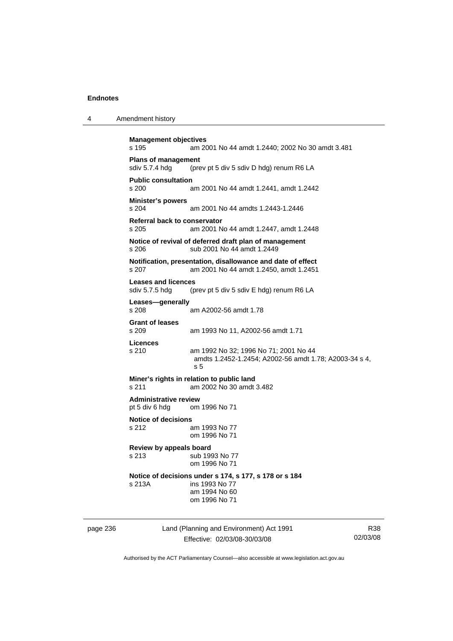4 Amendment history

|          | <b>Management objectives</b>                                                                  |                                                                                                            |             |
|----------|-----------------------------------------------------------------------------------------------|------------------------------------------------------------------------------------------------------------|-------------|
|          | s 195                                                                                         | am 2001 No 44 amdt 1.2440; 2002 No 30 amdt 3.481                                                           |             |
|          | <b>Plans of management</b><br>sdiv 5.7.4 hdg<br>(prev pt 5 div 5 sdiv D hdg) renum R6 LA      |                                                                                                            |             |
|          | <b>Public consultation</b><br>s 200                                                           | am 2001 No 44 amdt 1.2441, amdt 1.2442                                                                     |             |
|          | <b>Minister's powers</b><br>$s$ 204                                                           | am 2001 No 44 amdts 1.2443-1.2446                                                                          |             |
|          | Referral back to conservator<br>s 205                                                         | am 2001 No 44 amdt 1.2447, amdt 1.2448                                                                     |             |
|          | Notice of revival of deferred draft plan of management<br>sub 2001 No 44 amdt 1.2449<br>s 206 |                                                                                                            |             |
|          | s 207                                                                                         | Notification, presentation, disallowance and date of effect<br>am 2001 No 44 amdt 1.2450, amdt 1.2451      |             |
|          | <b>Leases and licences</b><br>sdiv 5.7.5 hdg<br>(prev pt 5 div 5 sdiv E hdg) renum R6 LA      |                                                                                                            |             |
|          | Leases-generally<br>s 208                                                                     | am A2002-56 amdt 1.78                                                                                      |             |
|          | <b>Grant of leases</b><br>s 209                                                               | am 1993 No 11, A2002-56 amdt 1.71                                                                          |             |
|          | <b>Licences</b><br>s 210                                                                      | am 1992 No 32; 1996 No 71; 2001 No 44<br>amdts 1.2452-1.2454; A2002-56 amdt 1.78; A2003-34 s 4,<br>s 5     |             |
|          | Miner's rights in relation to public land<br>am 2002 No 30 amdt 3.482<br>s 211                |                                                                                                            |             |
|          | <b>Administrative review</b><br>pt 5 div 6 hdg                                                | om 1996 No 71                                                                                              |             |
|          | <b>Notice of decisions</b><br>s 212                                                           | am 1993 No 77<br>om 1996 No 71                                                                             |             |
|          | Review by appeals board<br>s 213<br>sub 1993 No 77<br>om 1996 No 71                           |                                                                                                            |             |
|          | s 213A                                                                                        | Notice of decisions under s 174, s 177, s 178 or s 184<br>ins 1993 No 77<br>am 1994 No 60<br>om 1996 No 71 |             |
| page 236 | Land (Planning and Environment) Act 1991<br>Effective: 02/03/08-30/03/08                      |                                                                                                            | R<br>02/03/ |

R38 02/03/08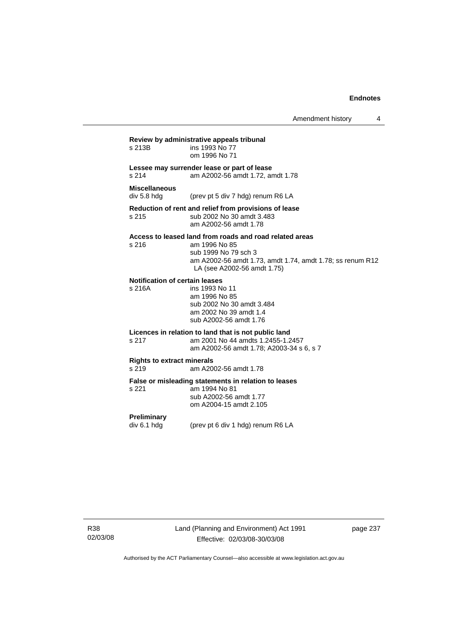Amendment history 4

**Review by administrative appeals tribunal**  ins 1993 No 77 om 1996 No 71 **Lessee may surrender lease or part of lease**  s 214 am A2002-56 amdt 1.72, amdt 1.78 **Miscellaneous**  div 5.8 hdg (prev pt 5 div 7 hdg) renum R6 LA **Reduction of rent and relief from provisions of lease**  s 215 sub 2002 No 30 amdt 3.483 am A2002-56 amdt 1.78 **Access to leased land from roads and road related areas**  s 216 am 1996 No 85 sub 1999 No 79 sch 3 am A2002-56 amdt 1.73, amdt 1.74, amdt 1.78; ss renum R12 LA (see A2002-56 amdt 1.75) **Notification of certain leases**  ins 1993 No 11 am 1996 No 85 sub 2002 No 30 amdt 3.484 am 2002 No 39 amdt 1.4 sub A2002-56 amdt 1.76 **Licences in relation to land that is not public land**  s 217 am 2001 No 44 amdts 1.2455-1.2457 am A2002-56 amdt 1.78; A2003-34 s 6, s 7 **Rights to extract minerals**  s 219 am A2002-56 amdt 1.78 **False or misleading statements in relation to leases**  am 1994 No 81 sub A2002-56 amdt 1.77 om A2004-15 amdt 2.105 **Preliminary**  div 6.1 hdg (prev pt 6 div 1 hdg) renum R6 LA

R38 02/03/08 page 237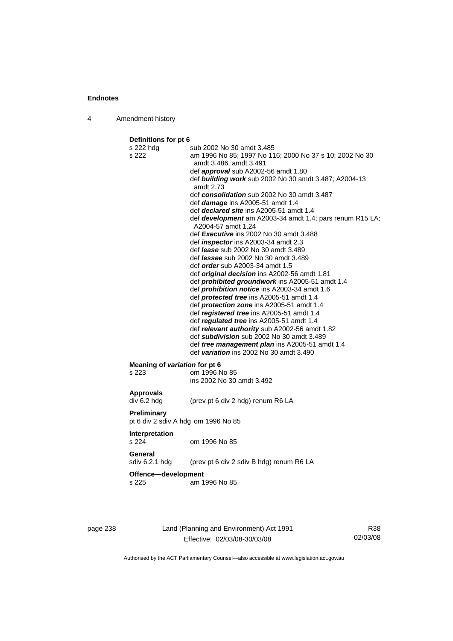4 Amendment history

**Definitions for pt 6**  s 222 hdg sub 2002 No 30 amdt 3.485 s 222 am 1996 No 85; 1997 No 116; 2000 No 37 s 10; 2002 No 30 amdt 3.486, amdt 3.491 def *approval* sub A2002-56 amdt 1.80 def *building work* sub 2002 No 30 amdt 3.487; A2004-13 amdt 2.73 def *consolidation* sub 2002 No 30 amdt 3.487 def *damage* ins A2005-51 amdt 1.4 def *declared site* ins A2005-51 amdt 1.4 def *development* am A2003-34 amdt 1.4; pars renum R15 LA; A2004-57 amdt 1.24 def *Executive* ins 2002 No 30 amdt 3.488 def *inspector* ins A2003-34 amdt 2.3 def *lease* sub 2002 No 30 amdt 3.489 def *lessee* sub 2002 No 30 amdt 3.489 def *order* sub A2003-34 amdt 1.5 def *original decision* ins A2002-56 amdt 1.81 def *prohibited groundwork* ins A2005-51 amdt 1.4 def *prohibition notice* ins A2003-34 amdt 1.6 def *protected tree* ins A2005-51 amdt 1.4 def *protection zone* ins A2005-51 amdt 1.4 def *registered tree* ins A2005-51 amdt 1.4 def *regulated tree* ins A2005-51 amdt 1.4 def *relevant authority* sub A2002-56 amdt 1.82 def *subdivision* sub 2002 No 30 amdt 3.489 def *tree management plan* ins A2005-51 amdt 1.4 def *variation* ins 2002 No 30 amdt 3.490 **Meaning of** *variation* **for pt 6<br>s 223 cm 1996 N** om 1996 No 85 ins 2002 No 30 amdt 3.492 **Approvals**  div 6.2 hdg (prev pt 6 div 2 hdg) renum R6 LA **Preliminary**  pt 6 div 2 sdiv A hdg om 1996 No 85 **Interpretation**  s 224 om 1996 No 85 **General** 

sdiv 6.2.1 hdg (prev pt 6 div 2 sdiv B hdg) renum R6 LA

#### **Offence—development**

s 225 am 1996 No 85

page 238 Land (Planning and Environment) Act 1991 Effective: 02/03/08-30/03/08

R38 02/03/08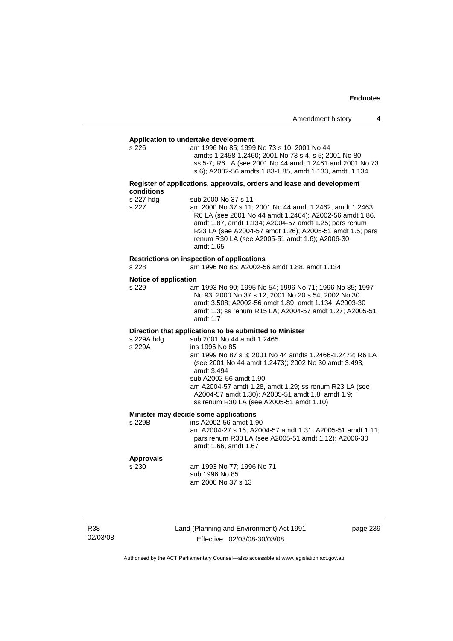| Amendment history |  |  |
|-------------------|--|--|
|-------------------|--|--|

# **Application to undertake development**

am 1996 No 85; 1999 No 73 s 10; 2001 No 44 amdts 1.2458-1.2460; 2001 No 73 s 4, s 5; 2001 No 80 ss 5-7; R6 LA (see 2001 No 44 amdt 1.2461 and 2001 No 73 s 6); A2002-56 amdts 1.83-1.85, amdt 1.133, amdt. 1.134

#### **Register of applications, approvals, orders and lease and development conditions**

| s 227 hdg | sub 2000 No 37 s 11                                      |
|-----------|----------------------------------------------------------|
| s 227     | am 2000 No 37 s 11; 2001 No 44 amdt 1.2462, amdt 1.2463; |
|           | R6 LA (see 2001 No 44 amdt 1.2464); A2002-56 amdt 1.86,  |
|           | amdt 1.87, amdt 1.134; A2004-57 amdt 1.25; pars renum    |
|           | R23 LA (see A2004-57 amdt 1.26); A2005-51 amdt 1.5; pars |
|           | renum R30 LA (see A2005-51 amdt 1.6); A2006-30           |
|           | amdt 1.65                                                |
|           |                                                          |

#### **Restrictions on inspection of applications**

s 228 am 1996 No 85; A2002-56 amdt 1.88, amdt 1.134

# **Notice of application**<br>s 229 an

am 1993 No 90; 1995 No 54; 1996 No 71; 1996 No 85; 1997 No 93; 2000 No 37 s 12; 2001 No 20 s 54; 2002 No 30 amdt 3.508; A2002-56 amdt 1.89, amdt 1.134; A2003-30 amdt 1.3; ss renum R15 LA; A2004-57 amdt 1.27; A2005-51 amdt 1.7

#### **Direction that applications to be submitted to Minister**

| s 229A hdg | sub 2001 No 44 amdt 1.2465                               |
|------------|----------------------------------------------------------|
| s 229A     | ins 1996 No 85                                           |
|            | am 1999 No 87 s 3; 2001 No 44 amdts 1.2466-1.2472; R6 LA |
|            | (see 2001 No 44 amdt 1.2473); 2002 No 30 amdt 3.493,     |
|            | amdt 3.494                                               |
|            | sub A2002-56 amdt 1.90                                   |
|            | am A2004-57 amdt 1.28, amdt 1.29; ss renum R23 LA (see   |
|            | A2004-57 amdt 1.30); A2005-51 amdt 1.8, amdt 1.9;        |
|            | ss renum R30 LA (see A2005-51 amdt 1.10)                 |
|            |                                                          |

#### **Minister may decide some applications**

s 229B ins A2002-56 amdt 1.90 am A2004-27 s 16; A2004-57 amdt 1.31; A2005-51 amdt 1.11; pars renum R30 LA (see A2005-51 amdt 1.12); A2006-30 amdt 1.66, amdt 1.67

#### **Approvals**

s 230 am 1993 No 77; 1996 No 71 sub 1996 No 85 am 2000 No 37 s 13

| R38      |
|----------|
| 02/03/08 |

Land (Planning and Environment) Act 1991 Effective: 02/03/08-30/03/08

page 239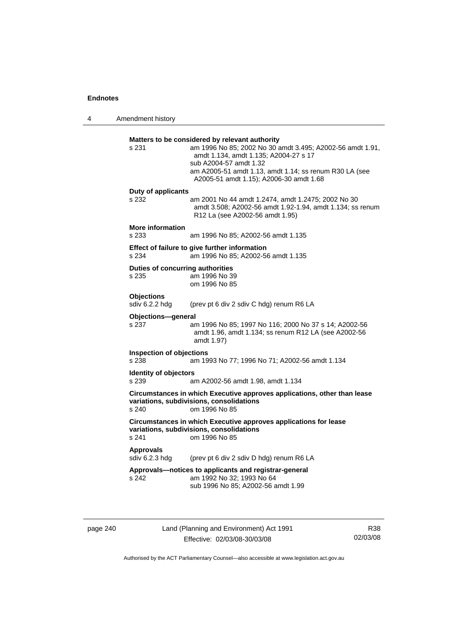4 Amendment history

| s 231                                            | Matters to be considered by relevant authority<br>am 1996 No 85; 2002 No 30 amdt 3.495; A2002-56 amdt 1.91,<br>amdt 1.134, amdt 1.135; A2004-27 s 17<br>sub A2004-57 amdt 1.32<br>am A2005-51 amdt 1.13, amdt 1.14; ss renum R30 LA (see<br>A2005-51 amdt 1.15); A2006-30 amdt 1.68 |
|--------------------------------------------------|-------------------------------------------------------------------------------------------------------------------------------------------------------------------------------------------------------------------------------------------------------------------------------------|
| Duty of applicants<br>s 232                      | am 2001 No 44 amdt 1.2474, amdt 1.2475; 2002 No 30<br>amdt 3.508; A2002-56 amdt 1.92-1.94, amdt 1.134; ss renum<br>R12 La (see A2002-56 amdt 1.95)                                                                                                                                  |
| <b>More information</b><br>s 233                 | am 1996 No 85; A2002-56 amdt 1.135                                                                                                                                                                                                                                                  |
| s 234                                            | Effect of failure to give further information<br>am 1996 No 85; A2002-56 amdt 1.135                                                                                                                                                                                                 |
| <b>Duties of concurring authorities</b><br>s 235 | am 1996 No 39<br>om 1996 No 85                                                                                                                                                                                                                                                      |
| <b>Objections</b><br>sdiv 6.2.2 hdg              | (prev pt 6 div 2 sdiv C hdg) renum R6 LA                                                                                                                                                                                                                                            |
| Objections-general<br>s 237                      | am 1996 No 85; 1997 No 116; 2000 No 37 s 14; A2002-56<br>amdt 1.96, amdt 1.134; ss renum R12 LA (see A2002-56<br>amdt 1.97)                                                                                                                                                         |
| <b>Inspection of objections</b><br>s 238         | am 1993 No 77; 1996 No 71; A2002-56 amdt 1.134                                                                                                                                                                                                                                      |
| <b>Identity of objectors</b><br>s 239            | am A2002-56 amdt 1.98, amdt 1.134                                                                                                                                                                                                                                                   |
| s 240                                            | Circumstances in which Executive approves applications, other than lease<br>variations, subdivisions, consolidations<br>om 1996 No 85                                                                                                                                               |
| s 241                                            | Circumstances in which Executive approves applications for lease<br>variations, subdivisions, consolidations<br>om 1996 No 85                                                                                                                                                       |
| <b>Approvals</b><br>sdiv 6.2.3 hdg               | (prev pt 6 div 2 sdiv D hdg) renum R6 LA                                                                                                                                                                                                                                            |
| s 242                                            | Approvals-notices to applicants and registrar-general<br>am 1992 No 32; 1993 No 64<br>sub 1996 No 85; A2002-56 amdt 1.99                                                                                                                                                            |

| page 240 |  |
|----------|--|
|          |  |

page 240 Land (Planning and Environment) Act 1991 Effective: 02/03/08-30/03/08

R38 02/03/08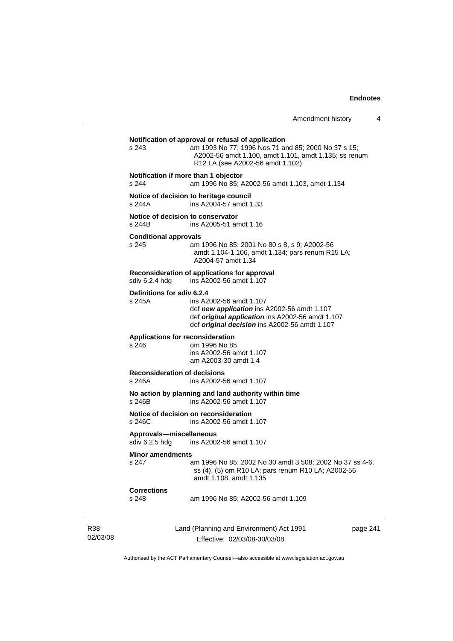# Land (Planning and Environment) Act 1991 page 241 **Notification of approval or refusal of application**  s 243 am 1993 No 77; 1996 Nos 71 and 85; 2000 No 37 s 15; A2002-56 amdt 1.100, amdt 1.101, amdt 1.135; ss renum R12 LA (see A2002-56 amdt 1.102) **Notification if more than 1 objector**  s 244 am 1996 No 85; A2002-56 amdt 1.103, amdt 1.134 **Notice of decision to heritage council**  s 244A ins A2004-57 amdt 1.33 **Notice of decision to conservator**  s 244B ins A2005-51 amdt 1.16 **Conditional approvals**  s 245 am 1996 No 85; 2001 No 80 s 8, s 9; A2002-56 amdt 1.104-1.106, amdt 1.134; pars renum R15 LA; A2004-57 amdt 1.34 **Reconsideration of applications for approval**  ins A2002-56 amdt 1.107 **Definitions for sdiv 6.2.4**  s 245A ins A2002-56 amdt 1.107 def *new application* ins A2002-56 amdt 1.107 def *original application* ins A2002-56 amdt 1.107 def *original decision* ins A2002-56 amdt 1.107 **Applications for reconsideration**  s 246 om 1996 No 85 ins A2002-56 amdt 1.107 am A2003-30 amdt 1.4 **Reconsideration of decisions**  ins A2002-56 amdt 1.107 **No action by planning and land authority within time**  s 246B ins A2002-56 amdt 1.107 **Notice of decision on reconsideration**  ins A2002-56 amdt 1.107 **Approvals—miscellaneous**  sdiv 6.2.5 hdg ins A2002-56 amdt 1.107 **Minor amendments**<br>
s 247 am 1996 No 85; 2002 No 30 amdt 3.508; 2002 No 37 ss 4-6; ss (4), (5) om R10 LA; pars renum R10 LA; A2002-56 amdt 1.108, amdt 1.135 **Corrections**  s 248 am 1996 No 85; A2002-56 amdt 1.109

Authorised by the ACT Parliamentary Counsel—also accessible at www.legislation.act.gov.au

Effective: 02/03/08-30/03/08

R38 02/03/08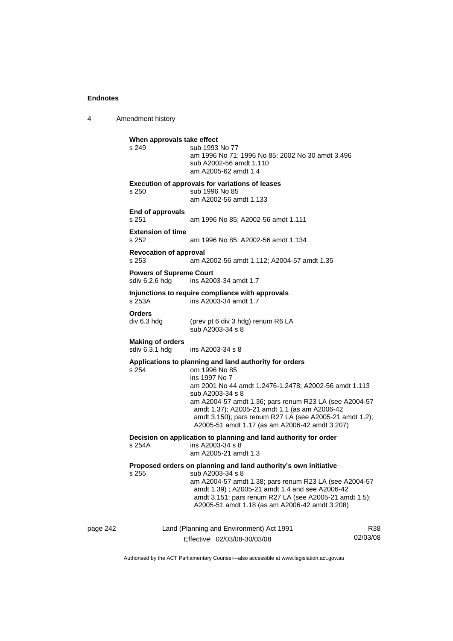4 Amendment history

|          | When approvals take effect<br>s 249              | sub 1993 No 77<br>am 1996 No 71; 1996 No 85; 2002 No 30 amdt 3.496<br>sub A2002-56 amdt 1.110<br>am A2005-62 amdt 1.4                                                                                                                                                                                                                                                                         |                 |
|----------|--------------------------------------------------|-----------------------------------------------------------------------------------------------------------------------------------------------------------------------------------------------------------------------------------------------------------------------------------------------------------------------------------------------------------------------------------------------|-----------------|
|          | s 250                                            | <b>Execution of approvals for variations of leases</b><br>sub 1996 No 85<br>am A2002-56 amdt 1.133                                                                                                                                                                                                                                                                                            |                 |
|          | End of approvals<br>s 251                        | am 1996 No 85; A2002-56 amdt 1.111                                                                                                                                                                                                                                                                                                                                                            |                 |
|          | <b>Extension of time</b><br>s 252                | am 1996 No 85; A2002-56 amdt 1.134                                                                                                                                                                                                                                                                                                                                                            |                 |
|          | <b>Revocation of approval</b><br>s 253           | am A2002-56 amdt 1.112; A2004-57 amdt 1.35                                                                                                                                                                                                                                                                                                                                                    |                 |
|          | <b>Powers of Supreme Court</b><br>sdiv 6.2.6 hdg | ins A2003-34 amdt 1.7                                                                                                                                                                                                                                                                                                                                                                         |                 |
|          | s 253A                                           | Injunctions to require compliance with approvals<br>ins A2003-34 amdt 1.7                                                                                                                                                                                                                                                                                                                     |                 |
|          | <b>Orders</b><br>div 6.3 hdg                     | (prev pt 6 div 3 hdg) renum R6 LA<br>sub A2003-34 s 8                                                                                                                                                                                                                                                                                                                                         |                 |
|          | <b>Making of orders</b><br>sdiv 6.3.1 hdg        | ins A2003-34 s 8                                                                                                                                                                                                                                                                                                                                                                              |                 |
|          | s 254                                            | Applications to planning and land authority for orders<br>om 1996 No 85<br>ins 1997 No 7<br>am 2001 No 44 amdt 1.2476-1.2478; A2002-56 amdt 1.113<br>sub A2003-34 s 8<br>am A2004-57 amdt 1.36; pars renum R23 LA (see A2004-57<br>amdt 1.37); A2005-21 amdt 1.1 (as am A2006-42<br>amdt 3.150); pars renum R27 LA (see A2005-21 amdt 1.2);<br>A2005-51 amdt 1.17 (as am A2006-42 amdt 3.207) |                 |
|          | s 254A                                           | Decision on application to planning and land authority for order<br>ins A2003-34 s 8<br>am A2005-21 amdt 1.3                                                                                                                                                                                                                                                                                  |                 |
|          | s 255 sub A2003-34 s 8                           | Proposed orders on planning and land authority's own initiative<br>am A2004-57 amdt 1.38; pars renum R23 LA (see A2004-57<br>amdt 1.39); A2005-21 amdt 1.4 and see A2006-42<br>amdt 3.151; pars renum R27 LA (see A2005-21 amdt 1.5);<br>A2005-51 amdt 1.18 (as am A2006-42 amdt 3.208)                                                                                                       |                 |
| page 242 |                                                  | Land (Planning and Environment) Act 1991<br>Effective: 02/03/08-30/03/08                                                                                                                                                                                                                                                                                                                      | R38<br>02/03/08 |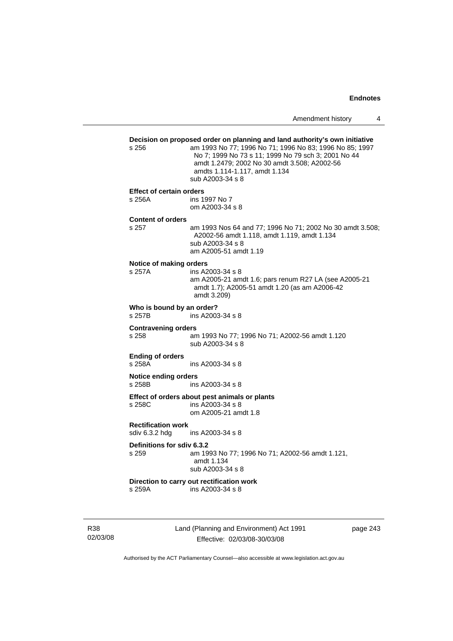|                 | s 256                                                                                                     | Decision on proposed order on planning and land authority's own initiative<br>am 1993 No 77; 1996 No 71; 1996 No 83; 1996 No 85; 1997<br>No 7; 1999 No 73 s 11; 1999 No 79 sch 3; 2001 No 44<br>amdt 1.2479; 2002 No 30 amdt 3.508; A2002-56<br>amdts 1.114-1.117, amdt 1.134<br>sub A2003-34 s 8 |  |  |
|-----------------|-----------------------------------------------------------------------------------------------------------|---------------------------------------------------------------------------------------------------------------------------------------------------------------------------------------------------------------------------------------------------------------------------------------------------|--|--|
|                 | <b>Effect of certain orders</b><br>s 256A                                                                 | ins 1997 No 7                                                                                                                                                                                                                                                                                     |  |  |
|                 |                                                                                                           | om A2003-34 s 8                                                                                                                                                                                                                                                                                   |  |  |
|                 | <b>Content of orders</b><br>s 257                                                                         | am 1993 Nos 64 and 77; 1996 No 71; 2002 No 30 amdt 3.508;<br>A2002-56 amdt 1.118, amdt 1.119, amdt 1.134<br>sub A2003-34 s 8<br>am A2005-51 amdt 1.19                                                                                                                                             |  |  |
|                 | Notice of making orders<br>s 257A                                                                         | ins A2003-34 s 8<br>am A2005-21 amdt 1.6; pars renum R27 LA (see A2005-21<br>amdt 1.7); A2005-51 amdt 1.20 (as am A2006-42<br>amdt 3.209)                                                                                                                                                         |  |  |
|                 | Who is bound by an order?<br>s 257B<br>ins A2003-34 s 8                                                   |                                                                                                                                                                                                                                                                                                   |  |  |
|                 | <b>Contravening orders</b><br>s 258<br>am 1993 No 77; 1996 No 71; A2002-56 amdt 1.120<br>sub A2003-34 s 8 |                                                                                                                                                                                                                                                                                                   |  |  |
|                 | <b>Ending of orders</b><br>s 258A                                                                         | ins A2003-34 s 8                                                                                                                                                                                                                                                                                  |  |  |
|                 | <b>Notice ending orders</b><br>s 258B<br>ins A2003-34 s 8                                                 |                                                                                                                                                                                                                                                                                                   |  |  |
|                 | s 258C                                                                                                    | Effect of orders about pest animals or plants<br>ins A2003-34 s 8<br>om A2005-21 amdt 1.8                                                                                                                                                                                                         |  |  |
|                 | <b>Rectification work</b><br>sdiv 6.3.2 hdg<br>ins A2003-34 s 8                                           |                                                                                                                                                                                                                                                                                                   |  |  |
|                 | Definitions for sdiv 6.3.2<br>s 259                                                                       | am 1993 No 77; 1996 No 71; A2002-56 amdt 1.121,<br>amdt 1.134<br>sub A2003-34 s 8                                                                                                                                                                                                                 |  |  |
|                 | s 259A                                                                                                    | Direction to carry out rectification work<br>ins A2003-34 s 8                                                                                                                                                                                                                                     |  |  |
| R38<br>02/03/08 |                                                                                                           | Land (Planning and Environment) Act 1991<br>page 243<br>Effective: 02/03/08-30/03/08                                                                                                                                                                                                              |  |  |

Authorised by the ACT Parliamentary Counsel—also accessible at www.legislation.act.gov.au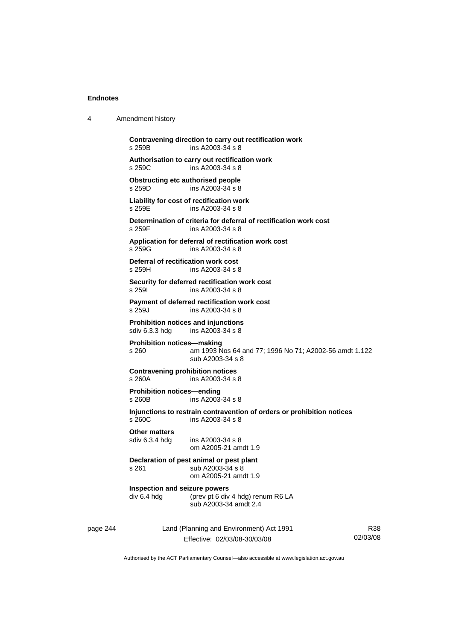| 4        | Amendment history                                     |                                                                                            |                 |
|----------|-------------------------------------------------------|--------------------------------------------------------------------------------------------|-----------------|
|          | s 259B                                                | Contravening direction to carry out rectification work<br>ins A2003-34 s 8                 |                 |
|          | s 259C                                                | Authorisation to carry out rectification work<br>ins A2003-34 s 8                          |                 |
|          | <b>Obstructing etc authorised people</b><br>s 259D    | ins A2003-34 s 8                                                                           |                 |
|          | s 259E                                                | Liability for cost of rectification work<br>ins A2003-34 s 8                               |                 |
|          | s 259F                                                | Determination of criteria for deferral of rectification work cost<br>ins A2003-34 s 8      |                 |
|          | s 259G                                                | Application for deferral of rectification work cost<br>ins A2003-34 s 8                    |                 |
|          | Deferral of rectification work cost<br>s 259H         | ins A2003-34 s 8                                                                           |                 |
|          | s 2591                                                | Security for deferred rectification work cost<br>ins A2003-34 s 8                          |                 |
|          | s 259J                                                | Payment of deferred rectification work cost<br>ins A2003-34 s 8                            |                 |
|          | Prohibition notices and injunctions<br>sdiv 6.3.3 hdg | ins $A2003-34$ s $8$                                                                       |                 |
|          | <b>Prohibition notices—making</b><br>s 260            | am 1993 Nos 64 and 77; 1996 No 71; A2002-56 amdt 1.122<br>sub A2003-34 s 8                 |                 |
|          | <b>Contravening prohibition notices</b><br>s 260A     | ins A2003-34 s 8                                                                           |                 |
|          | <b>Prohibition notices-ending</b><br>s 260B           | ins A2003-34 s 8                                                                           |                 |
|          | s 260C                                                | Injunctions to restrain contravention of orders or prohibition notices<br>ins A2003-34 s 8 |                 |
|          | <b>Other matters</b><br>sdiv 6.3.4 hdg                | ins A2003-34 s 8<br>om A2005-21 amdt 1.9                                                   |                 |
|          | s 261                                                 | Declaration of pest animal or pest plant<br>sub A2003-34 s 8<br>om A2005-21 amdt 1.9       |                 |
|          | Inspection and seizure powers<br>div 6.4 hdg          | (prev pt 6 div 4 hdg) renum R6 LA<br>sub A2003-34 amdt 2.4                                 |                 |
| page 244 |                                                       | Land (Planning and Environment) Act 1991<br>Effective: 02/03/08-30/03/08                   | R38<br>02/03/08 |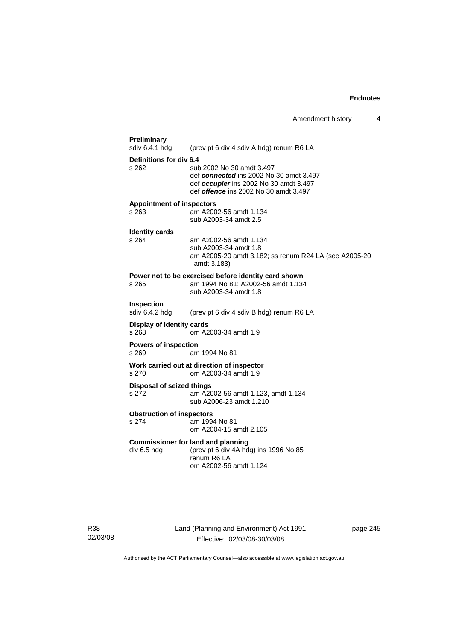| <b>Preliminary</b><br>sdiv 6.4.1 hdg        | (prev pt 6 div 4 sdiv A hdg) renum R6 LA                                                                                                                       |
|---------------------------------------------|----------------------------------------------------------------------------------------------------------------------------------------------------------------|
| Definitions for div 6.4<br>s 262            | sub 2002 No 30 amdt 3.497<br>def connected ins 2002 No 30 amdt 3.497<br>def occupier ins 2002 No 30 amdt 3.497<br>def <i>offence</i> ins 2002 No 30 amdt 3.497 |
| <b>Appointment of inspectors</b><br>$s$ 263 | am A2002-56 amdt 1.134<br>sub A2003-34 amdt 2.5                                                                                                                |
| <b>Identity cards</b><br>$s$ 264            | am A2002-56 amdt 1.134<br>sub A2003-34 amdt 1.8<br>am A2005-20 amdt 3.182; ss renum R24 LA (see A2005-20<br>amdt 3.183)                                        |
| s 265                                       | Power not to be exercised before identity card shown<br>am 1994 No 81; A2002-56 amdt 1.134<br>sub A2003-34 amdt 1.8                                            |
| Inspection<br>sdiv 6.4.2 hdg                | (prev pt 6 div 4 sdiv B hdg) renum R6 LA                                                                                                                       |
| Display of identity cards<br>s 268          | om A2003-34 amdt 1.9                                                                                                                                           |
| <b>Powers of inspection</b><br>s 269        | am 1994 No 81                                                                                                                                                  |
| s 270                                       | Work carried out at direction of inspector<br>om A2003-34 amdt 1.9                                                                                             |
| <b>Disposal of seized things</b><br>s 272   | am A2002-56 amdt 1.123, amdt 1.134<br>sub A2006-23 amdt 1.210                                                                                                  |
| <b>Obstruction of inspectors</b><br>s 274   | am 1994 No 81<br>om A2004-15 amdt 2.105                                                                                                                        |
| div 6.5 hdg                                 | <b>Commissioner for land and planning</b><br>(prev pt 6 div 4A hdg) ins 1996 No 85<br>renum R6 LA<br>om A2002-56 amdt 1.124                                    |

R38 02/03/08 Land (Planning and Environment) Act 1991 Effective: 02/03/08-30/03/08

page 245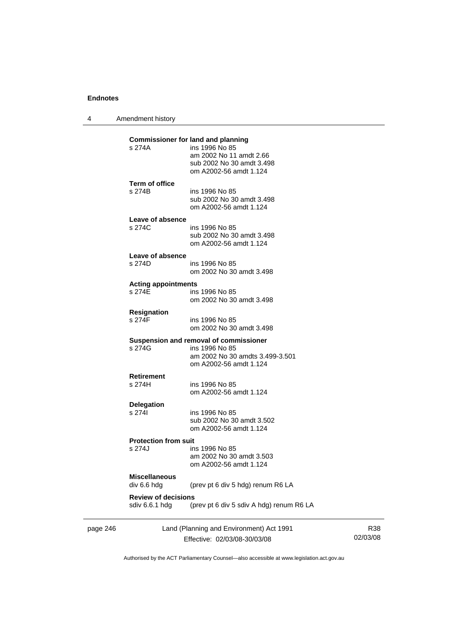4 Amendment history

|          | s 274A                                       | <b>Commissioner for land and planning</b><br>ins 1996 No 85<br>am 2002 No 11 amdt 2.66<br>sub 2002 No 30 amdt 3.498<br>om A2002-56 amdt 1.124 |                 |
|----------|----------------------------------------------|-----------------------------------------------------------------------------------------------------------------------------------------------|-----------------|
|          | <b>Term of office</b><br>s 274B              | ins 1996 No 85<br>sub 2002 No 30 amdt 3.498<br>om A2002-56 amdt 1.124                                                                         |                 |
|          | Leave of absence<br>s 274C                   | ins 1996 No 85<br>sub 2002 No 30 amdt 3.498<br>om A2002-56 amdt 1.124                                                                         |                 |
|          | Leave of absence<br>s 274D                   | ins 1996 No 85<br>om 2002 No 30 amdt 3.498                                                                                                    |                 |
|          | <b>Acting appointments</b><br>s 274E         | ins 1996 No 85<br>om 2002 No 30 amdt 3.498                                                                                                    |                 |
|          | <b>Resignation</b><br>s 274F                 | ins 1996 No 85<br>om 2002 No 30 amdt 3.498                                                                                                    |                 |
|          | s 274G                                       | Suspension and removal of commissioner<br>ins 1996 No 85<br>am 2002 No 30 amdts 3.499-3.501<br>om A2002-56 amdt 1.124                         |                 |
|          | <b>Retirement</b><br>s 274H                  | ins 1996 No 85<br>om A2002-56 amdt 1.124                                                                                                      |                 |
|          | <b>Delegation</b><br>s 274l                  | ins 1996 No 85<br>sub 2002 No 30 amdt 3.502<br>om A2002-56 amdt 1.124                                                                         |                 |
|          | <b>Protection from suit</b>                  |                                                                                                                                               |                 |
|          | s 274J                                       | ins 1996 No 85<br>am 2002 No 30 amdt 3.503<br>om A2002-56 amdt 1.124                                                                          |                 |
|          | <b>Miscellaneous</b><br>div 6.6 hdg          | (prev pt 6 div 5 hdg) renum R6 LA                                                                                                             |                 |
|          | <b>Review of decisions</b><br>sdiv 6.6.1 hdg | (prev pt 6 div 5 sdiv A hdg) renum R6 LA                                                                                                      |                 |
| page 246 |                                              | Land (Planning and Environment) Act 1991<br>Effective: 02/03/08-30/03/08                                                                      | R38<br>02/03/08 |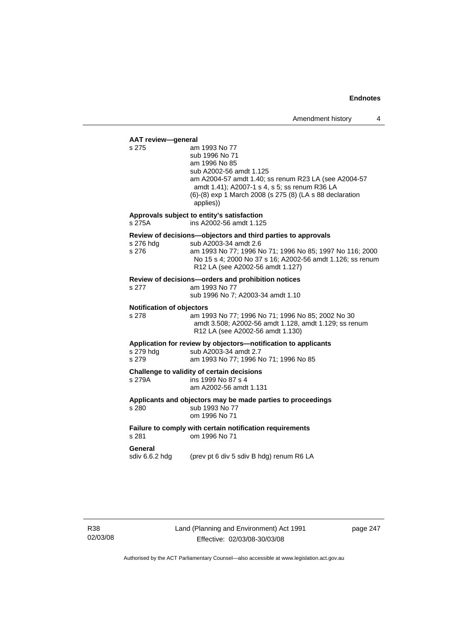#### **AAT review—general**

s 275 am 1993 No 77 sub 1996 No 71 am 1996 No 85 sub A2002-56 amdt 1.125 am A2004-57 amdt 1.40; ss renum R23 LA (see A2004-57 amdt 1.41); A2007-1 s 4, s 5; ss renum R36 LA (6)-(8) exp 1 March 2008 (s 275 (8) (LA s 88 declaration applies)) **Approvals subject to entity's satisfaction**  s 275A ins A2002-56 amdt 1.125 **Review of decisions—objectors and third parties to approvals**  s 276 hdg sub A2003-34 amdt 2.6 s 276 am 1993 No 77; 1996 No 71; 1996 No 85; 1997 No 116; 2000 No 15 s 4; 2000 No 37 s 16; A2002-56 amdt 1.126; ss renum R12 LA (see A2002-56 amdt 1.127) **Review of decisions—orders and prohibition notices**  s 277 am 1993 No 77 sub 1996 No 7; A2003-34 amdt 1.10 **Notification of objectors**  s 278 am 1993 No 77; 1996 No 71; 1996 No 85; 2002 No 30 amdt 3.508; A2002-56 amdt 1.128, amdt 1.129; ss renum R12 LA (see A2002-56 amdt 1.130) **Application for review by objectors—notification to applicants**  s 279 hdg sub A2003-34 amdt 2.7 s 279 am 1993 No 77; 1996 No 71; 1996 No 85 **Challenge to validity of certain decisions**  s 279A ins 1999 No 87 s 4 am A2002-56 amdt 1.131 **Applicants and objectors may be made parties to proceedings**  s 280 sub 1993 No 77 om 1996 No 71 **Failure to comply with certain notification requirements**  s 281 om 1996 No 71 **General**  sdiv 6.6.2 hdg (prev pt 6 div 5 sdiv B hdg) renum R6 LA

page 247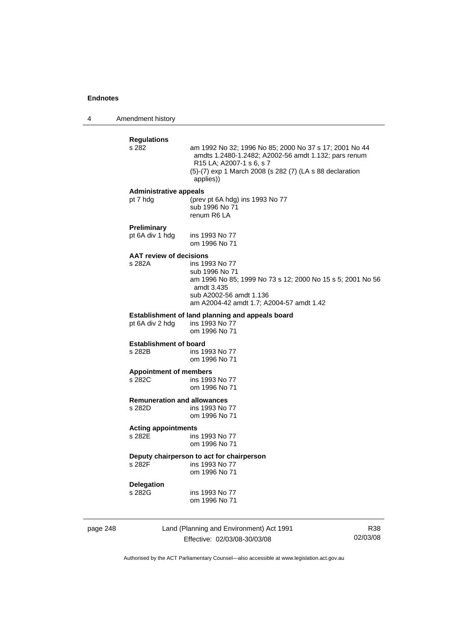4 Amendment history

|          | <b>Regulations</b><br>s 282                  | am 1992 No 32; 1996 No 85; 2000 No 37 s 17; 2001 No 44<br>amdts 1.2480-1.2482; A2002-56 amdt 1.132; pars renum<br>R15 LA; A2007-1 s 6, s 7<br>(5)-(7) exp 1 March 2008 (s 282 (7) (LA s 88 declaration<br>applies)) |     |
|----------|----------------------------------------------|---------------------------------------------------------------------------------------------------------------------------------------------------------------------------------------------------------------------|-----|
|          | <b>Administrative appeals</b><br>pt 7 hdg    | (prev pt 6A hdg) ins 1993 No 77<br>sub 1996 No 71<br>renum R6 LA                                                                                                                                                    |     |
|          | Preliminary<br>pt 6A div 1 hdg               | ins 1993 No 77<br>om 1996 No 71                                                                                                                                                                                     |     |
|          | <b>AAT review of decisions</b><br>s 282A     | ins 1993 No 77<br>sub 1996 No 71<br>am 1996 No 85; 1999 No 73 s 12; 2000 No 15 s 5; 2001 No 56<br>amdt 3.435<br>sub A2002-56 amdt 1.136<br>am A2004-42 amdt 1.7; A2004-57 amdt 1.42                                 |     |
|          | pt 6A div 2 hdg                              | Establishment of land planning and appeals board<br>ins 1993 No 77<br>om 1996 No 71                                                                                                                                 |     |
|          | <b>Establishment of board</b><br>s 282B      | ins 1993 No 77<br>om 1996 No 71                                                                                                                                                                                     |     |
|          | <b>Appointment of members</b><br>s 282C      | ins 1993 No 77<br>om 1996 No 71                                                                                                                                                                                     |     |
|          | <b>Remuneration and allowances</b><br>s 282D | ins 1993 No 77<br>om 1996 No 71                                                                                                                                                                                     |     |
|          | <b>Acting appointments</b><br>s 282E         | ins 1993 No 77<br>om 1996 No 71                                                                                                                                                                                     |     |
|          | s 282F                                       | Deputy chairperson to act for chairperson<br>ins 1993 No 77<br>om 1996 No 71                                                                                                                                        |     |
|          | <b>Delegation</b><br>s 282G                  | ins 1993 No 77<br>om 1996 No 71                                                                                                                                                                                     |     |
| page 248 |                                              | Land (Planning and Environment) Act 1991                                                                                                                                                                            | R38 |

Effective: 02/03/08-30/03/08

R38 02/03/08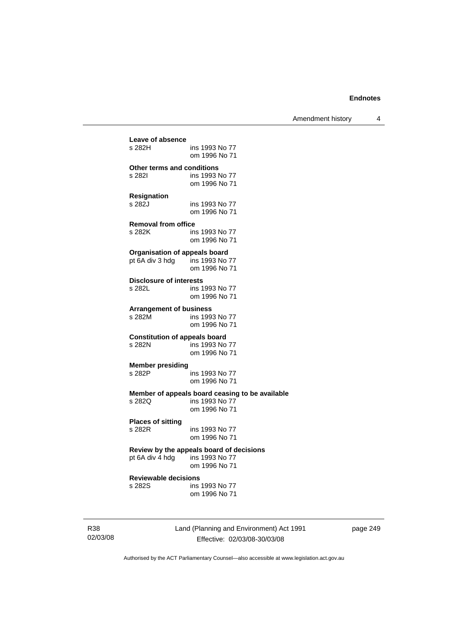Amendment history 4

| Leave of absence                     | ins 1993 No 77                                                                     |
|--------------------------------------|------------------------------------------------------------------------------------|
| s 282H                               | om 1996 No 71                                                                      |
| <b>Other terms and conditions</b>    | ins 1993 No 77                                                                     |
| s 282l                               | om 1996 No 71                                                                      |
| <b>Resignation</b>                   | ins 1993 No 77                                                                     |
| s 282J                               | om 1996 No 71                                                                      |
| <b>Removal from office</b>           | ins 1993 No 77                                                                     |
| s 282K                               | om 1996 No 71                                                                      |
| <b>Organisation of appeals board</b> | ins 1993 No 77                                                                     |
| pt 6A div 3 hdg                      | om 1996 No 71                                                                      |
| <b>Disclosure of interests</b>       | ins 1993 No 77                                                                     |
| s 282L                               | om 1996 No 71                                                                      |
| <b>Arrangement of business</b>       | ins 1993 No 77                                                                     |
| s 282M                               | om 1996 No 71                                                                      |
| <b>Constitution of appeals board</b> | ins 1993 No 77                                                                     |
| s 282N                               | om 1996 No 71                                                                      |
| <b>Member presiding</b>              | ins 1993 No 77                                                                     |
| s 282P                               | om 1996 No 71                                                                      |
| s 282Q                               | Member of appeals board ceasing to be available<br>ins 1993 No 77<br>om 1996 No 71 |
| <b>Places of sitting</b>             | ins 1993 No 77                                                                     |
| s 282R                               | om 1996 No 71                                                                      |
| pt 6A div 4 hdg ins 1993 No 77       | Review by the appeals board of decisions<br>om 1996 No 71                          |
| <b>Reviewable decisions</b>          | ins 1993 No 77                                                                     |
| s 282S                               | om 1996 No 71                                                                      |
|                                      |                                                                                    |

R38 02/03/08 Land (Planning and Environment) Act 1991 Effective: 02/03/08-30/03/08

page 249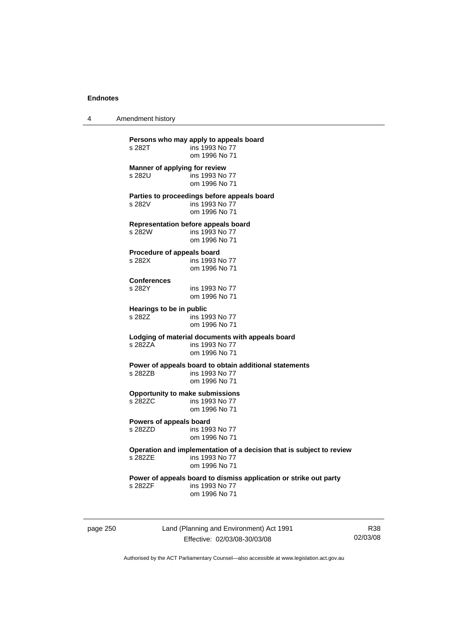4 Amendment history

| s 282T                               | ins 1993 No 77<br>om 1996 No 71                                                                         |
|--------------------------------------|---------------------------------------------------------------------------------------------------------|
| s 282U                               | Manner of applying for review<br>ins 1993 No 77<br>om 1996 No 71                                        |
| s 282V                               | Parties to proceedings before appeals board<br>ins 1993 No 77<br>om 1996 No 71                          |
| s 282W                               | <b>Representation before appeals board</b><br>ins 1993 No 77<br>om 1996 No 71                           |
| Procedure of appeals board<br>s 282X | ins 1993 No 77<br>om 1996 No 71                                                                         |
| <b>Conferences</b><br>s 282Y         | ins 1993 No 77<br>om 1996 No 71                                                                         |
| Hearings to be in public<br>s 282Z   | ins 1993 No 77<br>om 1996 No 71                                                                         |
| s 282ZA                              | Lodging of material documents with appeals board<br>ins 1993 No 77<br>om 1996 No 71                     |
| s 282ZB                              | Power of appeals board to obtain additional statements<br>ins 1993 No 77<br>om 1996 No 71               |
| s 282ZC                              | <b>Opportunity to make submissions</b><br>ins 1993 No 77<br>om 1996 No 71                               |
| Powers of appeals board<br>s 282ZD   | ins 1993 No 77<br>om 1996 No 71                                                                         |
| s 282ZE                              | Operation and implementation of a decision that is subject to review<br>ins 1993 No 77<br>om 1996 No 71 |
| s 2827F                              | Power of appeals board to dismiss application or strike out party<br>ins 1993 No 77<br>om 1996 No 71    |

page 250 Land (Planning and Environment) Act 1991 Effective: 02/03/08-30/03/08

R38 02/03/08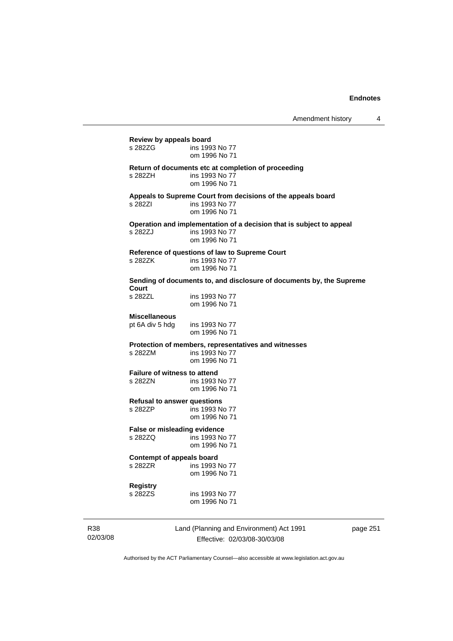# **Review by appeals board**  ins 1993 No 77 om 1996 No 71 **Return of documents etc at completion of proceeding**  s 282ZH ins 1993 No 77 om 1996 No 71 **Appeals to Supreme Court from decisions of the appeals board**  s 282ZI ins 1993 No 77 om 1996 No 71 **Operation and implementation of a decision that is subject to appeal**  ins 1993 No 77 om 1996 No 71 **Reference of questions of law to Supreme Court**  s 282ZK ins 1993 No 77 om 1996 No 71 **Sending of documents to, and disclosure of documents by, the Supreme Court**  ins 1993 No 77 om 1996 No 71 **Miscellaneous**  pt 6A div 5 hdg ins 1993 No 77 om 1996 No 71 **Protection of members, representatives and witnesses**  s 282ZM ins 1993 No 77 om 1996 No 71 **Failure of witness to attend<br>s 2827N** ins 1993 ins 1993 No 77 om 1996 No 71 **Refusal to answer questions**  s 282ZP ins 1993 No 77 om 1996 No 71 **False or misleading evidence**  s 282ZQ ins 1993 No 77 om 1996 No 71 **Contempt of appeals board**  s 282ZR ins 1993 No 77 om 1996 No 71 **Registry**  s 282ZS ins 1993 No 77 om 1996 No 71

R38 02/03/08 Land (Planning and Environment) Act 1991 Effective: 02/03/08-30/03/08

page 251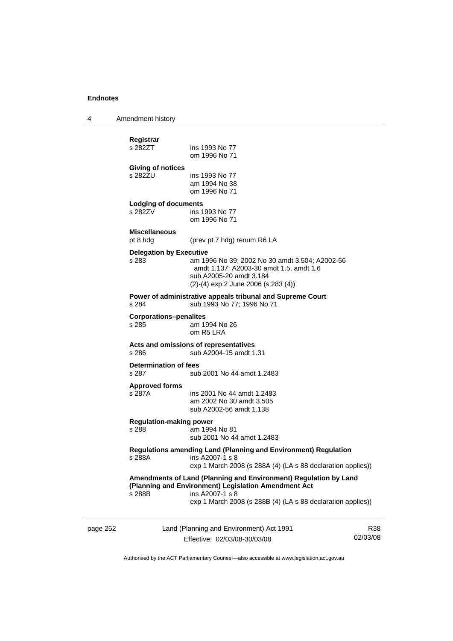4 Amendment history

|          | s 282ZU                                                                                                                                                            | ins 1993 No 77<br>am 1994 No 38<br>om 1996 No 71                                                                                                                                                           |                 |
|----------|--------------------------------------------------------------------------------------------------------------------------------------------------------------------|------------------------------------------------------------------------------------------------------------------------------------------------------------------------------------------------------------|-----------------|
|          | <b>Lodging of documents</b><br>s 282ZV                                                                                                                             | ins 1993 No 77<br>om 1996 No 71                                                                                                                                                                            |                 |
|          | <b>Miscellaneous</b><br>pt 8 hdg                                                                                                                                   | (prev pt 7 hdg) renum R6 LA                                                                                                                                                                                |                 |
|          | <b>Delegation by Executive</b><br>s 283                                                                                                                            | am 1996 No 39; 2002 No 30 amdt 3.504; A2002-56<br>amdt 1.137; A2003-30 amdt 1.5, amdt 1.6<br>sub A2005-20 amdt 3.184<br>$(2)-(4)$ exp 2 June 2006 (s 283 (4))                                              |                 |
|          | s 284                                                                                                                                                              | Power of administrative appeals tribunal and Supreme Court<br>sub 1993 No 77; 1996 No 71                                                                                                                   |                 |
|          | <b>Corporations-penalites</b><br>s 285                                                                                                                             | am 1994 No 26<br>om R5 LRA                                                                                                                                                                                 |                 |
|          | s 286                                                                                                                                                              | Acts and omissions of representatives<br>sub A2004-15 amdt 1.31                                                                                                                                            |                 |
|          | <b>Determination of fees</b><br>s 287                                                                                                                              | sub 2001 No 44 amdt 1.2483                                                                                                                                                                                 |                 |
|          | <b>Approved forms</b><br>s 287A                                                                                                                                    | ins 2001 No 44 amdt 1.2483<br>am 2002 No 30 amdt 3.505<br>sub A2002-56 amdt 1.138                                                                                                                          |                 |
|          | <b>Regulation-making power</b><br>s 288                                                                                                                            | am 1994 No 81<br>sub 2001 No 44 amdt 1.2483                                                                                                                                                                |                 |
|          | <b>Regulations amending Land (Planning and Environment) Regulation</b><br>s 288A<br>ins A2007-1 s 8<br>exp 1 March 2008 (s 288A (4) (LA s 88 declaration applies)) |                                                                                                                                                                                                            |                 |
|          | s 288B                                                                                                                                                             | Amendments of Land (Planning and Environment) Regulation by Land<br>(Planning and Environment) Legislation Amendment Act<br>ins A2007-1 s 8<br>exp 1 March 2008 (s 288B (4) (LA s 88 declaration applies)) |                 |
| page 252 |                                                                                                                                                                    | Land (Planning and Environment) Act 1991<br>Effective: 02/03/08-30/03/08                                                                                                                                   | R38<br>02/03/08 |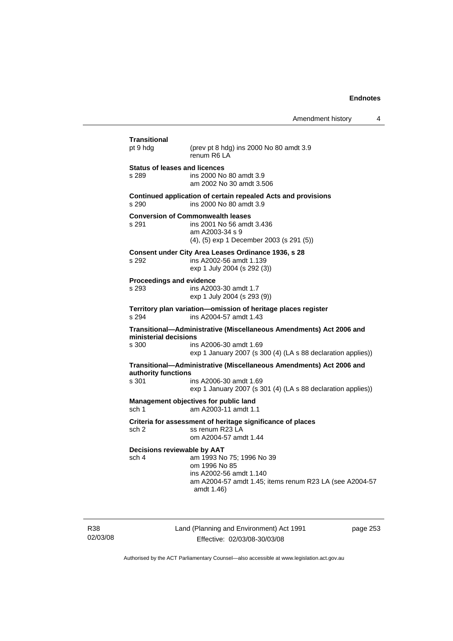| pt 9 hdg                                      | (prev pt 8 hdg) ins 2000 No 80 amdt 3.9<br>renum R6 LA                                                                                         |
|-----------------------------------------------|------------------------------------------------------------------------------------------------------------------------------------------------|
| <b>Status of leases and licences</b><br>s 289 | ins 2000 No 80 amdt 3.9<br>am 2002 No 30 amdt 3.506                                                                                            |
| s 290                                         | Continued application of certain repealed Acts and provisions<br>ins 2000 No 80 amdt 3.9                                                       |
| s 291                                         | <b>Conversion of Commonwealth leases</b><br>ins 2001 No 56 amdt 3.436<br>am A2003-34 s 9<br>(4), (5) exp 1 December 2003 (s 291 (5))           |
| s 292                                         | Consent under City Area Leases Ordinance 1936, s 28<br>ins A2002-56 amdt 1.139<br>exp 1 July 2004 (s 292 (3))                                  |
| Proceedings and evidence<br>s 293             | ins A2003-30 amdt 1.7<br>exp 1 July 2004 (s 293 (9))                                                                                           |
| s 294                                         | Territory plan variation-omission of heritage places register<br>ins A2004-57 amdt 1.43                                                        |
| ministerial decisions                         | Transitional-Administrative (Miscellaneous Amendments) Act 2006 and                                                                            |
| s 300                                         | ins A2006-30 amdt 1.69<br>exp 1 January 2007 (s 300 (4) (LA s 88 declaration applies))                                                         |
| authority functions                           | Transitional-Administrative (Miscellaneous Amendments) Act 2006 and                                                                            |
| s.301                                         | ins A2006-30 amdt 1.69<br>exp 1 January 2007 (s 301 (4) (LA s 88 declaration applies))                                                         |
| sch 1                                         | Management objectives for public land<br>am A2003-11 amdt 1.1                                                                                  |
| sch 2                                         | Criteria for assessment of heritage significance of places<br>ss renum R23 LA<br>om A2004-57 amdt 1.44                                         |
| Decisions reviewable by AAT<br>sch 4          | am 1993 No 75; 1996 No 39<br>om 1996 No 85<br>ins A2002-56 amdt 1.140<br>am A2004-57 amdt 1.45; items renum R23 LA (see A2004-57<br>amdt 1.46) |

R38 02/03/08 Land (Planning and Environment) Act 1991 Effective: 02/03/08-30/03/08

page 253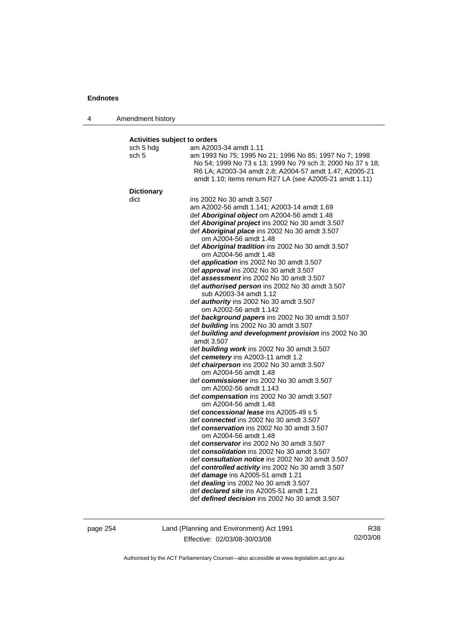4 Amendment history

#### **Activities subject to orders**

| sch 5 hdg         | am A2003-34 amdt 1.11                                      |
|-------------------|------------------------------------------------------------|
| sch 5             | am 1993 No 75; 1995 No 21; 1996 No 85; 1997 No 7; 1998     |
|                   | No 54; 1999 No 73 s 13; 1999 No 79 sch 3; 2000 No 37 s 18; |
|                   | R6 LA; A2003-34 amdt 2.8; A2004-57 amdt 1.47; A2005-21     |
|                   | amdt 1.10; items renum R27 LA (see A2005-21 amdt 1.11)     |
| <b>Dictionary</b> |                                                            |
| dict              | ins 2002 No 30 amdt 3.507                                  |
|                   | am A2002-56 amdt 1.141; A2003-14 amdt 1.69                 |
|                   | def Aboriginal object om A2004-56 amdt 1.48                |
|                   | def Aboriginal project ins 2002 No 30 amdt 3.507           |
|                   | def Aboriginal place ins 2002 No 30 amdt 3.507             |
|                   | om A2004-56 amdt 1.48                                      |
|                   | def Aboriginal tradition ins 2002 No 30 amdt 3.507         |
|                   | om A2004-56 amdt 1.48                                      |
|                   | def application ins 2002 No 30 amdt 3.507                  |
|                   | def approval ins 2002 No 30 amdt 3.507                     |
|                   | def assessment ins 2002 No 30 amdt 3.507                   |
|                   | def <b>authorised person</b> ins 2002 No 30 amdt 3.507     |
|                   | sub A2003-34 amdt 1.12                                     |
|                   | def authority ins 2002 No 30 amdt 3.507                    |
|                   | om A2002-56 amdt 1.142                                     |
|                   | def background papers ins 2002 No 30 amdt 3.507            |
|                   | def building ins 2002 No 30 amdt 3.507                     |
|                   | def building and development provision ins 2002 No 30      |
|                   | amdt 3.507                                                 |
|                   | def <b>building work</b> ins 2002 No 30 amdt 3.507         |
|                   | def cemetery ins A2003-11 amdt 1.2                         |
|                   | def <i>chairperson</i> ins 2002 No 30 amdt 3.507           |
|                   | om A2004-56 amdt 1.48                                      |
|                   | def commissioner ins 2002 No 30 amdt 3.507                 |
|                   | om A2002-56 amdt 1.143                                     |
|                   | def compensation ins 2002 No 30 amdt 3.507                 |
|                   | om A2004-56 amdt 1.48                                      |
|                   | def concessional lease ins A2005-49 s 5                    |
|                   | def connected ins 2002 No 30 amdt 3.507                    |
|                   | def conservation ins 2002 No 30 amdt 3.507                 |
|                   | om A2004-56 amdt 1.48                                      |
|                   | def conservator ins 2002 No 30 amdt 3.507                  |
|                   | def consolidation ins 2002 No 30 amdt 3.507                |
|                   | def consultation notice ins 2002 No 30 amdt 3.507          |
|                   | def controlled activity ins 2002 No 30 amdt 3.507          |
|                   | def <i>damage</i> ins A2005-51 amdt 1.21                   |
|                   | def <i>dealing</i> ins 2002 No 30 amdt 3.507               |
|                   | def <i>declared site</i> ins A2005-51 amdt 1.21            |
|                   | def <i>defined decision</i> ins 2002 No 30 amdt 3.507      |
|                   |                                                            |
|                   |                                                            |

page 254 Land (Planning and Environment) Act 1991 Effective: 02/03/08-30/03/08

R38 02/03/08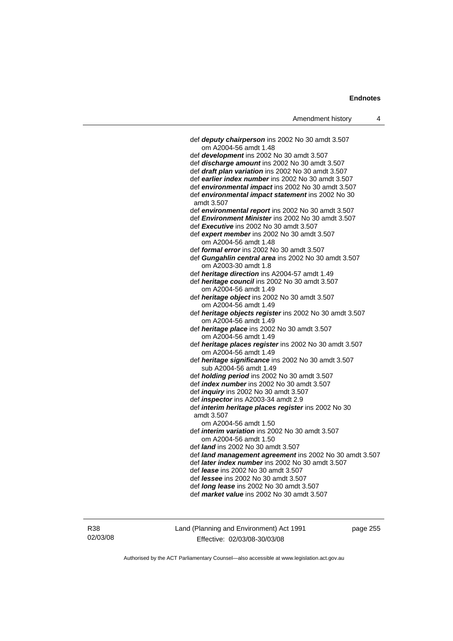| Amendment history |  |
|-------------------|--|
|-------------------|--|

 def *deputy chairperson* ins 2002 No 30 amdt 3.507 om A2004-56 amdt 1.48 def *development* ins 2002 No 30 amdt 3.507 def *discharge amount* ins 2002 No 30 amdt 3.507 def *draft plan variation* ins 2002 No 30 amdt 3.507 def *earlier index number* ins 2002 No 30 amdt 3.507 def *environmental impact* ins 2002 No 30 amdt 3.507 def *environmental impact statement* ins 2002 No 30 amdt 3.507 def *environmental report* ins 2002 No 30 amdt 3.507 def *Environment Minister* ins 2002 No 30 amdt 3.507 def *Executive* ins 2002 No 30 amdt 3.507 def *expert member* ins 2002 No 30 amdt 3.507 om A2004-56 amdt 1.48 def *formal error* ins 2002 No 30 amdt 3.507 def *Gungahlin central area* ins 2002 No 30 amdt 3.507 om A2003-30 amdt 1.8 def *heritage direction* ins A2004-57 amdt 1.49 def *heritage council* ins 2002 No 30 amdt 3.507 om A2004-56 amdt 1.49 def *heritage object* ins 2002 No 30 amdt 3.507 om A2004-56 amdt 1.49 def *heritage objects register* ins 2002 No 30 amdt 3.507 om A2004-56 amdt 1.49 def *heritage place* ins 2002 No 30 amdt 3.507 om A2004-56 amdt 1.49 def *heritage places register* ins 2002 No 30 amdt 3.507 om A2004-56 amdt 1.49 def *heritage significance* ins 2002 No 30 amdt 3.507 sub A2004-56 amdt 1.49 def *holding period* ins 2002 No 30 amdt 3.507 def *index number* ins 2002 No 30 amdt 3.507 def *inquiry* ins 2002 No 30 amdt 3.507 def *inspector* ins A2003-34 amdt 2.9 def *interim heritage places register* ins 2002 No 30 amdt 3.507 om A2004-56 amdt 1.50 def *interim variation* ins 2002 No 30 amdt 3.507 om A2004-56 amdt 1.50 def *land* ins 2002 No 30 amdt 3.507 def *land management agreement* ins 2002 No 30 amdt 3.507 def *later index number* ins 2002 No 30 amdt 3.507 def *lease* ins 2002 No 30 amdt 3.507 def *lessee* ins 2002 No 30 amdt 3.507 def *long lease* ins 2002 No 30 amdt 3.507 def *market value* ins 2002 No 30 amdt 3.507

R38 02/03/08 Land (Planning and Environment) Act 1991 Effective: 02/03/08-30/03/08

page 255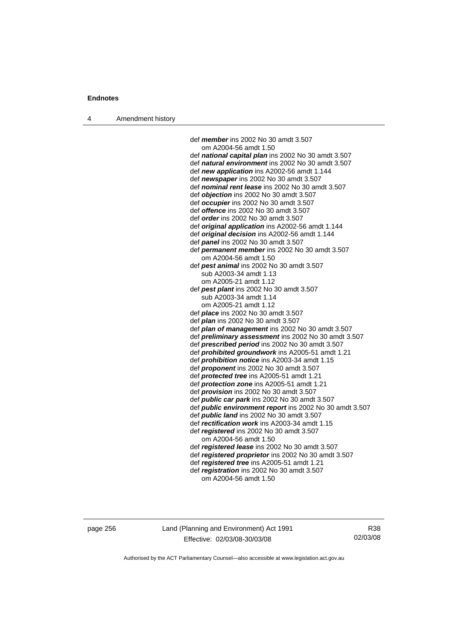4 Amendment history

 def *member* ins 2002 No 30 amdt 3.507 om A2004-56 amdt 1.50 def *national capital plan* ins 2002 No 30 amdt 3.507 def *natural environment* ins 2002 No 30 amdt 3.507 def *new application* ins A2002-56 amdt 1.144 def *newspaper* ins 2002 No 30 amdt 3.507 def *nominal rent lease* ins 2002 No 30 amdt 3.507 def *objection* ins 2002 No 30 amdt 3.507 def *occupier* ins 2002 No 30 amdt 3.507 def *offence* ins 2002 No 30 amdt 3.507 def *order* ins 2002 No 30 amdt 3.507 def *original application* ins A2002-56 amdt 1.144 def *original decision* ins A2002-56 amdt 1.144 def *panel* ins 2002 No 30 amdt 3.507 def *permanent member* ins 2002 No 30 amdt 3.507 om A2004-56 amdt 1.50 def *pest animal* ins 2002 No 30 amdt 3.507 sub A2003-34 amdt 1.13 om A2005-21 amdt 1.12 def *pest plant* ins 2002 No 30 amdt 3.507 sub A2003-34 amdt 1.14 om A2005-21 amdt 1.12 def *place* ins 2002 No 30 amdt 3.507 def *plan* ins 2002 No 30 amdt 3.507 def *plan of management* ins 2002 No 30 amdt 3.507 def *preliminary assessment* ins 2002 No 30 amdt 3.507 def *prescribed period* ins 2002 No 30 amdt 3.507 def *prohibited groundwork* ins A2005-51 amdt 1.21 def *prohibition notice* ins A2003-34 amdt 1.15 def *proponent* ins 2002 No 30 amdt 3.507 def *protected tree* ins A2005-51 amdt 1.21 def *protection zone* ins A2005-51 amdt 1.21 def *provision* ins 2002 No 30 amdt 3.507 def *public car park* ins 2002 No 30 amdt 3.507 def *public environment report* ins 2002 No 30 amdt 3.507 def *public land* ins 2002 No 30 amdt 3.507 def *rectification work* ins A2003-34 amdt 1.15 def *registered* ins 2002 No 30 amdt 3.507 om A2004-56 amdt 1.50 def *registered lease* ins 2002 No 30 amdt 3.507 def *registered proprietor* ins 2002 No 30 amdt 3.507 def *registered tree* ins A2005-51 amdt 1.21 def *registration* ins 2002 No 30 amdt 3.507 om A2004-56 amdt 1.50

page 256 Land (Planning and Environment) Act 1991 Effective: 02/03/08-30/03/08

R38 02/03/08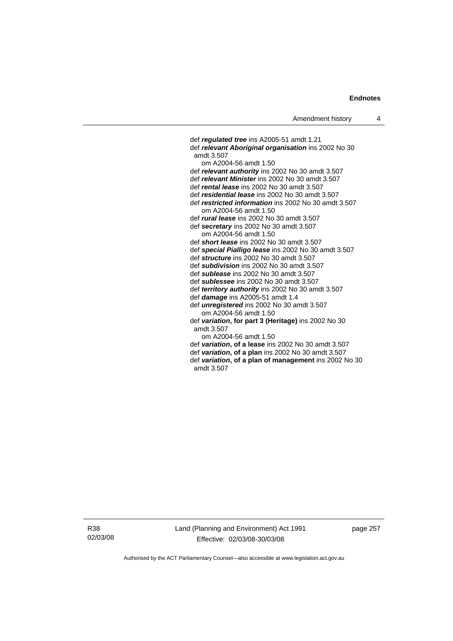def *regulated tree* ins A2005-51 amdt 1.21 def *relevant Aboriginal organisation* ins 2002 No 30 amdt 3.507 om A2004-56 amdt 1.50 def *relevant authority* ins 2002 No 30 amdt 3.507 def *relevant Minister* ins 2002 No 30 amdt 3.507 def *rental lease* ins 2002 No 30 amdt 3.507 def *residential lease* ins 2002 No 30 amdt 3.507 def *restricted information* ins 2002 No 30 amdt 3.507 om A2004-56 amdt 1.50 def *rural lease* ins 2002 No 30 amdt 3.507 def *secretary* ins 2002 No 30 amdt 3.507 om A2004-56 amdt 1.50 def *short lease* ins 2002 No 30 amdt 3.507 def *special Pialligo lease* ins 2002 No 30 amdt 3.507 def *structure* ins 2002 No 30 amdt 3.507 def *subdivision* ins 2002 No 30 amdt 3.507 def *sublease* ins 2002 No 30 amdt 3.507 def *sublessee* ins 2002 No 30 amdt 3.507 def *territory authority* ins 2002 No 30 amdt 3.507 def *damage* ins A2005-51 amdt 1.4 def *unregistered* ins 2002 No 30 amdt 3.507 om A2004-56 amdt 1.50 def *variation***, for part 3 (Heritage)** ins 2002 No 30 amdt 3.507 om A2004-56 amdt 1.50 def *variation***, of a lease** ins 2002 No 30 amdt 3.507 def *variation***, of a plan** ins 2002 No 30 amdt 3.507 def *variation***, of a plan of management** ins 2002 No 30 amdt 3.507

R38 02/03/08 page 257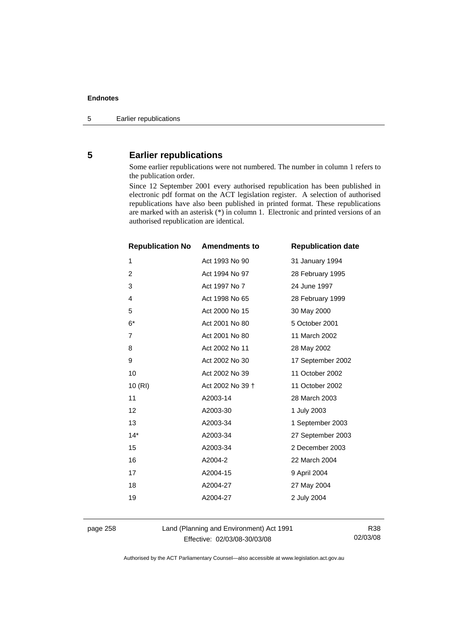# **5 Earlier republications**

Some earlier republications were not numbered. The number in column 1 refers to the publication order.

Since 12 September 2001 every authorised republication has been published in electronic pdf format on the ACT legislation register. A selection of authorised republications have also been published in printed format. These republications are marked with an asterisk (\*) in column 1. Electronic and printed versions of an authorised republication are identical.

| <b>Republication No</b> | <b>Amendments to</b> | <b>Republication date</b> |
|-------------------------|----------------------|---------------------------|
| 1                       | Act 1993 No 90       | 31 January 1994           |
| $\overline{2}$          | Act 1994 No 97       | 28 February 1995          |
| 3                       | Act 1997 No 7        | 24 June 1997              |
| 4                       | Act 1998 No 65       | 28 February 1999          |
| 5                       | Act 2000 No 15       | 30 May 2000               |
| $6*$                    | Act 2001 No 80       | 5 October 2001            |
| $\overline{7}$          | Act 2001 No 80       | 11 March 2002             |
| 8                       | Act 2002 No 11       | 28 May 2002               |
| 9                       | Act 2002 No 30       | 17 September 2002         |
| 10                      | Act 2002 No 39       | 11 October 2002           |
| 10(RI)                  | Act 2002 No 39 +     | 11 October 2002           |
| 11                      | A2003-14             | 28 March 2003             |
| 12                      | A2003-30             | 1 July 2003               |
| 13                      | A2003-34             | 1 September 2003          |
| $14*$                   | A2003-34             | 27 September 2003         |
| 15                      | A2003-34             | 2 December 2003           |
| 16                      | A2004-2              | 22 March 2004             |
| 17                      | A2004-15             | 9 April 2004              |
| 18                      | A2004-27             | 27 May 2004               |
| 19                      | A2004-27             | 2 July 2004               |
|                         |                      |                           |

page 258 Land (Planning and Environment) Act 1991 Effective: 02/03/08-30/03/08

R38 02/03/08